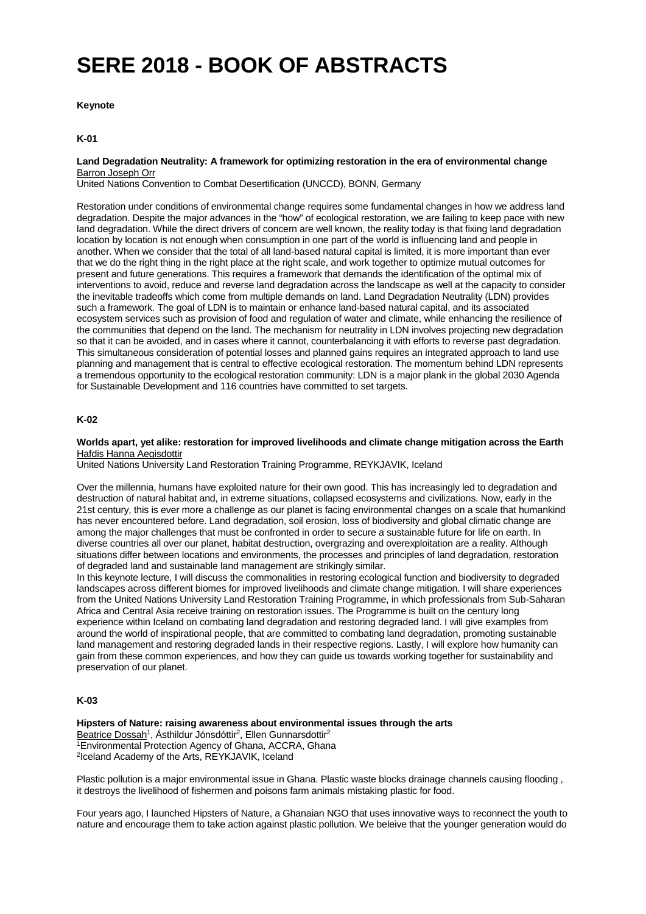# **SERE 2018 - BOOK OF ABSTRACTS**

## **Keynote**

## **K-01**

**Land Degradation Neutrality: A framework for optimizing restoration in the era of environmental change** Barron Joseph Orr

United Nations Convention to Combat Desertification (UNCCD), BONN, Germany

Restoration under conditions of environmental change requires some fundamental changes in how we address land degradation. Despite the major advances in the "how" of ecological restoration, we are failing to keep pace with new land degradation. While the direct drivers of concern are well known, the reality today is that fixing land degradation location by location is not enough when consumption in one part of the world is influencing land and people in another. When we consider that the total of all land-based natural capital is limited, it is more important than ever that we do the right thing in the right place at the right scale, and work together to optimize mutual outcomes for present and future generations. This requires a framework that demands the identification of the optimal mix of interventions to avoid, reduce and reverse land degradation across the landscape as well at the capacity to consider the inevitable tradeoffs which come from multiple demands on land. Land Degradation Neutrality (LDN) provides such a framework. The goal of LDN is to maintain or enhance land-based natural capital, and its associated ecosystem services such as provision of food and regulation of water and climate, while enhancing the resilience of the communities that depend on the land. The mechanism for neutrality in LDN involves projecting new degradation so that it can be avoided, and in cases where it cannot, counterbalancing it with efforts to reverse past degradation. This simultaneous consideration of potential losses and planned gains requires an integrated approach to land use planning and management that is central to effective ecological restoration. The momentum behind LDN represents a tremendous opportunity to the ecological restoration community: LDN is a major plank in the global 2030 Agenda for Sustainable Development and 116 countries have committed to set targets.

## **K-02**

**Worlds apart, yet alike: restoration for improved livelihoods and climate change mitigation across the Earth** Hafdis Hanna Aegisdottir

United Nations University Land Restoration Training Programme, REYKJAVIK, Iceland

Over the millennia, humans have exploited nature for their own good. This has increasingly led to degradation and destruction of natural habitat and, in extreme situations, collapsed ecosystems and civilizations. Now, early in the 21st century, this is ever more a challenge as our planet is facing environmental changes on a scale that humankind has never encountered before. Land degradation, soil erosion, loss of biodiversity and global climatic change are among the major challenges that must be confronted in order to secure a sustainable future for life on earth. In diverse countries all over our planet, habitat destruction, overgrazing and overexploitation are a reality. Although situations differ between locations and environments, the processes and principles of land degradation, restoration of degraded land and sustainable land management are strikingly similar.

In this keynote lecture, I will discuss the commonalities in restoring ecological function and biodiversity to degraded landscapes across different biomes for improved livelihoods and climate change mitigation. I will share experiences from the United Nations University Land Restoration Training Programme, in which professionals from Sub-Saharan Africa and Central Asia receive training on restoration issues. The Programme is built on the century long experience within Iceland on combating land degradation and restoring degraded land. I will give examples from around the world of inspirational people, that are committed to combating land degradation, promoting sustainable land management and restoring degraded lands in their respective regions. Lastly, I will explore how humanity can gain from these common experiences, and how they can guide us towards working together for sustainability and preservation of our planet.

#### **K-03**

**Hipsters of Nature: raising awareness about environmental issues through the arts** Beatrice Dossah<sup>1</sup>, Ásthildur Jónsdóttir<sup>2</sup>, Ellen Gunnarsdottir<sup>2</sup> 1Environmental Protection Agency of Ghana, ACCRA, Ghana 2Iceland Academy of the Arts, REYKJAVIK, Iceland

Plastic pollution is a major environmental issue in Ghana. Plastic waste blocks drainage channels causing flooding , it destroys the livelihood of fishermen and poisons farm animals mistaking plastic for food.

Four years ago, I launched Hipsters of Nature, a Ghanaian NGO that uses innovative ways to reconnect the youth to nature and encourage them to take action against plastic pollution. We beleive that the younger generation would do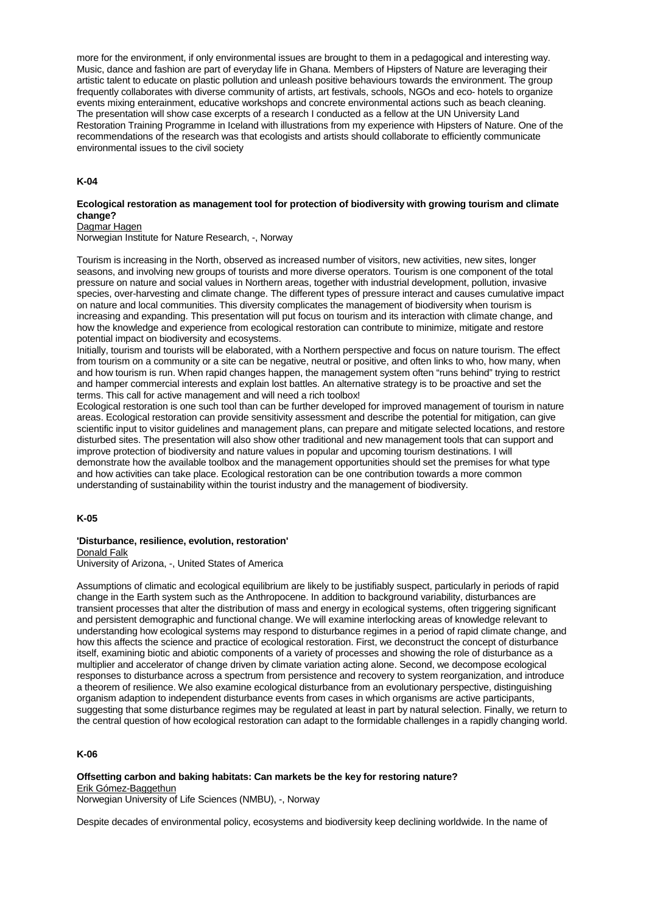more for the environment, if only environmental issues are brought to them in a pedagogical and interesting way. Music, dance and fashion are part of everyday life in Ghana. Members of Hipsters of Nature are leveraging their artistic talent to educate on plastic pollution and unleash positive behaviours towards the environment. The group frequently collaborates with diverse community of artists, art festivals, schools, NGOs and eco- hotels to organize events mixing enterainment, educative workshops and concrete environmental actions such as beach cleaning. The presentation will show case excerpts of a research I conducted as a fellow at the UN University Land Restoration Training Programme in Iceland with illustrations from my experience with Hipsters of Nature. One of the recommendations of the research was that ecologists and artists should collaborate to efficiently communicate environmental issues to the civil society

## **K-04**

#### **Ecological restoration as management tool for protection of biodiversity with growing tourism and climate change?**

Dagmar Hagen

Norwegian Institute for Nature Research, -, Norway

Tourism is increasing in the North, observed as increased number of visitors, new activities, new sites, longer seasons, and involving new groups of tourists and more diverse operators. Tourism is one component of the total pressure on nature and social values in Northern areas, together with industrial development, pollution, invasive species, over-harvesting and climate change. The different types of pressure interact and causes cumulative impact on nature and local communities. This diversity complicates the management of biodiversity when tourism is increasing and expanding. This presentation will put focus on tourism and its interaction with climate change, and how the knowledge and experience from ecological restoration can contribute to minimize, mitigate and restore potential impact on biodiversity and ecosystems.

Initially, tourism and tourists will be elaborated, with a Northern perspective and focus on nature tourism. The effect from tourism on a community or a site can be negative, neutral or positive, and often links to who, how many, when and how tourism is run. When rapid changes happen, the management system often "runs behind" trying to restrict and hamper commercial interests and explain lost battles. An alternative strategy is to be proactive and set the terms. This call for active management and will need a rich toolbox!

Ecological restoration is one such tool than can be further developed for improved management of tourism in nature areas. Ecological restoration can provide sensitivity assessment and describe the potential for mitigation, can give scientific input to visitor guidelines and management plans, can prepare and mitigate selected locations, and restore disturbed sites. The presentation will also show other traditional and new management tools that can support and improve protection of biodiversity and nature values in popular and upcoming tourism destinations. I will demonstrate how the available toolbox and the management opportunities should set the premises for what type and how activities can take place. Ecological restoration can be one contribution towards a more common understanding of sustainability within the tourist industry and the management of biodiversity.

#### **K-05**

## **'Disturbance, resilience, evolution, restoration'** Donald Falk

University of Arizona, -, United States of America

Assumptions of climatic and ecological equilibrium are likely to be justifiably suspect, particularly in periods of rapid change in the Earth system such as the Anthropocene. In addition to background variability, disturbances are transient processes that alter the distribution of mass and energy in ecological systems, often triggering significant and persistent demographic and functional change. We will examine interlocking areas of knowledge relevant to understanding how ecological systems may respond to disturbance regimes in a period of rapid climate change, and how this affects the science and practice of ecological restoration. First, we deconstruct the concept of disturbance itself, examining biotic and abiotic components of a variety of processes and showing the role of disturbance as a multiplier and accelerator of change driven by climate variation acting alone. Second, we decompose ecological responses to disturbance across a spectrum from persistence and recovery to system reorganization, and introduce a theorem of resilience. We also examine ecological disturbance from an evolutionary perspective, distinguishing organism adaption to independent disturbance events from cases in which organisms are active participants, suggesting that some disturbance regimes may be regulated at least in part by natural selection. Finally, we return to the central question of how ecological restoration can adapt to the formidable challenges in a rapidly changing world.

# **K-06**

**Offsetting carbon and baking habitats: Can markets be the key for restoring nature?** Erik Gómez-Baggethun

Norwegian University of Life Sciences (NMBU), -, Norway

Despite decades of environmental policy, ecosystems and biodiversity keep declining worldwide. In the name of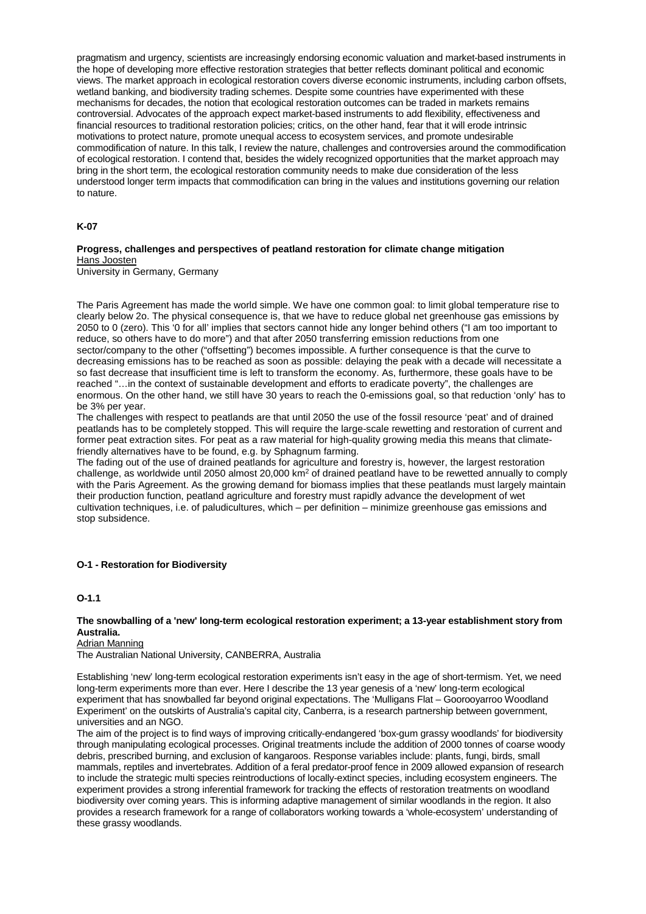pragmatism and urgency, scientists are increasingly endorsing economic valuation and market-based instruments in the hope of developing more effective restoration strategies that better reflects dominant political and economic views. The market approach in ecological restoration covers diverse economic instruments, including carbon offsets, wetland banking, and biodiversity trading schemes. Despite some countries have experimented with these mechanisms for decades, the notion that ecological restoration outcomes can be traded in markets remains controversial. Advocates of the approach expect market-based instruments to add flexibility, effectiveness and financial resources to traditional restoration policies; critics, on the other hand, fear that it will erode intrinsic motivations to protect nature, promote unequal access to ecosystem services, and promote undesirable commodification of nature. In this talk, I review the nature, challenges and controversies around the commodification of ecological restoration. I contend that, besides the widely recognized opportunities that the market approach may bring in the short term, the ecological restoration community needs to make due consideration of the less understood longer term impacts that commodification can bring in the values and institutions governing our relation to nature.

#### **K-07**

#### **Progress, challenges and perspectives of peatland restoration for climate change mitigation** Hans Joosten

University in Germany, Germany

The Paris Agreement has made the world simple. We have one common goal: to limit global temperature rise to clearly below 2o. The physical consequence is, that we have to reduce global net greenhouse gas emissions by 2050 to 0 (zero). This '0 for all' implies that sectors cannot hide any longer behind others ("I am too important to reduce, so others have to do more") and that after 2050 transferring emission reductions from one sector/company to the other ("offsetting") becomes impossible. A further consequence is that the curve to decreasing emissions has to be reached as soon as possible: delaying the peak with a decade will necessitate a so fast decrease that insufficient time is left to transform the economy. As, furthermore, these goals have to be reached "…in the context of sustainable development and efforts to eradicate poverty", the challenges are enormous. On the other hand, we still have 30 years to reach the 0-emissions goal, so that reduction 'only' has to be 3% per year.

The challenges with respect to peatlands are that until 2050 the use of the fossil resource 'peat' and of drained peatlands has to be completely stopped. This will require the large-scale rewetting and restoration of current and former peat extraction sites. For peat as a raw material for high-quality growing media this means that climatefriendly alternatives have to be found, e.g. by Sphagnum farming.

The fading out of the use of drained peatlands for agriculture and forestry is, however, the largest restoration challenge, as worldwide until 2050 almost 20,000 km2 of drained peatland have to be rewetted annually to comply with the Paris Agreement. As the growing demand for biomass implies that these peatlands must largely maintain their production function, peatland agriculture and forestry must rapidly advance the development of wet cultivation techniques, i.e. of paludicultures, which – per definition – minimize greenhouse gas emissions and stop subsidence.

#### **O-1 - Restoration for Biodiversity**

**O-1.1**

## **The snowballing of a 'new' long-term ecological restoration experiment; a 13-year establishment story from Australia.**

#### Adrian Manning

The Australian National University, CANBERRA, Australia

Establishing 'new' long-term ecological restoration experiments isn't easy in the age of short-termism. Yet, we need long-term experiments more than ever. Here I describe the 13 year genesis of a 'new' long-term ecological experiment that has snowballed far beyond original expectations. The 'Mulligans Flat – Goorooyarroo Woodland Experiment' on the outskirts of Australia's capital city, Canberra, is a research partnership between government, universities and an NGO.

The aim of the project is to find ways of improving critically-endangered 'box-gum grassy woodlands' for biodiversity through manipulating ecological processes. Original treatments include the addition of 2000 tonnes of coarse woody debris, prescribed burning, and exclusion of kangaroos. Response variables include: plants, fungi, birds, small mammals, reptiles and invertebrates. Addition of a feral predator-proof fence in 2009 allowed expansion of research to include the strategic multi species reintroductions of locally-extinct species, including ecosystem engineers. The experiment provides a strong inferential framework for tracking the effects of restoration treatments on woodland biodiversity over coming years. This is informing adaptive management of similar woodlands in the region. It also provides a research framework for a range of collaborators working towards a 'whole-ecosystem' understanding of these grassy woodlands.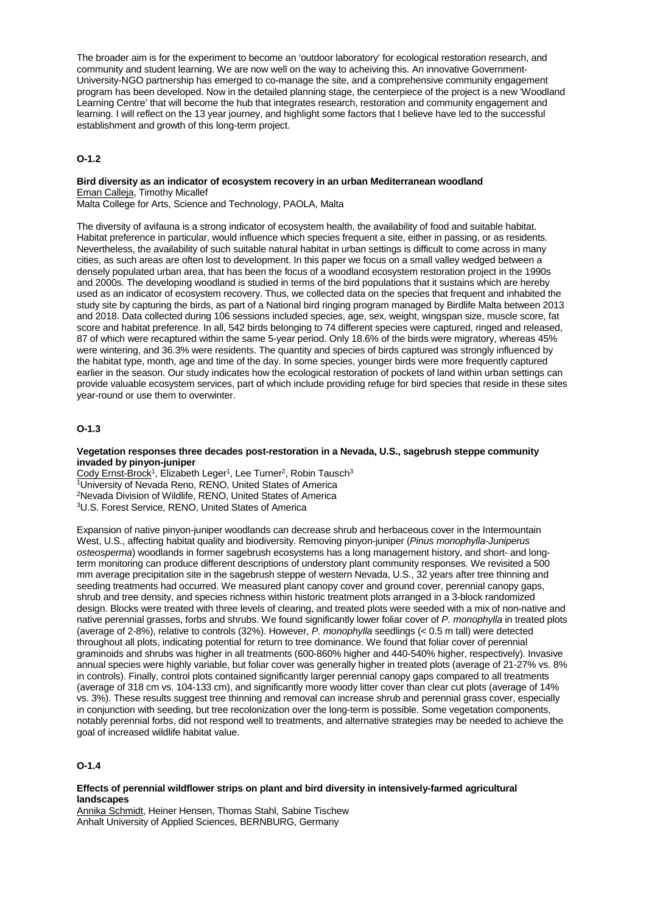The broader aim is for the experiment to become an 'outdoor laboratory' for ecological restoration research, and community and student learning. We are now well on the way to acheiving this. An innovative Government-University-NGO partnership has emerged to co-manage the site, and a comprehensive community engagement program has been developed. Now in the detailed planning stage, the centerpiece of the project is a new 'Woodland Learning Centre' that will become the hub that integrates research, restoration and community engagement and learning. I will reflect on the 13 year journey, and highlight some factors that I believe have led to the successful establishment and growth of this long-term project.

# **O-1.2**

# **Bird diversity as an indicator of ecosystem recovery in an urban Mediterranean woodland** Eman Calleja, Timothy Micallef

Malta College for Arts, Science and Technology, PAOLA, Malta

The diversity of avifauna is a strong indicator of ecosystem health, the availability of food and suitable habitat. Habitat preference in particular, would influence which species frequent a site, either in passing, or as residents. Nevertheless, the availability of such suitable natural habitat in urban settings is difficult to come across in many cities, as such areas are often lost to development. In this paper we focus on a small valley wedged between a densely populated urban area, that has been the focus of a woodland ecosystem restoration project in the 1990s and 2000s. The developing woodland is studied in terms of the bird populations that it sustains which are hereby used as an indicator of ecosystem recovery. Thus, we collected data on the species that frequent and inhabited the study site by capturing the birds, as part of a National bird ringing program managed by Birdlife Malta between 2013 and 2018. Data collected during 106 sessions included species, age, sex, weight, wingspan size, muscle score, fat score and habitat preference. In all, 542 birds belonging to 74 different species were captured, ringed and released, 87 of which were recaptured within the same 5-year period. Only 18.6% of the birds were migratory, whereas 45% were wintering, and 36.3% were residents. The quantity and species of birds captured was strongly influenced by the habitat type, month, age and time of the day. In some species, younger birds were more frequently captured earlier in the season. Our study indicates how the ecological restoration of pockets of land within urban settings can provide valuable ecosystem services, part of which include providing refuge for bird species that reside in these sites year-round or use them to overwinter.

#### **O-1.3**

#### **Vegetation responses three decades post-restoration in a Nevada, U.S., sagebrush steppe community invaded by pinyon-juniper**

Cody Ernst-Brock<sup>1</sup>, Elizabeth Leger<sup>1</sup>, Lee Turner<sup>2</sup>, Robin Tausch<sup>3</sup> 1University of Nevada Reno, RENO, United States of America 2Nevada Division of Wildlife, RENO, United States of America 3U.S. Forest Service, RENO, United States of America

Expansion of native pinyon-juniper woodlands can decrease shrub and herbaceous cover in the Intermountain West, U.S., affecting habitat quality and biodiversity. Removing pinyon-juniper (*Pinus monophylla*-*Juniperus osteosperma*) woodlands in former sagebrush ecosystems has a long management history, and short- and longterm monitoring can produce different descriptions of understory plant community responses. We revisited a 500 mm average precipitation site in the sagebrush steppe of western Nevada, U.S., 32 years after tree thinning and seeding treatments had occurred. We measured plant canopy cover and ground cover, perennial canopy gaps, shrub and tree density, and species richness within historic treatment plots arranged in a 3-block randomized design. Blocks were treated with three levels of clearing, and treated plots were seeded with a mix of non-native and native perennial grasses, forbs and shrubs. We found significantly lower foliar cover of *P. monophylla* in treated plots (average of 2-8%), relative to controls (32%). However, *P. monophylla* seedlings (< 0.5 m tall) were detected throughout all plots, indicating potential for return to tree dominance. We found that foliar cover of perennial graminoids and shrubs was higher in all treatments (600-860% higher and 440-540% higher, respectively). Invasive annual species were highly variable, but foliar cover was generally higher in treated plots (average of 21-27% vs. 8% in controls). Finally, control plots contained significantly larger perennial canopy gaps compared to all treatments (average of 318 cm vs. 104-133 cm), and significantly more woody litter cover than clear cut plots (average of 14% vs. 3%). These results suggest tree thinning and removal can increase shrub and perennial grass cover, especially in conjunction with seeding, but tree recolonization over the long-term is possible. Some vegetation components, notably perennial forbs, did not respond well to treatments, and alternative strategies may be needed to achieve the goal of increased wildlife habitat value.

## **O-1.4**

#### **Effects of perennial wildflower strips on plant and bird diversity in intensively-farmed agricultural landscapes**

Annika Schmidt, Heiner Hensen, Thomas Stahl, Sabine Tischew Anhalt University of Applied Sciences, BERNBURG, Germany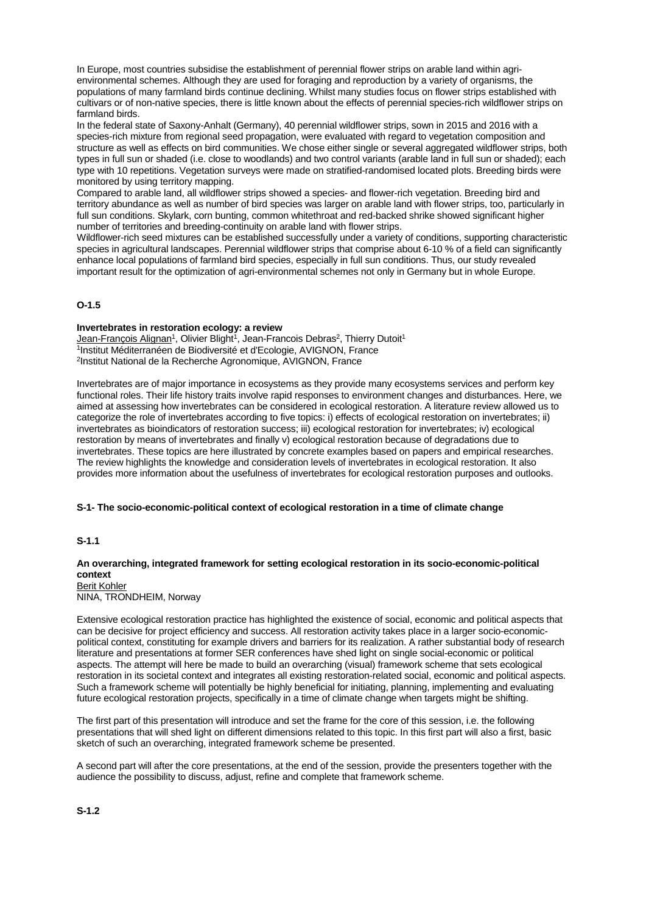In Europe, most countries subsidise the establishment of perennial flower strips on arable land within agrienvironmental schemes. Although they are used for foraging and reproduction by a variety of organisms, the populations of many farmland birds continue declining. Whilst many studies focus on flower strips established with cultivars or of non-native species, there is little known about the effects of perennial species-rich wildflower strips on farmland birds.

In the federal state of Saxony-Anhalt (Germany), 40 perennial wildflower strips, sown in 2015 and 2016 with a species-rich mixture from regional seed propagation, were evaluated with regard to vegetation composition and structure as well as effects on bird communities. We chose either single or several aggregated wildflower strips, both types in full sun or shaded (i.e. close to woodlands) and two control variants (arable land in full sun or shaded); each type with 10 repetitions. Vegetation surveys were made on stratified-randomised located plots. Breeding birds were monitored by using territory mapping.

Compared to arable land, all wildflower strips showed a species- and flower-rich vegetation. Breeding bird and territory abundance as well as number of bird species was larger on arable land with flower strips, too, particularly in full sun conditions. Skylark, corn bunting, common whitethroat and red-backed shrike showed significant higher number of territories and breeding-continuity on arable land with flower strips.

Wildflower-rich seed mixtures can be established successfully under a variety of conditions, supporting characteristic species in agricultural landscapes. Perennial wildflower strips that comprise about 6-10 % of a field can significantly enhance local populations of farmland bird species, especially in full sun conditions. Thus, our study revealed important result for the optimization of agri-environmental schemes not only in Germany but in whole Europe.

## **O-1.5**

#### **Invertebrates in restoration ecology: a review**

Jean-François Alignan<sup>1</sup>, Olivier Blight<sup>1</sup>, Jean-Francois Debras<sup>2</sup>, Thierry Dutoit<sup>1</sup> 1Institut Méditerranéen de Biodiversité et d'Ecologie, AVIGNON, France 2Institut National de la Recherche Agronomique, AVIGNON, France

Invertebrates are of major importance in ecosystems as they provide many ecosystems services and perform key functional roles. Their life history traits involve rapid responses to environment changes and disturbances. Here, we aimed at assessing how invertebrates can be considered in ecological restoration. A literature review allowed us to categorize the role of invertebrates according to five topics: i) effects of ecological restoration on invertebrates; ii) invertebrates as bioindicators of restoration success; iii) ecological restoration for invertebrates; iv) ecological restoration by means of invertebrates and finally v) ecological restoration because of degradations due to invertebrates. These topics are here illustrated by concrete examples based on papers and empirical researches. The review highlights the knowledge and consideration levels of invertebrates in ecological restoration. It also provides more information about the usefulness of invertebrates for ecological restoration purposes and outlooks.

#### **S-1- The socio-economic-political context of ecological restoration in a time of climate change**

#### **S-1.1**

# **An overarching, integrated framework for setting ecological restoration in its socio-economic-political context**

Berit Kohler NINA, TRONDHEIM, Norway

Extensive ecological restoration practice has highlighted the existence of social, economic and political aspects that can be decisive for project efficiency and success. All restoration activity takes place in a larger socio-economicpolitical context, constituting for example drivers and barriers for its realization. A rather substantial body of research literature and presentations at former SER conferences have shed light on single social-economic or political aspects. The attempt will here be made to build an overarching (visual) framework scheme that sets ecological restoration in its societal context and integrates all existing restoration-related social, economic and political aspects. Such a framework scheme will potentially be highly beneficial for initiating, planning, implementing and evaluating future ecological restoration projects, specifically in a time of climate change when targets might be shifting.

The first part of this presentation will introduce and set the frame for the core of this session, i.e. the following presentations that will shed light on different dimensions related to this topic. In this first part will also a first, basic sketch of such an overarching, integrated framework scheme be presented.

A second part will after the core presentations, at the end of the session, provide the presenters together with the audience the possibility to discuss, adjust, refine and complete that framework scheme.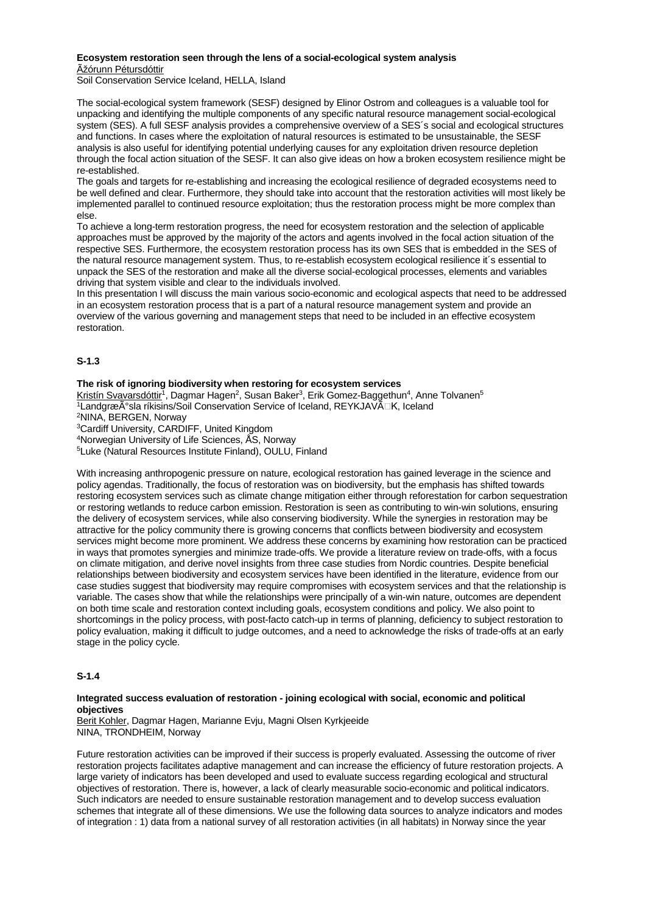# **Ecosystem restoration seen through the lens of a social-ecological system analysis**

Þórunn Pétursdóttir

Soil Conservation Service Iceland, HELLA, Island

The social-ecological system framework (SESF) designed by Elinor Ostrom and colleagues is a valuable tool for unpacking and identifying the multiple components of any specific natural resource management social-ecological system (SES). A full SESF analysis provides a comprehensive overview of a SES´s social and ecological structures and functions. In cases where the exploitation of natural resources is estimated to be unsustainable, the SESF analysis is also useful for identifying potential underlying causes for any exploitation driven resource depletion through the focal action situation of the SESF. It can also give ideas on how a broken ecosystem resilience might be re-established.

The goals and targets for re-establishing and increasing the ecological resilience of degraded ecosystems need to be well defined and clear. Furthermore, they should take into account that the restoration activities will most likely be implemented parallel to continued resource exploitation; thus the restoration process might be more complex than else.

To achieve a long-term restoration progress, the need for ecosystem restoration and the selection of applicable approaches must be approved by the majority of the actors and agents involved in the focal action situation of the respective SES. Furthermore, the ecosystem restoration process has its own SES that is embedded in the SES of the natural resource management system. Thus, to re-establish ecosystem ecological resilience it´s essential to unpack the SES of the restoration and make all the diverse social-ecological processes, elements and variables driving that system visible and clear to the individuals involved.

In this presentation I will discuss the main various socio-economic and ecological aspects that need to be addressed in an ecosystem restoration process that is a part of a natural resource management system and provide an overview of the various governing and management steps that need to be included in an effective ecosystem restoration.

# **S-1.3**

## **The risk of ignoring biodiversity when restoring for ecosystem services**

Kristín Svavarsdóttir<sup>1</sup>, Dagmar Hagen<sup>2</sup>, Susan Baker<sup>3</sup>, Erik Gomez-Baggethun<sup>4</sup>, Anne Tolvanen<sup>5</sup> 1LandgræÃ°sla ríkisins/Soil Conservation Service of Iceland, REYKJAVà LK, Iceland 2NINA, BERGEN, Norway

3Cardiff University, CARDIFF, United Kingdom

4Norwegian University of Life Sciences, ÅS, Norway

5Luke (Natural Resources Institute Finland), OULU, Finland

With increasing anthropogenic pressure on nature, ecological restoration has gained leverage in the science and policy agendas. Traditionally, the focus of restoration was on biodiversity, but the emphasis has shifted towards restoring ecosystem services such as climate change mitigation either through reforestation for carbon sequestration or restoring wetlands to reduce carbon emission. Restoration is seen as contributing to win-win solutions, ensuring the delivery of ecosystem services, while also conserving biodiversity. While the synergies in restoration may be attractive for the policy community there is growing concerns that conflicts between biodiversity and ecosystem services might become more prominent. We address these concerns by examining how restoration can be practiced in ways that promotes synergies and minimize trade-offs. We provide a literature review on trade-offs, with a focus on climate mitigation, and derive novel insights from three case studies from Nordic countries. Despite beneficial relationships between biodiversity and ecosystem services have been identified in the literature, evidence from our case studies suggest that biodiversity may require compromises with ecosystem services and that the relationship is variable. The cases show that while the relationships were principally of a win-win nature, outcomes are dependent on both time scale and restoration context including goals, ecosystem conditions and policy. We also point to shortcomings in the policy process, with post-facto catch-up in terms of planning, deficiency to subject restoration to policy evaluation, making it difficult to judge outcomes, and a need to acknowledge the risks of trade-offs at an early stage in the policy cycle.

# **S-1.4**

## **Integrated success evaluation of restoration - joining ecological with social, economic and political objectives**

Berit Kohler, Dagmar Hagen, Marianne Evju, Magni Olsen Kyrkjeeide NINA, TRONDHEIM, Norway

Future restoration activities can be improved if their success is properly evaluated. Assessing the outcome of river restoration projects facilitates adaptive management and can increase the efficiency of future restoration projects. A large variety of indicators has been developed and used to evaluate success regarding ecological and structural objectives of restoration. There is, however, a lack of clearly measurable socio-economic and political indicators. Such indicators are needed to ensure sustainable restoration management and to develop success evaluation schemes that integrate all of these dimensions. We use the following data sources to analyze indicators and modes of integration : 1) data from a national survey of all restoration activities (in all habitats) in Norway since the year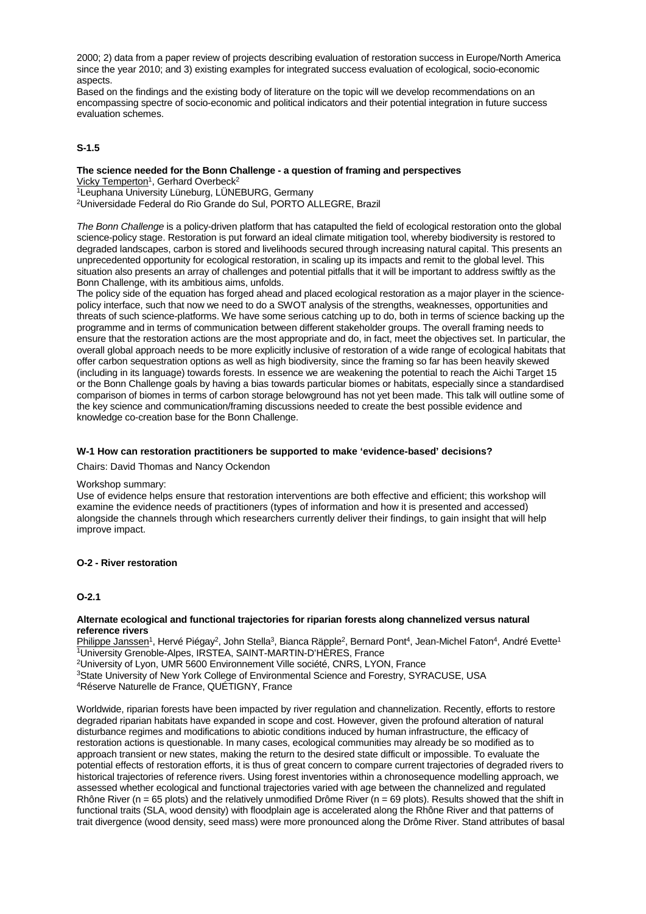2000; 2) data from a paper review of projects describing evaluation of restoration success in Europe/North America since the year 2010; and 3) existing examples for integrated success evaluation of ecological, socio-economic aspects.

Based on the findings and the existing body of literature on the topic will we develop recommendations on an encompassing spectre of socio-economic and political indicators and their potential integration in future success evaluation schemes.

## **S-1.5**

# **The science needed for the Bonn Challenge - a question of framing and perspectives**

Vicky Temperton<sup>1</sup>, Gerhard Overbeck<sup>2</sup>

1Leuphana University Lüneburg, LÜNEBURG, Germany

2Universidade Federal do Rio Grande do Sul, PORTO ALLEGRE, Brazil

*The Bonn Challenge* is a policy-driven platform that has catapulted the field of ecological restoration onto the global science-policy stage. Restoration is put forward an ideal climate mitigation tool, whereby biodiversity is restored to degraded landscapes, carbon is stored and livelihoods secured through increasing natural capital. This presents an unprecedented opportunity for ecological restoration, in scaling up its impacts and remit to the global level. This situation also presents an array of challenges and potential pitfalls that it will be important to address swiftly as the Bonn Challenge, with its ambitious aims, unfolds.

The policy side of the equation has forged ahead and placed ecological restoration as a major player in the sciencepolicy interface, such that now we need to do a SWOT analysis of the strengths, weaknesses, opportunities and threats of such science-platforms. We have some serious catching up to do, both in terms of science backing up the programme and in terms of communication between different stakeholder groups. The overall framing needs to ensure that the restoration actions are the most appropriate and do, in fact, meet the objectives set. In particular, the overall global approach needs to be more explicitly inclusive of restoration of a wide range of ecological habitats that offer carbon sequestration options as well as high biodiversity, since the framing so far has been heavily skewed (including in its language) towards forests. In essence we are weakening the potential to reach the Aichi Target 15 or the Bonn Challenge goals by having a bias towards particular biomes or habitats, especially since a standardised comparison of biomes in terms of carbon storage belowground has not yet been made. This talk will outline some of the key science and communication/framing discussions needed to create the best possible evidence and knowledge co-creation base for the Bonn Challenge.

#### **W-1 How can restoration practitioners be supported to make 'evidence-based' decisions?**

Chairs: David Thomas and Nancy Ockendon

#### Workshop summary:

Use of evidence helps ensure that restoration interventions are both effective and efficient; this workshop will examine the evidence needs of practitioners (types of information and how it is presented and accessed) alongside the channels through which researchers currently deliver their findings, to gain insight that will help improve impact.

#### **O-2 - River restoration**

#### **O-2.1**

#### **Alternate ecological and functional trajectories for riparian forests along channelized versus natural reference rivers**

Philippe Janssen<sup>1</sup>, Hervé Piégay<sup>2</sup>, John Stella<sup>3</sup>, Bianca Räpple<sup>2</sup>, Bernard Pont<sup>4</sup>, Jean-Michel Faton<sup>4</sup>, André Evette<sup>1</sup> 1University Grenoble-Alpes, IRSTEA, SAINT-MARTIN-D'HÈRES, France

2University of Lyon, UMR 5600 Environnement Ville société, CNRS, LYON, France

<sup>3</sup>State University of New York College of Environmental Science and Forestry, SYRACUSE, USA

4Réserve Naturelle de France, QUÉTIGNY, France

Worldwide, riparian forests have been impacted by river regulation and channelization. Recently, efforts to restore degraded riparian habitats have expanded in scope and cost. However, given the profound alteration of natural disturbance regimes and modifications to abiotic conditions induced by human infrastructure, the efficacy of restoration actions is questionable. In many cases, ecological communities may already be so modified as to approach transient or new states, making the return to the desired state difficult or impossible. To evaluate the potential effects of restoration efforts, it is thus of great concern to compare current trajectories of degraded rivers to historical trajectories of reference rivers. Using forest inventories within a chronosequence modelling approach, we assessed whether ecological and functional trajectories varied with age between the channelized and regulated Rhône River (n = 65 plots) and the relatively unmodified Drôme River (n = 69 plots). Results showed that the shift in functional traits (SLA, wood density) with floodplain age is accelerated along the Rhône River and that patterns of trait divergence (wood density, seed mass) were more pronounced along the Drôme River. Stand attributes of basal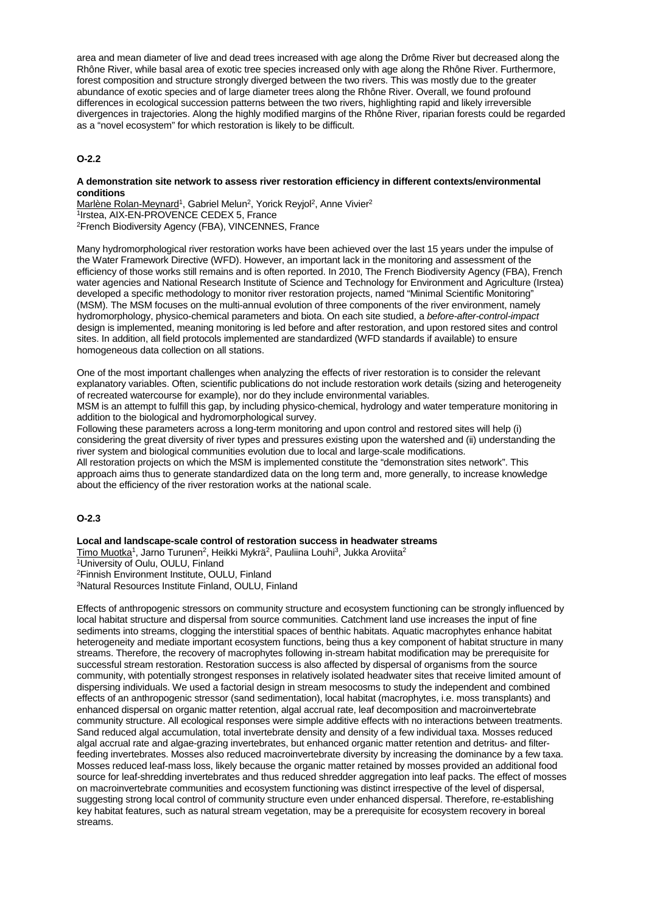area and mean diameter of live and dead trees increased with age along the Drôme River but decreased along the Rhône River, while basal area of exotic tree species increased only with age along the Rhône River. Furthermore, forest composition and structure strongly diverged between the two rivers. This was mostly due to the greater abundance of exotic species and of large diameter trees along the Rhône River. Overall, we found profound differences in ecological succession patterns between the two rivers, highlighting rapid and likely irreversible divergences in trajectories. Along the highly modified margins of the Rhône River, riparian forests could be regarded as a "novel ecosystem" for which restoration is likely to be difficult.

# **O-2.2**

#### **A demonstration site network to assess river restoration efficiency in different contexts/environmental conditions**

Marlène Rolan-Meynard<sup>1</sup>, Gabriel Melun<sup>2</sup>, Yorick Reyjol<sup>2</sup>, Anne Vivier<sup>2</sup> 1Irstea, AIX-EN-PROVENCE CEDEX 5, France 2French Biodiversity Agency (FBA), VINCENNES, France

Many hydromorphological river restoration works have been achieved over the last 15 years under the impulse of the Water Framework Directive (WFD). However, an important lack in the monitoring and assessment of the efficiency of those works still remains and is often reported. In 2010, The French Biodiversity Agency (FBA), French water agencies and National Research Institute of Science and Technology for Environment and Agriculture (Irstea) developed a specific methodology to monitor river restoration projects, named "Minimal Scientific Monitoring" (MSM). The MSM focuses on the multi-annual evolution of three components of the river environment, namely hydromorphology, physico-chemical parameters and biota. On each site studied, a *before-after-control-impact* design is implemented, meaning monitoring is led before and after restoration, and upon restored sites and control sites. In addition, all field protocols implemented are standardized (WFD standards if available) to ensure homogeneous data collection on all stations.

One of the most important challenges when analyzing the effects of river restoration is to consider the relevant explanatory variables. Often, scientific publications do not include restoration work details (sizing and heterogeneity of recreated watercourse for example), nor do they include environmental variables.

MSM is an attempt to fulfill this gap, by including physico-chemical, hydrology and water temperature monitoring in addition to the biological and hydromorphological survey.

Following these parameters across a long-term monitoring and upon control and restored sites will help (i) considering the great diversity of river types and pressures existing upon the watershed and (ii) understanding the river system and biological communities evolution due to local and large-scale modifications. All restoration projects on which the MSM is implemented constitute the "demonstration sites network". This

approach aims thus to generate standardized data on the long term and, more generally, to increase knowledge about the efficiency of the river restoration works at the national scale.

# **O-2.3**

**Local and landscape-scale control of restoration success in headwater streams**

Timo Muotka<sup>1</sup>, Jarno Turunen<sup>2</sup>, Heikki Mykrä<sup>2</sup>, Pauliina Louhi<sup>3</sup>, Jukka Aroviita<sup>2</sup> 1University of Oulu, OULU, Finland 2Finnish Environment Institute, OULU, Finland 3Natural Resources Institute Finland, OULU, Finland

Effects of anthropogenic stressors on community structure and ecosystem functioning can be strongly influenced by local habitat structure and dispersal from source communities. Catchment land use increases the input of fine sediments into streams, clogging the interstitial spaces of benthic habitats. Aquatic macrophytes enhance habitat heterogeneity and mediate important ecosystem functions, being thus a key component of habitat structure in many streams. Therefore, the recovery of macrophytes following in-stream habitat modification may be prerequisite for successful stream restoration. Restoration success is also affected by dispersal of organisms from the source community, with potentially strongest responses in relatively isolated headwater sites that receive limited amount of dispersing individuals. We used a factorial design in stream mesocosms to study the independent and combined effects of an anthropogenic stressor (sand sedimentation), local habitat (macrophytes, i.e. moss transplants) and enhanced dispersal on organic matter retention, algal accrual rate, leaf decomposition and macroinvertebrate community structure. All ecological responses were simple additive effects with no interactions between treatments. Sand reduced algal accumulation, total invertebrate density and density of a few individual taxa. Mosses reduced algal accrual rate and algae-grazing invertebrates, but enhanced organic matter retention and detritus- and filterfeeding invertebrates. Mosses also reduced macroinvertebrate diversity by increasing the dominance by a few taxa. Mosses reduced leaf-mass loss, likely because the organic matter retained by mosses provided an additional food source for leaf-shredding invertebrates and thus reduced shredder aggregation into leaf packs. The effect of mosses on macroinvertebrate communities and ecosystem functioning was distinct irrespective of the level of dispersal, suggesting strong local control of community structure even under enhanced dispersal. Therefore, re-establishing key habitat features, such as natural stream vegetation, may be a prerequisite for ecosystem recovery in boreal streams.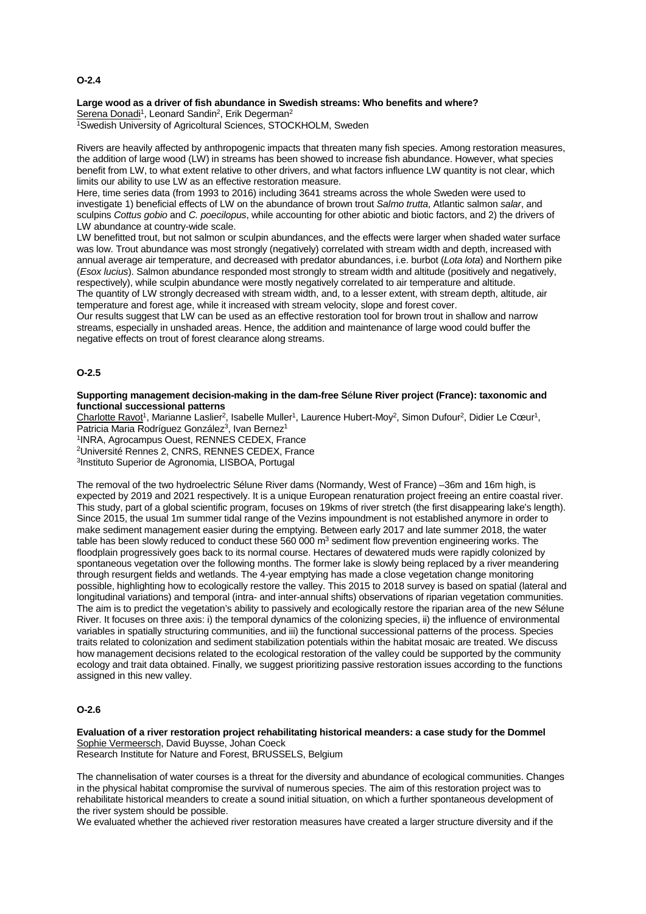#### **O-2.4**

#### **Large wood as a driver of fish abundance in Swedish streams: Who benefits and where?** Serena Donadi<sup>1</sup>, Leonard Sandin<sup>2</sup>, Erik Degerman<sup>2</sup>

1Swedish University of Agricoltural Sciences, STOCKHOLM, Sweden

Rivers are heavily affected by anthropogenic impacts that threaten many fish species. Among restoration measures, the addition of large wood (LW) in streams has been showed to increase fish abundance. However, what species benefit from LW, to what extent relative to other drivers, and what factors influence LW quantity is not clear, which limits our ability to use LW as an effective restoration measure.

Here, time series data (from 1993 to 2016) including 3641 streams across the whole Sweden were used to investigate 1) beneficial effects of LW on the abundance of brown trout *Salmo trutta*, Atlantic salmon *salar*, and sculpins *Cottus gobio* and *C. poecilopus*, while accounting for other abiotic and biotic factors, and 2) the drivers of LW abundance at country-wide scale.

LW benefitted trout, but not salmon or sculpin abundances, and the effects were larger when shaded water surface was low. Trout abundance was most strongly (negatively) correlated with stream width and depth, increased with annual average air temperature, and decreased with predator abundances, i.e. burbot (*Lota lota*) and Northern pike (*Esox lucius*). Salmon abundance responded most strongly to stream width and altitude (positively and negatively, respectively), while sculpin abundance were mostly negatively correlated to air temperature and altitude. The quantity of LW strongly decreased with stream width, and, to a lesser extent, with stream depth, altitude, air

temperature and forest age, while it increased with stream velocity, slope and forest cover. Our results suggest that LW can be used as an effective restoration tool for brown trout in shallow and narrow

streams, especially in unshaded areas. Hence, the addition and maintenance of large wood could buffer the negative effects on trout of forest clearance along streams.

## **O-2.5**

#### **Supporting management decision-making in the dam-free S**é**lune River project (France): taxonomic and functional successional patterns**

Charlotte Ravot<sup>1</sup>, Marianne Laslier<sup>2</sup>, Isabelle Muller<sup>1</sup>, Laurence Hubert-Moy<sup>2</sup>, Simon Dufour<sup>2</sup>, Didier Le Cœur<sup>1</sup>, Patricia Maria Rodríguez González<sup>3</sup>, Ivan Bernez<sup>1</sup>

1INRA, Agrocampus Ouest, RENNES CEDEX, France 2Université Rennes 2, CNRS, RENNES CEDEX, France 3Instituto Superior de Agronomia, LISBOA, Portugal

The removal of the two hydroelectric Sélune River dams (Normandy, West of France) –36m and 16m high, is expected by 2019 and 2021 respectively. It is a unique European renaturation project freeing an entire coastal river. This study, part of a global scientific program, focuses on 19kms of river stretch (the first disappearing lake's length). Since 2015, the usual 1m summer tidal range of the Vezins impoundment is not established anymore in order to make sediment management easier during the emptying. Between early 2017 and late summer 2018, the water table has been slowly reduced to conduct these  $560,000$  m<sup>3</sup> sediment flow prevention engineering works. The floodplain progressively goes back to its normal course. Hectares of dewatered muds were rapidly colonized by spontaneous vegetation over the following months. The former lake is slowly being replaced by a river meandering through resurgent fields and wetlands. The 4-year emptying has made a close vegetation change monitoring possible, highlighting how to ecologically restore the valley. This 2015 to 2018 survey is based on spatial (lateral and longitudinal variations) and temporal (intra- and inter-annual shifts) observations of riparian vegetation communities. The aim is to predict the vegetation's ability to passively and ecologically restore the riparian area of the new Sélune River. It focuses on three axis: i) the temporal dynamics of the colonizing species, ii) the influence of environmental variables in spatially structuring communities, and iii) the functional successional patterns of the process. Species traits related to colonization and sediment stabilization potentials within the habitat mosaic are treated. We discuss how management decisions related to the ecological restoration of the valley could be supported by the community ecology and trait data obtained. Finally, we suggest prioritizing passive restoration issues according to the functions assigned in this new valley.

#### **O-2.6**

**Evaluation of a river restoration project rehabilitating historical meanders: a case study for the Dommel** Sophie Vermeersch, David Buysse, Johan Coeck Research Institute for Nature and Forest, BRUSSELS, Belgium

The channelisation of water courses is a threat for the diversity and abundance of ecological communities. Changes in the physical habitat compromise the survival of numerous species. The aim of this restoration project was to rehabilitate historical meanders to create a sound initial situation, on which a further spontaneous development of the river system should be possible.

We evaluated whether the achieved river restoration measures have created a larger structure diversity and if the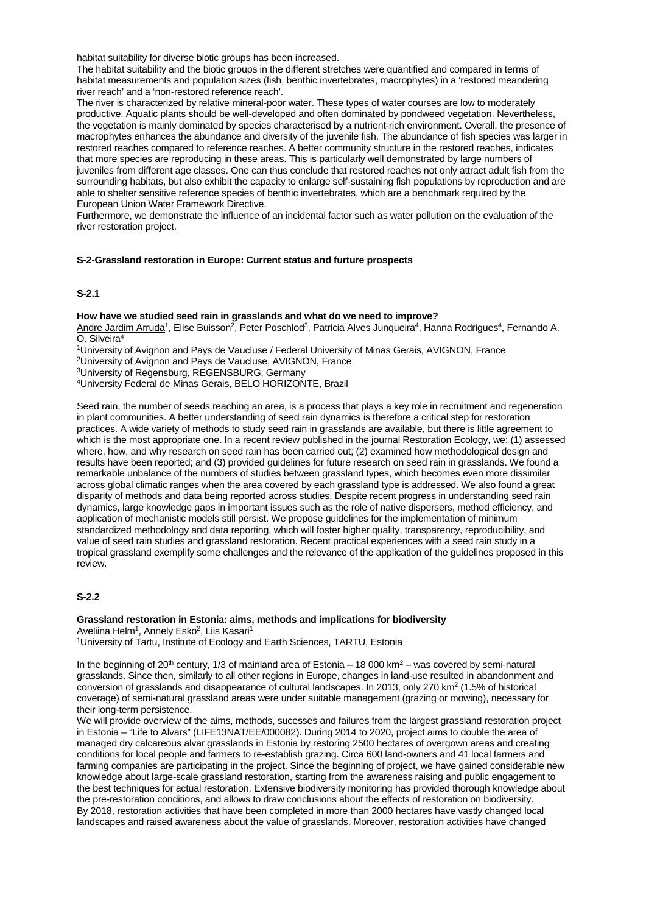habitat suitability for diverse biotic groups has been increased.

The habitat suitability and the biotic groups in the different stretches were quantified and compared in terms of habitat measurements and population sizes (fish, benthic invertebrates, macrophytes) in a 'restored meandering river reach' and a 'non-restored reference reach'.

The river is characterized by relative mineral-poor water. These types of water courses are low to moderately productive. Aquatic plants should be well-developed and often dominated by pondweed vegetation. Nevertheless, the vegetation is mainly dominated by species characterised by a nutrient-rich environment. Overall, the presence of macrophytes enhances the abundance and diversity of the juvenile fish. The abundance of fish species was larger in restored reaches compared to reference reaches. A better community structure in the restored reaches, indicates that more species are reproducing in these areas. This is particularly well demonstrated by large numbers of juveniles from different age classes. One can thus conclude that restored reaches not only attract adult fish from the surrounding habitats, but also exhibit the capacity to enlarge self-sustaining fish populations by reproduction and are able to shelter sensitive reference species of benthic invertebrates, which are a benchmark required by the European Union Water Framework Directive.

Furthermore, we demonstrate the influence of an incidental factor such as water pollution on the evaluation of the river restoration project.

#### **S-2-Grassland restoration in Europe: Current status and furture prospects**

## **S-2.1**

#### **How have we studied seed rain in grasslands and what do we need to improve?**

Andre Jardim Arruda<sup>1</sup>, Elise Buisson<sup>2</sup>, Peter Poschlod<sup>3</sup>, Patricia Alves Junqueira<sup>4</sup>, Hanna Rodrigues<sup>4</sup>, Fernando A. O. Silveira4

1University of Avignon and Pays de Vaucluse / Federal University of Minas Gerais, AVIGNON, France

2University of Avignon and Pays de Vaucluse, AVIGNON, France

3University of Regensburg, REGENSBURG, Germany

4University Federal de Minas Gerais, BELO HORIZONTE, Brazil

Seed rain, the number of seeds reaching an area, is a process that plays a key role in recruitment and regeneration in plant communities. A better understanding of seed rain dynamics is therefore a critical step for restoration practices. A wide variety of methods to study seed rain in grasslands are available, but there is little agreement to which is the most appropriate one. In a recent review published in the journal Restoration Ecology, we: (1) assessed where, how, and why research on seed rain has been carried out; (2) examined how methodological design and results have been reported; and (3) provided guidelines for future research on seed rain in grasslands. We found a remarkable unbalance of the numbers of studies between grassland types, which becomes even more dissimilar across global climatic ranges when the area covered by each grassland type is addressed. We also found a great disparity of methods and data being reported across studies. Despite recent progress in understanding seed rain dynamics, large knowledge gaps in important issues such as the role of native dispersers, method efficiency, and application of mechanistic models still persist. We propose guidelines for the implementation of minimum standardized methodology and data reporting, which will foster higher quality, transparency, reproducibility, and value of seed rain studies and grassland restoration. Recent practical experiences with a seed rain study in a tropical grassland exemplify some challenges and the relevance of the application of the guidelines proposed in this review.

## **S-2.2**

**Grassland restoration in Estonia: aims, methods and implications for biodiversity** Aveliina Helm<sup>1</sup>, Annely Esko<sup>2</sup>, Liis Kasari<sup>1</sup>

1University of Tartu, Institute of Ecology and Earth Sciences, TARTU, Estonia

In the beginning of 20<sup>th</sup> century, 1/3 of mainland area of Estonia – 18 000 km<sup>2</sup> – was covered by semi-natural grasslands. Since then, similarly to all other regions in Europe, changes in land-use resulted in abandonment and conversion of grasslands and disappearance of cultural landscapes. In 2013, only 270 km<sup>2</sup> (1.5% of historical coverage) of semi-natural grassland areas were under suitable management (grazing or mowing), necessary for their long-term persistence.

We will provide overview of the aims, methods, sucesses and failures from the largest grassland restoration project in Estonia – "Life to Alvars" (LIFE13NAT/EE/000082). During 2014 to 2020, project aims to double the area of managed dry calcareous alvar grasslands in Estonia by restoring 2500 hectares of overgown areas and creating conditions for local people and farmers to re-establish grazing. Circa 600 land-owners and 41 local farmers and farming companies are participating in the project. Since the beginning of project, we have gained considerable new knowledge about large-scale grassland restoration, starting from the awareness raising and public engagement to the best techniques for actual restoration. Extensive biodiversity monitoring has provided thorough knowledge about the pre-restoration conditions, and allows to draw conclusions about the effects of restoration on biodiversity. By 2018, restoration activities that have been completed in more than 2000 hectares have vastly changed local landscapes and raised awareness about the value of grasslands. Moreover, restoration activities have changed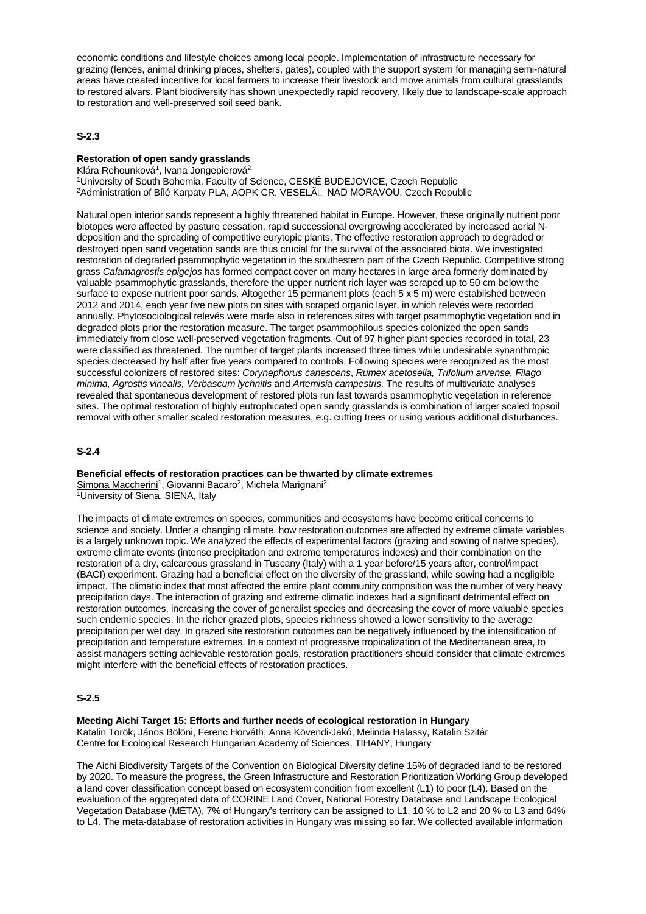economic conditions and lifestyle choices among local people. Implementation of infrastructure necessary for grazing (fences, animal drinking places, shelters, gates), coupled with the support system for managing semi-natural areas have created incentive for local farmers to increase their livestock and move animals from cultural grasslands to restored alvars. Plant biodiversity has shown unexpectedly rapid recovery, likely due to landscape-scale approach to restoration and well-preserved soil seed bank.

## **S-2.3**

# **Restoration of open sandy grasslands**

Klára Rehounková<sup>1</sup>, Ivana Jongepierová<sup>2</sup>

1University of South Bohemia, Faculty of Science, CESKÉ BUDEJOVICE, Czech Republic <sup>2</sup>Administration of Bílé Karpaty PLA, AOPK CR, VESELÃ NAD MORAVOU, Czech Republic

Natural open interior sands represent a highly threatened habitat in Europe. However, these originally nutrient poor biotopes were affected by pasture cessation, rapid successional overgrowing accelerated by increased aerial Ndeposition and the spreading of competitive eurytopic plants. The effective restoration approach to degraded or destroyed open sand vegetation sands are thus crucial for the survival of the associated biota. We investigated restoration of degraded psammophytic vegetation in the southestern part of the Czech Republic. Competitive strong grass *Calamagrostis epigejos* has formed compact cover on many hectares in large area formerly dominated by valuable psammophytic grasslands, therefore the upper nutrient rich layer was scraped up to 50 cm below the surface to expose nutrient poor sands. Altogether 15 permanent plots (each 5 x 5 m) were established between 2012 and 2014, each year five new plots on sites with scraped organic layer, in which relevés were recorded annually. Phytosociological relevés were made also in references sites with target psammophytic vegetation and in degraded plots prior the restoration measure. The target psammophilous species colonized the open sands immediately from close well-preserved vegetation fragments. Out of 97 higher plant species recorded in total, 23 were classified as threatened. The number of target plants increased three times while undesirable synanthropic species decreased by half after five years compared to controls. Following species were recognized as the most successful colonizers of restored sites: *Corynephorus canescens*, *Rumex acetosella, Trifolium arvense, Filago minima, Agrostis vinealis, Verbascum lychnitis* and *Artemisia campestris*. The results of multivariate analyses revealed that spontaneous development of restored plots run fast towards psammophytic vegetation in reference sites. The optimal restoration of highly eutrophicated open sandy grasslands is combination of larger scaled topsoil removal with other smaller scaled restoration measures, e.g. cutting trees or using various additional disturbances.

## **S-2.4**

**Beneficial effects of restoration practices can be thwarted by climate extremes** Simona Maccherini<sup>1</sup>, Giovanni Bacaro<sup>2</sup>, Michela Marignani<sup>2</sup>

1University of Siena, SIENA, Italy

The impacts of climate extremes on species, communities and ecosystems have become critical concerns to science and society. Under a changing climate, how restoration outcomes are affected by extreme climate variables is a largely unknown topic. We analyzed the effects of experimental factors (grazing and sowing of native species), extreme climate events (intense precipitation and extreme temperatures indexes) and their combination on the restoration of a dry, calcareous grassland in Tuscany (Italy) with a 1 year before/15 years after, control/impact (BACI) experiment. Grazing had a beneficial effect on the diversity of the grassland, while sowing had a negligible impact. The climatic index that most affected the entire plant community composition was the number of very heavy precipitation days. The interaction of grazing and extreme climatic indexes had a significant detrimental effect on restoration outcomes, increasing the cover of generalist species and decreasing the cover of more valuable species such endemic species. In the richer grazed plots, species richness showed a lower sensitivity to the average precipitation per wet day. In grazed site restoration outcomes can be negatively influenced by the intensification of precipitation and temperature extremes. In a context of progressive tropicalization of the Mediterranean area, to assist managers setting achievable restoration goals, restoration practitioners should consider that climate extremes might interfere with the beneficial effects of restoration practices.

#### **S-2.5**

**Meeting Aichi Target 15: Efforts and further needs of ecological restoration in Hungary** Katalin Török, János Bölöni, Ferenc Horváth, Anna Kövendi-Jakó, Melinda Halassy, Katalin Szitár Centre for Ecological Research Hungarian Academy of Sciences, TIHANY, Hungary

The Aichi Biodiversity Targets of the Convention on Biological Diversity define 15% of degraded land to be restored by 2020. To measure the progress, the Green Infrastructure and Restoration Prioritization Working Group developed a land cover classification concept based on ecosystem condition from excellent (L1) to poor (L4). Based on the evaluation of the aggregated data of CORINE Land Cover, National Forestry Database and Landscape Ecological Vegetation Database (MÉTA), 7% of Hungary's territory can be assigned to L1, 10 % to L2 and 20 % to L3 and 64% to L4. The meta-database of restoration activities in Hungary was missing so far. We collected available information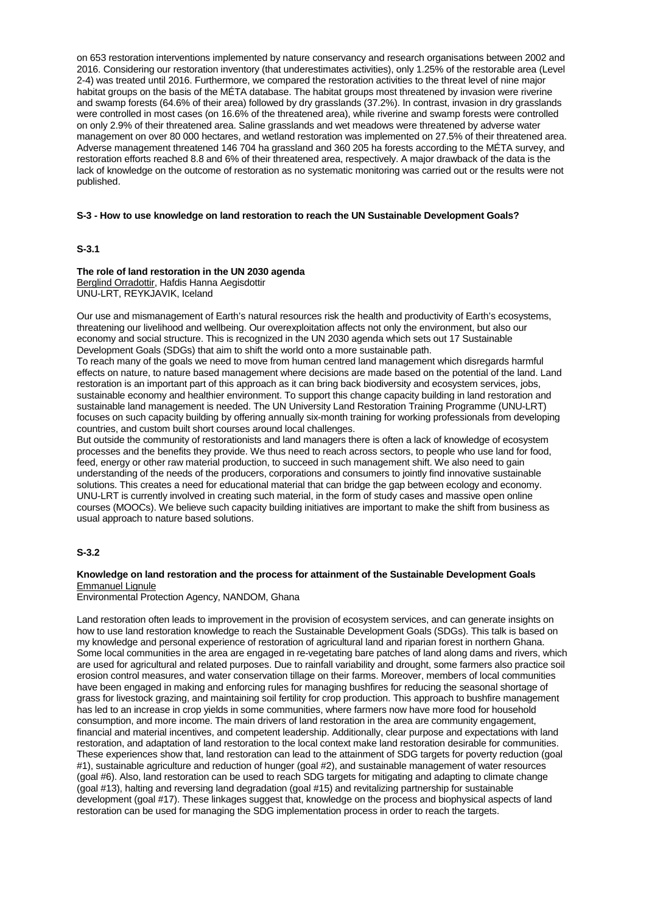on 653 restoration interventions implemented by nature conservancy and research organisations between 2002 and 2016. Considering our restoration inventory (that underestimates activities), only 1.25% of the restorable area (Level 2-4) was treated until 2016. Furthermore, we compared the restoration activities to the threat level of nine major habitat groups on the basis of the MÉTA database. The habitat groups most threatened by invasion were riverine and swamp forests (64.6% of their area) followed by dry grasslands (37.2%). In contrast, invasion in dry grasslands were controlled in most cases (on 16.6% of the threatened area), while riverine and swamp forests were controlled on only 2.9% of their threatened area. Saline grasslands and wet meadows were threatened by adverse water management on over 80 000 hectares, and wetland restoration was implemented on 27.5% of their threatened area. Adverse management threatened 146 704 ha grassland and 360 205 ha forests according to the MÉTA survey, and restoration efforts reached 8.8 and 6% of their threatened area, respectively. A major drawback of the data is the lack of knowledge on the outcome of restoration as no systematic monitoring was carried out or the results were not published.

#### **S-3 - How to use knowledge on land restoration to reach the UN Sustainable Development Goals?**

#### **S-3.1**

#### **The role of land restoration in the UN 2030 agenda** Berglind Orradottir, Hafdis Hanna Aegisdottir UNU-LRT, REYKJAVIK, Iceland

Our use and mismanagement of Earth's natural resources risk the health and productivity of Earth's ecosystems, threatening our livelihood and wellbeing. Our overexploitation affects not only the environment, but also our economy and social structure. This is recognized in the UN 2030 agenda which sets out 17 Sustainable Development Goals (SDGs) that aim to shift the world onto a more sustainable path.

To reach many of the goals we need to move from human centred land management which disregards harmful effects on nature, to nature based management where decisions are made based on the potential of the land. Land restoration is an important part of this approach as it can bring back biodiversity and ecosystem services, jobs, sustainable economy and healthier environment. To support this change capacity building in land restoration and sustainable land management is needed. The UN University Land Restoration Training Programme (UNU-LRT) focuses on such capacity building by offering annually six-month training for working professionals from developing countries, and custom built short courses around local challenges.

But outside the community of restorationists and land managers there is often a lack of knowledge of ecosystem processes and the benefits they provide. We thus need to reach across sectors, to people who use land for food, feed, energy or other raw material production, to succeed in such management shift. We also need to gain understanding of the needs of the producers, corporations and consumers to jointly find innovative sustainable solutions. This creates a need for educational material that can bridge the gap between ecology and economy. UNU-LRT is currently involved in creating such material, in the form of study cases and massive open online courses (MOOCs). We believe such capacity building initiatives are important to make the shift from business as usual approach to nature based solutions.

## **S-3.2**

#### **Knowledge on land restoration and the process for attainment of the Sustainable Development Goals** Emmanuel Lignule

Environmental Protection Agency, NANDOM, Ghana

Land restoration often leads to improvement in the provision of ecosystem services, and can generate insights on how to use land restoration knowledge to reach the Sustainable Development Goals (SDGs). This talk is based on my knowledge and personal experience of restoration of agricultural land and riparian forest in northern Ghana. Some local communities in the area are engaged in re-vegetating bare patches of land along dams and rivers, which are used for agricultural and related purposes. Due to rainfall variability and drought, some farmers also practice soil erosion control measures, and water conservation tillage on their farms. Moreover, members of local communities have been engaged in making and enforcing rules for managing bushfires for reducing the seasonal shortage of grass for livestock grazing, and maintaining soil fertility for crop production. This approach to bushfire management has led to an increase in crop yields in some communities, where farmers now have more food for household consumption, and more income. The main drivers of land restoration in the area are community engagement, financial and material incentives, and competent leadership. Additionally, clear purpose and expectations with land restoration, and adaptation of land restoration to the local context make land restoration desirable for communities. These experiences show that, land restoration can lead to the attainment of SDG targets for poverty reduction (goal #1), sustainable agriculture and reduction of hunger (goal #2), and sustainable management of water resources (goal #6). Also, land restoration can be used to reach SDG targets for mitigating and adapting to climate change (goal #13), halting and reversing land degradation (goal #15) and revitalizing partnership for sustainable development (goal #17). These linkages suggest that, knowledge on the process and biophysical aspects of land restoration can be used for managing the SDG implementation process in order to reach the targets.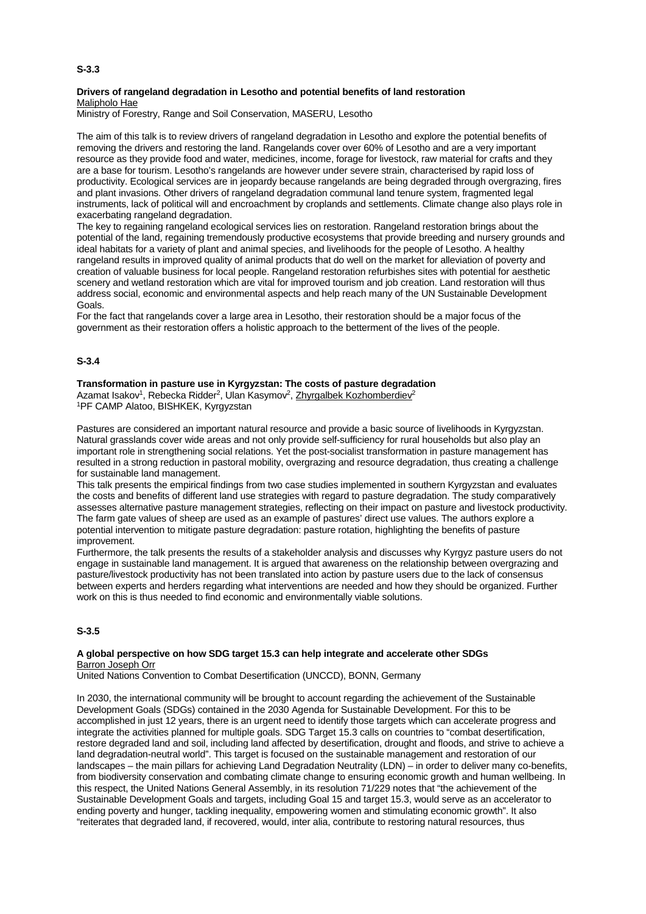#### **Drivers of rangeland degradation in Lesotho and potential benefits of land restoration** Malipholo Hae

Ministry of Forestry, Range and Soil Conservation, MASERU, Lesotho

The aim of this talk is to review drivers of rangeland degradation in Lesotho and explore the potential benefits of removing the drivers and restoring the land. Rangelands cover over 60% of Lesotho and are a very important resource as they provide food and water, medicines, income, forage for livestock, raw material for crafts and they are a base for tourism. Lesotho's rangelands are however under severe strain, characterised by rapid loss of productivity. Ecological services are in jeopardy because rangelands are being degraded through overgrazing, fires and plant invasions. Other drivers of rangeland degradation communal land tenure system, fragmented legal instruments, lack of political will and encroachment by croplands and settlements. Climate change also plays role in exacerbating rangeland degradation.

The key to regaining rangeland ecological services lies on restoration. Rangeland restoration brings about the potential of the land, regaining tremendously productive ecosystems that provide breeding and nursery grounds and ideal habitats for a variety of plant and animal species, and livelihoods for the people of Lesotho. A healthy rangeland results in improved quality of animal products that do well on the market for alleviation of poverty and creation of valuable business for local people. Rangeland restoration refurbishes sites with potential for aesthetic scenery and wetland restoration which are vital for improved tourism and job creation. Land restoration will thus address social, economic and environmental aspects and help reach many of the UN Sustainable Development Goals.

For the fact that rangelands cover a large area in Lesotho, their restoration should be a major focus of the government as their restoration offers a holistic approach to the betterment of the lives of the people.

## **S-3.4**

## **Transformation in pasture use in Kyrgyzstan: The costs of pasture degradation**

Azamat Isakov<sup>1</sup>, Rebecka Ridder<sup>2</sup>, Ulan Kasymov<sup>2</sup>, Zhyrgalbek Kozhomberdiev<sup>2</sup> 1PF CAMP Alatoo, BISHKEK, Kyrgyzstan

Pastures are considered an important natural resource and provide a basic source of livelihoods in Kyrgyzstan. Natural grasslands cover wide areas and not only provide self-sufficiency for rural households but also play an important role in strengthening social relations. Yet the post-socialist transformation in pasture management has resulted in a strong reduction in pastoral mobility, overgrazing and resource degradation, thus creating a challenge for sustainable land management.

This talk presents the empirical findings from two case studies implemented in southern Kyrgyzstan and evaluates the costs and benefits of different land use strategies with regard to pasture degradation. The study comparatively assesses alternative pasture management strategies, reflecting on their impact on pasture and livestock productivity. The farm gate values of sheep are used as an example of pastures' direct use values. The authors explore a potential intervention to mitigate pasture degradation: pasture rotation, highlighting the benefits of pasture improvement.

Furthermore, the talk presents the results of a stakeholder analysis and discusses why Kyrgyz pasture users do not engage in sustainable land management. It is argued that awareness on the relationship between overgrazing and pasture/livestock productivity has not been translated into action by pasture users due to the lack of consensus between experts and herders regarding what interventions are needed and how they should be organized. Further work on this is thus needed to find economic and environmentally viable solutions.

# **S-3.5**

#### **A global perspective on how SDG target 15.3 can help integrate and accelerate other SDGs** Barron Joseph Orr

United Nations Convention to Combat Desertification (UNCCD), BONN, Germany

In 2030, the international community will be brought to account regarding the achievement of the Sustainable Development Goals (SDGs) contained in the 2030 Agenda for Sustainable Development. For this to be accomplished in just 12 years, there is an urgent need to identify those targets which can accelerate progress and integrate the activities planned for multiple goals. SDG Target 15.3 calls on countries to "combat desertification, restore degraded land and soil, including land affected by desertification, drought and floods, and strive to achieve a land degradation-neutral world". This target is focused on the sustainable management and restoration of our landscapes – the main pillars for achieving Land Degradation Neutrality (LDN) – in order to deliver many co-benefits, from biodiversity conservation and combating climate change to ensuring economic growth and human wellbeing. In this respect, the United Nations General Assembly, in its resolution 71/229 notes that "the achievement of the Sustainable Development Goals and targets, including Goal 15 and target 15.3, would serve as an accelerator to ending poverty and hunger, tackling inequality, empowering women and stimulating economic growth". It also "reiterates that degraded land, if recovered, would, inter alia, contribute to restoring natural resources, thus

#### **S-3.3**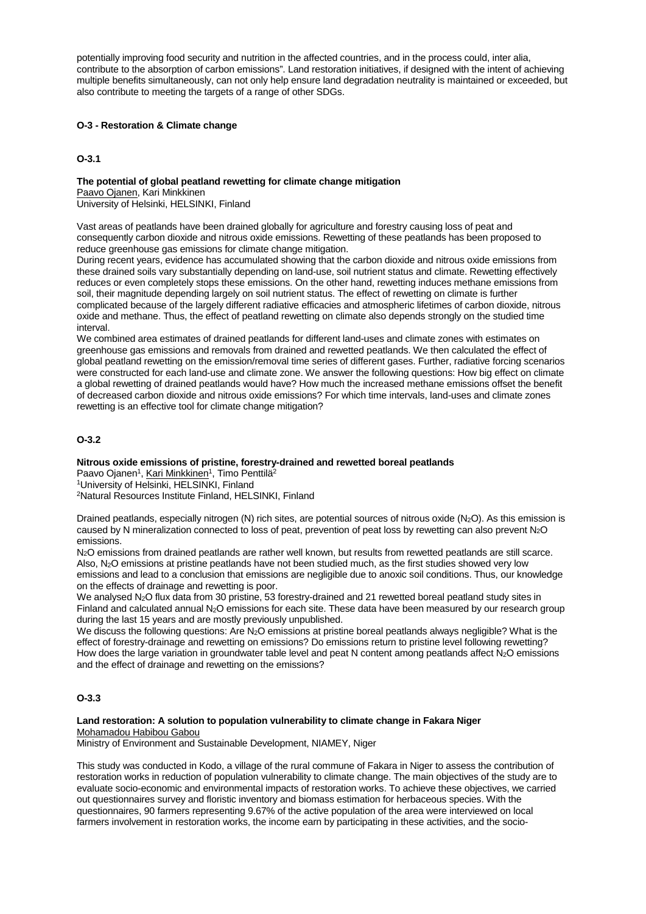potentially improving food security and nutrition in the affected countries, and in the process could, inter alia, contribute to the absorption of carbon emissions". Land restoration initiatives, if designed with the intent of achieving multiple benefits simultaneously, can not only help ensure land degradation neutrality is maintained or exceeded, but also contribute to meeting the targets of a range of other SDGs.

## **O-3 - Restoration & Climate change**

# **O-3.1**

# **The potential of global peatland rewetting for climate change mitigation**

Paavo Ojanen, Kari Minkkinen

University of Helsinki, HELSINKI, Finland

Vast areas of peatlands have been drained globally for agriculture and forestry causing loss of peat and consequently carbon dioxide and nitrous oxide emissions. Rewetting of these peatlands has been proposed to reduce greenhouse gas emissions for climate change mitigation.

During recent years, evidence has accumulated showing that the carbon dioxide and nitrous oxide emissions from these drained soils vary substantially depending on land-use, soil nutrient status and climate. Rewetting effectively reduces or even completely stops these emissions. On the other hand, rewetting induces methane emissions from soil, their magnitude depending largely on soil nutrient status. The effect of rewetting on climate is further complicated because of the largely different radiative efficacies and atmospheric lifetimes of carbon dioxide, nitrous oxide and methane. Thus, the effect of peatland rewetting on climate also depends strongly on the studied time interval.

We combined area estimates of drained peatlands for different land-uses and climate zones with estimates on greenhouse gas emissions and removals from drained and rewetted peatlands. We then calculated the effect of global peatland rewetting on the emission/removal time series of different gases. Further, radiative forcing scenarios were constructed for each land-use and climate zone. We answer the following questions: How big effect on climate a global rewetting of drained peatlands would have? How much the increased methane emissions offset the benefit of decreased carbon dioxide and nitrous oxide emissions? For which time intervals, land-uses and climate zones rewetting is an effective tool for climate change mitigation?

## **O-3.2**

#### **Nitrous oxide emissions of pristine, forestry-drained and rewetted boreal peatlands**

Paavo Ojanen<sup>1</sup>, Kari Minkkinen<sup>1</sup>, Timo Penttilä<sup>2</sup>

1University of Helsinki, HELSINKI, Finland

2Natural Resources Institute Finland, HELSINKI, Finland

Drained peatlands, especially nitrogen (N) rich sites, are potential sources of nitrous oxide (N<sub>2</sub>O). As this emission is caused by N mineralization connected to loss of peat, prevention of peat loss by rewetting can also prevent N<sub>2</sub>O emissions.

N<sub>2</sub>O emissions from drained peatlands are rather well known, but results from rewetted peatlands are still scarce. Also, N2O emissions at pristine peatlands have not been studied much, as the first studies showed very low emissions and lead to a conclusion that emissions are negligible due to anoxic soil conditions. Thus, our knowledge on the effects of drainage and rewetting is poor.

We analysed N<sub>2</sub>O flux data from 30 pristine, 53 forestry-drained and 21 rewetted boreal peatland study sites in Finland and calculated annual N2O emissions for each site. These data have been measured by our research group during the last 15 years and are mostly previously unpublished.

We discuss the following questions: Are N<sub>2</sub>O emissions at pristine boreal peatlands always negligible? What is the effect of forestry-drainage and rewetting on emissions? Do emissions return to pristine level following rewetting? How does the large variation in groundwater table level and peat N content among peatlands affect N<sub>2</sub>O emissions and the effect of drainage and rewetting on the emissions?

## **O-3.3**

**Land restoration: A solution to population vulnerability to climate change in Fakara Niger** Mohamadou Habibou Gabou

Ministry of Environment and Sustainable Development, NIAMEY, Niger

This study was conducted in Kodo, a village of the rural commune of Fakara in Niger to assess the contribution of restoration works in reduction of population vulnerability to climate change. The main objectives of the study are to evaluate socio-economic and environmental impacts of restoration works. To achieve these objectives, we carried out questionnaires survey and floristic inventory and biomass estimation for herbaceous species. With the questionnaires, 90 farmers representing 9.67% of the active population of the area were interviewed on local farmers involvement in restoration works, the income earn by participating in these activities, and the socio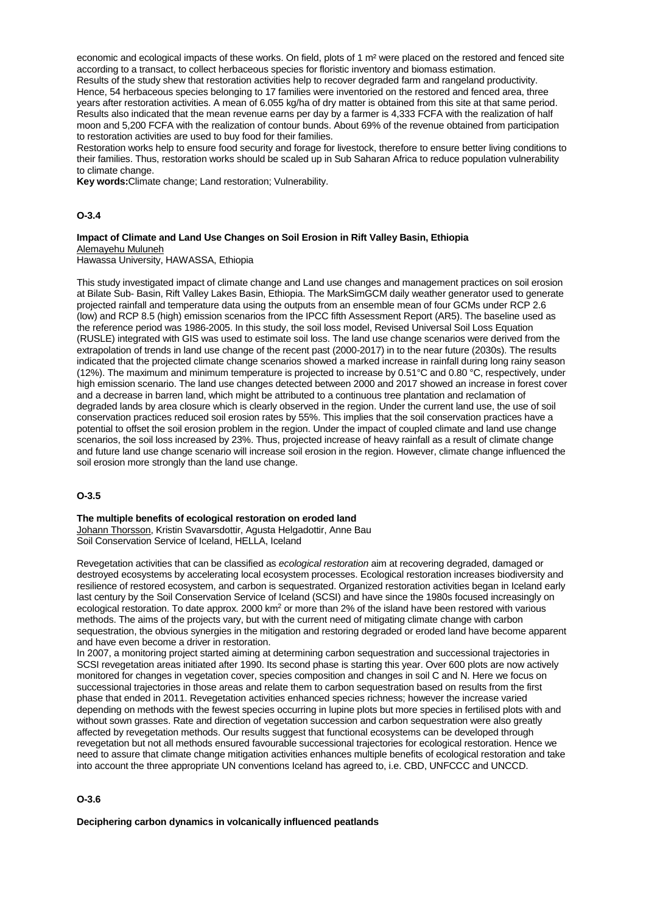economic and ecological impacts of these works. On field, plots of 1 m<sup>2</sup> were placed on the restored and fenced site according to a transact, to collect herbaceous species for floristic inventory and biomass estimation.

Results of the study shew that restoration activities help to recover degraded farm and rangeland productivity. Hence, 54 herbaceous species belonging to 17 families were inventoried on the restored and fenced area, three years after restoration activities. A mean of 6.055 kg/ha of dry matter is obtained from this site at that same period. Results also indicated that the mean revenue earns per day by a farmer is 4,333 FCFA with the realization of half moon and 5,200 FCFA with the realization of contour bunds. About 69% of the revenue obtained from participation to restoration activities are used to buy food for their families.

Restoration works help to ensure food security and forage for livestock, therefore to ensure better living conditions to their families. Thus, restoration works should be scaled up in Sub Saharan Africa to reduce population vulnerability to climate change.

**Key words:**Climate change; Land restoration; Vulnerability.

#### **O-3.4**

## **Impact of Climate and Land Use Changes on Soil Erosion in Rift Valley Basin, Ethiopia** Alemayehu Muluneh

Hawassa University, HAWASSA, Ethiopia

This study investigated impact of climate change and Land use changes and management practices on soil erosion at Bilate Sub- Basin, Rift Valley Lakes Basin, Ethiopia. The MarkSimGCM daily weather generator used to generate projected rainfall and temperature data using the outputs from an ensemble mean of four GCMs under RCP 2.6 (low) and RCP 8.5 (high) emission scenarios from the IPCC fifth Assessment Report (AR5). The baseline used as the reference period was 1986-2005. In this study, the soil los*s* model, Revised Universal Soil Loss Equation (RUSLE) integrated with GIS was used to estimate soil loss. The land use change scenarios were derived from the extrapolation of trends in land use change of the recent past (2000-2017) in to the near future (2030s). The results indicated that the projected climate change scenarios showed a marked increase in rainfall during long rainy season (12%). The maximum and minimum temperature is projected to increase by 0.51°C and 0.80 °C, respectively, under high emission scenario. The land use changes detected between 2000 and 2017 showed an increase in forest cover and a decrease in barren land, which might be attributed to a continuous tree plantation and reclamation of degraded lands by area closure which is clearly observed in the region. Under the current land use, the use of soil conservation practices reduced soil erosion rates by 55%. This implies that the soil conservation practices have a potential to offset the soil erosion problem in the region. Under the impact of coupled climate and land use change scenarios, the soil loss increased by 23%. Thus, projected increase of heavy rainfall as a result of climate change and future land use change scenario will increase soil erosion in the region. However, climate change influenced the soil erosion more strongly than the land use change.

#### **O-3.5**

## **The multiple benefits of ecological restoration on eroded land**

Johann Thorsson, Kristin Svavarsdottir, Agusta Helgadottir, Anne Bau Soil Conservation Service of Iceland, HELLA, Iceland

Revegetation activities that can be classified as *ecological restoration* aim at recovering degraded, damaged or destroyed ecosystems by accelerating local ecosystem processes. Ecological restoration increases biodiversity and resilience of restored ecosystem, and carbon is sequestrated. Organized restoration activities began in Iceland early last century by the Soil Conservation Service of Iceland (SCSI) and have since the 1980s focused increasingly on ecological restoration. To date approx. 2000 km<sup>2</sup> or more than 2% of the island have been restored with various methods. The aims of the projects vary, but with the current need of mitigating climate change with carbon sequestration, the obvious synergies in the mitigation and restoring degraded or eroded land have become apparent and have even become a driver in restoration.

In 2007, a monitoring project started aiming at determining carbon sequestration and successional trajectories in SCSI revegetation areas initiated after 1990. Its second phase is starting this year. Over 600 plots are now actively monitored for changes in vegetation cover, species composition and changes in soil C and N. Here we focus on successional trajectories in those areas and relate them to carbon sequestration based on results from the first phase that ended in 2011. Revegetation activities enhanced species richness; however the increase varied depending on methods with the fewest species occurring in lupine plots but more species in fertilised plots with and without sown grasses. Rate and direction of vegetation succession and carbon sequestration were also greatly affected by revegetation methods. Our results suggest that functional ecosystems can be developed through revegetation but not all methods ensured favourable successional trajectories for ecological restoration. Hence we need to assure that climate change mitigation activities enhances multiple benefits of ecological restoration and take into account the three appropriate UN conventions Iceland has agreed to, i.e. CBD, UNFCCC and UNCCD.

#### **O-3.6**

**Deciphering carbon dynamics in volcanically influenced peatlands**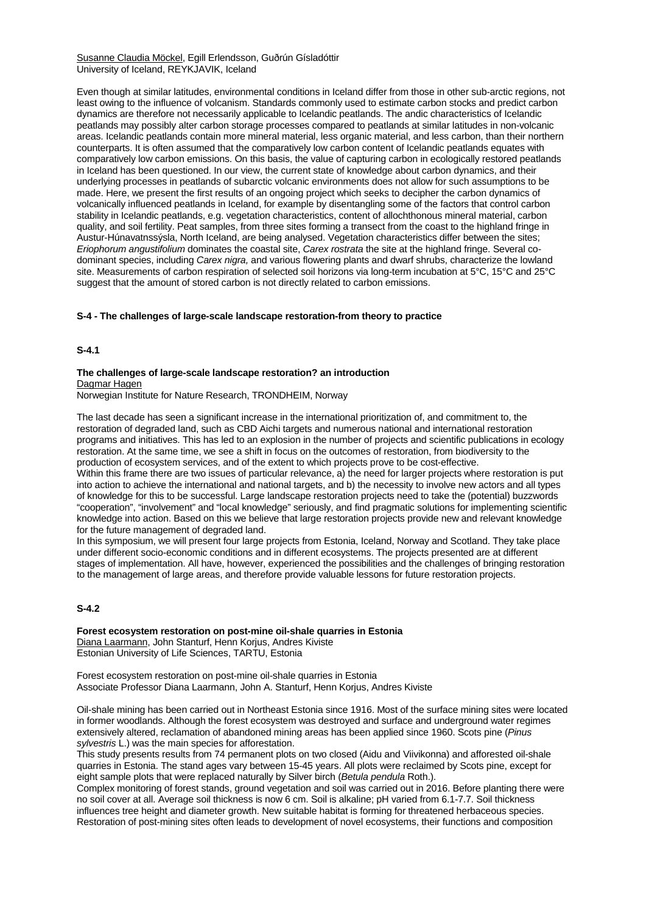Susanne Claudia Möckel, Egill Erlendsson, Guðrún Gísladóttir University of Iceland, REYKJAVIK, Iceland

Even though at similar latitudes, environmental conditions in Iceland differ from those in other sub-arctic regions, not least owing to the influence of volcanism. Standards commonly used to estimate carbon stocks and predict carbon dynamics are therefore not necessarily applicable to Icelandic peatlands. The andic characteristics of Icelandic peatlands may possibly alter carbon storage processes compared to peatlands at similar latitudes in non-volcanic areas. Icelandic peatlands contain more mineral material, less organic material, and less carbon, than their northern counterparts. It is often assumed that the comparatively low carbon content of Icelandic peatlands equates with comparatively low carbon emissions. On this basis, the value of capturing carbon in ecologically restored peatlands in Iceland has been questioned. In our view, the current state of knowledge about carbon dynamics, and their underlying processes in peatlands of subarctic volcanic environments does not allow for such assumptions to be made. Here, we present the first results of an ongoing project which seeks to decipher the carbon dynamics of volcanically influenced peatlands in Iceland, for example by disentangling some of the factors that control carbon stability in Icelandic peatlands, e.g. vegetation characteristics, content of allochthonous mineral material, carbon quality, and soil fertility. Peat samples, from three sites forming a transect from the coast to the highland fringe in Austur-Húnavatnssýsla, North Iceland, are being analysed. Vegetation characteristics differ between the sites; *Eriophorum angustifolium* dominates the coastal site, *Carex rostrata* the site at the highland fringe. Several codominant species, including *Carex nigra,* and various flowering plants and dwarf shrubs, characterize the lowland site. Measurements of carbon respiration of selected soil horizons via long-term incubation at 5°C, 15°C and 25°C suggest that the amount of stored carbon is not directly related to carbon emissions.

#### **S-4 - The challenges of large-scale landscape restoration-from theory to practice**

**S-4.1**

# **The challenges of large-scale landscape restoration? an introduction** Dagmar Hagen

Norwegian Institute for Nature Research, TRONDHEIM, Norway

The last decade has seen a significant increase in the international prioritization of, and commitment to, the restoration of degraded land, such as CBD Aichi targets and numerous national and international restoration programs and initiatives. This has led to an explosion in the number of projects and scientific publications in ecology restoration. At the same time, we see a shift in focus on the outcomes of restoration, from biodiversity to the production of ecosystem services, and of the extent to which projects prove to be cost-effective.

Within this frame there are two issues of particular relevance, a) the need for larger projects where restoration is put into action to achieve the international and national targets, and b) the necessity to involve new actors and all types of knowledge for this to be successful. Large landscape restoration projects need to take the (potential) buzzwords "cooperation", "involvement" and "local knowledge" seriously, and find pragmatic solutions for implementing scientific knowledge into action. Based on this we believe that large restoration projects provide new and relevant knowledge for the future management of degraded land.

In this symposium, we will present four large projects from Estonia, Iceland, Norway and Scotland. They take place under different socio-economic conditions and in different ecosystems. The projects presented are at different stages of implementation. All have, however, experienced the possibilities and the challenges of bringing restoration to the management of large areas, and therefore provide valuable lessons for future restoration projects.

#### **S-4.2**

**Forest ecosystem restoration on post-mine oil-shale quarries in Estonia** Diana Laarmann, John Stanturf, Henn Korjus, Andres Kiviste Estonian University of Life Sciences, TARTU, Estonia

Forest ecosystem restoration on post-mine oil-shale quarries in Estonia Associate Professor Diana Laarmann, John A. Stanturf, Henn Korjus, Andres Kiviste

Oil-shale mining has been carried out in Northeast Estonia since 1916. Most of the surface mining sites were located in former woodlands. Although the forest ecosystem was destroyed and surface and underground water regimes extensively altered, reclamation of abandoned mining areas has been applied since 1960. Scots pine (*Pinus sylvestris* L.) was the main species for afforestation.

This study presents results from 74 permanent plots on two closed (Aidu and Viivikonna) and afforested oil-shale quarries in Estonia. The stand ages vary between 15-45 years. All plots were reclaimed by Scots pine, except for eight sample plots that were replaced naturally by Silver birch (*Betula pendula* Roth.).

Complex monitoring of forest stands, ground vegetation and soil was carried out in 2016. Before planting there were no soil cover at all. Average soil thickness is now 6 cm. Soil is alkaline; pH varied from 6.1-7.7. Soil thickness influences tree height and diameter growth. New suitable habitat is forming for threatened herbaceous species. Restoration of post-mining sites often leads to development of novel ecosystems, their functions and composition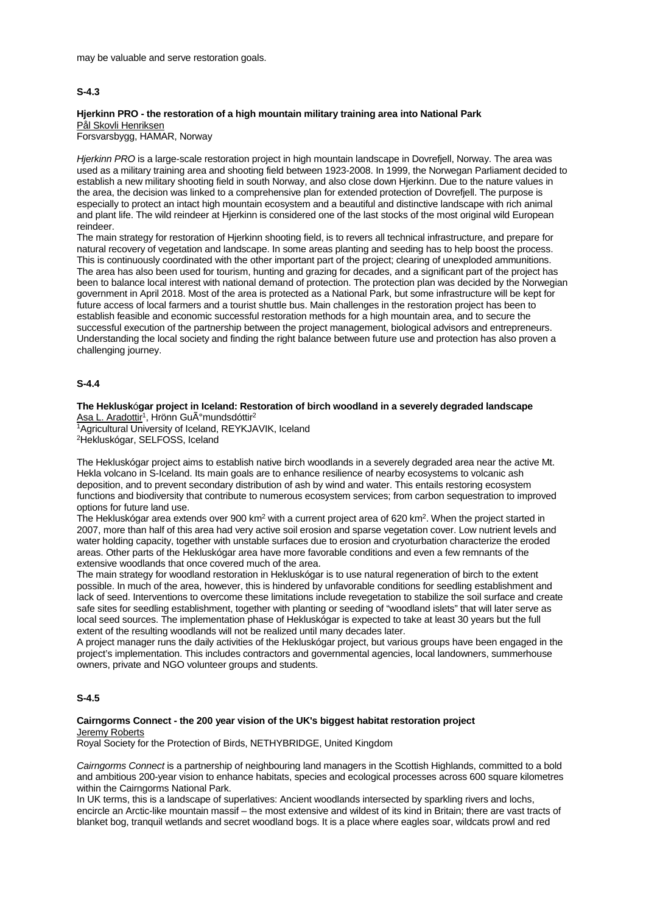## **S-4.3**

#### **Hjerkinn PRO - the restoration of a high mountain military training area into National Park** Pål Skovli Henriksen

Forsvarsbygg, HAMAR, Norway

*Hjerkinn PRO* is a large-scale restoration project in high mountain landscape in Dovrefjell, Norway. The area was used as a military training area and shooting field between 1923-2008. In 1999, the Norwegan Parliament decided to establish a new military shooting field in south Norway, and also close down Hjerkinn. Due to the nature values in the area, the decision was linked to a comprehensive plan for extended protection of Dovrefjell. The purpose is especially to protect an intact high mountain ecosystem and a beautiful and distinctive landscape with rich animal and plant life. The wild reindeer at Hjerkinn is considered one of the last stocks of the most original wild European reindeer.

The main strategy for restoration of Hjerkinn shooting field, is to revers all technical infrastructure, and prepare for natural recovery of vegetation and landscape. In some areas planting and seeding has to help boost the process. This is continuously coordinated with the other important part of the project; clearing of unexploded ammunitions. The area has also been used for tourism, hunting and grazing for decades, and a significant part of the project has been to balance local interest with national demand of protection. The protection plan was decided by the Norwegian government in April 2018. Most of the area is protected as a National Park, but some infrastructure will be kept for future access of local farmers and a tourist shuttle bus. Main challenges in the restoration project has been to establish feasible and economic successful restoration methods for a high mountain area, and to secure the successful execution of the partnership between the project management, biological advisors and entrepreneurs. Understanding the local society and finding the right balance between future use and protection has also proven a challenging journey.

#### **S-4.4**

**The Heklusk**ó**gar project in Iceland: Restoration of birch woodland in a severely degraded landscape** Asa L. Aradottir<sup>1</sup>, Hrönn Gu<sub>A</sub>°mundsdóttir<sup>2</sup>

1Agricultural University of Iceland, REYKJAVIK, Iceland 2Hekluskógar, SELFOSS, Iceland

The Hekluskógar project aims to establish native birch woodlands in a severely degraded area near the active Mt. Hekla volcano in S-Iceland. Its main goals are to enhance resilience of nearby ecosystems to volcanic ash deposition, and to prevent secondary distribution of ash by wind and water. This entails restoring ecosystem functions and biodiversity that contribute to numerous ecosystem services; from carbon sequestration to improved options for future land use.

The Hekluskógar area extends over 900 km2 with a current project area of 620 km2. When the project started in 2007, more than half of this area had very active soil erosion and sparse vegetation cover. Low nutrient levels and water holding capacity, together with unstable surfaces due to erosion and cryoturbation characterize the eroded areas. Other parts of the Hekluskógar area have more favorable conditions and even a few remnants of the extensive woodlands that once covered much of the area.

The main strategy for woodland restoration in Hekluskógar is to use natural regeneration of birch to the extent possible. In much of the area, however, this is hindered by unfavorable conditions for seedling establishment and lack of seed. Interventions to overcome these limitations include revegetation to stabilize the soil surface and create safe sites for seedling establishment, together with planting or seeding of "woodland islets" that will later serve as local seed sources. The implementation phase of Hekluskógar is expected to take at least 30 years but the full extent of the resulting woodlands will not be realized until many decades later.

A project manager runs the daily activities of the Hekluskógar project, but various groups have been engaged in the project's implementation. This includes contractors and governmental agencies, local landowners, summerhouse owners, private and NGO volunteer groups and students.

#### **S-4.5**

#### **Cairngorms Connect - the 200 year vision of the UK's biggest habitat restoration project** Jeremy Roberts

Royal Society for the Protection of Birds, NETHYBRIDGE, United Kingdom

*Cairngorms Connect* is a partnership of neighbouring land managers in the Scottish Highlands, committed to a bold and ambitious 200-year vision to enhance habitats, species and ecological processes across 600 square kilometres within the Cairngorms National Park.

In UK terms, this is a landscape of superlatives: Ancient woodlands intersected by sparkling rivers and lochs, encircle an Arctic-like mountain massif – the most extensive and wildest of its kind in Britain; there are vast tracts of blanket bog, tranquil wetlands and secret woodland bogs. It is a place where eagles soar, wildcats prowl and red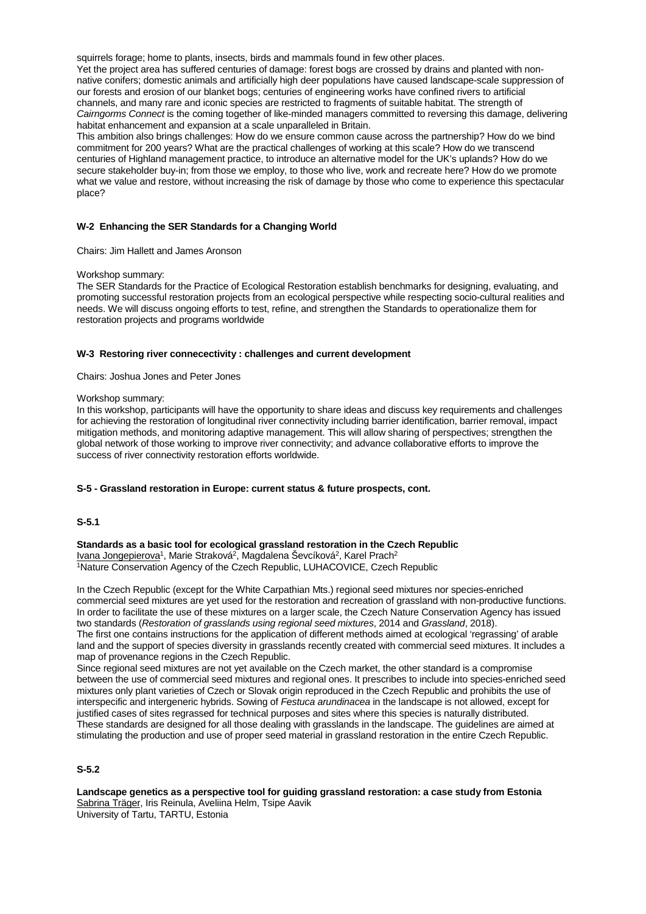squirrels forage; home to plants, insects, birds and mammals found in few other places.

Yet the project area has suffered centuries of damage: forest bogs are crossed by drains and planted with nonnative conifers; domestic animals and artificially high deer populations have caused landscape-scale suppression of our forests and erosion of our blanket bogs; centuries of engineering works have confined rivers to artificial channels, and many rare and iconic species are restricted to fragments of suitable habitat. The strength of *Cairngorms Connect* is the coming together of like-minded managers committed to reversing this damage, delivering habitat enhancement and expansion at a scale unparalleled in Britain.

This ambition also brings challenges: How do we ensure common cause across the partnership? How do we bind commitment for 200 years? What are the practical challenges of working at this scale? How do we transcend centuries of Highland management practice, to introduce an alternative model for the UK's uplands? How do we secure stakeholder buy-in; from those we employ, to those who live, work and recreate here? How do we promote what we value and restore, without increasing the risk of damage by those who come to experience this spectacular place?

#### **W-2 Enhancing the SER Standards for a Changing World**

Chairs: Jim Hallett and James Aronson

#### Workshop summary:

The SER Standards for the Practice of Ecological Restoration establish benchmarks for designing, evaluating, and promoting successful restoration projects from an ecological perspective while respecting socio-cultural realities and needs. We will discuss ongoing efforts to test, refine, and strengthen the Standards to operationalize them for restoration projects and programs worldwide

#### **W-3 Restoring river connecectivity : challenges and current development**

Chairs: Joshua Jones and Peter Jones

#### Workshop summary:

In this workshop, participants will have the opportunity to share ideas and discuss key requirements and challenges for achieving the restoration of longitudinal river connectivity including barrier identification, barrier removal, impact mitigation methods, and monitoring adaptive management. This will allow sharing of perspectives; strengthen the global network of those working to improve river connectivity; and advance collaborative efforts to improve the success of river connectivity restoration efforts worldwide.

#### **S-5 - Grassland restoration in Europe: current status & future prospects, cont.**

## **S-5.1**

#### **Standards as a basic tool for ecological grassland restoration in the Czech Republic**

Ivana Jongepierova<sup>1</sup>, Marie Straková<sup>2</sup>, Magdalena Ševcíková<sup>2</sup>, Karel Prach<sup>2</sup>

1Nature Conservation Agency of the Czech Republic, LUHACOVICE, Czech Republic

In the Czech Republic (except for the White Carpathian Mts.) regional seed mixtures nor species-enriched commercial seed mixtures are yet used for the restoration and recreation of grassland with non-productive functions. In order to facilitate the use of these mixtures on a larger scale, the Czech Nature Conservation Agency has issued two standards (*Restoration of grasslands using regional seed mixtures*, 2014 and *Grassland*, 2018). The first one contains instructions for the application of different methods aimed at ecological 'regrassing' of arable

land and the support of species diversity in grasslands recently created with commercial seed mixtures. It includes a map of provenance regions in the Czech Republic.

Since regional seed mixtures are not yet available on the Czech market, the other standard is a compromise between the use of commercial seed mixtures and regional ones. It prescribes to include into species-enriched seed mixtures only plant varieties of Czech or Slovak origin reproduced in the Czech Republic and prohibits the use of interspecific and intergeneric hybrids. Sowing of *Festuca arundinacea* in the landscape is not allowed, except for justified cases of sites regrassed for technical purposes and sites where this species is naturally distributed. These standards are designed for all those dealing with grasslands in the landscape. The guidelines are aimed at stimulating the production and use of proper seed material in grassland restoration in the entire Czech Republic.

#### **S-5.2**

**Landscape genetics as a perspective tool for guiding grassland restoration: a case study from Estonia** Sabrina Träger, Iris Reinula, Aveliina Helm, Tsipe Aavik University of Tartu, TARTU, Estonia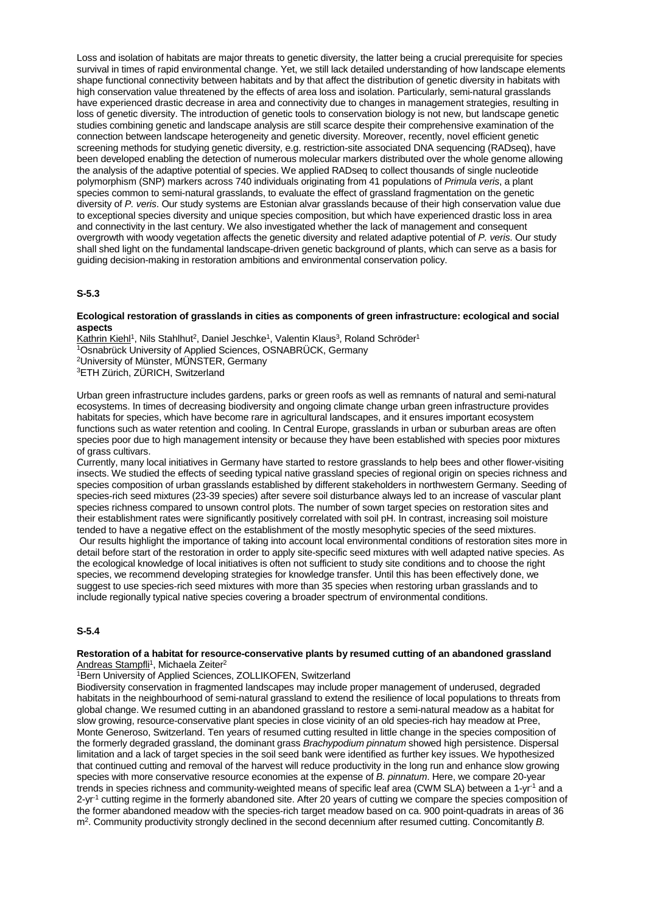Loss and isolation of habitats are major threats to genetic diversity, the latter being a crucial prerequisite for species survival in times of rapid environmental change. Yet, we still lack detailed understanding of how landscape elements shape functional connectivity between habitats and by that affect the distribution of genetic diversity in habitats with high conservation value threatened by the effects of area loss and isolation. Particularly, semi-natural grasslands have experienced drastic decrease in area and connectivity due to changes in management strategies, resulting in loss of genetic diversity. The introduction of genetic tools to conservation biology is not new, but landscape genetic studies combining genetic and landscape analysis are still scarce despite their comprehensive examination of the connection between landscape heterogeneity and genetic diversity. Moreover, recently, novel efficient genetic screening methods for studying genetic diversity, e.g. restriction-site associated DNA sequencing (RADseq), have been developed enabling the detection of numerous molecular markers distributed over the whole genome allowing the analysis of the adaptive potential of species. We applied RADseq to collect thousands of single nucleotide polymorphism (SNP) markers across 740 individuals originating from 41 populations of *Primula veris*, a plant species common to semi-natural grasslands, to evaluate the effect of grassland fragmentation on the genetic diversity of *P. veris*. Our study systems are Estonian alvar grasslands because of their high conservation value due to exceptional species diversity and unique species composition, but which have experienced drastic loss in area and connectivity in the last century. We also investigated whether the lack of management and consequent overgrowth with woody vegetation affects the genetic diversity and related adaptive potential of *P. veris*. Our study shall shed light on the fundamental landscape-driven genetic background of plants, which can serve as a basis for guiding decision-making in restoration ambitions and environmental conservation policy.

# **S-5.3**

#### **Ecological restoration of grasslands in cities as components of green infrastructure: ecological and social aspects**

Kathrin Kiehl<sup>1</sup>, Nils Stahlhut<sup>2</sup>, Daniel Jeschke<sup>1</sup>, Valentin Klaus<sup>3</sup>, Roland Schröder<sup>1</sup> 1Osnabrück University of Applied Sciences, OSNABRÜCK, Germany 2University of Münster, MÜNSTER, Germany 3ETH Zürich, ZÜRICH, Switzerland

Urban green infrastructure includes gardens, parks or green roofs as well as remnants of natural and semi-natural ecosystems. In times of decreasing biodiversity and ongoing climate change urban green infrastructure provides habitats for species, which have become rare in agricultural landscapes, and it ensures important ecosystem functions such as water retention and cooling. In Central Europe, grasslands in urban or suburban areas are often species poor due to high management intensity or because they have been established with species poor mixtures of grass cultivars.

Currently, many local initiatives in Germany have started to restore grasslands to help bees and other flower-visiting insects. We studied the effects of seeding typical native grassland species of regional origin on species richness and species composition of urban grasslands established by different stakeholders in northwestern Germany. Seeding of species-rich seed mixtures (23-39 species) after severe soil disturbance always led to an increase of vascular plant species richness compared to unsown control plots. The number of sown target species on restoration sites and their establishment rates were significantly positively correlated with soil pH. In contrast, increasing soil moisture tended to have a negative effect on the establishment of the mostly mesophytic species of the seed mixtures.

Our results highlight the importance of taking into account local environmental conditions of restoration sites more in detail before start of the restoration in order to apply site-specific seed mixtures with well adapted native species. As the ecological knowledge of local initiatives is often not sufficient to study site conditions and to choose the right species, we recommend developing strategies for knowledge transfer. Until this has been effectively done, we suggest to use species-rich seed mixtures with more than 35 species when restoring urban grasslands and to include regionally typical native species covering a broader spectrum of environmental conditions.

## **S-5.4**

#### **Restoration of a habitat for resource-conservative plants by resumed cutting of an abandoned grassland** Andreas Stampfli<sup>1</sup>, Michaela Zeiter<sup>2</sup>

1Bern University of Applied Sciences, ZOLLIKOFEN, Switzerland

Biodiversity conservation in fragmented landscapes may include proper management of underused, degraded habitats in the neighbourhood of semi-natural grassland to extend the resilience of local populations to threats from global change. We resumed cutting in an abandoned grassland to restore a semi-natural meadow as a habitat for slow growing, resource-conservative plant species in close vicinity of an old species-rich hay meadow at Pree, Monte Generoso, Switzerland. Ten years of resumed cutting resulted in little change in the species composition of the formerly degraded grassland, the dominant grass *Brachypodium pinnatum* showed high persistence. Dispersal limitation and a lack of target species in the soil seed bank were identified as further key issues. We hypothesized that continued cutting and removal of the harvest will reduce productivity in the long run and enhance slow growing species with more conservative resource economies at the expense of *B. pinnatum*. Here, we compare 20-year trends in species richness and community-weighted means of specific leaf area (CWM SLA) between a 1-yr-1 and a 2-yr<sup>-1</sup> cutting regime in the formerly abandoned site. After 20 years of cutting we compare the species composition of the former abandoned meadow with the species-rich target meadow based on ca. 900 point-quadrats in areas of 36 m2. Community productivity strongly declined in the second decennium after resumed cutting. Concomitantly *B.*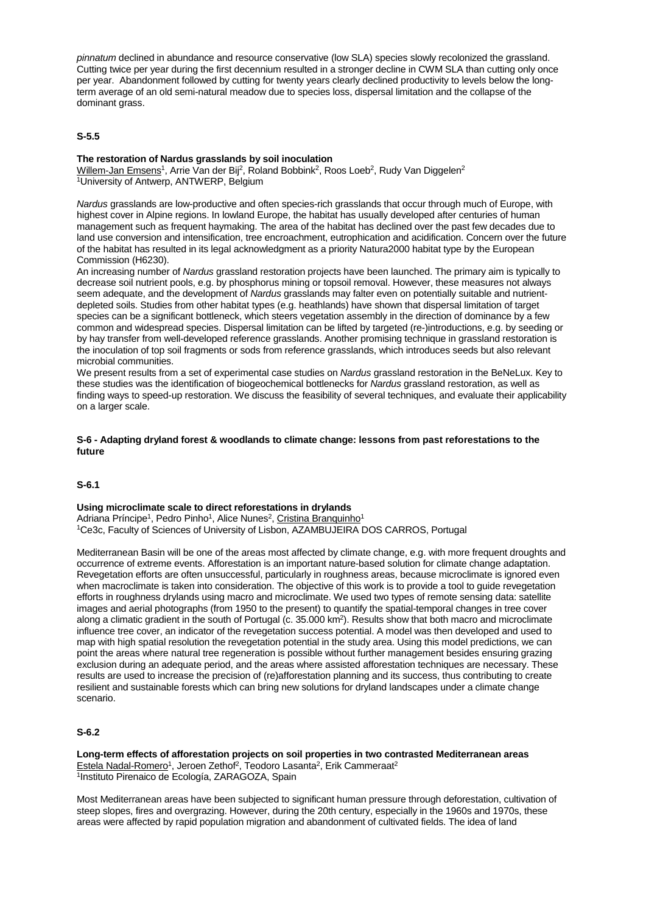*pinnatum* declined in abundance and resource conservative (low SLA) species slowly recolonized the grassland. Cutting twice per year during the first decennium resulted in a stronger decline in CWM SLA than cutting only once per year. Abandonment followed by cutting for twenty years clearly declined productivity to levels below the longterm average of an old semi-natural meadow due to species loss, dispersal limitation and the collapse of the dominant grass.

## **S-5.5**

## **The restoration of Nardus grasslands by soil inoculation**

Willem-Jan Emsens<sup>1</sup>, Arrie Van der Bij<sup>2</sup>, Roland Bobbink<sup>2</sup>, Roos Loeb<sup>2</sup>, Rudy Van Diggelen<sup>2</sup> 1University of Antwerp, ANTWERP, Belgium

*Nardus* grasslands are low-productive and often species-rich grasslands that occur through much of Europe, with highest cover in Alpine regions. In lowland Europe, the habitat has usually developed after centuries of human management such as frequent haymaking. The area of the habitat has declined over the past few decades due to land use conversion and intensification, tree encroachment, eutrophication and acidification. Concern over the future of the habitat has resulted in its legal acknowledgment as a priority Natura2000 habitat type by the European Commission (H6230).

An increasing number of *Nardus* grassland restoration projects have been launched. The primary aim is typically to decrease soil nutrient pools, e.g. by phosphorus mining or topsoil removal. However, these measures not always seem adequate, and the development of *Nardus* grasslands may falter even on potentially suitable and nutrientdepleted soils. Studies from other habitat types (e.g. heathlands) have shown that dispersal limitation of target species can be a significant bottleneck, which steers vegetation assembly in the direction of dominance by a few common and widespread species. Dispersal limitation can be lifted by targeted (re-)introductions, e.g. by seeding or by hay transfer from well-developed reference grasslands. Another promising technique in grassland restoration is the inoculation of top soil fragments or sods from reference grasslands, which introduces seeds but also relevant microbial communities.

We present results from a set of experimental case studies on *Nardus* grassland restoration in the BeNeLux. Key to these studies was the identification of biogeochemical bottlenecks for *Nardus* grassland restoration, as well as finding ways to speed-up restoration. We discuss the feasibility of several techniques, and evaluate their applicability on a larger scale.

#### **S-6 - Adapting dryland forest & woodlands to climate change: lessons from past reforestations to the future**

## **S-6.1**

**Using microclimate scale to direct reforestations in drylands** Adriana Príncipe<sup>1</sup>, Pedro Pinho<sup>1</sup>, Alice Nunes<sup>2</sup>, Cristina Branquinho<sup>1</sup> 1Ce3c, Faculty of Sciences of University of Lisbon, AZAMBUJEIRA DOS CARROS, Portugal

Mediterranean Basin will be one of the areas most affected by climate change, e.g. with more frequent droughts and occurrence of extreme events. Afforestation is an important nature-based solution for climate change adaptation. Revegetation efforts are often unsuccessful, particularly in roughness areas, because microclimate is ignored even when macroclimate is taken into consideration. The objective of this work is to provide a tool to guide revegetation efforts in roughness drylands using macro and microclimate. We used two types of remote sensing data: satellite images and aerial photographs (from 1950 to the present) to quantify the spatial-temporal changes in tree cover along a climatic gradient in the south of Portugal (c. 35.000 km2). Results show that both macro and microclimate influence tree cover, an indicator of the revegetation success potential. A model was then developed and used to map with high spatial resolution the revegetation potential in the study area. Using this model predictions, we can point the areas where natural tree regeneration is possible without further management besides ensuring grazing exclusion during an adequate period, and the areas where assisted afforestation techniques are necessary. These results are used to increase the precision of (re)afforestation planning and its success, thus contributing to create resilient and sustainable forests which can bring new solutions for dryland landscapes under a climate change scenario.

## **S-6.2**

**Long-term effects of afforestation projects on soil properties in two contrasted Mediterranean areas** Estela Nadal-Romero<sup>1</sup>, Jeroen Zethof<sup>2</sup>, Teodoro Lasanta<sup>2</sup>, Erik Cammeraat<sup>2</sup> 1Instituto Pirenaico de Ecología, ZARAGOZA, Spain

Most Mediterranean areas have been subjected to significant human pressure through deforestation, cultivation of steep slopes, fires and overgrazing. However, during the 20th century, especially in the 1960s and 1970s, these areas were affected by rapid population migration and abandonment of cultivated fields. The idea of land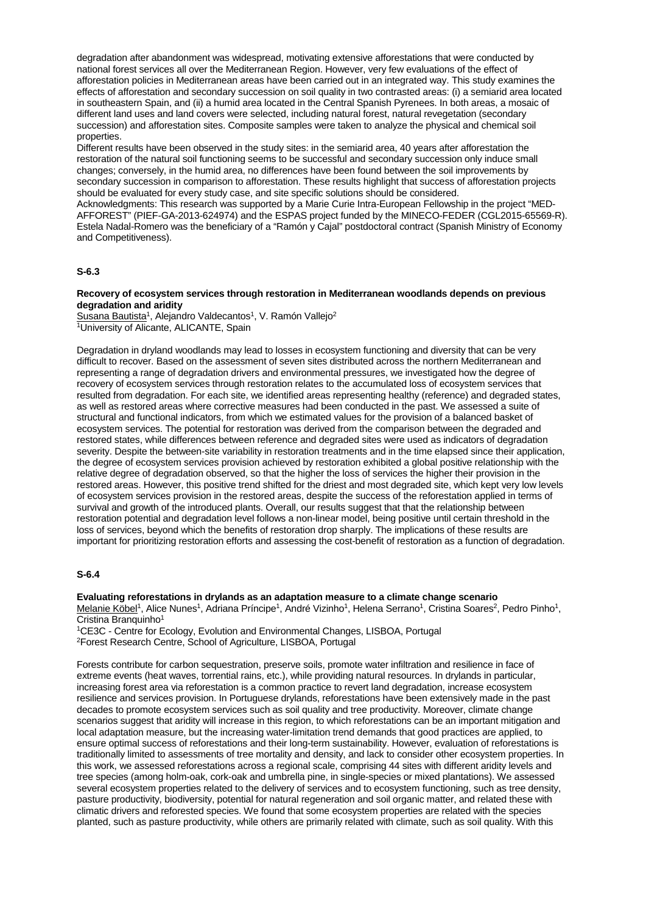degradation after abandonment was widespread, motivating extensive afforestations that were conducted by national forest services all over the Mediterranean Region. However, very few evaluations of the effect of afforestation policies in Mediterranean areas have been carried out in an integrated way. This study examines the effects of afforestation and secondary succession on soil quality in two contrasted areas: (i) a semiarid area located in southeastern Spain, and (ii) a humid area located in the Central Spanish Pyrenees. In both areas, a mosaic of different land uses and land covers were selected, including natural forest, natural revegetation (secondary succession) and afforestation sites. Composite samples were taken to analyze the physical and chemical soil properties.

Different results have been observed in the study sites: in the semiarid area, 40 years after afforestation the restoration of the natural soil functioning seems to be successful and secondary succession only induce small changes; conversely, in the humid area, no differences have been found between the soil improvements by secondary succession in comparison to afforestation. These results highlight that success of afforestation projects should be evaluated for every study case, and site specific solutions should be considered.

Acknowledgments: This research was supported by a Marie Curie Intra-European Fellowship in the project "MED-AFFOREST" (PIEF-GA-2013-624974) and the ESPAS project funded by the MINECO-FEDER (CGL2015-65569-R). Estela Nadal-Romero was the beneficiary of a "Ramón y Cajal" postdoctoral contract (Spanish Ministry of Economy and Competitiveness).

## **S-6.3**

#### **Recovery of ecosystem services through restoration in Mediterranean woodlands depends on previous degradation and aridity**

Susana Bautista<sup>1</sup>, Alejandro Valdecantos<sup>1</sup>, V. Ramón Vallejo<sup>2</sup> 1University of Alicante, ALICANTE, Spain

Degradation in dryland woodlands may lead to losses in ecosystem functioning and diversity that can be very difficult to recover. Based on the assessment of seven sites distributed across the northern Mediterranean and representing a range of degradation drivers and environmental pressures, we investigated how the degree of recovery of ecosystem services through restoration relates to the accumulated loss of ecosystem services that resulted from degradation. For each site, we identified areas representing healthy (reference) and degraded states, as well as restored areas where corrective measures had been conducted in the past. We assessed a suite of structural and functional indicators, from which we estimated values for the provision of a balanced basket of ecosystem services. The potential for restoration was derived from the comparison between the degraded and restored states, while differences between reference and degraded sites were used as indicators of degradation severity. Despite the between-site variability in restoration treatments and in the time elapsed since their application, the degree of ecosystem services provision achieved by restoration exhibited a global positive relationship with the relative degree of degradation observed, so that the higher the loss of services the higher their provision in the restored areas. However, this positive trend shifted for the driest and most degraded site, which kept very low levels of ecosystem services provision in the restored areas, despite the success of the reforestation applied in terms of survival and growth of the introduced plants. Overall, our results suggest that that the relationship between restoration potential and degradation level follows a non-linear model, being positive until certain threshold in the loss of services, beyond which the benefits of restoration drop sharply. The implications of these results are important for prioritizing restoration efforts and assessing the cost-benefit of restoration as a function of degradation.

#### **S-6.4**

**Evaluating reforestations in drylands as an adaptation measure to a climate change scenario** Melanie Köbel<sup>1</sup>, Alice Nunes<sup>1</sup>, Adriana Príncipe<sup>1</sup>, André Vizinho<sup>1</sup>, Helena Serrano<sup>1</sup>, Cristina Soares<sup>2</sup>, Pedro Pinho<sup>1</sup>, Cristina Branquinho<sup>1</sup>

1CE3C - Centre for Ecology, Evolution and Environmental Changes, LISBOA, Portugal 2Forest Research Centre, School of Agriculture, LISBOA, Portugal

Forests contribute for carbon sequestration, preserve soils, promote water infiltration and resilience in face of extreme events (heat waves, torrential rains, etc.), while providing natural resources. In drylands in particular, increasing forest area via reforestation is a common practice to revert land degradation, increase ecosystem resilience and services provision. In Portuguese drylands, reforestations have been extensively made in the past decades to promote ecosystem services such as soil quality and tree productivity. Moreover, climate change scenarios suggest that aridity will increase in this region, to which reforestations can be an important mitigation and local adaptation measure, but the increasing water-limitation trend demands that good practices are applied, to ensure optimal success of reforestations and their long-term sustainability. However, evaluation of reforestations is traditionally limited to assessments of tree mortality and density, and lack to consider other ecosystem properties. In this work, we assessed reforestations across a regional scale, comprising 44 sites with different aridity levels and tree species (among holm-oak, cork-oak and umbrella pine, in single-species or mixed plantations). We assessed several ecosystem properties related to the delivery of services and to ecosystem functioning, such as tree density, pasture productivity, biodiversity, potential for natural regeneration and soil organic matter, and related these with climatic drivers and reforested species. We found that some ecosystem properties are related with the species planted, such as pasture productivity, while others are primarily related with climate, such as soil quality. With this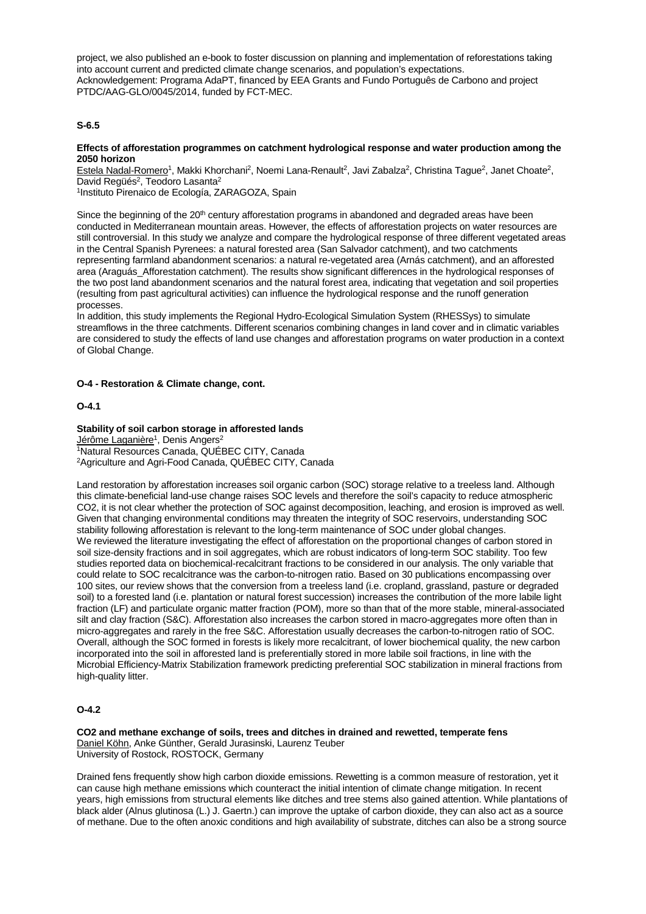project, we also published an e-book to foster discussion on planning and implementation of reforestations taking into account current and predicted climate change scenarios, and population's expectations. Acknowledgement: Programa AdaPT, financed by EEA Grants and Fundo Português de Carbono and project PTDC/AAG-GLO/0045/2014, funded by FCT-MEC.

## **S-6.5**

#### **Effects of afforestation programmes on catchment hydrological response and water production among the 2050 horizon**

Estela Nadal-Romero<sup>1</sup>, Makki Khorchani<sup>2</sup>, Noemi Lana-Renault<sup>2</sup>, Javi Zabalza<sup>2</sup>, Christina Tague<sup>2</sup>, Janet Choate<sup>2</sup>, David Regüés<sup>2</sup>, Teodoro Lasanta<sup>2</sup>

1Instituto Pirenaico de Ecología, ZARAGOZA, Spain

Since the beginning of the 20<sup>th</sup> century afforestation programs in abandoned and degraded areas have been conducted in Mediterranean mountain areas. However, the effects of afforestation projects on water resources are still controversial. In this study we analyze and compare the hydrological response of three different vegetated areas in the Central Spanish Pyrenees: a natural forested area (San Salvador catchment), and two catchments representing farmland abandonment scenarios: a natural re-vegetated area (Arnás catchment), and an afforested area (Araguás\_Afforestation catchment). The results show significant differences in the hydrological responses of the two post land abandonment scenarios and the natural forest area, indicating that vegetation and soil properties (resulting from past agricultural activities) can influence the hydrological response and the runoff generation processes.

In addition, this study implements the Regional Hydro-Ecological Simulation System (RHESSys) to simulate streamflows in the three catchments. Different scenarios combining changes in land cover and in climatic variables are considered to study the effects of land use changes and afforestation programs on water production in a context of Global Change.

#### **O-4 - Restoration & Climate change, cont.**

#### **O-4.1**

#### **Stability of soil carbon storage in afforested lands**

Jérôme Laganière<sup>1</sup>, Denis Angers<sup>2</sup>

1Natural Resources Canada, QUÉBEC CITY, Canada 2Agriculture and Agri-Food Canada, QUÉBEC CITY, Canada

Land restoration by afforestation increases soil organic carbon (SOC) storage relative to a treeless land. Although this climate-beneficial land-use change raises SOC levels and therefore the soil's capacity to reduce atmospheric CO2, it is not clear whether the protection of SOC against decomposition, leaching, and erosion is improved as well. Given that changing environmental conditions may threaten the integrity of SOC reservoirs, understanding SOC stability following afforestation is relevant to the long-term maintenance of SOC under global changes. We reviewed the literature investigating the effect of afforestation on the proportional changes of carbon stored in soil size-density fractions and in soil aggregates, which are robust indicators of long-term SOC stability. Too few studies reported data on biochemical-recalcitrant fractions to be considered in our analysis. The only variable that could relate to SOC recalcitrance was the carbon-to-nitrogen ratio. Based on 30 publications encompassing over 100 sites, our review shows that the conversion from a treeless land (i.e. cropland, grassland, pasture or degraded soil) to a forested land (i.e. plantation or natural forest succession) increases the contribution of the more labile light fraction (LF) and particulate organic matter fraction (POM), more so than that of the more stable, mineral-associated silt and clay fraction (S&C). Afforestation also increases the carbon stored in macro-aggregates more often than in micro-aggregates and rarely in the free S&C. Afforestation usually decreases the carbon-to-nitrogen ratio of SOC. Overall, although the SOC formed in forests is likely more recalcitrant, of lower biochemical quality, the new carbon incorporated into the soil in afforested land is preferentially stored in more labile soil fractions, in line with the Microbial Efficiency-Matrix Stabilization framework predicting preferential SOC stabilization in mineral fractions from high-quality litter.

## **O-4.2**

**CO2 and methane exchange of soils, trees and ditches in drained and rewetted, temperate fens** Daniel Köhn, Anke Günther, Gerald Jurasinski, Laurenz Teuber University of Rostock, ROSTOCK, Germany

Drained fens frequently show high carbon dioxide emissions. Rewetting is a common measure of restoration, yet it can cause high methane emissions which counteract the initial intention of climate change mitigation. In recent years, high emissions from structural elements like ditches and tree stems also gained attention. While plantations of black alder (Alnus glutinosa (L.) J. Gaertn.) can improve the uptake of carbon dioxide, they can also act as a source of methane. Due to the often anoxic conditions and high availability of substrate, ditches can also be a strong source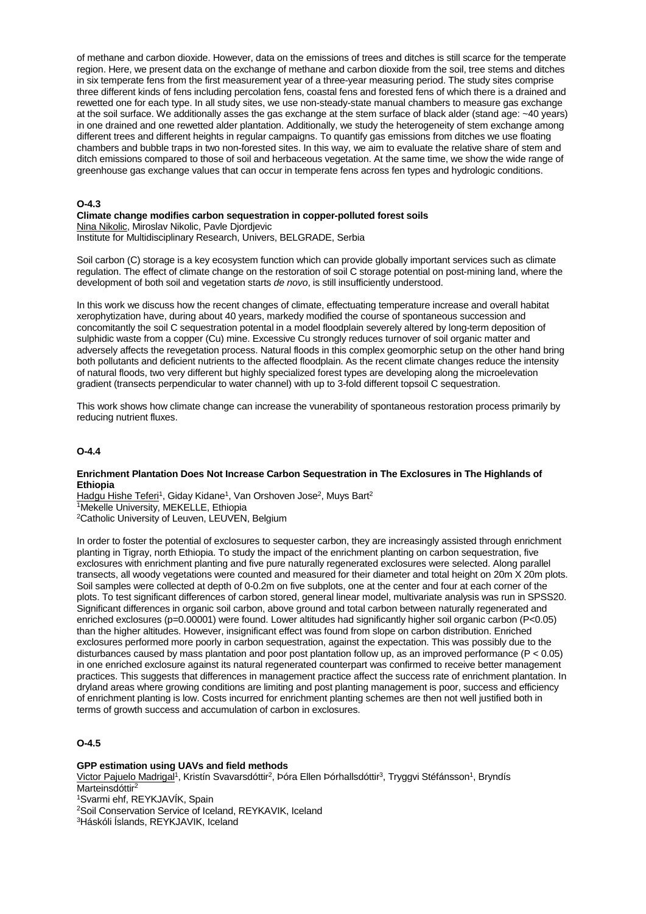of methane and carbon dioxide. However, data on the emissions of trees and ditches is still scarce for the temperate region. Here, we present data on the exchange of methane and carbon dioxide from the soil, tree stems and ditches in six temperate fens from the first measurement year of a three-year measuring period. The study sites comprise three different kinds of fens including percolation fens, coastal fens and forested fens of which there is a drained and rewetted one for each type. In all study sites, we use non-steady-state manual chambers to measure gas exchange at the soil surface. We additionally asses the gas exchange at the stem surface of black alder (stand age: ~40 years) in one drained and one rewetted alder plantation. Additionally, we study the heterogeneity of stem exchange among different trees and different heights in regular campaigns. To quantify gas emissions from ditches we use floating chambers and bubble traps in two non-forested sites. In this way, we aim to evaluate the relative share of stem and ditch emissions compared to those of soil and herbaceous vegetation. At the same time, we show the wide range of greenhouse gas exchange values that can occur in temperate fens across fen types and hydrologic conditions.

#### **O-4.3**

#### **Climate change modifies carbon sequestration in copper-polluted forest soils**

Nina Nikolic, Miroslav Nikolic, Pavle Djordjevic

Institute for Multidisciplinary Research, Univers, BELGRADE, Serbia

Soil carbon (C) storage is a key ecosystem function which can provide globally important services such as climate regulation. The effect of climate change on the restoration of soil C storage potential on post-mining land, where the development of both soil and vegetation starts *de novo*, is still insufficiently understood.

In this work we discuss how the recent changes of climate, effectuating temperature increase and overall habitat xerophytization have, during about 40 years, markedy modified the course of spontaneous succession and concomitantly the soil C sequestration potental in a model floodplain severely altered by long-term deposition of sulphidic waste from a copper (Cu) mine. Excessive Cu strongly reduces turnover of soil organic matter and adversely affects the revegetation process. Natural floods in this complex geomorphic setup on the other hand bring both pollutants and deficient nutrients to the affected floodplain. As the recent climate changes reduce the intensity of natural floods, two very different but highly specialized forest types are developing along the microelevation gradient (transects perpendicular to water channel) with up to 3-fold different topsoil C sequestration.

This work shows how climate change can increase the vunerability of spontaneous restoration process primarily by reducing nutrient fluxes.

#### **O-4.4**

#### **Enrichment Plantation Does Not Increase Carbon Sequestration in The Exclosures in The Highlands of Ethiopia**

Hadgu Hishe Teferi<sup>1</sup>, Giday Kidane<sup>1</sup>, Van Orshoven Jose<sup>2</sup>, Muys Bart<sup>2</sup> 1Mekelle University, MEKELLE, Ethiopia 2Catholic University of Leuven, LEUVEN, Belgium

In order to foster the potential of exclosures to sequester carbon, they are increasingly assisted through enrichment planting in Tigray, north Ethiopia. To study the impact of the enrichment planting on carbon sequestration, five exclosures with enrichment planting and five pure naturally regenerated exclosures were selected. Along parallel transects, all woody vegetations were counted and measured for their diameter and total height on 20m X 20m plots. Soil samples were collected at depth of 0-0.2m on five subplots, one at the center and four at each corner of the plots. To test significant differences of carbon stored, general linear model, multivariate analysis was run in SPSS20. Significant differences in organic soil carbon, above ground and total carbon between naturally regenerated and enriched exclosures (p=0.00001) were found. Lower altitudes had significantly higher soil organic carbon (P<0.05) than the higher altitudes. However, insignificant effect was found from slope on carbon distribution. Enriched exclosures performed more poorly in carbon sequestration, against the expectation. This was possibly due to the disturbances caused by mass plantation and poor post plantation follow up, as an improved performance (P < 0.05) in one enriched exclosure against its natural regenerated counterpart was confirmed to receive better management practices. This suggests that differences in management practice affect the success rate of enrichment plantation. In dryland areas where growing conditions are limiting and post planting management is poor, success and efficiency of enrichment planting is low. Costs incurred for enrichment planting schemes are then not well justified both in terms of growth success and accumulation of carbon in exclosures.

# **O-4.5**

#### **GPP estimation using UAVs and field methods**

Victor Pajuelo Madrigal<sup>1</sup>, Kristín Svavarsdóttir<sup>2</sup>, Þóra Ellen Þórhallsdóttir<sup>3</sup>, Tryggvi Stéfánsson<sup>1</sup>, Bryndís Marteinsdóttir<sup>2</sup>

1Svarmi ehf, REYKJAVÍK, Spain

2Soil Conservation Service of Iceland, REYKAVIK, Iceland

3Háskóli Íslands, REYKJAVIK, Iceland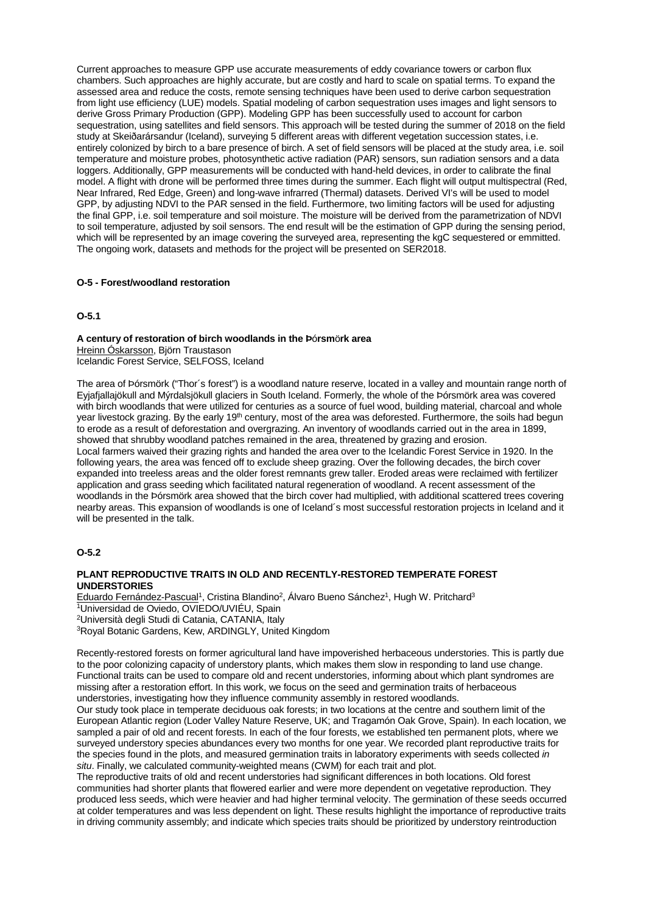Current approaches to measure GPP use accurate measurements of eddy covariance towers or carbon flux chambers. Such approaches are highly accurate, but are costly and hard to scale on spatial terms. To expand the assessed area and reduce the costs, remote sensing techniques have been used to derive carbon sequestration from light use efficiency (LUE) models. Spatial modeling of carbon sequestration uses images and light sensors to derive Gross Primary Production (GPP). Modeling GPP has been successfully used to account for carbon sequestration, using satellites and field sensors. This approach will be tested during the summer of 2018 on the field study at Skeiðarársandur (Iceland), surveying 5 different areas with different vegetation succession states, i.e. entirely colonized by birch to a bare presence of birch. A set of field sensors will be placed at the study area, i.e. soil temperature and moisture probes, photosynthetic active radiation (PAR) sensors, sun radiation sensors and a data loggers. Additionally, GPP measurements will be conducted with hand-held devices, in order to calibrate the final model. A flight with drone will be performed three times during the summer. Each flight will output multispectral (Red, Near Infrared, Red Edge, Green) and long-wave infrarred (Thermal) datasets. Derived VI's will be used to model GPP, by adjusting NDVI to the PAR sensed in the field. Furthermore, two limiting factors will be used for adjusting the final GPP, i.e. soil temperature and soil moisture. The moisture will be derived from the parametrization of NDVI to soil temperature, adjusted by soil sensors. The end result will be the estimation of GPP during the sensing period, which will be represented by an image covering the surveyed area, representing the kgC sequestered or emmitted. The ongoing work, datasets and methods for the project will be presented on SER2018.

#### **O-5 - Forest/woodland restoration**

## **O-5.1**

**A century of restoration of birch woodlands in the Þ**ó**rsm**ö**rk area** Hreinn Óskarsson, Björn Traustason Icelandic Forest Service, SELFOSS, Iceland

The area of Þórsmörk ("Thor´s forest") is a woodland nature reserve, located in a valley and mountain range north of Eyjafjallajökull and Mýrdalsjökull glaciers in South Iceland. Formerly, the whole of the Þórsmörk area was covered with birch woodlands that were utilized for centuries as a source of fuel wood, building material, charcoal and whole year livestock grazing. By the early 19<sup>th</sup> century, most of the area was deforested. Furthermore, the soils had begun to erode as a result of deforestation and overgrazing. An inventory of woodlands carried out in the area in 1899, showed that shrubby woodland patches remained in the area, threatened by grazing and erosion. Local farmers waived their grazing rights and handed the area over to the Icelandic Forest Service in 1920. In the following years, the area was fenced off to exclude sheep grazing. Over the following decades, the birch cover expanded into treeless areas and the older forest remnants grew taller. Eroded areas were reclaimed with fertilizer application and grass seeding which facilitated natural regeneration of woodland. A recent assessment of the woodlands in the Þórsmörk area showed that the birch cover had multiplied, with additional scattered trees covering nearby areas. This expansion of woodlands is one of Iceland´s most successful restoration projects in Iceland and it will be presented in the talk.

## **O-5.2**

#### **PLANT REPRODUCTIVE TRAITS IN OLD AND RECENTLY-RESTORED TEMPERATE FOREST UNDERSTORIES**

Eduardo Fernández-Pascual<sup>1</sup>, Cristina Blandino<sup>2</sup>, Álvaro Bueno Sánchez<sup>1</sup>, Hugh W. Pritchard<sup>3</sup> 1Universidad de Oviedo, OVIEDO/UVIÉU, Spain 2Università degli Studi di Catania, CATANIA, Italy 3Royal Botanic Gardens, Kew, ARDINGLY, United Kingdom

Recently-restored forests on former agricultural land have impoverished herbaceous understories. This is partly due to the poor colonizing capacity of understory plants, which makes them slow in responding to land use change. Functional traits can be used to compare old and recent understories, informing about which plant syndromes are missing after a restoration effort. In this work, we focus on the seed and germination traits of herbaceous understories, investigating how they influence community assembly in restored woodlands.

Our study took place in temperate deciduous oak forests; in two locations at the centre and southern limit of the European Atlantic region (Loder Valley Nature Reserve, UK; and Tragamón Oak Grove, Spain). In each location, we sampled a pair of old and recent forests. In each of the four forests, we established ten permanent plots, where we surveyed understory species abundances every two months for one year. We recorded plant reproductive traits for the species found in the plots, and measured germination traits in laboratory experiments with seeds collected *in situ*. Finally, we calculated community-weighted means (CWM) for each trait and plot.

The reproductive traits of old and recent understories had significant differences in both locations. Old forest communities had shorter plants that flowered earlier and were more dependent on vegetative reproduction. They produced less seeds, which were heavier and had higher terminal velocity. The germination of these seeds occurred at colder temperatures and was less dependent on light. These results highlight the importance of reproductive traits in driving community assembly; and indicate which species traits should be prioritized by understory reintroduction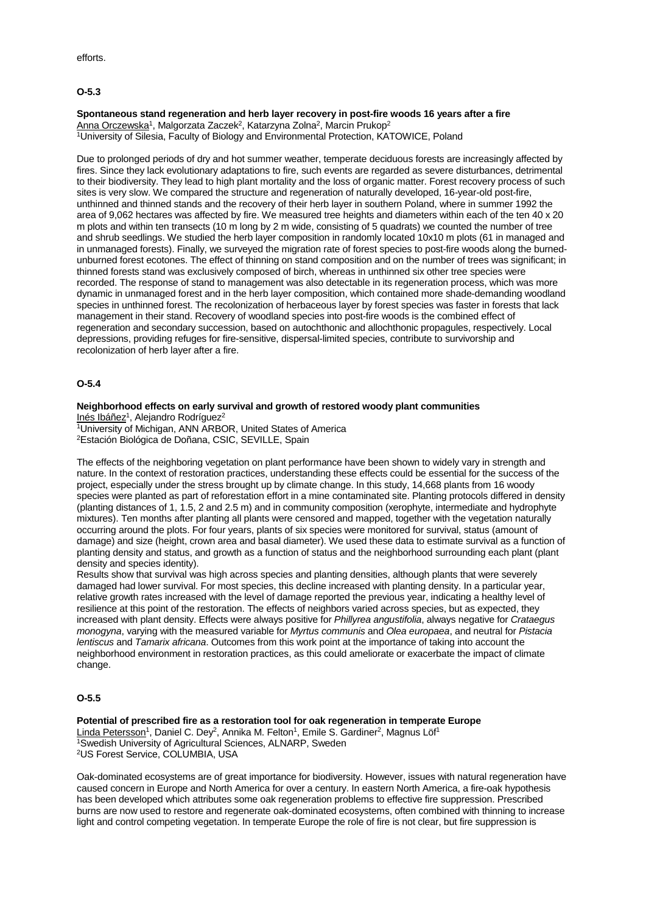efforts.

## **O-5.3**

# **Spontaneous stand regeneration and herb layer recovery in post-fire woods 16 years after a fire** Anna Orczewska<sup>1</sup>, Malgorzata Zaczek<sup>2</sup>, Katarzyna Zolna<sup>2</sup>, Marcin Prukop<sup>2</sup>

<sup>1</sup>University of Silesia, Faculty of Biology and Environmental Protection, KATOWICE, Poland

Due to prolonged periods of dry and hot summer weather, temperate deciduous forests are increasingly affected by fires. Since they lack evolutionary adaptations to fire, such events are regarded as severe disturbances, detrimental to their biodiversity. They lead to high plant mortality and the loss of organic matter. Forest recovery process of such sites is very slow. We compared the structure and regeneration of naturally developed, 16-year-old post-fire, unthinned and thinned stands and the recovery of their herb layer in southern Poland, where in summer 1992 the area of 9,062 hectares was affected by fire. We measured tree heights and diameters within each of the ten 40 x 20 m plots and within ten transects (10 m long by 2 m wide, consisting of 5 quadrats) we counted the number of tree and shrub seedlings. We studied the herb layer composition in randomly located 10x10 m plots (61 in managed and in unmanaged forests). Finally, we surveyed the migration rate of forest species to post-fire woods along the burnedunburned forest ecotones. The effect of thinning on stand composition and on the number of trees was significant; in thinned forests stand was exclusively composed of birch, whereas in unthinned six other tree species were recorded. The response of stand to management was also detectable in its regeneration process, which was more dynamic in unmanaged forest and in the herb layer composition, which contained more shade-demanding woodland species in unthinned forest. The recolonization of herbaceous layer by forest species was faster in forests that lack management in their stand. Recovery of woodland species into post-fire woods is the combined effect of regeneration and secondary succession, based on autochthonic and allochthonic propagules, respectively. Local depressions, providing refuges for fire-sensitive, dispersal-limited species, contribute to survivorship and recolonization of herb layer after a fire.

#### **O-5.4**

#### **Neighborhood effects on early survival and growth of restored woody plant communities** Inés Ibáñez<sup>1</sup>, Alejandro Rodríguez<sup>2</sup>

1University of Michigan, ANN ARBOR, United States of America 2Estación Biológica de Doñana, CSIC, SEVILLE, Spain

The effects of the neighboring vegetation on plant performance have been shown to widely vary in strength and nature. In the context of restoration practices, understanding these effects could be essential for the success of the project, especially under the stress brought up by climate change. In this study, 14,668 plants from 16 woody species were planted as part of reforestation effort in a mine contaminated site. Planting protocols differed in density (planting distances of 1, 1.5, 2 and 2.5 m) and in community composition (xerophyte, intermediate and hydrophyte mixtures). Ten months after planting all plants were censored and mapped, together with the vegetation naturally occurring around the plots. For four years, plants of six species were monitored for survival, status (amount of damage) and size (height, crown area and basal diameter). We used these data to estimate survival as a function of planting density and status, and growth as a function of status and the neighborhood surrounding each plant (plant density and species identity).

Results show that survival was high across species and planting densities, although plants that were severely damaged had lower survival. For most species, this decline increased with planting density. In a particular year, relative growth rates increased with the level of damage reported the previous year, indicating a healthy level of resilience at this point of the restoration. The effects of neighbors varied across species, but as expected, they increased with plant density. Effects were always positive for *Phillyrea angustifolia*, always negative for *Crataegus monogyna*, varying with the measured variable for *Myrtus communis* and *Olea europaea*, and neutral for *Pistacia lentiscus* and *Tamarix africana*. Outcomes from this work point at the importance of taking into account the neighborhood environment in restoration practices, as this could ameliorate or exacerbate the impact of climate change.

#### **O-5.5**

#### **Potential of prescribed fire as a restoration tool for oak regeneration in temperate Europe** Linda Petersson<sup>1</sup>, Daniel C. Dey<sup>2</sup>, Annika M. Felton<sup>1</sup>, Emile S. Gardiner<sup>2</sup>, Magnus Löf<sup>1</sup> 1Swedish University of Agricultural Sciences, ALNARP, Sweden 2US Forest Service, COLUMBIA, USA

Oak-dominated ecosystems are of great importance for biodiversity. However, issues with natural regeneration have caused concern in Europe and North America for over a century. In eastern North America, a fire-oak hypothesis has been developed which attributes some oak regeneration problems to effective fire suppression. Prescribed burns are now used to restore and regenerate oak-dominated ecosystems, often combined with thinning to increase light and control competing vegetation. In temperate Europe the role of fire is not clear, but fire suppression is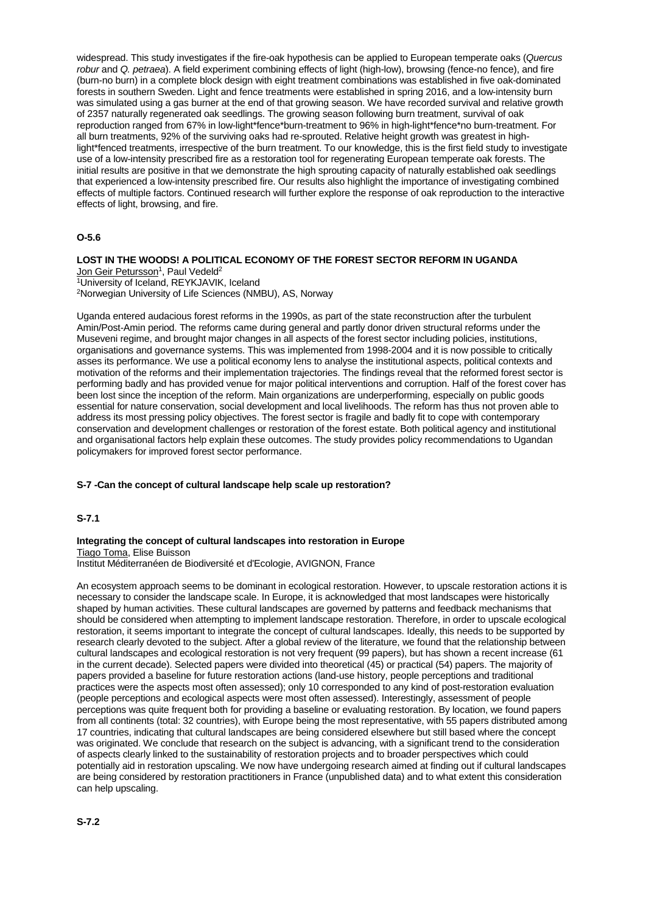widespread. This study investigates if the fire-oak hypothesis can be applied to European temperate oaks (*Quercus robur* and *Q. petraea*). A field experiment combining effects of light (high-low), browsing (fence-no fence), and fire (burn-no burn) in a complete block design with eight treatment combinations was established in five oak-dominated forests in southern Sweden. Light and fence treatments were established in spring 2016, and a low-intensity burn was simulated using a gas burner at the end of that growing season. We have recorded survival and relative growth of 2357 naturally regenerated oak seedlings. The growing season following burn treatment, survival of oak reproduction ranged from 67% in low-light\*fence\*burn-treatment to 96% in high-light\*fence\*no burn-treatment. For all burn treatments, 92% of the surviving oaks had re-sprouted. Relative height growth was greatest in highlight\*fenced treatments, irrespective of the burn treatment. To our knowledge, this is the first field study to investigate use of a low-intensity prescribed fire as a restoration tool for regenerating European temperate oak forests. The initial results are positive in that we demonstrate the high sprouting capacity of naturally established oak seedlings that experienced a low-intensity prescribed fire. Our results also highlight the importance of investigating combined effects of multiple factors. Continued research will further explore the response of oak reproduction to the interactive effects of light, browsing, and fire.

## **O-5.6**

**LOST IN THE WOODS! A POLITICAL ECONOMY OF THE FOREST SECTOR REFORM IN UGANDA** <u>Jon Geir Petursson</u><sup>1</sup>, Paul Vedeld<sup>2</sup> <sup>1</sup>University of Iceland, REYKJAVIK, Iceland

2Norwegian University of Life Sciences (NMBU), AS, Norway

Uganda entered audacious forest reforms in the 1990s, as part of the state reconstruction after the turbulent Amin/Post-Amin period. The reforms came during general and partly donor driven structural reforms under the Museveni regime, and brought major changes in all aspects of the forest sector including policies, institutions, organisations and governance systems. This was implemented from 1998-2004 and it is now possible to critically asses its performance. We use a political economy lens to analyse the institutional aspects, political contexts and motivation of the reforms and their implementation trajectories. The findings reveal that the reformed forest sector is performing badly and has provided venue for major political interventions and corruption. Half of the forest cover has been lost since the inception of the reform. Main organizations are underperforming, especially on public goods essential for nature conservation, social development and local livelihoods. The reform has thus not proven able to address its most pressing policy objectives. The forest sector is fragile and badly fit to cope with contemporary conservation and development challenges or restoration of the forest estate. Both political agency and institutional and organisational factors help explain these outcomes. The study provides policy recommendations to Ugandan policymakers for improved forest sector performance.

#### **S-7 -Can the concept of cultural landscape help scale up restoration?**

#### **S-7.1**

#### **Integrating the concept of cultural landscapes into restoration in Europe**

Tiago Toma, Elise Buisson

Institut Méditerranéen de Biodiversité et d'Ecologie, AVIGNON, France

An ecosystem approach seems to be dominant in ecological restoration. However, to upscale restoration actions it is necessary to consider the landscape scale. In Europe, it is acknowledged that most landscapes were historically shaped by human activities. These cultural landscapes are governed by patterns and feedback mechanisms that should be considered when attempting to implement landscape restoration. Therefore, in order to upscale ecological restoration, it seems important to integrate the concept of cultural landscapes. Ideally, this needs to be supported by research clearly devoted to the subject. After a global review of the literature, we found that the relationship between cultural landscapes and ecological restoration is not very frequent (99 papers), but has shown a recent increase (61 in the current decade). Selected papers were divided into theoretical (45) or practical (54) papers. The majority of papers provided a baseline for future restoration actions (land-use history, people perceptions and traditional practices were the aspects most often assessed); only 10 corresponded to any kind of post-restoration evaluation (people perceptions and ecological aspects were most often assessed). Interestingly, assessment of people perceptions was quite frequent both for providing a baseline or evaluating restoration. By location, we found papers from all continents (total: 32 countries), with Europe being the most representative, with 55 papers distributed among 17 countries, indicating that cultural landscapes are being considered elsewhere but still based where the concept was originated. We conclude that research on the subject is advancing, with a significant trend to the consideration of aspects clearly linked to the sustainability of restoration projects and to broader perspectives which could potentially aid in restoration upscaling. We now have undergoing research aimed at finding out if cultural landscapes are being considered by restoration practitioners in France (unpublished data) and to what extent this consideration can help upscaling.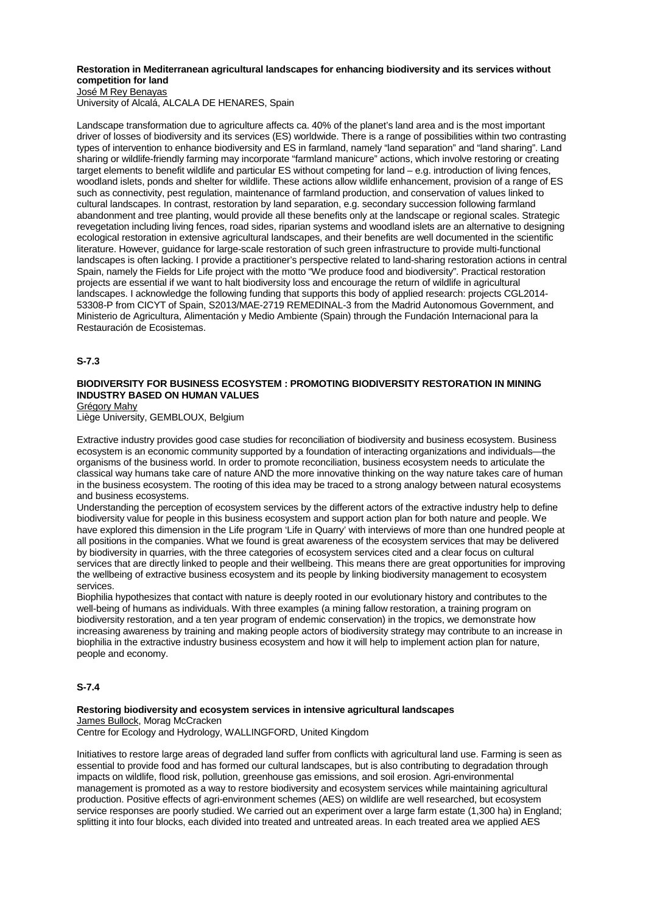# **Restoration in Mediterranean agricultural landscapes for enhancing biodiversity and its services without competition for land**

José M Rey Benayas

University of Alcalá, ALCALA DE HENARES, Spain

Landscape transformation due to agriculture affects ca. 40% of the planet's land area and is the most important driver of losses of biodiversity and its services (ES) worldwide. There is a range of possibilities within two contrasting types of intervention to enhance biodiversity and ES in farmland, namely "land separation" and "land sharing". Land sharing or wildlife-friendly farming may incorporate "farmland manicure" actions, which involve restoring or creating target elements to benefit wildlife and particular ES without competing for land – e.g. introduction of living fences, woodland islets, ponds and shelter for wildlife. These actions allow wildlife enhancement, provision of a range of ES such as connectivity, pest regulation, maintenance of farmland production, and conservation of values linked to cultural landscapes. In contrast, restoration by land separation, e.g. secondary succession following farmland abandonment and tree planting, would provide all these benefits only at the landscape or regional scales. Strategic revegetation including living fences, road sides, riparian systems and woodland islets are an alternative to designing ecological restoration in extensive agricultural landscapes, and their benefits are well documented in the scientific literature. However, guidance for large-scale restoration of such green infrastructure to provide multi-functional landscapes is often lacking. I provide a practitioner's perspective related to land-sharing restoration actions in central Spain, namely the Fields for Life project with the motto "We produce food and biodiversity". Practical restoration projects are essential if we want to halt biodiversity loss and encourage the return of wildlife in agricultural landscapes. I acknowledge the following funding that supports this body of applied research: projects CGL2014- 53308-P from CICYT of Spain, S2013/MAE-2719 REMEDINAL-3 from the Madrid Autonomous Government, and Ministerio de Agricultura, Alimentación y Medio Ambiente (Spain) through the Fundación Internacional para la Restauración de Ecosistemas.

## **S-7.3**

# **BIODIVERSITY FOR BUSINESS ECOSYSTEM : PROMOTING BIODIVERSITY RESTORATION IN MINING INDUSTRY BASED ON HUMAN VALUES**

Grégory Mahy

Liège University, GEMBLOUX, Belgium

Extractive industry provides good case studies for reconciliation of biodiversity and business ecosystem. Business ecosystem is an economic community supported by a foundation of interacting organizations and individuals—the organisms of the business world. In order to promote reconciliation, business ecosystem needs to articulate the classical way humans take care of nature AND the more innovative thinking on the way nature takes care of human in the business ecosystem. The rooting of this idea may be traced to a strong analogy between natural ecosystems and business ecosystems.

Understanding the perception of ecosystem services by the different actors of the extractive industry help to define biodiversity value for people in this business ecosystem and support action plan for both nature and people. We have explored this dimension in the Life program 'Life in Quarry' with interviews of more than one hundred people at all positions in the companies. What we found is great awareness of the ecosystem services that may be delivered by biodiversity in quarries, with the three categories of ecosystem services cited and a clear focus on cultural services that are directly linked to people and their wellbeing. This means there are great opportunities for improving the wellbeing of extractive business ecosystem and its people by linking biodiversity management to ecosystem services.

Biophilia hypothesizes that contact with nature is deeply rooted in our evolutionary history and contributes to the well-being of humans as individuals. With three examples (a mining fallow restoration, a training program on biodiversity restoration, and a ten year program of endemic conservation) in the tropics, we demonstrate how increasing awareness by training and making people actors of biodiversity strategy may contribute to an increase in biophilia in the extractive industry business ecosystem and how it will help to implement action plan for nature, people and economy.

## **S-7.4**

#### **Restoring biodiversity and ecosystem services in intensive agricultural landscapes** James Bullock, Morag McCracken

Centre for Ecology and Hydrology, WALLINGFORD, United Kingdom

Initiatives to restore large areas of degraded land suffer from conflicts with agricultural land use. Farming is seen as essential to provide food and has formed our cultural landscapes, but is also contributing to degradation through impacts on wildlife, flood risk, pollution, greenhouse gas emissions, and soil erosion. Agri-environmental management is promoted as a way to restore biodiversity and ecosystem services while maintaining agricultural production. Positive effects of agri-environment schemes (AES) on wildlife are well researched, but ecosystem service responses are poorly studied. We carried out an experiment over a large farm estate (1,300 ha) in England; splitting it into four blocks, each divided into treated and untreated areas. In each treated area we applied AES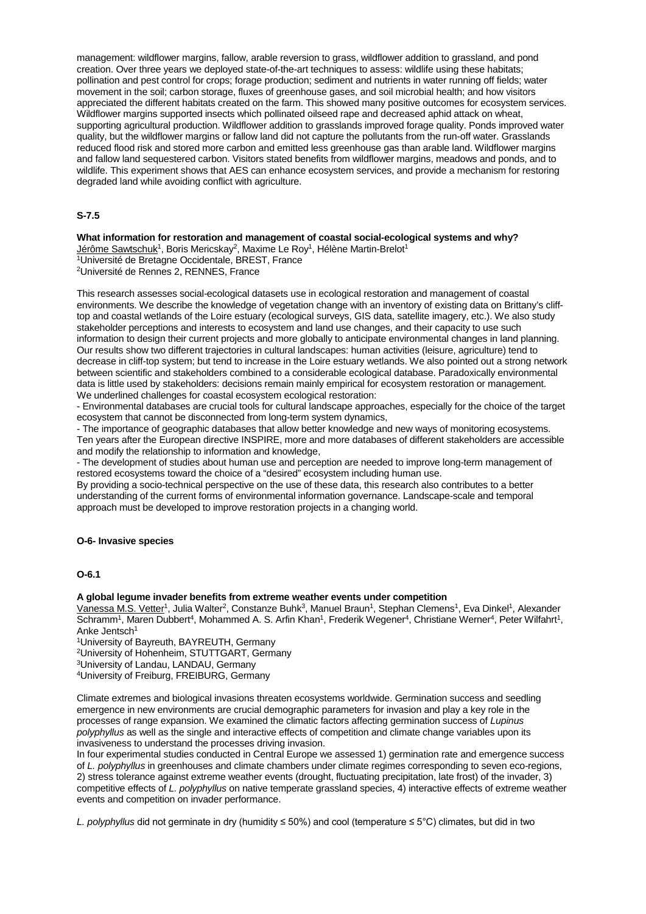management: wildflower margins, fallow, arable reversion to grass, wildflower addition to grassland, and pond creation. Over three years we deployed state-of-the-art techniques to assess: wildlife using these habitats; pollination and pest control for crops; forage production; sediment and nutrients in water running off fields; water movement in the soil; carbon storage, fluxes of greenhouse gases, and soil microbial health; and how visitors appreciated the different habitats created on the farm. This showed many positive outcomes for ecosystem services. Wildflower margins supported insects which pollinated oilseed rape and decreased aphid attack on wheat, supporting agricultural production. Wildflower addition to grasslands improved forage quality. Ponds improved water quality, but the wildflower margins or fallow land did not capture the pollutants from the run-off water. Grasslands reduced flood risk and stored more carbon and emitted less greenhouse gas than arable land. Wildflower margins and fallow land sequestered carbon. Visitors stated benefits from wildflower margins, meadows and ponds, and to wildlife. This experiment shows that AES can enhance ecosystem services, and provide a mechanism for restoring degraded land while avoiding conflict with agriculture.

# **S-7.5**

**What information for restoration and management of coastal social-ecological systems and why?**

Jérôme Sawtschuk<sup>1</sup>, Boris Mericskay<sup>2</sup>, Maxime Le Roy<sup>1</sup>, Hélène Martin-Brelot<sup>1</sup> 1Université de Bretagne Occidentale, BREST, France 2Université de Rennes 2, RENNES, France

This research assesses social-ecological datasets use in ecological restoration and management of coastal environments. We describe the knowledge of vegetation change with an inventory of existing data on Brittany's clifftop and coastal wetlands of the Loire estuary (ecological surveys, GIS data, satellite imagery, etc.). We also study stakeholder perceptions and interests to ecosystem and land use changes, and their capacity to use such information to design their current projects and more globally to anticipate environmental changes in land planning. Our results show two different trajectories in cultural landscapes: human activities (leisure, agriculture) tend to decrease in cliff-top system; but tend to increase in the Loire estuary wetlands. We also pointed out a strong network between scientific and stakeholders combined to a considerable ecological database. Paradoxically environmental data is little used by stakeholders: decisions remain mainly empirical for ecosystem restoration or management. We underlined challenges for coastal ecosystem ecological restoration:

- Environmental databases are crucial tools for cultural landscape approaches, especially for the choice of the target ecosystem that cannot be disconnected from long-term system dynamics,

- The importance of geographic databases that allow better knowledge and new ways of monitoring ecosystems. Ten years after the European directive INSPIRE, more and more databases of different stakeholders are accessible and modify the relationship to information and knowledge,

- The development of studies about human use and perception are needed to improve long-term management of restored ecosystems toward the choice of a "desired" ecosystem including human use.

By providing a socio-technical perspective on the use of these data, this research also contributes to a better understanding of the current forms of environmental information governance. Landscape-scale and temporal approach must be developed to improve restoration projects in a changing world.

# **O-6- Invasive species**

# **O-6.1**

#### **A global legume invader benefits from extreme weather events under competition**

Vanessa M.S. Vetter<sup>1</sup>, Julia Walter<sup>2</sup>, Constanze Buhk<sup>3</sup>, Manuel Braun<sup>1</sup>, Stephan Clemens<sup>1</sup>, Eva Dinkel<sup>1</sup>, Alexander Schramm<sup>1</sup>, Maren Dubbert<sup>4</sup>, Mohammed A. S. Arfin Khan<sup>1</sup>, Frederik Wegener<sup>4</sup>, Christiane Werner<sup>4</sup>, Peter Wilfahrt<sup>1</sup>, Anke Jentsch<sup>1</sup>

1University of Bayreuth, BAYREUTH, Germany

2University of Hohenheim, STUTTGART, Germany

3University of Landau, LANDAU, Germany

4University of Freiburg, FREIBURG, Germany

Climate extremes and biological invasions threaten ecosystems worldwide. Germination success and seedling emergence in new environments are crucial demographic parameters for invasion and play a key role in the processes of range expansion. We examined the climatic factors affecting germination success of *Lupinus polyphyllus* as well as the single and interactive effects of competition and climate change variables upon its invasiveness to understand the processes driving invasion.

In four experimental studies conducted in Central Europe we assessed 1) germination rate and emergence success of *L. polyphyllus* in greenhouses and climate chambers under climate regimes corresponding to seven eco-regions, 2) stress tolerance against extreme weather events (drought, fluctuating precipitation, late frost) of the invader, 3) competitive effects of *L. polyphyllus* on native temperate grassland species, 4) interactive effects of extreme weather events and competition on invader performance.

*L. polyphyllus* did not germinate in dry (humidity ≤ 50%) and cool (temperature ≤ 5°C) climates, but did in two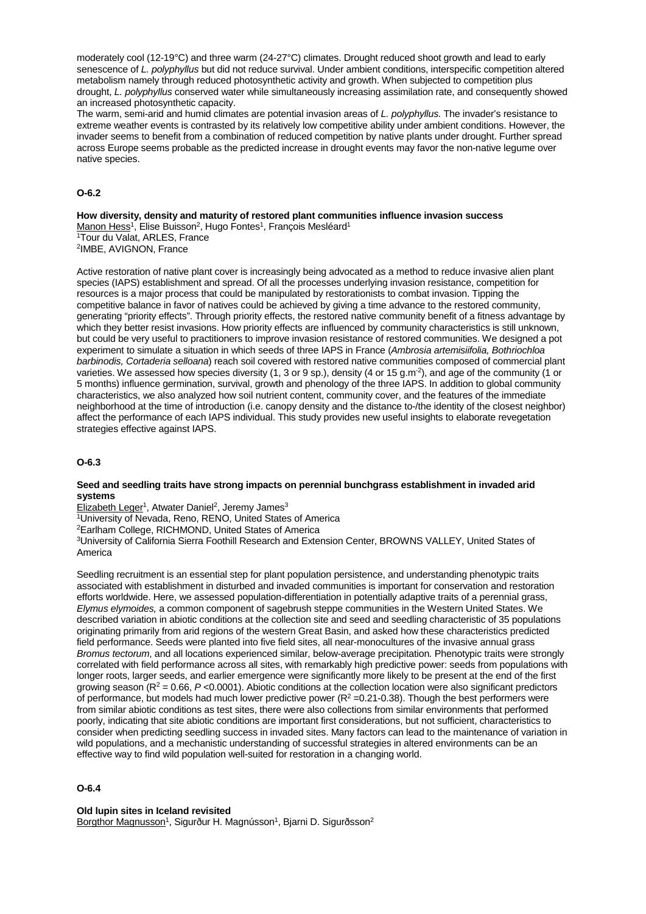moderately cool (12-19°C) and three warm (24-27°C) climates. Drought reduced shoot growth and lead to early senescence of *L. polyphyllus* but did not reduce survival. Under ambient conditions, interspecific competition altered metabolism namely through reduced photosynthetic activity and growth. When subjected to competition plus drought, *L. polyphyllus* conserved water while simultaneously increasing assimilation rate, and consequently showed an increased photosynthetic capacity.

The warm, semi-arid and humid climates are potential invasion areas of *L. polyphyllus.* The invader's resistance to extreme weather events is contrasted by its relatively low competitive ability under ambient conditions. However, the invader seems to benefit from a combination of reduced competition by native plants under drought. Further spread across Europe seems probable as the predicted increase in drought events may favor the non-native legume over native species.

## **O-6.2**

**How diversity, density and maturity of restored plant communities influence invasion success** Manon Hess<sup>1</sup>, Elise Buisson<sup>2</sup>, Hugo Fontes<sup>1</sup>, François Mesléard<sup>1</sup>

1Tour du Valat, ARLES, France 2IMBE, AVIGNON, France

Active restoration of native plant cover is increasingly being advocated as a method to reduce invasive alien plant species (IAPS) establishment and spread. Of all the processes underlying invasion resistance, competition for resources is a major process that could be manipulated by restorationists to combat invasion. Tipping the competitive balance in favor of natives could be achieved by giving a time advance to the restored community, generating "priority effects". Through priority effects, the restored native community benefit of a fitness advantage by which they better resist invasions. How priority effects are influenced by community characteristics is still unknown, but could be very useful to practitioners to improve invasion resistance of restored communities. We designed a pot experiment to simulate a situation in which seeds of three IAPS in France (*Ambrosia artemisiifolia, Bothriochloa barbinodis, Cortaderia selloana*) reach soil covered with restored native communities composed of commercial plant varieties. We assessed how species diversity  $(1, 3 \text{ or } 9 \text{ sp.})$ , density  $(4 \text{ or } 15 \text{ g.m}^2)$ , and age of the community  $(1 \text{ or } 1 \text{ s}^2)$ 5 months) influence germination, survival, growth and phenology of the three IAPS. In addition to global community characteristics, we also analyzed how soil nutrient content, community cover, and the features of the immediate neighborhood at the time of introduction (i.e. canopy density and the distance to-/the identity of the closest neighbor) affect the performance of each IAPS individual. This study provides new useful insights to elaborate revegetation strategies effective against IAPS.

## **O-6.3**

#### **Seed and seedling traits have strong impacts on perennial bunchgrass establishment in invaded arid systems**

Elizabeth Leger<sup>1</sup>, Atwater Daniel<sup>2</sup>, Jeremy James<sup>3</sup>

1University of Nevada, Reno, RENO, United States of America

2Earlham College, RICHMOND, United States of America

3University of California Sierra Foothill Research and Extension Center, BROWNS VALLEY, United States of America

Seedling recruitment is an essential step for plant population persistence, and understanding phenotypic traits associated with establishment in disturbed and invaded communities is important for conservation and restoration efforts worldwide. Here, we assessed population-differentiation in potentially adaptive traits of a perennial grass, *Elymus elymoides,* a common component of sagebrush steppe communities in the Western United States. We described variation in abiotic conditions at the collection site and seed and seedling characteristic of 35 populations originating primarily from arid regions of the western Great Basin, and asked how these characteristics predicted field performance. Seeds were planted into five field sites, all near-monocultures of the invasive annual grass *Bromus tectorum*, and all locations experienced similar, below-average precipitation*.* Phenotypic traits were strongly correlated with field performance across all sites, with remarkably high predictive power: seeds from populations with longer roots, larger seeds, and earlier emergence were significantly more likely to be present at the end of the first growing season (R2 = 0.66, *P* <0.0001). Abiotic conditions at the collection location were also significant predictors of performance, but models had much lower predictive power ( $R^2 = 0.21$ -0.38). Though the best performers were from similar abiotic conditions as test sites, there were also collections from similar environments that performed poorly, indicating that site abiotic conditions are important first considerations, but not sufficient, characteristics to consider when predicting seedling success in invaded sites. Many factors can lead to the maintenance of variation in wild populations, and a mechanistic understanding of successful strategies in altered environments can be an effective way to find wild population well-suited for restoration in a changing world.

## **O-6.4**

#### **Old lupin sites in Iceland revisited**

Borgthor Magnusson<sup>1</sup>, Sigurður H. Magnússon<sup>1</sup>, Bjarni D. Sigurðsson<sup>2</sup>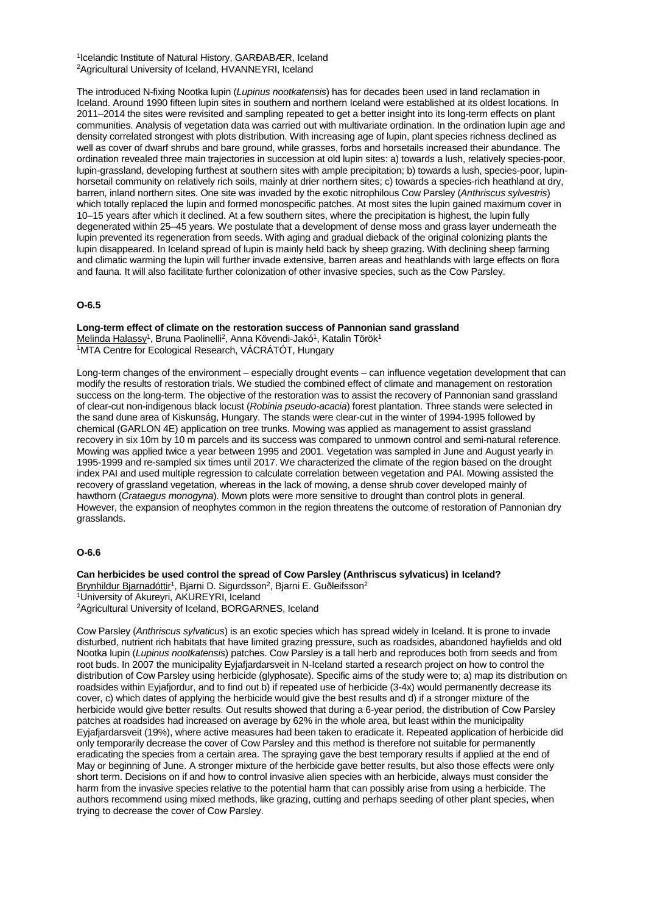1Icelandic Institute of Natural History, GARÐABÆR, Iceland 2Agricultural University of Iceland, HVANNEYRI, Iceland

The introduced N-fixing Nootka lupin (*Lupinus nootkatensis*) has for decades been used in land reclamation in Iceland. Around 1990 fifteen lupin sites in southern and northern Iceland were established at its oldest locations. In 2011–2014 the sites were revisited and sampling repeated to get a better insight into its long-term effects on plant communities. Analysis of vegetation data was carried out with multivariate ordination. In the ordination lupin age and density correlated strongest with plots distribution. With increasing age of lupin, plant species richness declined as well as cover of dwarf shrubs and bare ground, while grasses, forbs and horsetails increased their abundance. The ordination revealed three main trajectories in succession at old lupin sites: a) towards a lush, relatively species-poor, lupin-grassland, developing furthest at southern sites with ample precipitation; b) towards a lush, species-poor, lupinhorsetail community on relatively rich soils, mainly at drier northern sites; c) towards a species-rich heathland at dry, barren, inland northern sites. One site was invaded by the exotic nitrophilous Cow Parsley (*Anthriscus sylvestris*) which totally replaced the lupin and formed monospecific patches. At most sites the lupin gained maximum cover in 10–15 years after which it declined. At a few southern sites, where the precipitation is highest, the lupin fully degenerated within 25–45 years. We postulate that a development of dense moss and grass layer underneath the lupin prevented its regeneration from seeds. With aging and gradual dieback of the original colonizing plants the lupin disappeared. In Iceland spread of lupin is mainly held back by sheep grazing. With declining sheep farming and climatic warming the lupin will further invade extensive, barren areas and heathlands with large effects on flora and fauna. It will also facilitate further colonization of other invasive species, such as the Cow Parsley.

#### **O-6.5**

**Long-term effect of climate on the restoration success of Pannonian sand grassland** Melinda Halassy<sup>1</sup>, Bruna Paolinelli<sup>2</sup>, Anna Kövendi-Jakó<sup>1</sup>, Katalin Török<sup>1</sup> 1MTA Centre for Ecological Research, VÁCRÁTÓT, Hungary

Long-term changes of the environment – especially drought events – can influence vegetation development that can modify the results of restoration trials. We studied the combined effect of climate and management on restoration success on the long-term. The objective of the restoration was to assist the recovery of Pannonian sand grassland of clear-cut non-indigenous black locust (*Robinia pseudo-acacia*) forest plantation. Three stands were selected in the sand dune area of Kiskunság, Hungary. The stands were clear-cut in the winter of 1994-1995 followed by chemical (GARLON 4E) application on tree trunks. Mowing was applied as management to assist grassland recovery in six 10m by 10 m parcels and its success was compared to unmown control and semi-natural reference. Mowing was applied twice a year between 1995 and 2001. Vegetation was sampled in June and August yearly in 1995-1999 and re-sampled six times until 2017. We characterized the climate of the region based on the drought index PAI and used multiple regression to calculate correlation between vegetation and PAI. Mowing assisted the recovery of grassland vegetation, whereas in the lack of mowing, a dense shrub cover developed mainly of hawthorn (*Crataegus monogyna*). Mown plots were more sensitive to drought than control plots in general. However, the expansion of neophytes common in the region threatens the outcome of restoration of Pannonian dry grasslands.

## **O-6.6**

**Can herbicides be used control the spread of Cow Parsley (Anthriscus sylvaticus) in Iceland?** Brynhildur Bjarnadóttir<sup>1</sup>, Bjarni D. Sigurdsson<sup>2</sup>, Bjarni E. Guðleifsson<sup>2</sup> 1University of Akureyri, AKUREYRI, Iceland

2Agricultural University of Iceland, BORGARNES, Iceland

Cow Parsley (*Anthriscus sylvaticus*) is an exotic species which has spread widely in Iceland. It is prone to invade disturbed, nutrient rich habitats that have limited grazing pressure, such as roadsides, abandoned hayfields and old Nootka lupin (*Lupinus nootkatensis*) patches. Cow Parsley is a tall herb and reproduces both from seeds and from root buds. In 2007 the municipality Eyjafjardarsveit in N-Iceland started a research project on how to control the distribution of Cow Parsley using herbicide (glyphosate). Specific aims of the study were to; a) map its distribution on roadsides within Eyjafjordur, and to find out b) if repeated use of herbicide (3-4x) would permanently decrease its cover, c) which dates of applying the herbicide would give the best results and d) if a stronger mixture of the herbicide would give better results. Out results showed that during a 6-year period, the distribution of Cow Parsley patches at roadsides had increased on average by 62% in the whole area, but least within the municipality Eyjafjardarsveit (19%), where active measures had been taken to eradicate it. Repeated application of herbicide did only temporarily decrease the cover of Cow Parsley and this method is therefore not suitable for permanently eradicating the species from a certain area. The spraying gave the best temporary results if applied at the end of May or beginning of June. A stronger mixture of the herbicide gave better results, but also those effects were only short term. Decisions on if and how to control invasive alien species with an herbicide, always must consider the harm from the invasive species relative to the potential harm that can possibly arise from using a herbicide. The authors recommend using mixed methods, like grazing, cutting and perhaps seeding of other plant species, when trying to decrease the cover of Cow Parsley.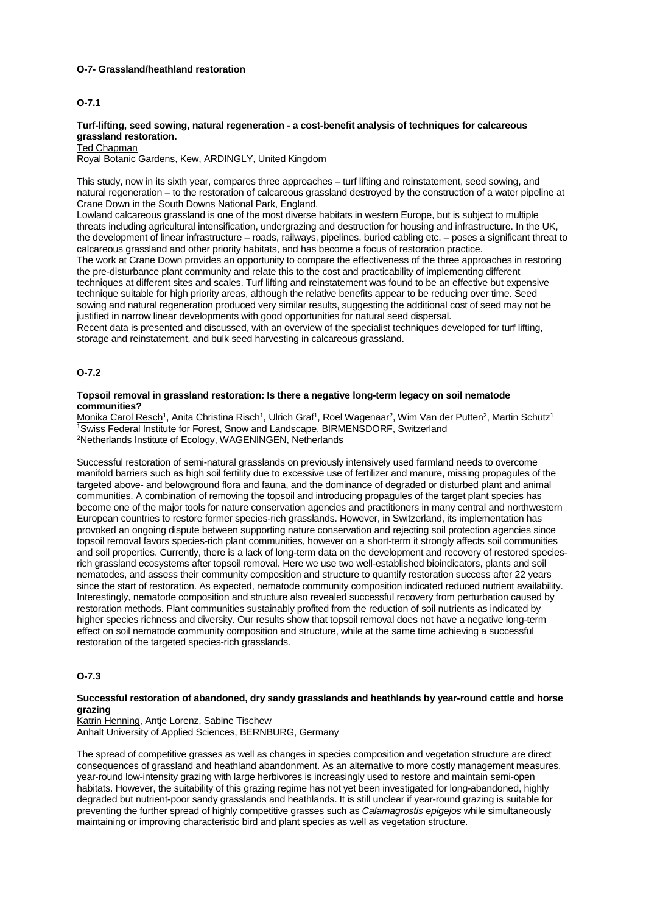#### **O-7- Grassland/heathland restoration**

## **O-7.1**

## **Turf-lifting, seed sowing, natural regeneration - a cost-benefit analysis of techniques for calcareous grassland restoration.**

#### **Ted Chapman**

Royal Botanic Gardens, Kew, ARDINGLY, United Kingdom

This study, now in its sixth year, compares three approaches – turf lifting and reinstatement, seed sowing, and natural regeneration – to the restoration of calcareous grassland destroyed by the construction of a water pipeline at Crane Down in the South Downs National Park, England.

Lowland calcareous grassland is one of the most diverse habitats in western Europe, but is subject to multiple threats including agricultural intensification, undergrazing and destruction for housing and infrastructure. In the UK, the development of linear infrastructure – roads, railways, pipelines, buried cabling etc. – poses a significant threat to calcareous grassland and other priority habitats, and has become a focus of restoration practice. The work at Crane Down provides an opportunity to compare the effectiveness of the three approaches in restoring the pre-disturbance plant community and relate this to the cost and practicability of implementing different techniques at different sites and scales. Turf lifting and reinstatement was found to be an effective but expensive technique suitable for high priority areas, although the relative benefits appear to be reducing over time. Seed sowing and natural regeneration produced very similar results, suggesting the additional cost of seed may not be justified in narrow linear developments with good opportunities for natural seed dispersal.

Recent data is presented and discussed, with an overview of the specialist techniques developed for turf lifting, storage and reinstatement, and bulk seed harvesting in calcareous grassland.

#### **O-7.2**

## **Topsoil removal in grassland restoration: Is there a negative long-term legacy on soil nematode communities?**

Monika Carol Resch<sup>1</sup>, Anita Christina Risch<sup>1</sup>, Ulrich Graf<sup>1</sup>, Roel Wagenaar<sup>2</sup>, Wim Van der Putten<sup>2</sup>, Martin Schütz<sup>1</sup> 1Swiss Federal Institute for Forest, Snow and Landscape, BIRMENSDORF, Switzerland 2Netherlands Institute of Ecology, WAGENINGEN, Netherlands

Successful restoration of semi-natural grasslands on previously intensively used farmland needs to overcome manifold barriers such as high soil fertility due to excessive use of fertilizer and manure, missing propagules of the targeted above- and belowground flora and fauna, and the dominance of degraded or disturbed plant and animal communities. A combination of removing the topsoil and introducing propagules of the target plant species has become one of the major tools for nature conservation agencies and practitioners in many central and northwestern European countries to restore former species-rich grasslands. However, in Switzerland, its implementation has provoked an ongoing dispute between supporting nature conservation and rejecting soil protection agencies since topsoil removal favors species-rich plant communities, however on a short-term it strongly affects soil communities and soil properties. Currently, there is a lack of long-term data on the development and recovery of restored speciesrich grassland ecosystems after topsoil removal. Here we use two well-established bioindicators, plants and soil nematodes, and assess their community composition and structure to quantify restoration success after 22 years since the start of restoration. As expected, nematode community composition indicated reduced nutrient availability. Interestingly, nematode composition and structure also revealed successful recovery from perturbation caused by restoration methods. Plant communities sustainably profited from the reduction of soil nutrients as indicated by higher species richness and diversity. Our results show that topsoil removal does not have a negative long-term effect on soil nematode community composition and structure, while at the same time achieving a successful restoration of the targeted species-rich grasslands.

## **O-7.3**

## **Successful restoration of abandoned, dry sandy grasslands and heathlands by year-round cattle and horse grazing**

Katrin Henning, Antje Lorenz, Sabine Tischew Anhalt University of Applied Sciences, BERNBURG, Germany

The spread of competitive grasses as well as changes in species composition and vegetation structure are direct consequences of grassland and heathland abandonment. As an alternative to more costly management measures, year-round low-intensity grazing with large herbivores is increasingly used to restore and maintain semi-open habitats. However, the suitability of this grazing regime has not yet been investigated for long-abandoned, highly degraded but nutrient-poor sandy grasslands and heathlands. It is still unclear if year-round grazing is suitable for preventing the further spread of highly competitive grasses such as *Calamagrostis epigejos* while simultaneously maintaining or improving characteristic bird and plant species as well as vegetation structure.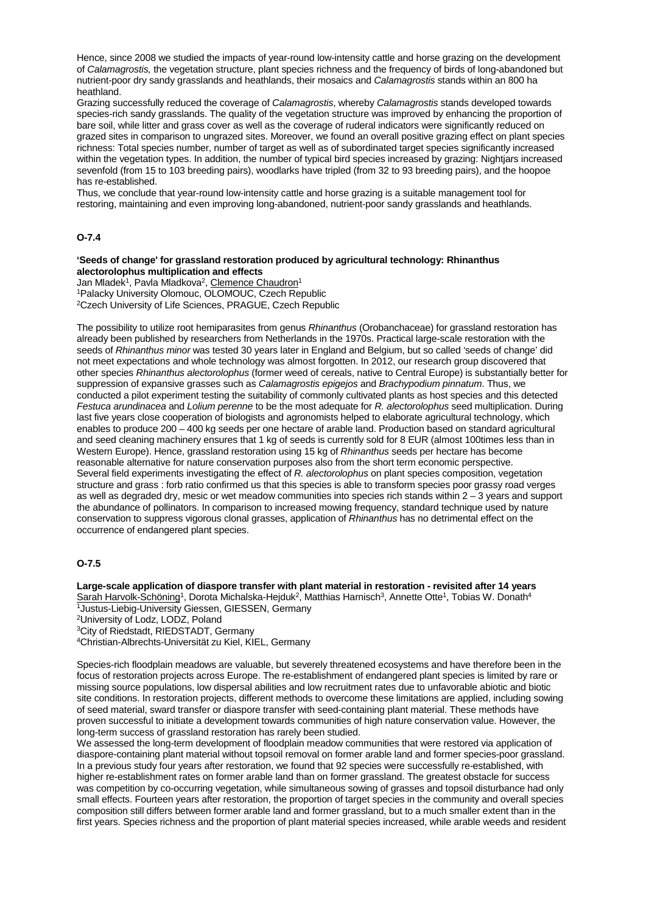Hence, since 2008 we studied the impacts of year-round low-intensity cattle and horse grazing on the development of *Calamagrostis,* the vegetation structure, plant species richness and the frequency of birds of long-abandoned but nutrient-poor dry sandy grasslands and heathlands, their mosaics and *Calamagrostis* stands within an 800 ha heathland.

Grazing successfully reduced the coverage of *Calamagrostis*, whereby *Calamagrostis* stands developed towards species-rich sandy grasslands. The quality of the vegetation structure was improved by enhancing the proportion of bare soil, while litter and grass cover as well as the coverage of ruderal indicators were significantly reduced on grazed sites in comparison to ungrazed sites. Moreover, we found an overall positive grazing effect on plant species richness: Total species number, number of target as well as of subordinated target species significantly increased within the vegetation types. In addition, the number of typical bird species increased by grazing: Nightjars increased sevenfold (from 15 to 103 breeding pairs), woodlarks have tripled (from 32 to 93 breeding pairs), and the hoopoe has re-established.

Thus, we conclude that year-round low-intensity cattle and horse grazing is a suitable management tool for restoring, maintaining and even improving long-abandoned, nutrient-poor sandy grasslands and heathlands.

## **O-7.4**

#### **'Seeds of change' for grassland restoration produced by agricultural technology: Rhinanthus alectorolophus multiplication and effects**

Jan Mladek<sup>1</sup>, Pavla Mladkova<sup>2</sup>, Clemence Chaudron<sup>1</sup> 1Palacky University Olomouc, OLOMOUC, Czech Republic 2Czech University of Life Sciences, PRAGUE, Czech Republic

The possibility to utilize root hemiparasites from genus *Rhinanthus* (Orobanchaceae) for grassland restoration has already been published by researchers from Netherlands in the 1970s. Practical large-scale restoration with the seeds of *Rhinanthus minor* was tested 30 years later in England and Belgium, but so called 'seeds of change' did not meet expectations and whole technology was almost forgotten. In 2012, our research group discovered that other species *Rhinanthus alectorolophus* (former weed of cereals, native to Central Europe) is substantially better for suppression of expansive grasses such as *Calamagrostis epigejos* and *Brachypodium pinnatum*. Thus, we conducted a pilot experiment testing the suitability of commonly cultivated plants as host species and this detected *Festuca arundinacea* and *Lolium perenne* to be the most adequate for *R. alectorolophus* seed multiplication. During last five years close cooperation of biologists and agronomists helped to elaborate agricultural technology, which enables to produce 200 – 400 kg seeds per one hectare of arable land. Production based on standard agricultural and seed cleaning machinery ensures that 1 kg of seeds is currently sold for 8 EUR (almost 100times less than in Western Europe). Hence, grassland restoration using 15 kg of *Rhinanthus* seeds per hectare has become reasonable alternative for nature conservation purposes also from the short term economic perspective. Several field experiments investigating the effect of *R. alectorolophus* on plant species composition, vegetation structure and grass : forb ratio confirmed us that this species is able to transform species poor grassy road verges as well as degraded dry, mesic or wet meadow communities into species rich stands within 2 – 3 years and support the abundance of pollinators. In comparison to increased mowing frequency, standard technique used by nature conservation to suppress vigorous clonal grasses, application of *Rhinanthus* has no detrimental effect on the occurrence of endangered plant species.

# **O-7.5**

**Large-scale application of diaspore transfer with plant material in restoration - revisited after 14 years** Sarah Harvolk-Schöning<sup>1</sup>, Dorota Michalska-Hejduk<sup>2</sup>, Matthias Harnisch<sup>3</sup>, Annette Otte<sup>1</sup>, Tobias W. Donath<sup>4</sup> 1Justus-Liebig-University Giessen, GIESSEN, Germany 2University of Lodz, LODZ, Poland 3City of Riedstadt, RIEDSTADT, Germany

4Christian-Albrechts-Universität zu Kiel, KIEL, Germany

Species-rich floodplain meadows are valuable, but severely threatened ecosystems and have therefore been in the focus of restoration projects across Europe. The re-establishment of endangered plant species is limited by rare or missing source populations, low dispersal abilities and low recruitment rates due to unfavorable abiotic and biotic site conditions. In restoration projects, different methods to overcome these limitations are applied, including sowing of seed material, sward transfer or diaspore transfer with seed-containing plant material. These methods have proven successful to initiate a development towards communities of high nature conservation value. However, the long-term success of grassland restoration has rarely been studied.

We assessed the long-term development of floodplain meadow communities that were restored via application of diaspore-containing plant material without topsoil removal on former arable land and former species-poor grassland. In a previous study four years after restoration, we found that 92 species were successfully re-established, with higher re-establishment rates on former arable land than on former grassland. The greatest obstacle for success was competition by co-occurring vegetation, while simultaneous sowing of grasses and topsoil disturbance had only small effects. Fourteen years after restoration, the proportion of target species in the community and overall species composition still differs between former arable land and former grassland, but to a much smaller extent than in the first years. Species richness and the proportion of plant material species increased, while arable weeds and resident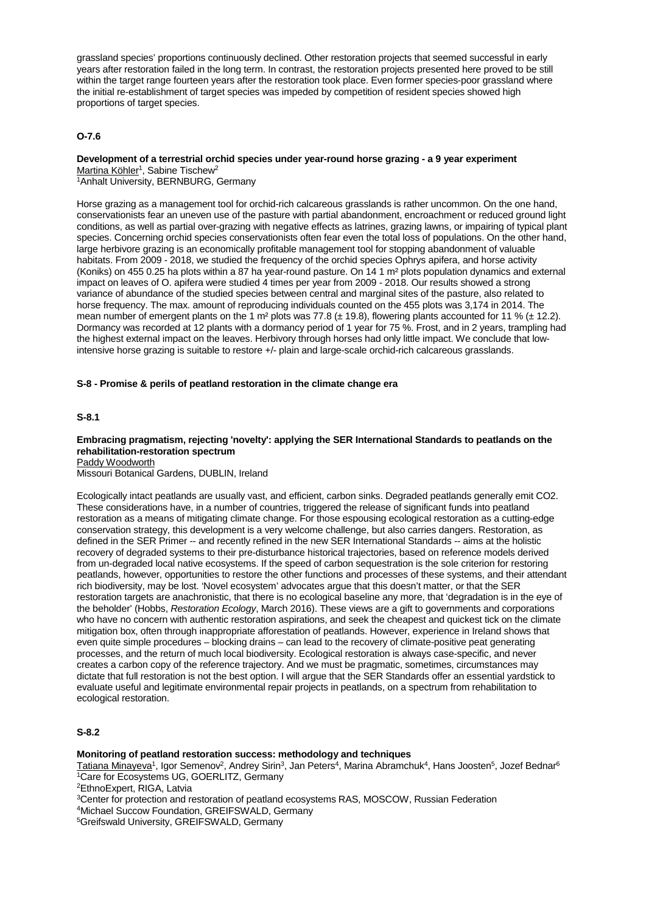grassland species' proportions continuously declined. Other restoration projects that seemed successful in early years after restoration failed in the long term. In contrast, the restoration projects presented here proved to be still within the target range fourteen years after the restoration took place. Even former species-poor grassland where the initial re-establishment of target species was impeded by competition of resident species showed high proportions of target species.

## **O-7.6**

# **Development of a terrestrial orchid species under year-round horse grazing - a 9 year experiment**

Martina Köhler<sup>1</sup>, Sabine Tischew<sup>2</sup> 1Anhalt University, BERNBURG, Germany

Horse grazing as a management tool for orchid-rich calcareous grasslands is rather uncommon. On the one hand, conservationists fear an uneven use of the pasture with partial abandonment, encroachment or reduced ground light conditions, as well as partial over-grazing with negative effects as latrines, grazing lawns, or impairing of typical plant species. Concerning orchid species conservationists often fear even the total loss of populations. On the other hand, large herbivore grazing is an economically profitable management tool for stopping abandonment of valuable habitats. From 2009 - 2018, we studied the frequency of the orchid species Ophrys apifera, and horse activity (Koniks) on 455 0.25 ha plots within a 87 ha year-round pasture. On 14 1 m² plots population dynamics and external impact on leaves of O. apifera were studied 4 times per year from 2009 - 2018. Our results showed a strong variance of abundance of the studied species between central and marginal sites of the pasture, also related to horse frequency. The max. amount of reproducing individuals counted on the 455 plots was 3,174 in 2014. The mean number of emergent plants on the 1 m<sup>2</sup> plots was 77.8 ( $\pm$  19.8), flowering plants accounted for 11 % ( $\pm$  12.2). Dormancy was recorded at 12 plants with a dormancy period of 1 year for 75 %. Frost, and in 2 years, trampling had the highest external impact on the leaves. Herbivory through horses had only little impact. We conclude that lowintensive horse grazing is suitable to restore +/- plain and large-scale orchid-rich calcareous grasslands.

#### **S-8 - Promise & perils of peatland restoration in the climate change era**

#### **S-8.1**

## **Embracing pragmatism, rejecting 'novelty': applying the SER International Standards to peatlands on the rehabilitation-restoration spectrum**

Paddy Woodworth

Missouri Botanical Gardens, DUBLIN, Ireland

Ecologically intact peatlands are usually vast, and efficient, carbon sinks. Degraded peatlands generally emit CO2. These considerations have, in a number of countries, triggered the release of significant funds into peatland restoration as a means of mitigating climate change. For those espousing ecological restoration as a cutting-edge conservation strategy, this development is a very welcome challenge, but also carries dangers. Restoration, as defined in the SER Primer -- and recently refined in the new SER International Standards -- aims at the holistic recovery of degraded systems to their pre-disturbance historical trajectories, based on reference models derived from un-degraded local native ecosystems. If the speed of carbon sequestration is the sole criterion for restoring peatlands, however, opportunities to restore the other functions and processes of these systems, and their attendant rich biodiversity, may be lost. 'Novel ecosystem' advocates argue that this doesn't matter, or that the SER restoration targets are anachronistic, that there is no ecological baseline any more, that 'degradation is in the eye of the beholder' (Hobbs, *Restoration Ecology*, March 2016). These views are a gift to governments and corporations who have no concern with authentic restoration aspirations, and seek the cheapest and quickest tick on the climate mitigation box, often through inappropriate afforestation of peatlands. However, experience in Ireland shows that even quite simple procedures – blocking drains – can lead to the recovery of climate-positive peat generating processes, and the return of much local biodiversity. Ecological restoration is always case-specific, and never creates a carbon copy of the reference trajectory. And we must be pragmatic, sometimes, circumstances may dictate that full restoration is not the best option. I will argue that the SER Standards offer an essential yardstick to evaluate useful and legitimate environmental repair projects in peatlands, on a spectrum from rehabilitation to ecological restoration.

## **S-8.2**

#### **Monitoring of peatland restoration success: methodology and techniques**

Tatiana Minayeva<sup>1</sup>, Igor Semenov<sup>2</sup>, Andrey Sirin<sup>3</sup>, Jan Peters<sup>4</sup>, Marina Abramchuk<sup>4</sup>, Hans Joosten<sup>5</sup>, Jozef Bednar<sup>6</sup> 1Care for Ecosystems UG, GOERLITZ, Germany

2EthnoExpert, RIGA, Latvia

4Michael Succow Foundation, GREIFSWALD, Germany

5Greifswald University, GREIFSWALD, Germany

<sup>3</sup>Center for protection and restoration of peatland ecosystems RAS, MOSCOW, Russian Federation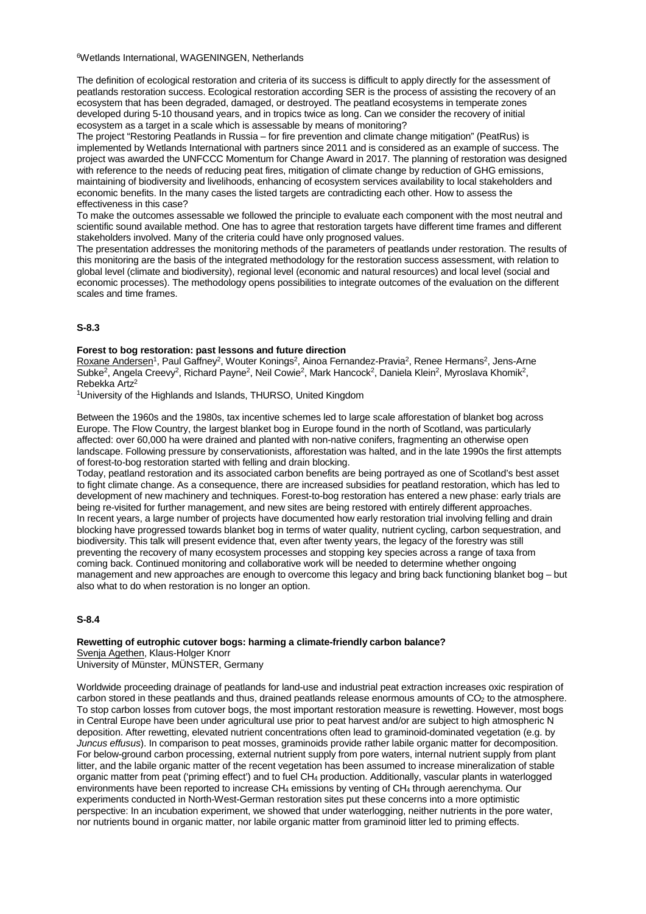6Wetlands International, WAGENINGEN, Netherlands

The definition of ecological restoration and criteria of its success is difficult to apply directly for the assessment of peatlands restoration success. Ecological restoration according SER is the process of assisting the recovery of an ecosystem that has been degraded, damaged, or destroyed. The peatland ecosystems in temperate zones developed during 5-10 thousand years, and in tropics twice as long. Can we consider the recovery of initial ecosystem as a target in a scale which is assessable by means of monitoring?

The project "Restoring Peatlands in Russia – for fire prevention and climate change mitigation" (PeatRus) is implemented by Wetlands International with partners since 2011 and is considered as an example of success. The project was awarded the UNFCCC Momentum for Change Award in 2017. The planning of restoration was designed with reference to the needs of reducing peat fires, mitigation of climate change by reduction of GHG emissions, maintaining of biodiversity and livelihoods, enhancing of ecosystem services availability to local stakeholders and economic benefits. In the many cases the listed targets are contradicting each other. How to assess the effectiveness in this case?

To make the outcomes assessable we followed the principle to evaluate each component with the most neutral and scientific sound available method. One has to agree that restoration targets have different time frames and different stakeholders involved. Many of the criteria could have only prognosed values.

The presentation addresses the monitoring methods of the parameters of peatlands under restoration. The results of this monitoring are the basis of the integrated methodology for the restoration success assessment, with relation to global level (climate and biodiversity), regional level (economic and natural resources) and local level (social and economic processes). The methodology opens possibilities to integrate outcomes of the evaluation on the different scales and time frames.

#### **S-8.3**

#### **Forest to bog restoration: past lessons and future direction**

Roxane Andersen<sup>1</sup>, Paul Gaffney<sup>2</sup>, Wouter Konings<sup>2</sup>, Ainoa Fernandez-Pravia<sup>2</sup>, Renee Hermans<sup>2</sup>, Jens-Arne Subke2, Angela Creevy2, Richard Payne2, Neil Cowie2, Mark Hancock2, Daniela Klein2, Myroslava Khomik2, Rebekka Artz2

1University of the Highlands and Islands, THURSO, United Kingdom

Between the 1960s and the 1980s, tax incentive schemes led to large scale afforestation of blanket bog across Europe. The Flow Country, the largest blanket bog in Europe found in the north of Scotland, was particularly affected: over 60,000 ha were drained and planted with non-native conifers, fragmenting an otherwise open landscape. Following pressure by conservationists, afforestation was halted, and in the late 1990s the first attempts of forest-to-bog restoration started with felling and drain blocking.

Today, peatland restoration and its associated carbon benefits are being portrayed as one of Scotland's best asset to fight climate change. As a consequence, there are increased subsidies for peatland restoration, which has led to development of new machinery and techniques. Forest-to-bog restoration has entered a new phase: early trials are being re-visited for further management, and new sites are being restored with entirely different approaches. In recent years, a large number of projects have documented how early restoration trial involving felling and drain blocking have progressed towards blanket bog in terms of water quality, nutrient cycling, carbon sequestration, and biodiversity. This talk will present evidence that, even after twenty years, the legacy of the forestry was still preventing the recovery of many ecosystem processes and stopping key species across a range of taxa from coming back. Continued monitoring and collaborative work will be needed to determine whether ongoing management and new approaches are enough to overcome this legacy and bring back functioning blanket bog – but also what to do when restoration is no longer an option.

#### **S-8.4**

# **Rewetting of eutrophic cutover bogs: harming a climate-friendly carbon balance?** Svenja Agethen, Klaus-Holger Knorr

University of Münster, MÜNSTER, Germany

Worldwide proceeding drainage of peatlands for land-use and industrial peat extraction increases oxic respiration of carbon stored in these peatlands and thus, drained peatlands release enormous amounts of  $CO<sub>2</sub>$  to the atmosphere. To stop carbon losses from cutover bogs, the most important restoration measure is rewetting. However, most bogs in Central Europe have been under agricultural use prior to peat harvest and/or are subject to high atmospheric N deposition. After rewetting, elevated nutrient concentrations often lead to graminoid-dominated vegetation (e.g. by *Juncus effusus*). In comparison to peat mosses, graminoids provide rather labile organic matter for decomposition. For below-ground carbon processing, external nutrient supply from pore waters, internal nutrient supply from plant litter, and the labile organic matter of the recent vegetation has been assumed to increase mineralization of stable organic matter from peat ('priming effect') and to fuel CH4 production. Additionally, vascular plants in waterlogged environments have been reported to increase CH4 emissions by venting of CH4 through aerenchyma. Our experiments conducted in North-West-German restoration sites put these concerns into a more optimistic perspective: In an incubation experiment, we showed that under waterlogging, neither nutrients in the pore water, nor nutrients bound in organic matter, nor labile organic matter from graminoid litter led to priming effects.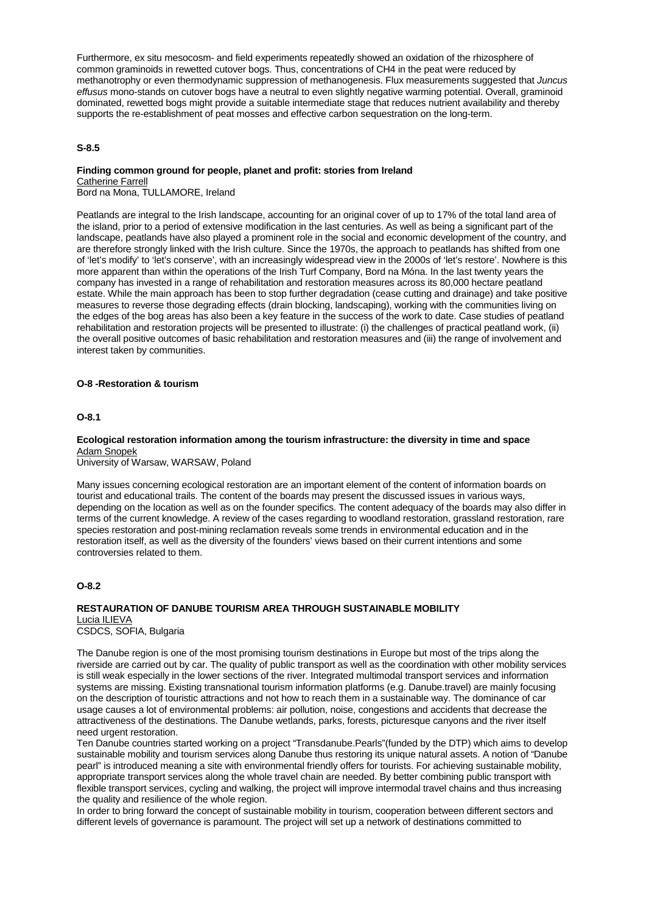Furthermore, ex situ mesocosm- and field experiments repeatedly showed an oxidation of the rhizosphere of common graminoids in rewetted cutover bogs. Thus, concentrations of CH4 in the peat were reduced by methanotrophy or even thermodynamic suppression of methanogenesis. Flux measurements suggested that *Juncus effusus* mono-stands on cutover bogs have a neutral to even slightly negative warming potential. Overall, graminoid dominated, rewetted bogs might provide a suitable intermediate stage that reduces nutrient availability and thereby supports the re-establishment of peat mosses and effective carbon sequestration on the long-term.

## **S-8.5**

# **Finding common ground for people, planet and profit: stories from Ireland**

Catherine Farrell Bord na Mona, TULLAMORE, Ireland

Peatlands are integral to the Irish landscape, accounting for an original cover of up to 17% of the total land area of the island, prior to a period of extensive modification in the last centuries. As well as being a significant part of the landscape, peatlands have also played a prominent role in the social and economic development of the country, and are therefore strongly linked with the Irish culture. Since the 1970s, the approach to peatlands has shifted from one of 'let's modify' to 'let's conserve', with an increasingly widespread view in the 2000s of 'let's restore'. Nowhere is this more apparent than within the operations of the Irish Turf Company, Bord na Móna. In the last twenty years the company has invested in a range of rehabilitation and restoration measures across its 80,000 hectare peatland estate. While the main approach has been to stop further degradation (cease cutting and drainage) and take positive measures to reverse those degrading effects (drain blocking, landscaping), working with the communities living on the edges of the bog areas has also been a key feature in the success of the work to date. Case studies of peatland rehabilitation and restoration projects will be presented to illustrate: (i) the challenges of practical peatland work, (ii) the overall positive outcomes of basic rehabilitation and restoration measures and (iii) the range of involvement and interest taken by communities.

# **O-8 -Restoration & tourism**

## **O-8.1**

#### **Ecological restoration information among the tourism infrastructure: the diversity in time and space** Adam Snopek

University of Warsaw, WARSAW, Poland

Many issues concerning ecological restoration are an important element of the content of information boards on tourist and educational trails. The content of the boards may present the discussed issues in various ways, depending on the location as well as on the founder specifics. The content adequacy of the boards may also differ in terms of the current knowledge. A review of the cases regarding to woodland restoration, grassland restoration, rare species restoration and post-mining reclamation reveals some trends in environmental education and in the restoration itself, as well as the diversity of the founders' views based on their current intentions and some controversies related to them.

#### **O-8.2**

#### **RESTAURATION OF DANUBE TOURISM AREA THROUGH SUSTAINABLE MOBILITY** Lucia ILIEVA CSDCS, SOFIA, Bulgaria

The Danube region is one of the most promising tourism destinations in Europe but most of the trips along the riverside are carried out by car. The quality of public transport as well as the coordination with other mobility services is still weak especially in the lower sections of the river. Integrated multimodal transport services and information systems are missing. Existing transnational tourism information platforms (e.g. Danube.travel) are mainly focusing on the description of touristic attractions and not how to reach them in a sustainable way. The dominance of car usage causes a lot of environmental problems: air pollution, noise, congestions and accidents that decrease the attractiveness of the destinations. The Danube wetlands, parks, forests, picturesque canyons and the river itself need urgent restoration.

Ten Danube countries started working on a project "Transdanube.Pearls"(funded by the DTP) which aims to develop sustainable mobility and tourism services along Danube thus restoring its unique natural assets. A notion of "Danube pearl" is introduced meaning a site with environmental friendly offers for tourists. For achieving sustainable mobility, appropriate transport services along the whole travel chain are needed. By better combining public transport with flexible transport services, cycling and walking, the project will improve intermodal travel chains and thus increasing the quality and resilience of the whole region.

In order to bring forward the concept of sustainable mobility in tourism, cooperation between different sectors and different levels of governance is paramount. The project will set up a network of destinations committed to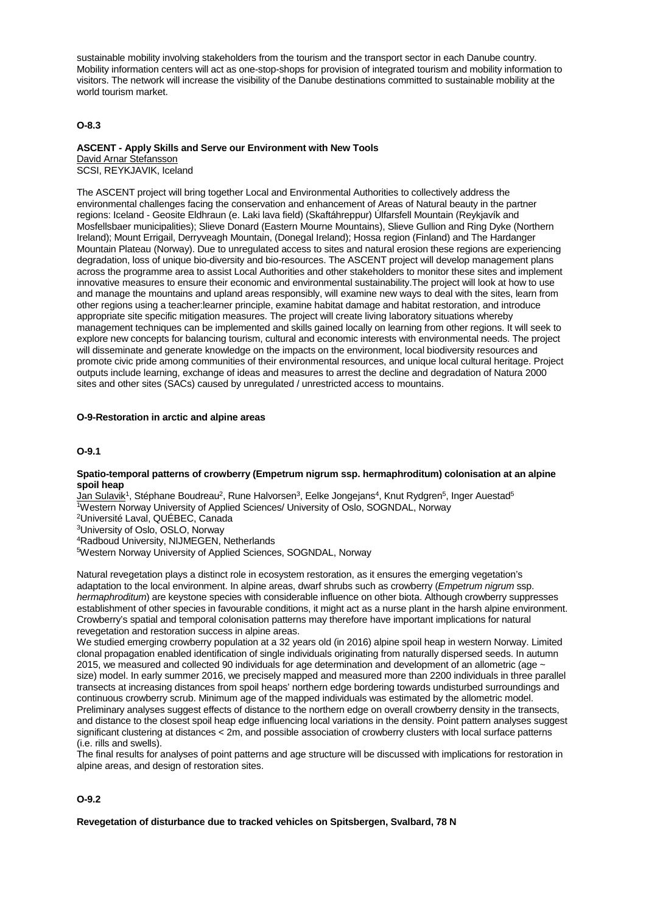sustainable mobility involving stakeholders from the tourism and the transport sector in each Danube country. Mobility information centers will act as one-stop-shops for provision of integrated tourism and mobility information to visitors. The network will increase the visibility of the Danube destinations committed to sustainable mobility at the world tourism market.

## **O-8.3**

#### **ASCENT - Apply Skills and Serve our Environment with New Tools** David Arnar Stefansson

SCSI, REYKJAVIK, Iceland

The ASCENT project will bring together Local and Environmental Authorities to collectively address the environmental challenges facing the conservation and enhancement of Areas of Natural beauty in the partner regions: Iceland - Geosite Eldhraun (e. Laki lava field) (Skaftáhreppur) Úlfarsfell Mountain (Reykjavík and Mosfellsbaer municipalities); Slieve Donard (Eastern Mourne Mountains), Slieve Gullion and Ring Dyke (Northern Ireland); Mount Errigail, Derryveagh Mountain, (Donegal Ireland); Hossa region (Finland) and The Hardanger Mountain Plateau (Norway). Due to unregulated access to sites and natural erosion these regions are experiencing degradation, loss of unique bio-diversity and bio-resources. The ASCENT project will develop management plans across the programme area to assist Local Authorities and other stakeholders to monitor these sites and implement innovative measures to ensure their economic and environmental sustainability.The project will look at how to use and manage the mountains and upland areas responsibly, will examine new ways to deal with the sites, learn from other regions using a teacher:learner principle, examine habitat damage and habitat restoration, and introduce appropriate site specific mitigation measures. The project will create living laboratory situations whereby management techniques can be implemented and skills gained locally on learning from other regions. It will seek to explore new concepts for balancing tourism, cultural and economic interests with environmental needs. The project will disseminate and generate knowledge on the impacts on the environment, local biodiversity resources and promote civic pride among communities of their environmental resources, and unique local cultural heritage. Project outputs include learning, exchange of ideas and measures to arrest the decline and degradation of Natura 2000 sites and other sites (SACs) caused by unregulated / unrestricted access to mountains.

#### **O-9-Restoration in arctic and alpine areas**

#### **O-9.1**

#### **Spatio-temporal patterns of crowberry (Empetrum nigrum ssp. hermaphroditum) colonisation at an alpine spoil heap**

Jan Sulavik<sup>1</sup>, Stéphane Boudreau<sup>2</sup>, Rune Halvorsen<sup>3</sup>, Eelke Jongejans<sup>4</sup>, Knut Rydgren<sup>5</sup>, Inger Auestad<sup>5</sup> 1Western Norway University of Applied Sciences/ University of Oslo, SOGNDAL, Norway

2Université Laval, QUÉBEC, Canada

3University of Oslo, OSLO, Norway

4Radboud University, NIJMEGEN, Netherlands

5Western Norway University of Applied Sciences, SOGNDAL, Norway

Natural revegetation plays a distinct role in ecosystem restoration, as it ensures the emerging vegetation's adaptation to the local environment. In alpine areas, dwarf shrubs such as crowberry (*Empetrum nigrum* ssp. *hermaphroditum*) are keystone species with considerable influence on other biota. Although crowberry suppresses establishment of other species in favourable conditions, it might act as a nurse plant in the harsh alpine environment. Crowberry's spatial and temporal colonisation patterns may therefore have important implications for natural revegetation and restoration success in alpine areas.

We studied emerging crowberry population at a 32 years old (in 2016) alpine spoil heap in western Norway. Limited clonal propagation enabled identification of single individuals originating from naturally dispersed seeds. In autumn 2015, we measured and collected 90 individuals for age determination and development of an allometric (age  $\sim$ size) model. In early summer 2016, we precisely mapped and measured more than 2200 individuals in three parallel transects at increasing distances from spoil heaps' northern edge bordering towards undisturbed surroundings and continuous crowberry scrub. Minimum age of the mapped individuals was estimated by the allometric model. Preliminary analyses suggest effects of distance to the northern edge on overall crowberry density in the transects, and distance to the closest spoil heap edge influencing local variations in the density. Point pattern analyses suggest significant clustering at distances < 2m, and possible association of crowberry clusters with local surface patterns (i.e. rills and swells).

The final results for analyses of point patterns and age structure will be discussed with implications for restoration in alpine areas, and design of restoration sites.

# **O-9.2**

**Revegetation of disturbance due to tracked vehicles on Spitsbergen, Svalbard, 78 N**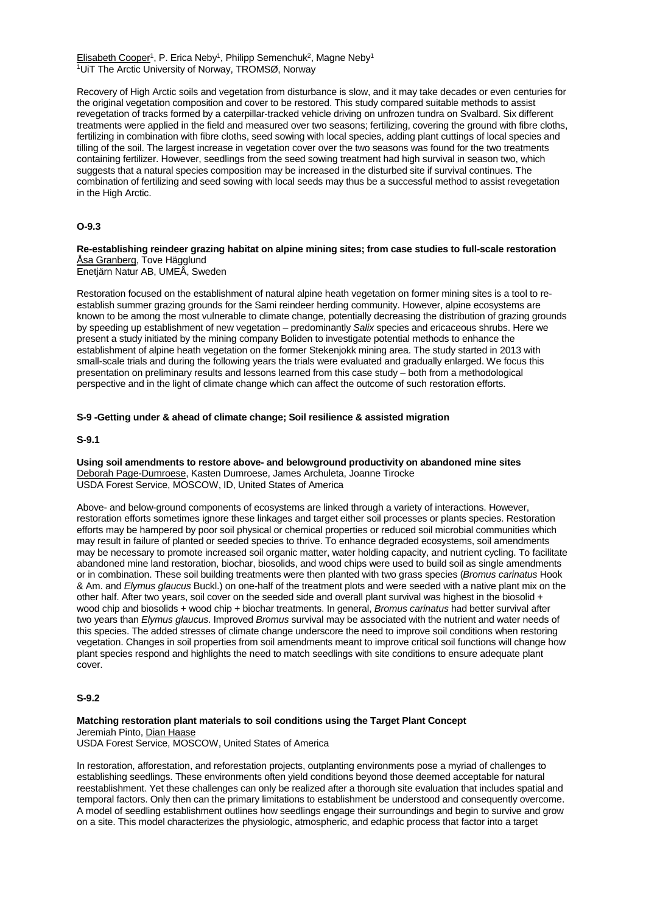Elisabeth Cooper<sup>1</sup>, P. Erica Neby<sup>1</sup>, Philipp Semenchuk<sup>2</sup>, Magne Neby<sup>1</sup> 1UiT The Arctic University of Norway, TROMSØ, Norway

Recovery of High Arctic soils and vegetation from disturbance is slow, and it may take decades or even centuries for the original vegetation composition and cover to be restored. This study compared suitable methods to assist revegetation of tracks formed by a caterpillar-tracked vehicle driving on unfrozen tundra on Svalbard. Six different treatments were applied in the field and measured over two seasons; fertilizing, covering the ground with fibre cloths, fertilizing in combination with fibre cloths, seed sowing with local species, adding plant cuttings of local species and tilling of the soil. The largest increase in vegetation cover over the two seasons was found for the two treatments containing fertilizer. However, seedlings from the seed sowing treatment had high survival in season two, which suggests that a natural species composition may be increased in the disturbed site if survival continues. The combination of fertilizing and seed sowing with local seeds may thus be a successful method to assist revegetation in the High Arctic.

## **O-9.3**

**Re-establishing reindeer grazing habitat on alpine mining sites; from case studies to full-scale restoration** Åsa Granberg, Tove Hägglund

Enetjärn Natur AB, UMEÅ, Sweden

Restoration focused on the establishment of natural alpine heath vegetation on former mining sites is a tool to reestablish summer grazing grounds for the Sami reindeer herding community. However, alpine ecosystems are known to be among the most vulnerable to climate change, potentially decreasing the distribution of grazing grounds by speeding up establishment of new vegetation – predominantly *Salix* species and ericaceous shrubs. Here we present a study initiated by the mining company Boliden to investigate potential methods to enhance the establishment of alpine heath vegetation on the former Stekenjokk mining area. The study started in 2013 with small-scale trials and during the following years the trials were evaluated and gradually enlarged. We focus this presentation on preliminary results and lessons learned from this case study – both from a methodological perspective and in the light of climate change which can affect the outcome of such restoration efforts.

## **S-9 -Getting under & ahead of climate change; Soil resilience & assisted migration**

## **S-9.1**

**Using soil amendments to restore above- and belowground productivity on abandoned mine sites** Deborah Page-Dumroese, Kasten Dumroese, James Archuleta, Joanne Tirocke USDA Forest Service, MOSCOW, ID, United States of America

Above- and below-ground components of ecosystems are linked through a variety of interactions. However, restoration efforts sometimes ignore these linkages and target either soil processes or plants species. Restoration efforts may be hampered by poor soil physical or chemical properties or reduced soil microbial communities which may result in failure of planted or seeded species to thrive. To enhance degraded ecosystems, soil amendments may be necessary to promote increased soil organic matter, water holding capacity, and nutrient cycling. To facilitate abandoned mine land restoration, biochar, biosolids, and wood chips were used to build soil as single amendments or in combination. These soil building treatments were then planted with two grass species (*Bromus carinatus* Hook & Am. and *Elymus glaucus* Buckl.) on one-half of the treatment plots and were seeded with a native plant mix on the other half. After two years, soil cover on the seeded side and overall plant survival was highest in the biosolid + wood chip and biosolids + wood chip + biochar treatments. In general, *Bromus carinatus* had better survival after two years than *Elymus glaucus*. Improved *Bromus* survival may be associated with the nutrient and water needs of this species. The added stresses of climate change underscore the need to improve soil conditions when restoring vegetation. Changes in soil properties from soil amendments meant to improve critical soil functions will change how plant species respond and highlights the need to match seedlings with site conditions to ensure adequate plant cover.

## **S-9.2**

**Matching restoration plant materials to soil conditions using the Target Plant Concept** Jeremiah Pinto, Dian Haase USDA Forest Service, MOSCOW, United States of America

In restoration, afforestation, and reforestation projects, outplanting environments pose a myriad of challenges to establishing seedlings. These environments often yield conditions beyond those deemed acceptable for natural reestablishment. Yet these challenges can only be realized after a thorough site evaluation that includes spatial and temporal factors. Only then can the primary limitations to establishment be understood and consequently overcome. A model of seedling establishment outlines how seedlings engage their surroundings and begin to survive and grow on a site. This model characterizes the physiologic, atmospheric, and edaphic process that factor into a target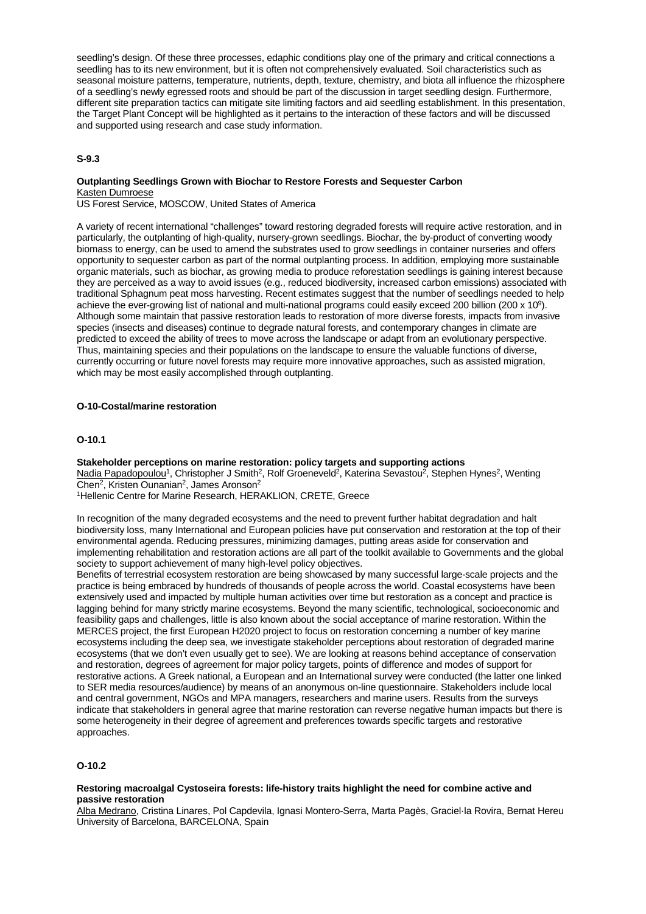seedling's design. Of these three processes, edaphic conditions play one of the primary and critical connections a seedling has to its new environment, but it is often not comprehensively evaluated. Soil characteristics such as seasonal moisture patterns, temperature, nutrients, depth, texture, chemistry, and biota all influence the rhizosphere of a seedling's newly egressed roots and should be part of the discussion in target seedling design. Furthermore, different site preparation tactics can mitigate site limiting factors and aid seedling establishment. In this presentation, the Target Plant Concept will be highlighted as it pertains to the interaction of these factors and will be discussed and supported using research and case study information.

## **S-9.3**

## **Outplanting Seedlings Grown with Biochar to Restore Forests and Sequester Carbon** Kasten Dumroese

US Forest Service, MOSCOW, United States of America

A variety of recent international "challenges" toward restoring degraded forests will require active restoration, and in particularly, the outplanting of high-quality, nursery-grown seedlings. Biochar, the by-product of converting woody biomass to energy, can be used to amend the substrates used to grow seedlings in container nurseries and offers opportunity to sequester carbon as part of the normal outplanting process. In addition, employing more sustainable organic materials, such as biochar, as growing media to produce reforestation seedlings is gaining interest because they are perceived as a way to avoid issues (e.g., reduced biodiversity, increased carbon emissions) associated with traditional Sphagnum peat moss harvesting. Recent estimates suggest that the number of seedlings needed to help achieve the ever-growing list of national and multi-national programs could easily exceed 200 billion (200 x 109). Although some maintain that passive restoration leads to restoration of more diverse forests, impacts from invasive species (insects and diseases) continue to degrade natural forests, and contemporary changes in climate are predicted to exceed the ability of trees to move across the landscape or adapt from an evolutionary perspective. Thus, maintaining species and their populations on the landscape to ensure the valuable functions of diverse, currently occurring or future novel forests may require more innovative approaches, such as assisted migration, which may be most easily accomplished through outplanting.

### **O-10-Costal/marine restoration**

## **O-10.1**

### **Stakeholder perceptions on marine restoration: policy targets and supporting actions**

Nadia Papadopoulou<sup>1</sup>, Christopher J Smith<sup>2</sup>, Rolf Groeneveld<sup>2</sup>, Katerina Sevastou<sup>2</sup>, Stephen Hynes<sup>2</sup>, Wenting Chen2, Kristen Ounanian2, James Aronson2

1Hellenic Centre for Marine Research, HERAKLION, CRETE, Greece

In recognition of the many degraded ecosystems and the need to prevent further habitat degradation and halt biodiversity loss, many International and European policies have put conservation and restoration at the top of their environmental agenda. Reducing pressures, minimizing damages, putting areas aside for conservation and implementing rehabilitation and restoration actions are all part of the toolkit available to Governments and the global society to support achievement of many high-level policy objectives.

Benefits of terrestrial ecosystem restoration are being showcased by many successful large-scale projects and the practice is being embraced by hundreds of thousands of people across the world. Coastal ecosystems have been extensively used and impacted by multiple human activities over time but restoration as a concept and practice is lagging behind for many strictly marine ecosystems. Beyond the many scientific, technological, socioeconomic and feasibility gaps and challenges, little is also known about the social acceptance of marine restoration. Within the MERCES project, the first European H2020 project to focus on restoration concerning a number of key marine ecosystems including the deep sea, we investigate stakeholder perceptions about restoration of degraded marine ecosystems (that we don't even usually get to see). We are looking at reasons behind acceptance of conservation and restoration, degrees of agreement for major policy targets, points of difference and modes of support for restorative actions. A Greek national, a European and an International survey were conducted (the latter one linked to SER media resources/audience) by means of an anonymous on-line questionnaire. Stakeholders include local and central government, NGOs and MPA managers, researchers and marine users. Results from the surveys indicate that stakeholders in general agree that marine restoration can reverse negative human impacts but there is some heterogeneity in their degree of agreement and preferences towards specific targets and restorative approaches.

## **O-10.2**

### **Restoring macroalgal Cystoseira forests: life-history traits highlight the need for combine active and passive restoration**

Alba Medrano, Cristina Linares, Pol Capdevila, Ignasi Montero-Serra, Marta Pagès, Graciel·la Rovira, Bernat Hereu University of Barcelona, BARCELONA, Spain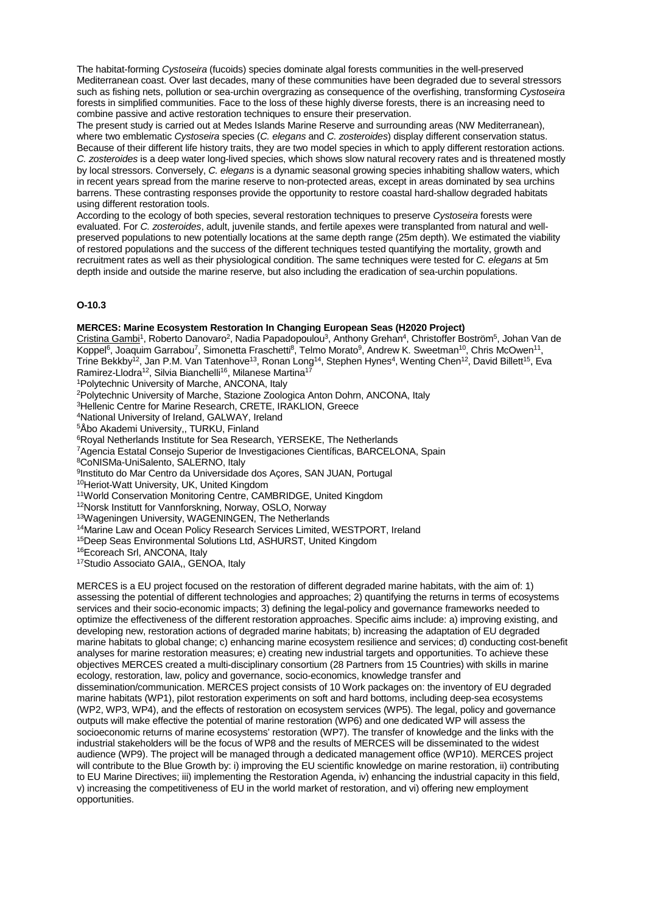The habitat-forming *Cystoseira* (fucoids) species dominate algal forests communities in the well-preserved Mediterranean coast. Over last decades, many of these communities have been degraded due to several stressors such as fishing nets, pollution or sea-urchin overgrazing as consequence of the overfishing, transforming *Cystoseira* forests in simplified communities. Face to the loss of these highly diverse forests, there is an increasing need to combine passive and active restoration techniques to ensure their preservation.

The present study is carried out at Medes Islands Marine Reserve and surrounding areas (NW Mediterranean), where two emblematic *Cystoseira* species (*C. elegans* and *C. zosteroides*) display different conservation status. Because of their different life history traits, they are two model species in which to apply different restoration actions. *C. zosteroides* is a deep water long-lived species, which shows slow natural recovery rates and is threatened mostly by local stressors. Conversely, *C. elegans* is a dynamic seasonal growing species inhabiting shallow waters, which in recent years spread from the marine reserve to non-protected areas, except in areas dominated by sea urchins barrens. These contrasting responses provide the opportunity to restore coastal hard-shallow degraded habitats using different restoration tools.

According to the ecology of both species, several restoration techniques to preserve *Cystoseira* forests were evaluated. For *C. zosteroides*, adult, juvenile stands, and fertile apexes were transplanted from natural and wellpreserved populations to new potentially locations at the same depth range (25m depth). We estimated the viability of restored populations and the success of the different techniques tested quantifying the mortality, growth and recruitment rates as well as their physiological condition. The same techniques were tested for *C. elegans* at 5m depth inside and outside the marine reserve, but also including the eradication of sea-urchin populations.

## **O-10.3**

### **MERCES: Marine Ecosystem Restoration In Changing European Seas (H2020 Project)**

Cristina Gambi1, Roberto Danovaro2, Nadia Papadopoulou3, Anthony Grehan4, Christoffer Boström5, Johan Van de Koppel<sup>6</sup>, Joaquim Garrabou<sup>7</sup>, Simonetta Fraschetti<sup>8</sup>, Telmo Morato<sup>9</sup>, Andrew K. Sweetman<sup>10</sup>, Chris McOwen<sup>11</sup>, Trine Bekkby<sup>12</sup>, Jan P.M. Van Tatenhove<sup>13</sup>, Ronan Long<sup>14</sup>, Stephen Hynes<sup>4</sup>, Wenting Chen<sup>12</sup>, David Billett<sup>15</sup>, Eva Ramirez-Llodra<sup>12</sup>, Silvia Bianchelli<sup>16</sup>, Milanese Martina<sup>17</sup>

1Polytechnic University of Marche, ANCONA, Italy

2Polytechnic University of Marche, Stazione Zoologica Anton Dohrn, ANCONA, Italy

3Hellenic Centre for Marine Research, CRETE, IRAKLION, Greece

4National University of Ireland, GALWAY, Ireland

5Åbo Akademi University,, TURKU, Finland

<sup>6</sup>Royal Netherlands Institute for Sea Research, YERSEKE, The Netherlands

7Agencia Estatal Consejo Superior de Investigaciones Científicas, BARCELONA, Spain

8CoNISMa-UniSalento, SALERNO, Italy

9Instituto do Mar Centro da Universidade dos Açores, SAN JUAN, Portugal

10Heriot-Watt University, UK, United Kingdom

11World Conservation Monitoring Centre, CAMBRIDGE, United Kingdom

12Norsk Institutt for Vannforskning, Norway, OSLO, Norway

13Wageningen University, WAGENINGEN, The Netherlands

<sup>14</sup>Marine Law and Ocean Policy Research Services Limited, WESTPORT, Ireland

15Deep Seas Environmental Solutions Ltd, ASHURST, United Kingdom

16Ecoreach Srl, ANCONA, Italy

17Studio Associato GAIA,, GENOA, Italy

MERCES is a EU project focused on the restoration of different degraded marine habitats, with the aim of: 1) assessing the potential of different technologies and approaches; 2) quantifying the returns in terms of ecosystems services and their socio-economic impacts; 3) defining the legal-policy and governance frameworks needed to optimize the effectiveness of the different restoration approaches. Specific aims include: a) improving existing, and developing new, restoration actions of degraded marine habitats; b) increasing the adaptation of EU degraded marine habitats to global change; c) enhancing marine ecosystem resilience and services; d) conducting cost-benefit analyses for marine restoration measures; e) creating new industrial targets and opportunities. To achieve these objectives MERCES created a multi-disciplinary consortium (28 Partners from 15 Countries) with skills in marine ecology, restoration, law, policy and governance, socio-economics, knowledge transfer and dissemination/communication. MERCES project consists of 10 Work packages on: the inventory of EU degraded marine habitats (WP1), pilot restoration experiments on soft and hard bottoms, including deep-sea ecosystems (WP2, WP3, WP4), and the effects of restoration on ecosystem services (WP5). The legal, policy and governance outputs will make effective the potential of marine restoration (WP6) and one dedicated WP will assess the socioeconomic returns of marine ecosystems' restoration (WP7). The transfer of knowledge and the links with the industrial stakeholders will be the focus of WP8 and the results of MERCES will be disseminated to the widest audience (WP9). The project will be managed through a dedicated management office (WP10). MERCES project will contribute to the Blue Growth by: i) improving the EU scientific knowledge on marine restoration, ii) contributing to EU Marine Directives; iii) implementing the Restoration Agenda, iv) enhancing the industrial capacity in this field, v) increasing the competitiveness of EU in the world market of restoration, and vi) offering new employment opportunities.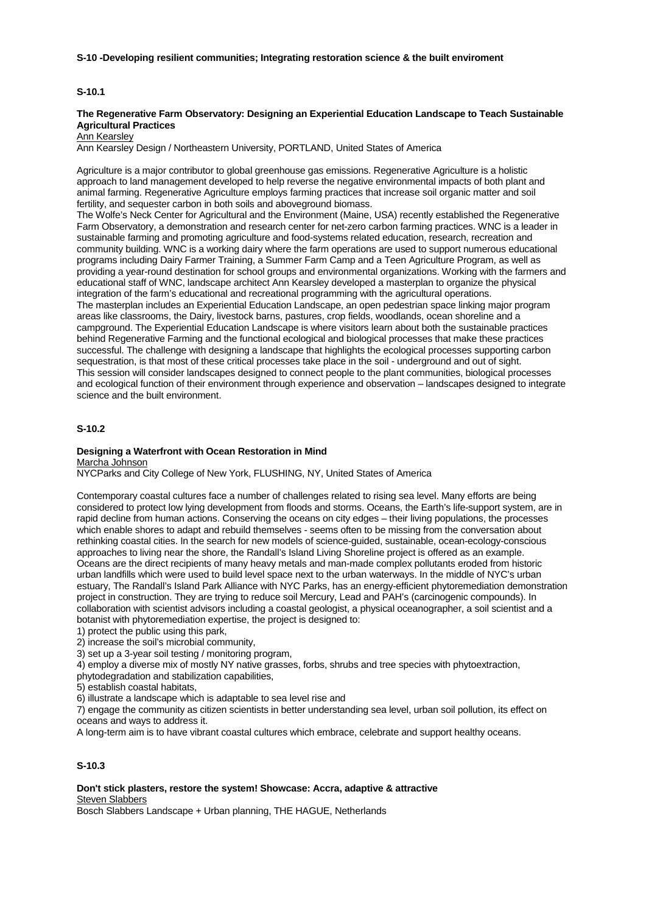### **S-10 -Developing resilient communities; Integrating restoration science & the built enviroment**

## **S-10.1**

## **The Regenerative Farm Observatory: Designing an Experiential Education Landscape to Teach Sustainable Agricultural Practices**

**Ann Kearsley** 

Ann Kearsley Design / Northeastern University, PORTLAND, United States of America

Agriculture is a major contributor to global greenhouse gas emissions. Regenerative Agriculture is a holistic approach to land management developed to help reverse the negative environmental impacts of both plant and animal farming. Regenerative Agriculture employs farming practices that increase soil organic matter and soil fertility, and sequester carbon in both soils and aboveground biomass.

The Wolfe's Neck Center for Agricultural and the Environment (Maine, USA) recently established the Regenerative Farm Observatory, a demonstration and research center for net-zero carbon farming practices. WNC is a leader in sustainable farming and promoting agriculture and food-systems related education, research, recreation and community building. WNC is a working dairy where the farm operations are used to support numerous educational programs including Dairy Farmer Training, a Summer Farm Camp and a Teen Agriculture Program, as well as providing a year-round destination for school groups and environmental organizations. Working with the farmers and educational staff of WNC, landscape architect Ann Kearsley developed a masterplan to organize the physical integration of the farm's educational and recreational programming with the agricultural operations. The masterplan includes an Experiential Education Landscape, an open pedestrian space linking major program areas like classrooms, the Dairy, livestock barns, pastures, crop fields, woodlands, ocean shoreline and a campground. The Experiential Education Landscape is where visitors learn about both the sustainable practices behind Regenerative Farming and the functional ecological and biological processes that make these practices successful. The challenge with designing a landscape that highlights the ecological processes supporting carbon sequestration, is that most of these critical processes take place in the soil - underground and out of sight. This session will consider landscapes designed to connect people to the plant communities, biological processes and ecological function of their environment through experience and observation – landscapes designed to integrate science and the built environment.

### **S-10.2**

## **Designing a Waterfront with Ocean Restoration in Mind**

Marcha Johnson

NYCParks and City College of New York, FLUSHING, NY, United States of America

Contemporary coastal cultures face a number of challenges related to rising sea level. Many efforts are being considered to protect low lying development from floods and storms. Oceans, the Earth's life-support system, are in rapid decline from human actions. Conserving the oceans on city edges – their living populations, the processes which enable shores to adapt and rebuild themselves - seems often to be missing from the conversation about rethinking coastal cities. In the search for new models of science-guided, sustainable, ocean-ecology-conscious approaches to living near the shore, the Randall's Island Living Shoreline project is offered as an example. Oceans are the direct recipients of many heavy metals and man-made complex pollutants eroded from historic urban landfills which were used to build level space next to the urban waterways. In the middle of NYC's urban estuary, The Randall's Island Park Alliance with NYC Parks, has an energy-efficient phytoremediation demonstration project in construction. They are trying to reduce soil Mercury, Lead and PAH's (carcinogenic compounds). In collaboration with scientist advisors including a coastal geologist, a physical oceanographer, a soil scientist and a botanist with phytoremediation expertise, the project is designed to:

1) protect the public using this park,

2) increase the soil's microbial community,

3) set up a 3-year soil testing / monitoring program,

4) employ a diverse mix of mostly NY native grasses, forbs, shrubs and tree species with phytoextraction,

phytodegradation and stabilization capabilities,

5) establish coastal habitats,

6) illustrate a landscape which is adaptable to sea level rise and

7) engage the community as citizen scientists in better understanding sea level, urban soil pollution, its effect on oceans and ways to address it.

A long-term aim is to have vibrant coastal cultures which embrace, celebrate and support healthy oceans.

# **S-10.3**

## **Don't stick plasters, restore the system! Showcase: Accra, adaptive & attractive** Steven Slabbers

Bosch Slabbers Landscape + Urban planning, THE HAGUE, Netherlands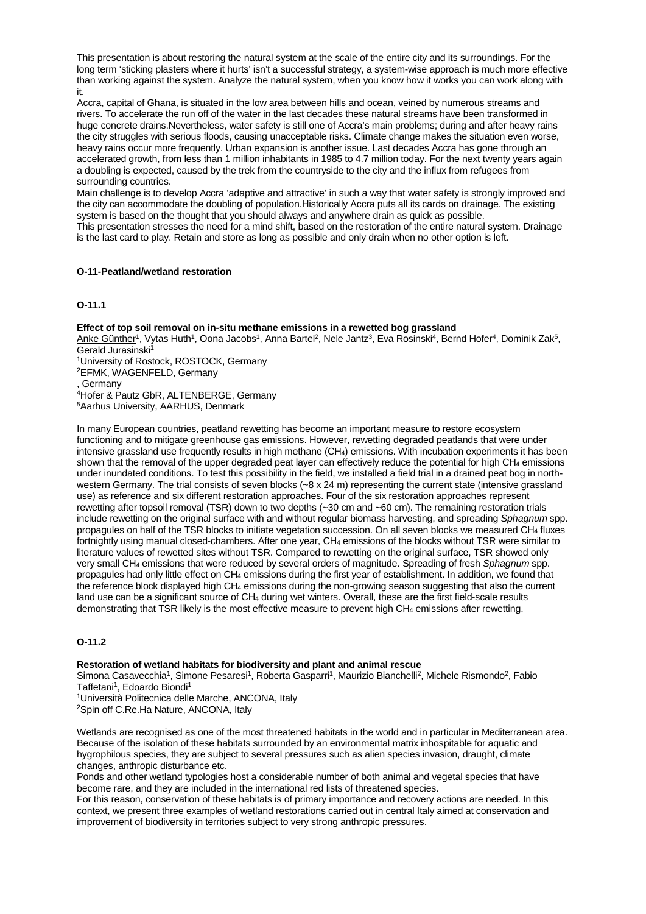This presentation is about restoring the natural system at the scale of the entire city and its surroundings. For the long term 'sticking plasters where it hurts' isn't a successful strategy, a system-wise approach is much more effective than working against the system. Analyze the natural system, when you know how it works you can work along with it.

Accra, capital of Ghana, is situated in the low area between hills and ocean, veined by numerous streams and rivers. To accelerate the run off of the water in the last decades these natural streams have been transformed in huge concrete drains.Nevertheless, water safety is still one of Accra's main problems; during and after heavy rains the city struggles with serious floods, causing unacceptable risks. Climate change makes the situation even worse, heavy rains occur more frequently. Urban expansion is another issue. Last decades Accra has gone through an accelerated growth, from less than 1 million inhabitants in 1985 to 4.7 million today. For the next twenty years again a doubling is expected, caused by the trek from the countryside to the city and the influx from refugees from surrounding countries.

Main challenge is to develop Accra 'adaptive and attractive' in such a way that water safety is strongly improved and the city can accommodate the doubling of population.Historically Accra puts all its cards on drainage. The existing system is based on the thought that you should always and anywhere drain as quick as possible. This presentation stresses the need for a mind shift, based on the restoration of the entire natural system. Drainage

is the last card to play. Retain and store as long as possible and only drain when no other option is left.

# **O-11-Peatland/wetland restoration**

## **O-11.1**

### **Effect of top soil removal on in-situ methane emissions in a rewetted bog grassland**

Anke Günther<sup>1</sup>, Vytas Huth<sup>1</sup>, Oona Jacobs<sup>1</sup>, Anna Bartel<sup>2</sup>, Nele Jantz<sup>3</sup>, Eva Rosinski<sup>4</sup>, Bernd Hofer<sup>4</sup>, Dominik Zak<sup>5</sup>, Gerald Jurasinski<sup>1</sup>

1University of Rostock, ROSTOCK, Germany

2EFMK, WAGENFELD, Germany

, Germany

4Hofer & Pautz GbR, ALTENBERGE, Germany

5Aarhus University, AARHUS, Denmark

In many European countries, peatland rewetting has become an important measure to restore ecosystem functioning and to mitigate greenhouse gas emissions. However, rewetting degraded peatlands that were under intensive grassland use frequently results in high methane (CH4) emissions. With incubation experiments it has been shown that the removal of the upper degraded peat layer can effectively reduce the potential for high CH4 emissions under inundated conditions. To test this possibility in the field, we installed a field trial in a drained peat bog in northwestern Germany. The trial consists of seven blocks (~8 x 24 m) representing the current state (intensive grassland use) as reference and six different restoration approaches. Four of the six restoration approaches represent rewetting after topsoil removal (TSR) down to two depths (~30 cm and ~60 cm). The remaining restoration trials include rewetting on the original surface with and without regular biomass harvesting, and spreading *Sphagnum* spp. propagules on half of the TSR blocks to initiate vegetation succession. On all seven blocks we measured CH4 fluxes fortnightly using manual closed-chambers. After one year, CH4 emissions of the blocks without TSR were similar to literature values of rewetted sites without TSR. Compared to rewetting on the original surface, TSR showed only very small CH4 emissions that were reduced by several orders of magnitude. Spreading of fresh *Sphagnum* spp. propagules had only little effect on CH4 emissions during the first year of establishment. In addition, we found that the reference block displayed high CH4 emissions during the non-growing season suggesting that also the current land use can be a significant source of CH4 during wet winters. Overall, these are the first field-scale results demonstrating that TSR likely is the most effective measure to prevent high CH4 emissions after rewetting.

### **O-11.2**

#### **Restoration of wetland habitats for biodiversity and plant and animal rescue**

Simona Casavecchia<sup>1</sup>, Simone Pesaresi<sup>1</sup>, Roberta Gasparri<sup>1</sup>, Maurizio Bianchelli<sup>2</sup>, Michele Rismondo<sup>2</sup>, Fabio Taffetani<sup>1</sup>, Edoardo Biondi<sup>1</sup>

1Università Politecnica delle Marche, ANCONA, Italy

2Spin off C.Re.Ha Nature, ANCONA, Italy

Wetlands are recognised as one of the most threatened habitats in the world and in particular in Mediterranean area. Because of the isolation of these habitats surrounded by an environmental matrix inhospitable for aquatic and hygrophilous species, they are subject to several pressures such as alien species invasion, draught, climate changes, anthropic disturbance etc.

Ponds and other wetland typologies host a considerable number of both animal and vegetal species that have become rare, and they are included in the international red lists of threatened species.

For this reason, conservation of these habitats is of primary importance and recovery actions are needed. In this context, we present three examples of wetland restorations carried out in central Italy aimed at conservation and improvement of biodiversity in territories subject to very strong anthropic pressures.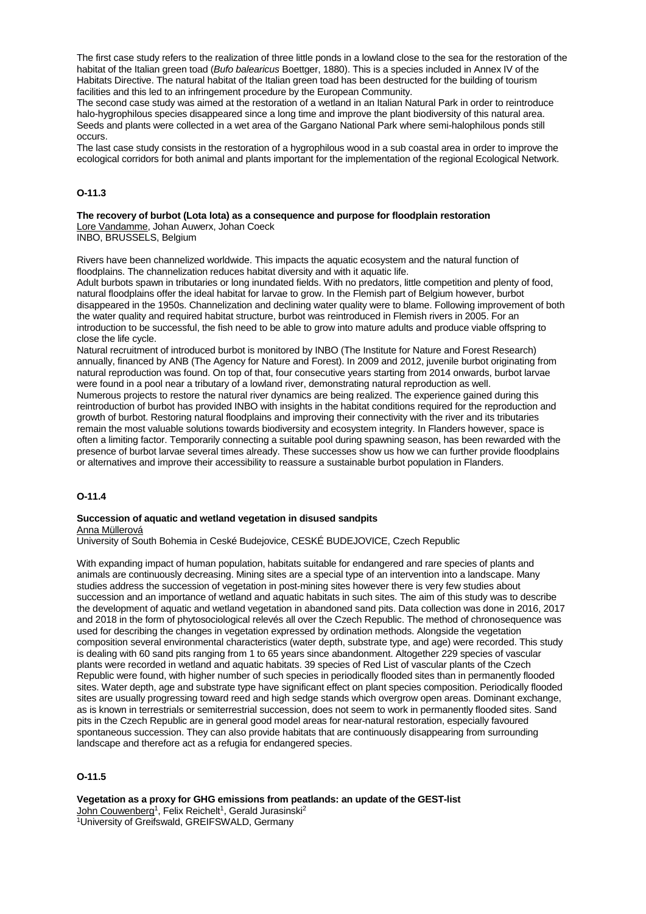The first case study refers to the realization of three little ponds in a lowland close to the sea for the restoration of the habitat of the Italian green toad (*Bufo balearicus* Boettger, 1880). This is a species included in Annex IV of the Habitats Directive. The natural habitat of the Italian green toad has been destructed for the building of tourism facilities and this led to an infringement procedure by the European Community.

The second case study was aimed at the restoration of a wetland in an Italian Natural Park in order to reintroduce halo-hygrophilous species disappeared since a long time and improve the plant biodiversity of this natural area. Seeds and plants were collected in a wet area of the Gargano National Park where semi-halophilous ponds still occurs.

The last case study consists in the restoration of a hygrophilous wood in a sub coastal area in order to improve the ecological corridors for both animal and plants important for the implementation of the regional Ecological Network.

# **O-11.3**

**The recovery of burbot (Lota lota) as a consequence and purpose for floodplain restoration** Lore Vandamme, Johan Auwerx, Johan Coeck

INBO, BRUSSELS, Belgium

Rivers have been channelized worldwide. This impacts the aquatic ecosystem and the natural function of floodplains. The channelization reduces habitat diversity and with it aquatic life.

Adult burbots spawn in tributaries or long inundated fields. With no predators, little competition and plenty of food, natural floodplains offer the ideal habitat for larvae to grow. In the Flemish part of Belgium however, burbot disappeared in the 1950s. Channelization and declining water quality were to blame. Following improvement of both the water quality and required habitat structure, burbot was reintroduced in Flemish rivers in 2005. For an introduction to be successful, the fish need to be able to grow into mature adults and produce viable offspring to close the life cycle.

Natural recruitment of introduced burbot is monitored by INBO (The Institute for Nature and Forest Research) annually, financed by ANB (The Agency for Nature and Forest). In 2009 and 2012, juvenile burbot originating from natural reproduction was found. On top of that, four consecutive years starting from 2014 onwards, burbot larvae were found in a pool near a tributary of a lowland river, demonstrating natural reproduction as well. Numerous projects to restore the natural river dynamics are being realized. The experience gained during this reintroduction of burbot has provided INBO with insights in the habitat conditions required for the reproduction and growth of burbot. Restoring natural floodplains and improving their connectivity with the river and its tributaries remain the most valuable solutions towards biodiversity and ecosystem integrity. In Flanders however, space is often a limiting factor. Temporarily connecting a suitable pool during spawning season, has been rewarded with the presence of burbot larvae several times already. These successes show us how we can further provide floodplains or alternatives and improve their accessibility to reassure a sustainable burbot population in Flanders.

# **O-11.4**

### **Succession of aquatic and wetland vegetation in disused sandpits** Anna Müllerová

University of South Bohemia in Ceské Budejovice, CESKÉ BUDEJOVICE, Czech Republic

With expanding impact of human population, habitats suitable for endangered and rare species of plants and animals are continuously decreasing. Mining sites are a special type of an intervention into a landscape. Many studies address the succession of vegetation in post-mining sites however there is very few studies about succession and an importance of wetland and aquatic habitats in such sites. The aim of this study was to describe the development of aquatic and wetland vegetation in abandoned sand pits. Data collection was done in 2016, 2017 and 2018 in the form of phytosociological relevés all over the Czech Republic. The method of chronosequence was used for describing the changes in vegetation expressed by ordination methods. Alongside the vegetation composition several environmental characteristics (water depth, substrate type, and age) were recorded. This study is dealing with 60 sand pits ranging from 1 to 65 years since abandonment. Altogether 229 species of vascular plants were recorded in wetland and aquatic habitats. 39 species of Red List of vascular plants of the Czech Republic were found, with higher number of such species in periodically flooded sites than in permanently flooded sites. Water depth, age and substrate type have significant effect on plant species composition. Periodically flooded sites are usually progressing toward reed and high sedge stands which overgrow open areas. Dominant exchange, as is known in terrestrials or semiterrestrial succession, does not seem to work in permanently flooded sites. Sand pits in the Czech Republic are in general good model areas for near-natural restoration, especially favoured spontaneous succession. They can also provide habitats that are continuously disappearing from surrounding landscape and therefore act as a refugia for endangered species.

## **O-11.5**

**Vegetation as a proxy for GHG emissions from peatlands: an update of the GEST-list** John Couwenberg<sup>1</sup>, Felix Reichelt<sup>1</sup>, Gerald Jurasinski<sup>2</sup> 1University of Greifswald, GREIFSWALD, Germany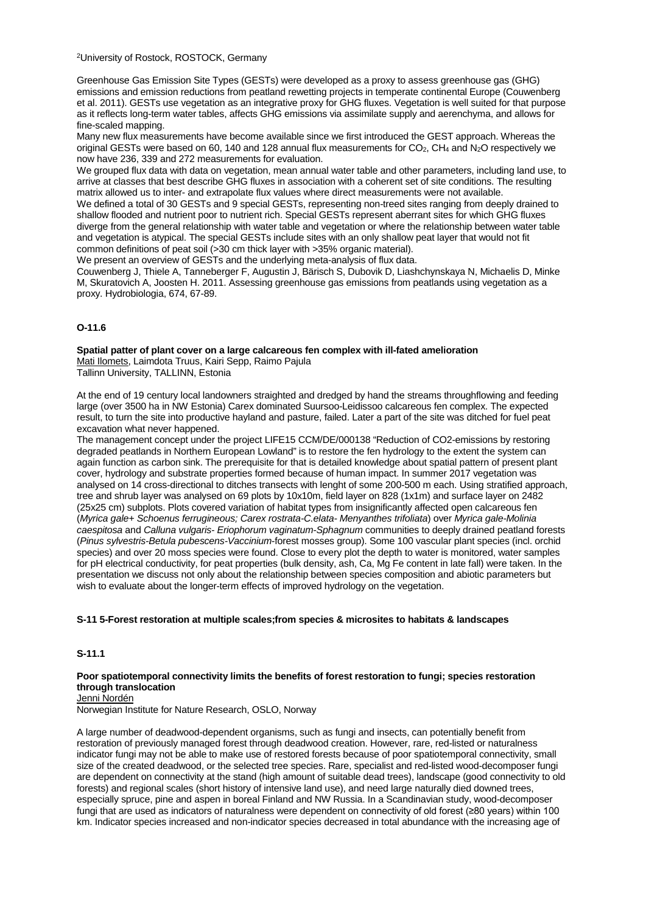2University of Rostock, ROSTOCK, Germany

Greenhouse Gas Emission Site Types (GESTs) were developed as a proxy to assess greenhouse gas (GHG) emissions and emission reductions from peatland rewetting projects in temperate continental Europe (Couwenberg et al. 2011). GESTs use vegetation as an integrative proxy for GHG fluxes. Vegetation is well suited for that purpose as it reflects long-term water tables, affects GHG emissions via assimilate supply and aerenchyma, and allows for fine-scaled mapping.

Many new flux measurements have become available since we first introduced the GEST approach. Whereas the original GESTs were based on 60, 140 and 128 annual flux measurements for CO<sub>2</sub>, CH<sub>4</sub> and N<sub>2</sub>O respectively we now have 236, 339 and 272 measurements for evaluation.

We grouped flux data with data on vegetation, mean annual water table and other parameters, including land use, to arrive at classes that best describe GHG fluxes in association with a coherent set of site conditions. The resulting matrix allowed us to inter- and extrapolate flux values where direct measurements were not available.

We defined a total of 30 GESTs and 9 special GESTs, representing non-treed sites ranging from deeply drained to shallow flooded and nutrient poor to nutrient rich. Special GESTs represent aberrant sites for which GHG fluxes diverge from the general relationship with water table and vegetation or where the relationship between water table and vegetation is atypical. The special GESTs include sites with an only shallow peat layer that would not fit common definitions of peat soil (>30 cm thick layer with >35% organic material).

We present an overview of GESTs and the underlying meta-analysis of flux data.

Couwenberg J, Thiele A, Tanneberger F, Augustin J, Bärisch S, Dubovik D, Liashchynskaya N, Michaelis D, Minke M, Skuratovich A, Joosten H. 2011. Assessing greenhouse gas emissions from peatlands using vegetation as a proxy. Hydrobiologia, 674, 67-89.

## **O-11.6**

**Spatial patter of plant cover on a large calcareous fen complex with ill-fated amelioration** Mati Ilomets, Laimdota Truus, Kairi Sepp, Raimo Pajula Tallinn University, TALLINN, Estonia

At the end of 19 century local landowners straighted and dredged by hand the streams throughflowing and feeding large (over 3500 ha in NW Estonia) Carex dominated Suursoo-Leidissoo calcareous fen complex. The expected result, to turn the site into productive hayland and pasture, failed. Later a part of the site was ditched for fuel peat excavation what never happened.

The management concept under the project LIFE15 CCM/DE/000138 "Reduction of CO2-emissions by restoring degraded peatlands in Northern European Lowland" is to restore the fen hydrology to the extent the system can again function as carbon sink. The prerequisite for that is detailed knowledge about spatial pattern of present plant cover, hydrology and substrate properties formed because of human impact. In summer 2017 vegetation was analysed on 14 cross-directional to ditches transects with lenght of some 200-500 m each. Using stratified approach, tree and shrub layer was analysed on 69 plots by 10x10m, field layer on 828 (1x1m) and surface layer on 2482 (25x25 cm) subplots. Plots covered variation of habitat types from insignificantly affected open calcareous fen (*Myrica gale+ Schoenus ferrugineous; Carex rostrata-C.elata- Menyanthes trifoliata*) over *Myrica gale-Molinia caespitosa* and *Calluna vulgaris- Eriophorum vaginatum-Sphagnum* communities to deeply drained peatland forests (*Pinus sylvestris-Betula pubescens-Vaccinium*-forest mosses group). Some 100 vascular plant species (incl. orchid species) and over 20 moss species were found. Close to every plot the depth to water is monitored, water samples for pH electrical conductivity, for peat properties (bulk density, ash, Ca, Mg Fe content in late fall) were taken. In the presentation we discuss not only about the relationship between species composition and abiotic parameters but wish to evaluate about the longer-term effects of improved hydrology on the vegetation.

## **S-11 5-Forest restoration at multiple scales;from species & microsites to habitats & landscapes**

# **S-11.1**

#### **Poor spatiotemporal connectivity limits the benefits of forest restoration to fungi; species restoration through translocation** Jenni Nordén

Norwegian Institute for Nature Research, OSLO, Norway

A large number of deadwood-dependent organisms, such as fungi and insects, can potentially benefit from restoration of previously managed forest through deadwood creation. However, rare, red-listed or naturalness indicator fungi may not be able to make use of restored forests because of poor spatiotemporal connectivity, small size of the created deadwood, or the selected tree species. Rare, specialist and red-listed wood-decomposer fungi are dependent on connectivity at the stand (high amount of suitable dead trees), landscape (good connectivity to old forests) and regional scales (short history of intensive land use), and need large naturally died downed trees, especially spruce, pine and aspen in boreal Finland and NW Russia. In a Scandinavian study, wood-decomposer fungi that are used as indicators of naturalness were dependent on connectivity of old forest (≥80 years) within 100 km. Indicator species increased and non-indicator species decreased in total abundance with the increasing age of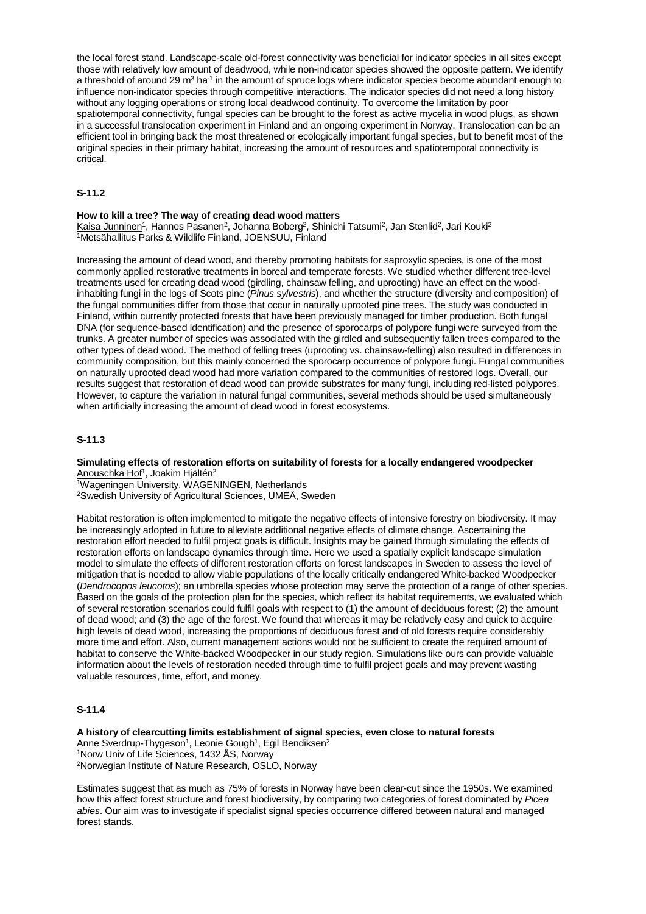the local forest stand. Landscape-scale old-forest connectivity was beneficial for indicator species in all sites except those with relatively low amount of deadwood, while non-indicator species showed the opposite pattern. We identify a threshold of around 29 m<sup>3</sup> ha<sup>-1</sup> in the amount of spruce logs where indicator species become abundant enough to influence non-indicator species through competitive interactions. The indicator species did not need a long history without any logging operations or strong local deadwood continuity. To overcome the limitation by poor spatiotemporal connectivity, fungal species can be brought to the forest as active mycelia in wood plugs, as shown in a successful translocation experiment in Finland and an ongoing experiment in Norway. Translocation can be an efficient tool in bringing back the most threatened or ecologically important fungal species, but to benefit most of the original species in their primary habitat, increasing the amount of resources and spatiotemporal connectivity is critical.

## **S-11.2**

#### **How to kill a tree? The way of creating dead wood matters**

Kaisa Junninen<sup>1</sup>, Hannes Pasanen<sup>2</sup>, Johanna Boberg<sup>2</sup>, Shinichi Tatsumi<sup>2</sup>, Jan Stenlid<sup>2</sup>, Jari Kouki<sup>2</sup> 1Metsähallitus Parks & Wildlife Finland, JOENSUU, Finland

Increasing the amount of dead wood, and thereby promoting habitats for saproxylic species, is one of the most commonly applied restorative treatments in boreal and temperate forests. We studied whether different tree-level treatments used for creating dead wood (girdling, chainsaw felling, and uprooting) have an effect on the woodinhabiting fungi in the logs of Scots pine (*Pinus sylvestris*), and whether the structure (diversity and composition) of the fungal communities differ from those that occur in naturally uprooted pine trees. The study was conducted in Finland, within currently protected forests that have been previously managed for timber production. Both fungal DNA (for sequence-based identification) and the presence of sporocarps of polypore fungi were surveyed from the trunks. A greater number of species was associated with the girdled and subsequently fallen trees compared to the other types of dead wood. The method of felling trees (uprooting vs. chainsaw-felling) also resulted in differences in community composition, but this mainly concerned the sporocarp occurrence of polypore fungi. Fungal communities on naturally uprooted dead wood had more variation compared to the communities of restored logs. Overall, our results suggest that restoration of dead wood can provide substrates for many fungi, including red-listed polypores. However, to capture the variation in natural fungal communities, several methods should be used simultaneously when artificially increasing the amount of dead wood in forest ecosystems.

## **S-11.3**

**Simulating effects of restoration efforts on suitability of forests for a locally endangered woodpecker** Anouschka Hof<sup>1</sup>, Joakim Hjältén<sup>2</sup>

1Wageningen University, WAGENINGEN, Netherlands

2Swedish University of Agricultural Sciences, UMEÅ, Sweden

Habitat restoration is often implemented to mitigate the negative effects of intensive forestry on biodiversity. It may be increasingly adopted in future to alleviate additional negative effects of climate change. Ascertaining the restoration effort needed to fulfil project goals is difficult. Insights may be gained through simulating the effects of restoration efforts on landscape dynamics through time. Here we used a spatially explicit landscape simulation model to simulate the effects of different restoration efforts on forest landscapes in Sweden to assess the level of mitigation that is needed to allow viable populations of the locally critically endangered White-backed Woodpecker (*Dendrocopos leucotos*); an umbrella species whose protection may serve the protection of a range of other species. Based on the goals of the protection plan for the species, which reflect its habitat requirements, we evaluated which of several restoration scenarios could fulfil goals with respect to (1) the amount of deciduous forest; (2) the amount of dead wood; and (3) the age of the forest. We found that whereas it may be relatively easy and quick to acquire high levels of dead wood, increasing the proportions of deciduous forest and of old forests require considerably more time and effort. Also, current management actions would not be sufficient to create the required amount of habitat to conserve the White-backed Woodpecker in our study region. Simulations like ours can provide valuable information about the levels of restoration needed through time to fulfil project goals and may prevent wasting valuable resources, time, effort, and money.

# **S-11.4**

**A history of clearcutting limits establishment of signal species, even close to natural forests** Anne Sverdrup-Thygeson<sup>1</sup>, Leonie Gough<sup>1</sup>, Egil Bendiksen<sup>2</sup> 1Norw Univ of Life Sciences, 1432 ÅS, Norway 2Norwegian Institute of Nature Research, OSLO, Norway

Estimates suggest that as much as 75% of forests in Norway have been clear-cut since the 1950s. We examined how this affect forest structure and forest biodiversity, by comparing two categories of forest dominated by *Picea abies*. Our aim was to investigate if specialist signal species occurrence differed between natural and managed forest stands.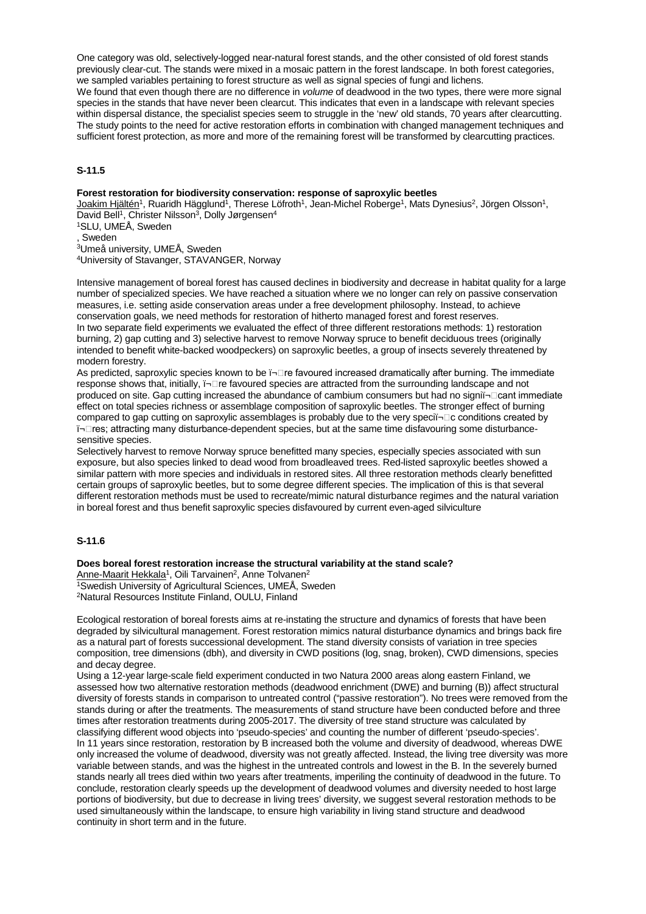One category was old, selectively-logged near-natural forest stands, and the other consisted of old forest stands previously clear-cut. The stands were mixed in a mosaic pattern in the forest landscape. In both forest categories, we sampled variables pertaining to forest structure as well as signal species of fungi and lichens. We found that even though there are no difference in *volume* of deadwood in the two types, there were more signal species in the stands that have never been clearcut. This indicates that even in a landscape with relevant species within dispersal distance, the specialist species seem to struggle in the 'new' old stands, 70 years after clearcutting. The study points to the need for active restoration efforts in combination with changed management techniques and sufficient forest protection, as more and more of the remaining forest will be transformed by clearcutting practices.

# **S-11.5**

### **Forest restoration for biodiversity conservation: response of saproxylic beetles**

Joakim Hjältén<sup>1</sup>, Ruaridh Hägglund<sup>1</sup>, Therese Löfroth<sup>1</sup>, Jean-Michel Roberge<sup>1</sup>, Mats Dynesius<sup>2</sup>, Jörgen Olsson<sup>1</sup>, David Bell<sup>1</sup>, Christer Nilsson<sup>3</sup>, Dolly Jørgensen<sup>4</sup>

1SLU, UMEÅ, Sweden

, Sweden

3Umeå university, UMEÅ, Sweden

4University of Stavanger, STAVANGER, Norway

Intensive management of boreal forest has caused declines in biodiversity and decrease in habitat quality for a large number of specialized species. We have reached a situation where we no longer can rely on passive conservation measures, i.e. setting aside conservation areas under a free development philosophy. Instead, to achieve conservation goals, we need methods for restoration of hitherto managed forest and forest reserves. In two separate field experiments we evaluated the effect of three different restorations methods: 1) restoration burning, 2) gap cutting and 3) selective harvest to remove Norway spruce to benefit deciduous trees (originally intended to benefit white-backed woodpeckers) on saproxylic beetles, a group of insects severely threatened by modern forestry.

As predicted, saproxylic species known to be i- $\Box$ re favoured increased dramatically after burning. The immediate response shows that, initially,  $\overline{\mathsf{I}}$ - $\Box$  re favoured species are attracted from the surrounding landscape and not produced on site. Gap cutting increased the abundance of cambium consumers but had no signiï¬□cant immediate effect on total species richness or assemblage composition of saproxylic beetles. The stronger effect of burning compared to gap cutting on saproxylic assemblages is probably due to the very speciï¬□c conditions created by ï¬res; attracting many disturbance-dependent species, but at the same time disfavouring some disturbancesensitive species.

Selectively harvest to remove Norway spruce benefitted many species, especially species associated with sun exposure, but also species linked to dead wood from broadleaved trees. Red-listed saproxylic beetles showed a similar pattern with more species and individuals in restored sites. All three restoration methods clearly benefitted certain groups of saproxylic beetles, but to some degree different species. The implication of this is that several different restoration methods must be used to recreate/mimic natural disturbance regimes and the natural variation in boreal forest and thus benefit saproxylic species disfavoured by current even-aged silviculture

# **S-11.6**

### **Does boreal forest restoration increase the structural variability at the stand scale?**

Anne-Maarit Hekkala<sup>1</sup>, Oili Tarvainen<sup>2</sup>, Anne Tolvanen<sup>2</sup> 1Swedish University of Agricultural Sciences, UMEÅ, Sweden 2Natural Resources Institute Finland, OULU, Finland

Ecological restoration of boreal forests aims at re-instating the structure and dynamics of forests that have been degraded by silvicultural management. Forest restoration mimics natural disturbance dynamics and brings back fire as a natural part of forests successional development. The stand diversity consists of variation in tree species composition, tree dimensions (dbh), and diversity in CWD positions (log, snag, broken), CWD dimensions, species and decay degree.

Using a 12-year large-scale field experiment conducted in two Natura 2000 areas along eastern Finland, we assessed how two alternative restoration methods (deadwood enrichment (DWE) and burning (B)) affect structural diversity of forests stands in comparison to untreated control ("passive restoration"). No trees were removed from the stands during or after the treatments. The measurements of stand structure have been conducted before and three times after restoration treatments during 2005-2017. The diversity of tree stand structure was calculated by classifying different wood objects into 'pseudo-species' and counting the number of different 'pseudo-species'. In 11 years since restoration, restoration by B increased both the volume and diversity of deadwood, whereas DWE only increased the volume of deadwood, diversity was not greatly affected. Instead, the living tree diversity was more variable between stands, and was the highest in the untreated controls and lowest in the B. In the severely burned stands nearly all trees died within two years after treatments, imperiling the continuity of deadwood in the future. To conclude, restoration clearly speeds up the development of deadwood volumes and diversity needed to host large portions of biodiversity, but due to decrease in living trees' diversity, we suggest several restoration methods to be used simultaneously within the landscape, to ensure high variability in living stand structure and deadwood continuity in short term and in the future.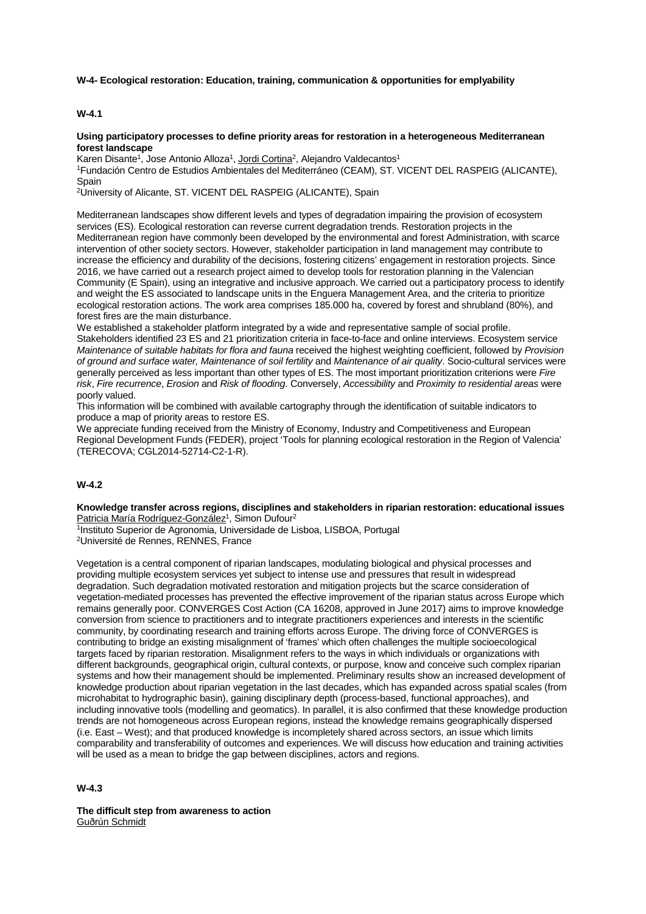**W-4- Ecological restoration: Education, training, communication & opportunities for emplyability**

## **W-4.1**

#### **Using participatory processes to define priority areas for restoration in a heterogeneous Mediterranean forest landscape**

Karen Disante<sup>1</sup>, Jose Antonio Alloza<sup>1</sup>, Jordi Cortina<sup>2</sup>, Alejandro Valdecantos<sup>1</sup>

1Fundación Centro de Estudios Ambientales del Mediterráneo (CEAM), ST. VICENT DEL RASPEIG (ALICANTE), **Spain** 

2University of Alicante, ST. VICENT DEL RASPEIG (ALICANTE), Spain

Mediterranean landscapes show different levels and types of degradation impairing the provision of ecosystem services (ES). Ecological restoration can reverse current degradation trends. Restoration projects in the Mediterranean region have commonly been developed by the environmental and forest Administration, with scarce intervention of other society sectors. However, stakeholder participation in land management may contribute to increase the efficiency and durability of the decisions, fostering citizens' engagement in restoration projects. Since 2016, we have carried out a research project aimed to develop tools for restoration planning in the Valencian Community (E Spain), using an integrative and inclusive approach. We carried out a participatory process to identify and weight the ES associated to landscape units in the Enguera Management Area, and the criteria to prioritize ecological restoration actions. The work area comprises 185.000 ha, covered by forest and shrubland (80%), and forest fires are the main disturbance.

We established a stakeholder platform integrated by a wide and representative sample of social profile. Stakeholders identified 23 ES and 21 prioritization criteria in face-to-face and online interviews. Ecosystem service *Maintenance of suitable habitats for flora and fauna* received the highest weighting coefficient, followed by *Provision of ground and surface water, Maintenance of soil fertility* and *Maintenance of air quality*. Socio-cultural services were generally perceived as less important than other types of ES. The most important prioritization criterions were *Fire risk*, *Fire recurrence*, *Erosion* and *Risk of flooding*. Conversely, *Accessibility* and *Proximity to residential areas* were poorly valued.

This information will be combined with available cartography through the identification of suitable indicators to produce a map of priority areas to restore ES.

We appreciate funding received from the Ministry of Economy, Industry and Competitiveness and European Regional Development Funds (FEDER), project 'Tools for planning ecological restoration in the Region of Valencia' (TERECOVA; CGL2014-52714-C2-1-R).

## **W-4.2**

**Knowledge transfer across regions, disciplines and stakeholders in riparian restoration: educational issues** Patricia María Rodríguez-González<sup>1</sup>, Simon Dufour<sup>2</sup>

1Instituto Superior de Agronomia, Universidade de Lisboa, LISBOA, Portugal 2Université de Rennes, RENNES, France

Vegetation is a central component of riparian landscapes, modulating biological and physical processes and providing multiple ecosystem services yet subject to intense use and pressures that result in widespread degradation. Such degradation motivated restoration and mitigation projects but the scarce consideration of vegetation-mediated processes has prevented the effective improvement of the riparian status across Europe which remains generally poor. CONVERGES Cost Action (CA 16208, approved in June 2017) aims to improve knowledge conversion from science to practitioners and to integrate practitioners experiences and interests in the scientific community, by coordinating research and training efforts across Europe. The driving force of CONVERGES is contributing to bridge an existing misalignment of 'frames' which often challenges the multiple socioecological targets faced by riparian restoration. Misalignment refers to the ways in which individuals or organizations with different backgrounds, geographical origin, cultural contexts, or purpose, know and conceive such complex riparian systems and how their management should be implemented. Preliminary results show an increased development of knowledge production about riparian vegetation in the last decades, which has expanded across spatial scales (from microhabitat to hydrographic basin), gaining disciplinary depth (process-based, functional approaches), and including innovative tools (modelling and geomatics). In parallel, it is also confirmed that these knowledge production trends are not homogeneous across European regions, instead the knowledge remains geographically dispersed (i.e. East – West); and that produced knowledge is incompletely shared across sectors, an issue which limits comparability and transferability of outcomes and experiences. We will discuss how education and training activities will be used as a mean to bridge the gap between disciplines, actors and regions.

**W-4.3**

**The difficult step from awareness to action** Guðrún Schmidt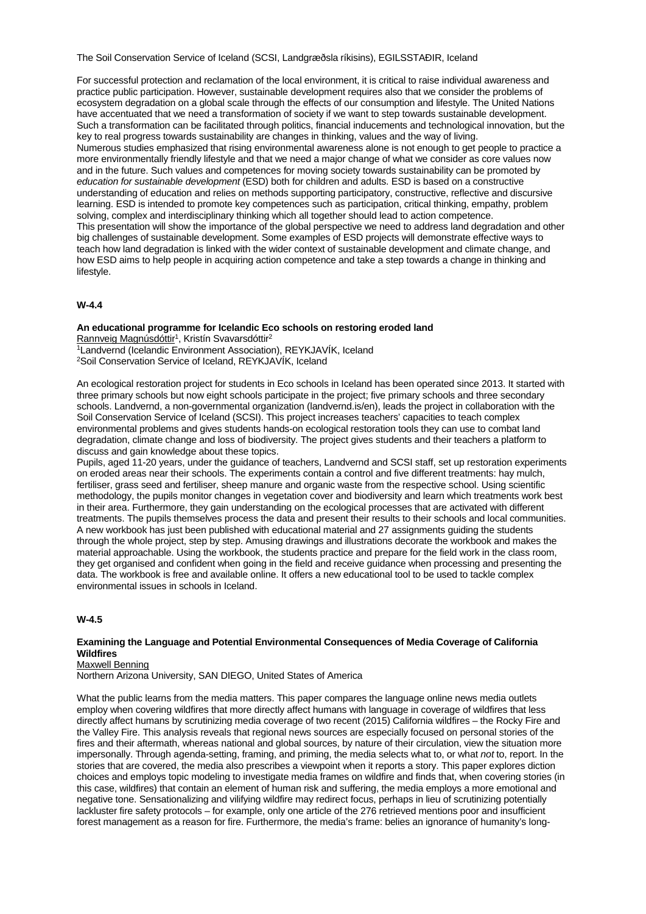The Soil Conservation Service of Iceland (SCSI, Landgræðsla ríkisins), EGILSSTAÐIR, Iceland

For successful protection and reclamation of the local environment, it is critical to raise individual awareness and practice public participation. However, sustainable development requires also that we consider the problems of ecosystem degradation on a global scale through the effects of our consumption and lifestyle. The United Nations have accentuated that we need a transformation of society if we want to step towards sustainable development. Such a transformation can be facilitated through politics, financial inducements and technological innovation, but the key to real progress towards sustainability are changes in thinking, values and the way of living. Numerous studies emphasized that rising environmental awareness alone is not enough to get people to practice a more environmentally friendly lifestyle and that we need a major change of what we consider as core values now and in the future. Such values and competences for moving society towards sustainability can be promoted by *education for sustainable development* (ESD) both for children and adults. ESD is based on a constructive understanding of education and relies on methods supporting participatory, constructive, reflective and discursive learning. ESD is intended to promote key competences such as participation, critical thinking, empathy, problem solving, complex and interdisciplinary thinking which all together should lead to action competence. This presentation will show the importance of the global perspective we need to address land degradation and other big challenges of sustainable development. Some examples of ESD projects will demonstrate effective ways to teach how land degradation is linked with the wider context of sustainable development and climate change, and how ESD aims to help people in acquiring action competence and take a step towards a change in thinking and lifestyle.

## **W-4.4**

#### **An educational programme for Icelandic Eco schools on restoring eroded land** Rannveig Magnúsdóttir<sup>1</sup>, Kristín Svavarsdóttir<sup>2</sup>

1Landvernd (Icelandic Environment Association), REYKJAVÍK, Iceland 2Soil Conservation Service of Iceland, REYKJAVÍK, Iceland

An ecological restoration project for students in Eco schools in Iceland has been operated since 2013. It started with three primary schools but now eight schools participate in the project; five primary schools and three secondary schools. Landvernd, a non-governmental organization (landvernd.is/en), leads the project in collaboration with the Soil Conservation Service of Iceland (SCSI). This project increases teachers' capacities to teach complex environmental problems and gives students hands-on ecological restoration tools they can use to combat land degradation, climate change and loss of biodiversity. The project gives students and their teachers a platform to discuss and gain knowledge about these topics.

Pupils, aged 11-20 years, under the guidance of teachers, Landvernd and SCSI staff, set up restoration experiments on eroded areas near their schools. The experiments contain a control and five different treatments: hay mulch, fertiliser, grass seed and fertiliser, sheep manure and organic waste from the respective school. Using scientific methodology, the pupils monitor changes in vegetation cover and biodiversity and learn which treatments work best in their area. Furthermore, they gain understanding on the ecological processes that are activated with different treatments. The pupils themselves process the data and present their results to their schools and local communities. A new workbook has just been published with educational material and 27 assignments guiding the students through the whole project, step by step. Amusing drawings and illustrations decorate the workbook and makes the material approachable. Using the workbook, the students practice and prepare for the field work in the class room, they get organised and confident when going in the field and receive guidance when processing and presenting the data. The workbook is free and available online. It offers a new educational tool to be used to tackle complex environmental issues in schools in Iceland.

## **W-4.5**

## **Examining the Language and Potential Environmental Consequences of Media Coverage of California Wildfires**

Maxwell Benning

Northern Arizona University, SAN DIEGO, United States of America

What the public learns from the media matters. This paper compares the language online news media outlets employ when covering wildfires that more directly affect humans with language in coverage of wildfires that less directly affect humans by scrutinizing media coverage of two recent (2015) California wildfires – the Rocky Fire and the Valley Fire. This analysis reveals that regional news sources are especially focused on personal stories of the fires and their aftermath, whereas national and global sources, by nature of their circulation, view the situation more impersonally. Through agenda-setting, framing, and priming, the media selects what to, or what *not* to, report. In the stories that are covered, the media also prescribes a viewpoint when it reports a story. This paper explores diction choices and employs topic modeling to investigate media frames on wildfire and finds that, when covering stories (in this case, wildfires) that contain an element of human risk and suffering, the media employs a more emotional and negative tone. Sensationalizing and vilifying wildfire may redirect focus, perhaps in lieu of scrutinizing potentially lackluster fire safety protocols – for example, only one article of the 276 retrieved mentions poor and insufficient forest management as a reason for fire. Furthermore, the media's frame: belies an ignorance of humanity's long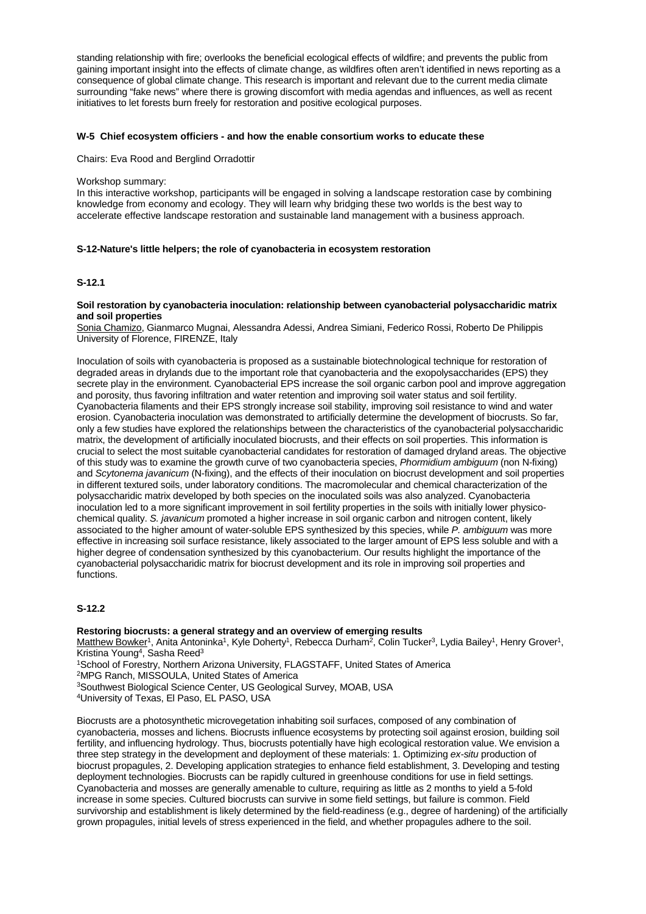standing relationship with fire; overlooks the beneficial ecological effects of wildfire; and prevents the public from gaining important insight into the effects of climate change, as wildfires often aren't identified in news reporting as a consequence of global climate change. This research is important and relevant due to the current media climate surrounding "fake news" where there is growing discomfort with media agendas and influences, as well as recent initiatives to let forests burn freely for restoration and positive ecological purposes.

## **W-5 Chief ecosystem officiers - and how the enable consortium works to educate these**

Chairs: Eva Rood and Berglind Orradottir

## Workshop summary:

In this interactive workshop, participants will be engaged in solving a landscape restoration case by combining knowledge from economy and ecology. They will learn why bridging these two worlds is the best way to accelerate effective landscape restoration and sustainable land management with a business approach.

## **S-12-Nature's little helpers; the role of cyanobacteria in ecosystem restoration**

# **S-12.1**

## **Soil restoration by cyanobacteria inoculation: relationship between cyanobacterial polysaccharidic matrix and soil properties**

Sonia Chamizo, Gianmarco Mugnai, Alessandra Adessi, Andrea Simiani, Federico Rossi, Roberto De Philippis University of Florence, FIRENZE, Italy

Inoculation of soils with cyanobacteria is proposed as a sustainable biotechnological technique for restoration of degraded areas in drylands due to the important role that cyanobacteria and the exopolysaccharides (EPS) they secrete play in the environment. Cyanobacterial EPS increase the soil organic carbon pool and improve aggregation and porosity, thus favoring infiltration and water retention and improving soil water status and soil fertility. Cyanobacteria filaments and their EPS strongly increase soil stability, improving soil resistance to wind and water erosion. Cyanobacteria inoculation was demonstrated to artificially determine the development of biocrusts. So far, only a few studies have explored the relationships between the characteristics of the cyanobacterial polysaccharidic matrix, the development of artificially inoculated biocrusts, and their effects on soil properties. This information is crucial to select the most suitable cyanobacterial candidates for restoration of damaged dryland areas. The objective of this study was to examine the growth curve of two cyanobacteria species, *Phormidium ambiguum* (non N-fixing) and *Scytonema javanicum* (N-fixing), and the effects of their inoculation on biocrust development and soil properties in different textured soils, under laboratory conditions. The macromolecular and chemical characterization of the polysaccharidic matrix developed by both species on the inoculated soils was also analyzed. Cyanobacteria inoculation led to a more significant improvement in soil fertility properties in the soils with initially lower physicochemical quality. *S. javanicum* promoted a higher increase in soil organic carbon and nitrogen content, likely associated to the higher amount of water-soluble EPS synthesized by this species, while *P. ambiguum* was more effective in increasing soil surface resistance, likely associated to the larger amount of EPS less soluble and with a higher degree of condensation synthesized by this cyanobacterium. Our results highlight the importance of the cyanobacterial polysaccharidic matrix for biocrust development and its role in improving soil properties and functions.

# **S-12.2**

## **Restoring biocrusts: a general strategy and an overview of emerging results**

Matthew Bowker<sup>1</sup>, Anita Antoninka<sup>1</sup>, Kyle Doherty<sup>1</sup>, Rebecca Durham<sup>2</sup>, Colin Tucker<sup>3</sup>, Lydia Bailey<sup>1</sup>, Henry Grover<sup>1</sup>, Kristina Young<sup>4</sup>, Sasha Reed<sup>3</sup>

1School of Forestry, Northern Arizona University, FLAGSTAFF, United States of America

2MPG Ranch, MISSOULA, United States of America

3Southwest Biological Science Center, US Geological Survey, MOAB, USA

4University of Texas, El Paso, EL PASO, USA

Biocrusts are a photosynthetic microvegetation inhabiting soil surfaces, composed of any combination of cyanobacteria, mosses and lichens. Biocrusts influence ecosystems by protecting soil against erosion, building soil fertility, and influencing hydrology. Thus, biocrusts potentially have high ecological restoration value. We envision a three step strategy in the development and deployment of these materials: 1. Optimizing *ex-situ* production of biocrust propagules, 2. Developing application strategies to enhance field establishment, 3. Developing and testing deployment technologies. Biocrusts can be rapidly cultured in greenhouse conditions for use in field settings. Cyanobacteria and mosses are generally amenable to culture, requiring as little as 2 months to yield a 5-fold increase in some species. Cultured biocrusts can survive in some field settings, but failure is common. Field survivorship and establishment is likely determined by the field-readiness (e.g., degree of hardening) of the artificially grown propagules, initial levels of stress experienced in the field, and whether propagules adhere to the soil.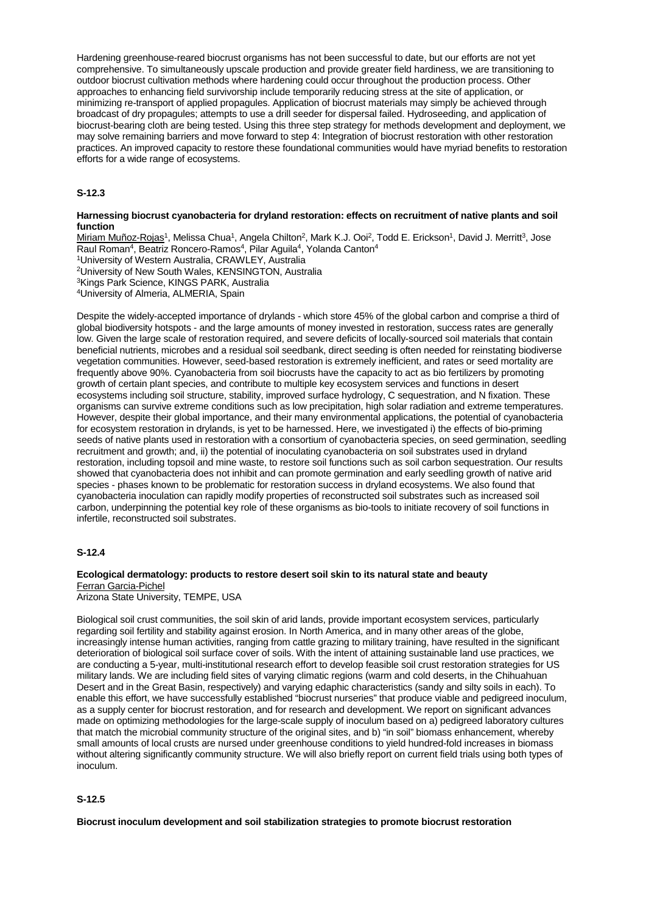Hardening greenhouse-reared biocrust organisms has not been successful to date, but our efforts are not yet comprehensive. To simultaneously upscale production and provide greater field hardiness, we are transitioning to outdoor biocrust cultivation methods where hardening could occur throughout the production process. Other approaches to enhancing field survivorship include temporarily reducing stress at the site of application, or minimizing re-transport of applied propagules. Application of biocrust materials may simply be achieved through broadcast of dry propagules; attempts to use a drill seeder for dispersal failed. Hydroseeding, and application of biocrust-bearing cloth are being tested. Using this three step strategy for methods development and deployment, we may solve remaining barriers and move forward to step 4: Integration of biocrust restoration with other restoration practices. An improved capacity to restore these foundational communities would have myriad benefits to restoration efforts for a wide range of ecosystems.

## **S-12.3**

#### **Harnessing biocrust cyanobacteria for dryland restoration: effects on recruitment of native plants and soil function**

Miriam Muñoz-Rojas<sup>1</sup>, Melissa Chua<sup>1</sup>, Angela Chilton<sup>2</sup>, Mark K.J. Ooi<sup>2</sup>, Todd E. Erickson<sup>1</sup>, David J. Merritt<sup>3</sup>, Jose Raul Roman<sup>4</sup>, Beatriz Roncero-Ramos<sup>4</sup>, Pilar Aguila<sup>4</sup>, Yolanda Canton<sup>4</sup> 1University of Western Australia, CRAWLEY, Australia 2University of New South Wales, KENSINGTON, Australia 3Kings Park Science, KINGS PARK, Australia 4University of Almeria, ALMERIA, Spain

Despite the widely-accepted importance of drylands - which store 45% of the global carbon and comprise a third of global biodiversity hotspots - and the large amounts of money invested in restoration, success rates are generally low. Given the large scale of restoration required, and severe deficits of locally-sourced soil materials that contain beneficial nutrients, microbes and a residual soil seedbank, direct seeding is often needed for reinstating biodiverse vegetation communities. However, seed-based restoration is extremely inefficient, and rates or seed mortality are frequently above 90%. Cyanobacteria from soil biocrusts have the capacity to act as bio fertilizers by promoting growth of certain plant species, and contribute to multiple key ecosystem services and functions in desert ecosystems including soil structure, stability, improved surface hydrology, C sequestration, and N fixation. These organisms can survive extreme conditions such as low precipitation, high solar radiation and extreme temperatures. However, despite their global importance, and their many environmental applications, the potential of cyanobacteria for ecosystem restoration in drylands, is yet to be harnessed. Here, we investigated i) the effects of bio-priming seeds of native plants used in restoration with a consortium of cyanobacteria species, on seed germination, seedling recruitment and growth; and, ii) the potential of inoculating cyanobacteria on soil substrates used in dryland restoration, including topsoil and mine waste, to restore soil functions such as soil carbon sequestration. Our results showed that cyanobacteria does not inhibit and can promote germination and early seedling growth of native arid species - phases known to be problematic for restoration success in dryland ecosystems. We also found that cyanobacteria inoculation can rapidly modify properties of reconstructed soil substrates such as increased soil carbon, underpinning the potential key role of these organisms as bio-tools to initiate recovery of soil functions in infertile, reconstructed soil substrates.

## **S-12.4**

## **Ecological dermatology: products to restore desert soil skin to its natural state and beauty** Ferran Garcia-Pichel

Arizona State University, TEMPE, USA

Biological soil crust communities, the soil skin of arid lands, provide important ecosystem services, particularly regarding soil fertility and stability against erosion. In North America, and in many other areas of the globe, increasingly intense human activities, ranging from cattle grazing to military training, have resulted in the significant deterioration of biological soil surface cover of soils. With the intent of attaining sustainable land use practices, we are conducting a 5-year, multi-institutional research effort to develop feasible soil crust restoration strategies for US military lands. We are including field sites of varying climatic regions (warm and cold deserts, in the Chihuahuan Desert and in the Great Basin, respectively) and varying edaphic characteristics (sandy and silty soils in each). To enable this effort, we have successfully established "biocrust nurseries" that produce viable and pedigreed inoculum, as a supply center for biocrust restoration, and for research and development. We report on significant advances made on optimizing methodologies for the large-scale supply of inoculum based on a) pedigreed laboratory cultures that match the microbial community structure of the original sites, and b) "in soil" biomass enhancement, whereby small amounts of local crusts are nursed under greenhouse conditions to yield hundred-fold increases in biomass without altering significantly community structure. We will also briefly report on current field trials using both types of inoculum.

## **S-12.5**

**Biocrust inoculum development and soil stabilization strategies to promote biocrust restoration**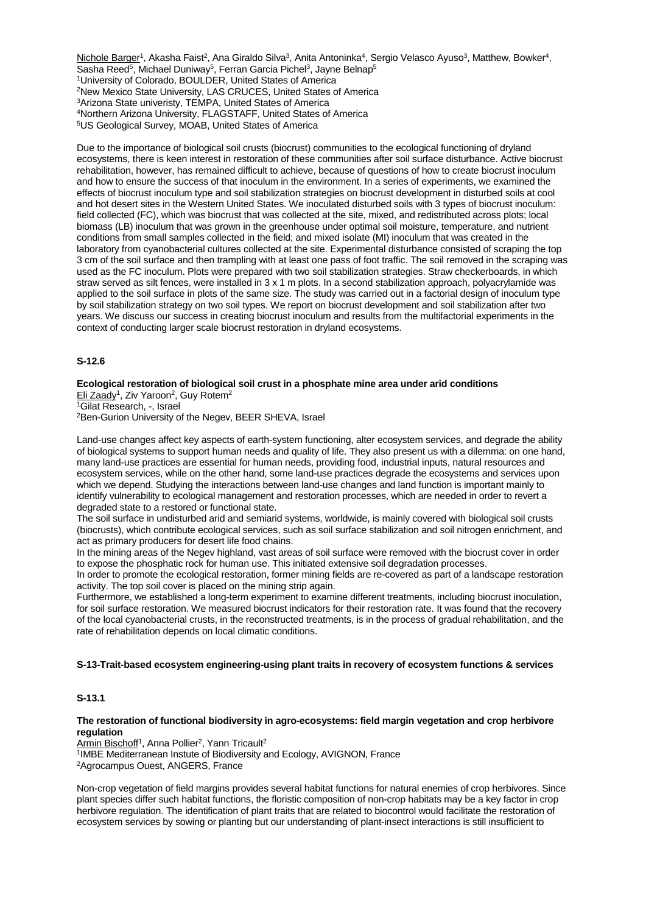Nichole Barger<sup>1</sup>, Akasha Faist<sup>2</sup>, Ana Giraldo Silva<sup>3</sup>, Anita Antoninka<sup>4</sup>, Sergio Velasco Ayuso<sup>3</sup>, Matthew, Bowker<sup>4</sup>, Sasha Reed<sup>5</sup>, Michael Duniway<sup>5</sup>, Ferran Garcia Pichel<sup>3</sup>, Jayne Belnap<sup>5</sup> 1University of Colorado, BOULDER, United States of America 2New Mexico State University, LAS CRUCES, United States of America 3Arizona State univeristy, TEMPA, United States of America 4Northern Arizona University, FLAGSTAFF, United States of America 5US Geological Survey, MOAB, United States of America

Due to the importance of biological soil crusts (biocrust) communities to the ecological functioning of dryland ecosystems, there is keen interest in restoration of these communities after soil surface disturbance. Active biocrust rehabilitation, however, has remained difficult to achieve, because of questions of how to create biocrust inoculum and how to ensure the success of that inoculum in the environment. In a series of experiments, we examined the effects of biocrust inoculum type and soil stabilization strategies on biocrust development in disturbed soils at cool and hot desert sites in the Western United States. We inoculated disturbed soils with 3 types of biocrust inoculum: field collected (FC), which was biocrust that was collected at the site, mixed, and redistributed across plots; local biomass (LB) inoculum that was grown in the greenhouse under optimal soil moisture, temperature, and nutrient conditions from small samples collected in the field; and mixed isolate (MI) inoculum that was created in the laboratory from cyanobacterial cultures collected at the site. Experimental disturbance consisted of scraping the top 3 cm of the soil surface and then trampling with at least one pass of foot traffic. The soil removed in the scraping was used as the FC inoculum. Plots were prepared with two soil stabilization strategies. Straw checkerboards, in which straw served as silt fences, were installed in 3 x 1 m plots. In a second stabilization approach, polyacrylamide was applied to the soil surface in plots of the same size. The study was carried out in a factorial design of inoculum type by soil stabilization strategy on two soil types. We report on biocrust development and soil stabilization after two years. We discuss our success in creating biocrust inoculum and results from the multifactorial experiments in the context of conducting larger scale biocrust restoration in dryland ecosystems.

## **S-12.6**

# **Ecological restoration of biological soil crust in a phosphate mine area under arid conditions**

Eli Zaady<sup>1</sup>, Ziv Yaroon<sup>2</sup>, Guy Rotem<sup>2</sup>

1Gilat Research, -, Israel

2Ben-Gurion University of the Negev, BEER SHEVA, Israel

Land-use changes affect key aspects of earth-system functioning, alter ecosystem services, and degrade the ability of biological systems to support human needs and quality of life. They also present us with a dilemma: on one hand, many land-use practices are essential for human needs, providing food, industrial inputs, natural resources and ecosystem services, while on the other hand, some land-use practices degrade the ecosystems and services upon which we depend. Studying the interactions between land-use changes and land function is important mainly to identify vulnerability to ecological management and restoration processes, which are needed in order to revert a degraded state to a restored or functional state.

The soil surface in undisturbed arid and semiarid systems, worldwide, is mainly covered with biological soil crusts (biocrusts), which contribute ecological services, such as soil surface stabilization and soil nitrogen enrichment, and act as primary producers for desert life food chains.

In the mining areas of the Negev highland, vast areas of soil surface were removed with the biocrust cover in order to expose the phosphatic rock for human use. This initiated extensive soil degradation processes.

In order to promote the ecological restoration, former mining fields are re-covered as part of a landscape restoration activity. The top soil cover is placed on the mining strip again.

Furthermore, we established a long-term experiment to examine different treatments, including biocrust inoculation, for soil surface restoration. We measured biocrust indicators for their restoration rate. It was found that the recovery of the local cyanobacterial crusts, in the reconstructed treatments, is in the process of gradual rehabilitation, and the rate of rehabilitation depends on local climatic conditions.

## **S-13-Trait-based ecosystem engineering-using plant traits in recovery of ecosystem functions & services**

## **S-13.1**

### **The restoration of functional biodiversity in agro-ecosystems: field margin vegetation and crop herbivore regulation**

Armin Bischoff<sup>1</sup>, Anna Pollier<sup>2</sup>, Yann Tricault<sup>2</sup>

1IMBE Mediterranean Instute of Biodiversity and Ecology, AVIGNON, France

2Agrocampus Ouest, ANGERS, France

Non-crop vegetation of field margins provides several habitat functions for natural enemies of crop herbivores. Since plant species differ such habitat functions, the floristic composition of non-crop habitats may be a key factor in crop herbivore regulation. The identification of plant traits that are related to biocontrol would facilitate the restoration of ecosystem services by sowing or planting but our understanding of plant-insect interactions is still insufficient to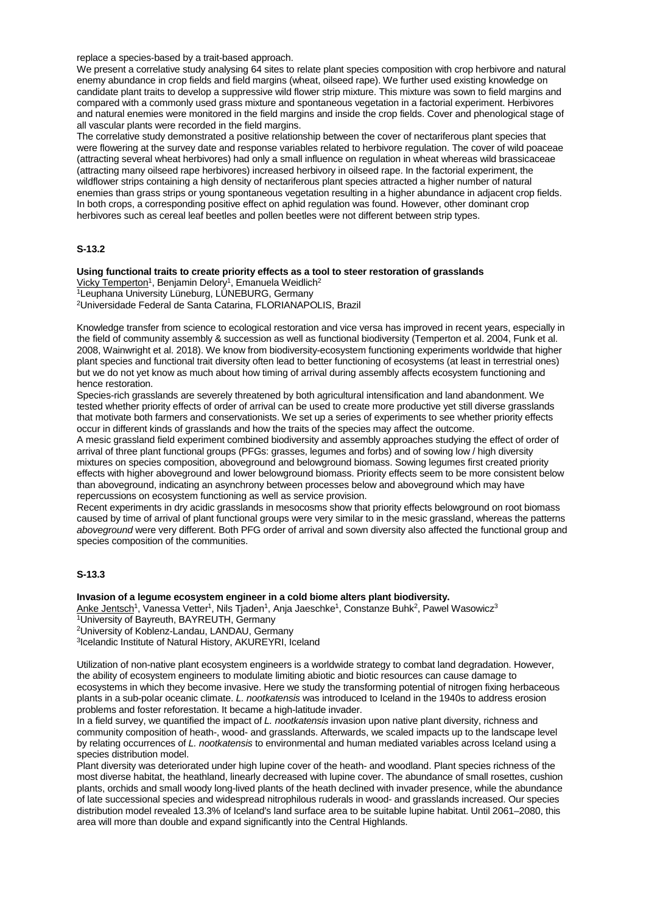replace a species-based by a trait-based approach.

We present a correlative study analysing 64 sites to relate plant species composition with crop herbivore and natural enemy abundance in crop fields and field margins (wheat, oilseed rape). We further used existing knowledge on candidate plant traits to develop a suppressive wild flower strip mixture. This mixture was sown to field margins and compared with a commonly used grass mixture and spontaneous vegetation in a factorial experiment. Herbivores and natural enemies were monitored in the field margins and inside the crop fields. Cover and phenological stage of all vascular plants were recorded in the field margins.

The correlative study demonstrated a positive relationship between the cover of nectariferous plant species that were flowering at the survey date and response variables related to herbivore regulation. The cover of wild poaceae (attracting several wheat herbivores) had only a small influence on regulation in wheat whereas wild brassicaceae (attracting many oilseed rape herbivores) increased herbivory in oilseed rape. In the factorial experiment, the wildflower strips containing a high density of nectariferous plant species attracted a higher number of natural enemies than grass strips or young spontaneous vegetation resulting in a higher abundance in adjacent crop fields. In both crops, a corresponding positive effect on aphid regulation was found. However, other dominant crop herbivores such as cereal leaf beetles and pollen beetles were not different between strip types.

## **S-13.2**

# **Using functional traits to create priority effects as a tool to steer restoration of grasslands**

Vicky Temperton<sup>1</sup>, Benjamin Delory<sup>1</sup>, Emanuela Weidlich<sup>2</sup> 1Leuphana University Lüneburg, LÜNEBURG, Germany

2Universidade Federal de Santa Catarina, FLORIANAPOLIS, Brazil

Knowledge transfer from science to ecological restoration and vice versa has improved in recent years, especially in the field of community assembly & succession as well as functional biodiversity (Temperton et al. 2004, Funk et al. 2008, Wainwright et al. 2018). We know from biodiversity-ecosystem functioning experiments worldwide that higher plant species and functional trait diversity often lead to better functioning of ecosystems (at least in terrestrial ones) but we do not yet know as much about how timing of arrival during assembly affects ecosystem functioning and hence restoration.

Species-rich grasslands are severely threatened by both agricultural intensification and land abandonment. We tested whether priority effects of order of arrival can be used to create more productive yet still diverse grasslands that motivate both farmers and conservationists. We set up a series of experiments to see whether priority effects occur in different kinds of grasslands and how the traits of the species may affect the outcome.

A mesic grassland field experiment combined biodiversity and assembly approaches studying the effect of order of arrival of three plant functional groups (PFGs: grasses, legumes and forbs) and of sowing low / high diversity mixtures on species composition, aboveground and belowground biomass. Sowing legumes first created priority effects with higher aboveground and lower belowground biomass. Priority effects seem to be more consistent below than aboveground, indicating an asynchrony between processes below and aboveground which may have repercussions on ecosystem functioning as well as service provision.

Recent experiments in dry acidic grasslands in mesocosms show that priority effects belowground on root biomass caused by time of arrival of plant functional groups were very similar to in the mesic grassland, whereas the patterns *aboveground* were very different. Both PFG order of arrival and sown diversity also affected the functional group and species composition of the communities.

# **S-13.3**

#### **Invasion of a legume ecosystem engineer in a cold biome alters plant biodiversity.**

Anke Jentsch<sup>1</sup>, Vanessa Vetter<sup>1</sup>, Nils Tjaden<sup>1</sup>, Anja Jaeschke<sup>1</sup>, Constanze Buhk<sup>2</sup>, Pawel Wasowicz<sup>3</sup>

```
1University of Bayreuth, BAYREUTH, Germany
```
2University of Koblenz-Landau, LANDAU, Germany

3Icelandic Institute of Natural History, AKUREYRI, Iceland

Utilization of non-native plant ecosystem engineers is a worldwide strategy to combat land degradation. However, the ability of ecosystem engineers to modulate limiting abiotic and biotic resources can cause damage to ecosystems in which they become invasive. Here we study the transforming potential of nitrogen fixing herbaceous plants in a sub-polar oceanic climate. *L. nootkatensis* was introduced to Iceland in the 1940s to address erosion problems and foster reforestation. It became a high-latitude invader.

In a field survey, we quantified the impact of *L. nootkatensis* invasion upon native plant diversity, richness and community composition of heath-, wood- and grasslands. Afterwards, we scaled impacts up to the landscape level by relating occurrences of *L. nootkatensis* to environmental and human mediated variables across Iceland using a species distribution model.

Plant diversity was deteriorated under high lupine cover of the heath- and woodland. Plant species richness of the most diverse habitat, the heathland, linearly decreased with lupine cover. The abundance of small rosettes, cushion plants, orchids and small woody long-lived plants of the heath declined with invader presence, while the abundance of late successional species and widespread nitrophilous ruderals in wood- and grasslands increased. Our species distribution model revealed 13.3% of Iceland's land surface area to be suitable lupine habitat. Until 2061–2080, this area will more than double and expand significantly into the Central Highlands.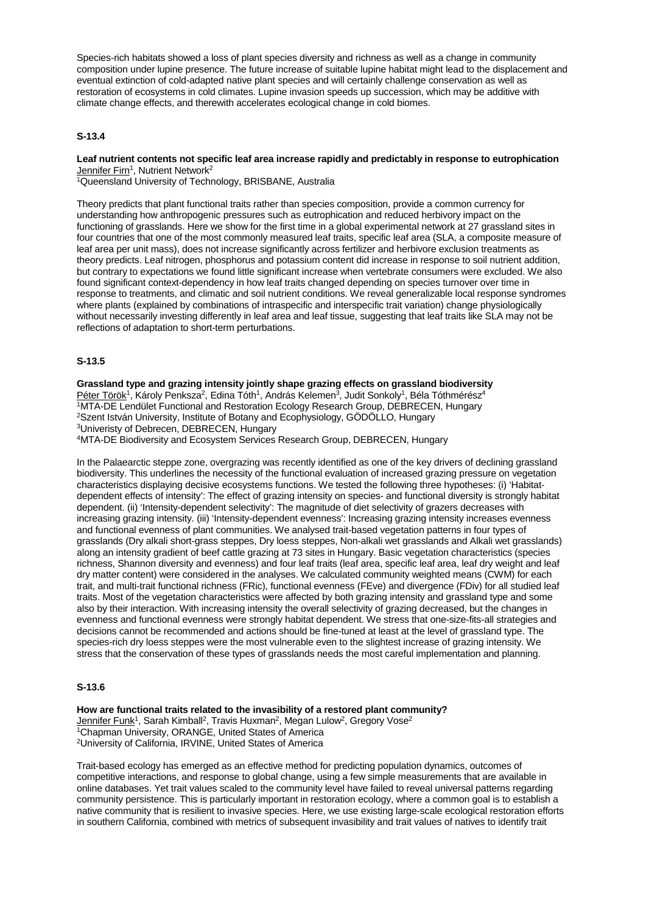Species-rich habitats showed a loss of plant species diversity and richness as well as a change in community composition under lupine presence. The future increase of suitable lupine habitat might lead to the displacement and eventual extinction of cold-adapted native plant species and will certainly challenge conservation as well as restoration of ecosystems in cold climates. Lupine invasion speeds up succession, which may be additive with climate change effects, and therewith accelerates ecological change in cold biomes.

## **S-13.4**

## **Leaf nutrient contents not specific leaf area increase rapidly and predictably in response to eutrophication** Jennifer Firn<sup>1</sup>, Nutrient Network<sup>2</sup>

1Queensland University of Technology, BRISBANE, Australia

Theory predicts that plant functional traits rather than species composition, provide a common currency for understanding how anthropogenic pressures such as eutrophication and reduced herbivory impact on the functioning of grasslands. Here we show for the first time in a global experimental network at 27 grassland sites in four countries that one of the most commonly measured leaf traits, specific leaf area (SLA, a composite measure of leaf area per unit mass), does not increase significantly across fertilizer and herbivore exclusion treatments as theory predicts. Leaf nitrogen, phosphorus and potassium content did increase in response to soil nutrient addition, but contrary to expectations we found little significant increase when vertebrate consumers were excluded. We also found significant context-dependency in how leaf traits changed depending on species turnover over time in response to treatments, and climatic and soil nutrient conditions. We reveal generalizable local response syndromes where plants (explained by combinations of intraspecific and interspecific trait variation) change physiologically without necessarily investing differently in leaf area and leaf tissue, suggesting that leaf traits like SLA may not be reflections of adaptation to short-term perturbations.

## **S-13.5**

**Grassland type and grazing intensity jointly shape grazing effects on grassland biodiversity** Péter Török<sup>1</sup>, Károly Penksza<sup>2</sup>, Edina Tóth<sup>1</sup>, András Kelemen<sup>3</sup>, Judit Sonkoly<sup>1</sup>, Béla Tóthmérész<sup>4</sup> 1MTA-DE Lendület Functional and Restoration Ecology Research Group, DEBRECEN, Hungary 2Szent István University, Institute of Botany and Ecophysiology, GÖDÖLLO, Hungary 3Univeristy of Debrecen, DEBRECEN, Hungary

4MTA-DE Biodiversity and Ecosystem Services Research Group, DEBRECEN, Hungary

In the Palaearctic steppe zone, overgrazing was recently identified as one of the key drivers of declining grassland biodiversity. This underlines the necessity of the functional evaluation of increased grazing pressure on vegetation characteristics displaying decisive ecosystems functions. We tested the following three hypotheses: (i) 'Habitatdependent effects of intensity': The effect of grazing intensity on species- and functional diversity is strongly habitat dependent. (ii) 'Intensity-dependent selectivity': The magnitude of diet selectivity of grazers decreases with increasing grazing intensity. (iii) 'Intensity-dependent evenness': Increasing grazing intensity increases evenness and functional evenness of plant communities. We analysed trait-based vegetation patterns in four types of grasslands (Dry alkali short-grass steppes, Dry loess steppes, Non-alkali wet grasslands and Alkali wet grasslands) along an intensity gradient of beef cattle grazing at 73 sites in Hungary. Basic vegetation characteristics (species richness, Shannon diversity and evenness) and four leaf traits (leaf area, specific leaf area, leaf dry weight and leaf dry matter content) were considered in the analyses. We calculated community weighted means (CWM) for each trait, and multi-trait functional richness (FRic), functional evenness (FEve) and divergence (FDiv) for all studied leaf traits. Most of the vegetation characteristics were affected by both grazing intensity and grassland type and some also by their interaction. With increasing intensity the overall selectivity of grazing decreased, but the changes in evenness and functional evenness were strongly habitat dependent. We stress that one-size-fits-all strategies and decisions cannot be recommended and actions should be fine-tuned at least at the level of grassland type. The species-rich dry loess steppes were the most vulnerable even to the slightest increase of grazing intensity. We stress that the conservation of these types of grasslands needs the most careful implementation and planning.

## **S-13.6**

**How are functional traits related to the invasibility of a restored plant community?** Jennifer Funk<sup>1</sup>, Sarah Kimball<sup>2</sup>, Travis Huxman<sup>2</sup>, Megan Lulow<sup>2</sup>, Gregory Vose<sup>2</sup> <sup>1</sup>Chapman University, ORANGE, United States of America 2University of California, IRVINE, United States of America

Trait-based ecology has emerged as an effective method for predicting population dynamics, outcomes of competitive interactions, and response to global change, using a few simple measurements that are available in online databases. Yet trait values scaled to the community level have failed to reveal universal patterns regarding community persistence. This is particularly important in restoration ecology, where a common goal is to establish a native community that is resilient to invasive species. Here, we use existing large-scale ecological restoration efforts in southern California, combined with metrics of subsequent invasibility and trait values of natives to identify trait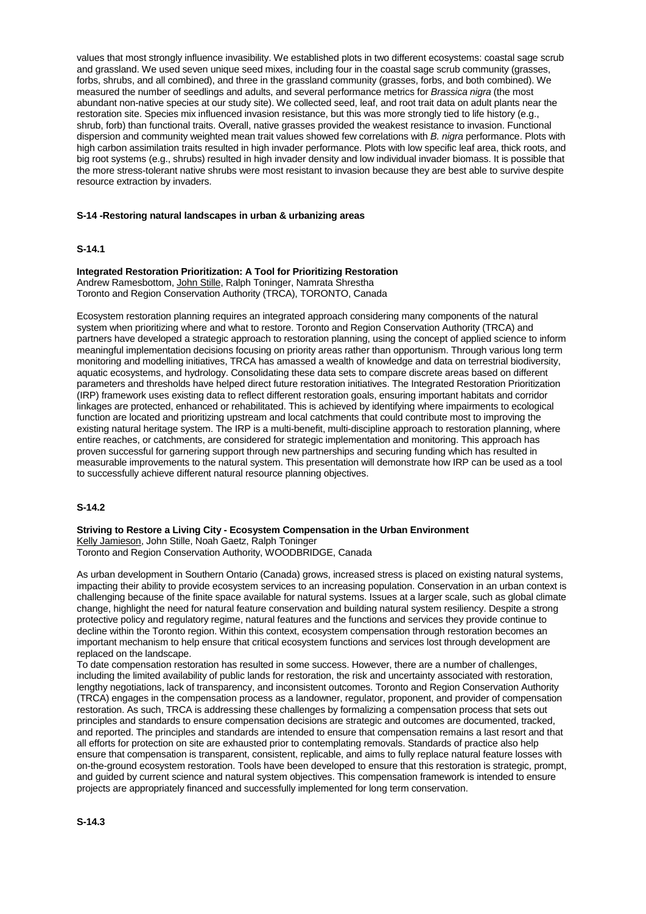values that most strongly influence invasibility. We established plots in two different ecosystems: coastal sage scrub and grassland. We used seven unique seed mixes, including four in the coastal sage scrub community (grasses, forbs, shrubs, and all combined), and three in the grassland community (grasses, forbs, and both combined). We measured the number of seedlings and adults, and several performance metrics for *Brassica nigra* (the most abundant non-native species at our study site). We collected seed, leaf, and root trait data on adult plants near the restoration site. Species mix influenced invasion resistance, but this was more strongly tied to life history (e.g., shrub, forb) than functional traits. Overall, native grasses provided the weakest resistance to invasion. Functional dispersion and community weighted mean trait values showed few correlations with *B. nigra* performance. Plots with high carbon assimilation traits resulted in high invader performance. Plots with low specific leaf area, thick roots, and big root systems (e.g., shrubs) resulted in high invader density and low individual invader biomass. It is possible that the more stress-tolerant native shrubs were most resistant to invasion because they are best able to survive despite resource extraction by invaders.

### **S-14 -Restoring natural landscapes in urban & urbanizing areas**

#### **S-14.1**

**Integrated Restoration Prioritization: A Tool for Prioritizing Restoration** Andrew Ramesbottom, John Stille, Ralph Toninger, Namrata Shrestha

Toronto and Region Conservation Authority (TRCA), TORONTO, Canada

Ecosystem restoration planning requires an integrated approach considering many components of the natural system when prioritizing where and what to restore. Toronto and Region Conservation Authority (TRCA) and partners have developed a strategic approach to restoration planning, using the concept of applied science to inform meaningful implementation decisions focusing on priority areas rather than opportunism. Through various long term monitoring and modelling initiatives, TRCA has amassed a wealth of knowledge and data on terrestrial biodiversity, aquatic ecosystems, and hydrology. Consolidating these data sets to compare discrete areas based on different parameters and thresholds have helped direct future restoration initiatives. The Integrated Restoration Prioritization (IRP) framework uses existing data to reflect different restoration goals, ensuring important habitats and corridor linkages are protected, enhanced or rehabilitated. This is achieved by identifying where impairments to ecological function are located and prioritizing upstream and local catchments that could contribute most to improving the existing natural heritage system. The IRP is a multi-benefit, multi-discipline approach to restoration planning, where entire reaches, or catchments, are considered for strategic implementation and monitoring. This approach has proven successful for garnering support through new partnerships and securing funding which has resulted in measurable improvements to the natural system. This presentation will demonstrate how IRP can be used as a tool to successfully achieve different natural resource planning objectives.

## **S-14.2**

**Striving to Restore a Living City - Ecosystem Compensation in the Urban Environment** Kelly Jamieson, John Stille, Noah Gaetz, Ralph Toninger Toronto and Region Conservation Authority, WOODBRIDGE, Canada

As urban development in Southern Ontario (Canada) grows, increased stress is placed on existing natural systems, impacting their ability to provide ecosystem services to an increasing population. Conservation in an urban context is challenging because of the finite space available for natural systems. Issues at a larger scale, such as global climate change, highlight the need for natural feature conservation and building natural system resiliency. Despite a strong protective policy and regulatory regime, natural features and the functions and services they provide continue to decline within the Toronto region. Within this context, ecosystem compensation through restoration becomes an important mechanism to help ensure that critical ecosystem functions and services lost through development are replaced on the landscape.

To date compensation restoration has resulted in some success. However, there are a number of challenges, including the limited availability of public lands for restoration, the risk and uncertainty associated with restoration, lengthy negotiations, lack of transparency, and inconsistent outcomes. Toronto and Region Conservation Authority (TRCA) engages in the compensation process as a landowner, regulator, proponent, and provider of compensation restoration. As such, TRCA is addressing these challenges by formalizing a compensation process that sets out principles and standards to ensure compensation decisions are strategic and outcomes are documented, tracked, and reported. The principles and standards are intended to ensure that compensation remains a last resort and that all efforts for protection on site are exhausted prior to contemplating removals. Standards of practice also help ensure that compensation is transparent, consistent, replicable, and aims to fully replace natural feature losses with on-the-ground ecosystem restoration. Tools have been developed to ensure that this restoration is strategic, prompt, and guided by current science and natural system objectives. This compensation framework is intended to ensure projects are appropriately financed and successfully implemented for long term conservation.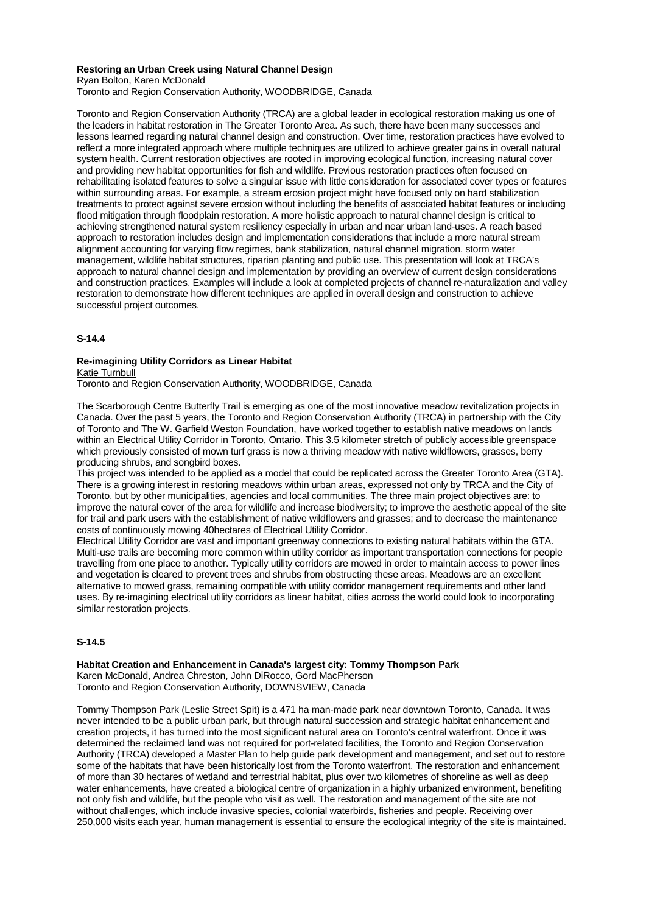#### **Restoring an Urban Creek using Natural Channel Design** Ryan Bolton, Karen McDonald

Toronto and Region Conservation Authority, WOODBRIDGE, Canada

Toronto and Region Conservation Authority (TRCA) are a global leader in ecological restoration making us one of the leaders in habitat restoration in The Greater Toronto Area. As such, there have been many successes and lessons learned regarding natural channel design and construction. Over time, restoration practices have evolved to reflect a more integrated approach where multiple techniques are utilized to achieve greater gains in overall natural system health. Current restoration objectives are rooted in improving ecological function, increasing natural cover and providing new habitat opportunities for fish and wildlife. Previous restoration practices often focused on rehabilitating isolated features to solve a singular issue with little consideration for associated cover types or features within surrounding areas. For example, a stream erosion project might have focused only on hard stabilization treatments to protect against severe erosion without including the benefits of associated habitat features or including flood mitigation through floodplain restoration. A more holistic approach to natural channel design is critical to achieving strengthened natural system resiliency especially in urban and near urban land-uses. A reach based approach to restoration includes design and implementation considerations that include a more natural stream alignment accounting for varying flow regimes, bank stabilization, natural channel migration, storm water management, wildlife habitat structures, riparian planting and public use. This presentation will look at TRCA's approach to natural channel design and implementation by providing an overview of current design considerations and construction practices. Examples will include a look at completed projects of channel re-naturalization and valley restoration to demonstrate how different techniques are applied in overall design and construction to achieve successful project outcomes.

# **S-14.4**

#### **Re-imagining Utility Corridors as Linear Habitat** Katie Turnbull

Toronto and Region Conservation Authority, WOODBRIDGE, Canada

The Scarborough Centre Butterfly Trail is emerging as one of the most innovative meadow revitalization projects in Canada. Over the past 5 years, the Toronto and Region Conservation Authority (TRCA) in partnership with the City of Toronto and The W. Garfield Weston Foundation, have worked together to establish native meadows on lands within an Electrical Utility Corridor in Toronto, Ontario. This 3.5 kilometer stretch of publicly accessible greenspace which previously consisted of mown turf grass is now a thriving meadow with native wildflowers, grasses, berry producing shrubs, and songbird boxes.

This project was intended to be applied as a model that could be replicated across the Greater Toronto Area (GTA). There is a growing interest in restoring meadows within urban areas, expressed not only by TRCA and the City of Toronto, but by other municipalities, agencies and local communities. The three main project objectives are: to improve the natural cover of the area for wildlife and increase biodiversity; to improve the aesthetic appeal of the site for trail and park users with the establishment of native wildflowers and grasses; and to decrease the maintenance costs of continuously mowing 40hectares of Electrical Utility Corridor.

Electrical Utility Corridor are vast and important greenway connections to existing natural habitats within the GTA. Multi-use trails are becoming more common within utility corridor as important transportation connections for people travelling from one place to another. Typically utility corridors are mowed in order to maintain access to power lines and vegetation is cleared to prevent trees and shrubs from obstructing these areas. Meadows are an excellent alternative to mowed grass, remaining compatible with utility corridor management requirements and other land uses. By re-imagining electrical utility corridors as linear habitat, cities across the world could look to incorporating similar restoration projects.

## **S-14.5**

**Habitat Creation and Enhancement in Canada's largest city: Tommy Thompson Park** Karen McDonald, Andrea Chreston, John DiRocco, Gord MacPherson Toronto and Region Conservation Authority, DOWNSVIEW, Canada

Tommy Thompson Park (Leslie Street Spit) is a 471 ha man-made park near downtown Toronto, Canada. It was never intended to be a public urban park, but through natural succession and strategic habitat enhancement and creation projects, it has turned into the most significant natural area on Toronto's central waterfront. Once it was determined the reclaimed land was not required for port-related facilities, the Toronto and Region Conservation Authority (TRCA) developed a Master Plan to help guide park development and management, and set out to restore some of the habitats that have been historically lost from the Toronto waterfront. The restoration and enhancement of more than 30 hectares of wetland and terrestrial habitat, plus over two kilometres of shoreline as well as deep water enhancements, have created a biological centre of organization in a highly urbanized environment, benefiting not only fish and wildlife, but the people who visit as well. The restoration and management of the site are not without challenges, which include invasive species, colonial waterbirds, fisheries and people. Receiving over 250,000 visits each year, human management is essential to ensure the ecological integrity of the site is maintained.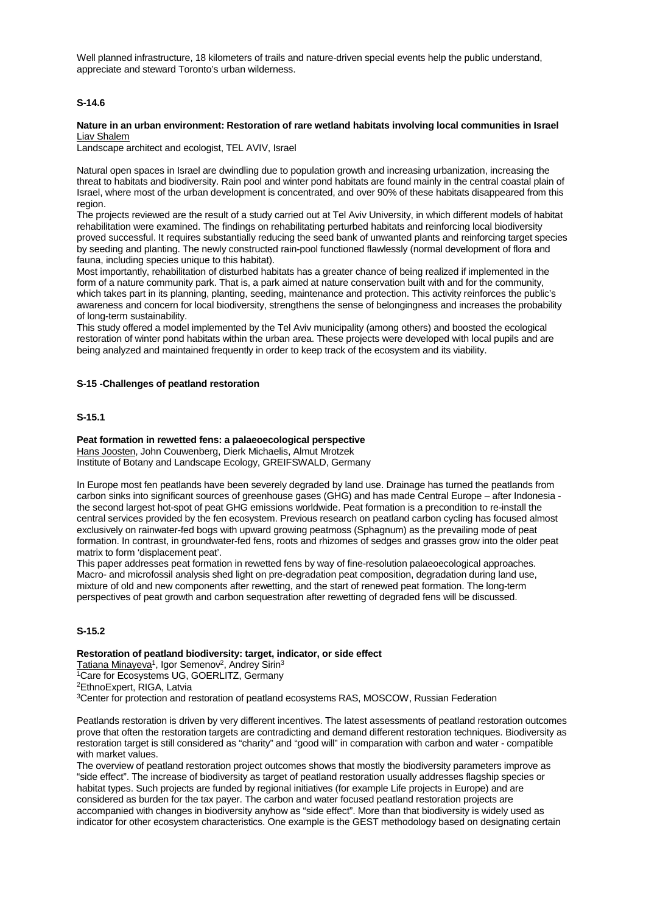Well planned infrastructure, 18 kilometers of trails and nature-driven special events help the public understand, appreciate and steward Toronto's urban wilderness.

## **S-14.6**

#### **Nature in an urban environment: Restoration of rare wetland habitats involving local communities in Israel** Liav Shalem

Landscape architect and ecologist, TEL AVIV, Israel

Natural open spaces in Israel are dwindling due to population growth and increasing urbanization, increasing the threat to habitats and biodiversity. Rain pool and winter pond habitats are found mainly in the central coastal plain of Israel, where most of the urban development is concentrated, and over 90% of these habitats disappeared from this region.

The projects reviewed are the result of a study carried out at Tel Aviv University, in which different models of habitat rehabilitation were examined. The findings on rehabilitating perturbed habitats and reinforcing local biodiversity proved successful. It requires substantially reducing the seed bank of unwanted plants and reinforcing target species by seeding and planting. The newly constructed rain-pool functioned flawlessly (normal development of flora and fauna, including species unique to this habitat).

Most importantly, rehabilitation of disturbed habitats has a greater chance of being realized if implemented in the form of a nature community park. That is, a park aimed at nature conservation built with and for the community, which takes part in its planning, planting, seeding, maintenance and protection. This activity reinforces the public's awareness and concern for local biodiversity, strengthens the sense of belongingness and increases the probability of long-term sustainability.

This study offered a model implemented by the Tel Aviv municipality (among others) and boosted the ecological restoration of winter pond habitats within the urban area. These projects were developed with local pupils and are being analyzed and maintained frequently in order to keep track of the ecosystem and its viability.

### **S-15 -Challenges of peatland restoration**

### **S-15.1**

## **Peat formation in rewetted fens: a palaeoecological perspective**

Hans Joosten, John Couwenberg, Dierk Michaelis, Almut Mrotzek Institute of Botany and Landscape Ecology, GREIFSWALD, Germany

In Europe most fen peatlands have been severely degraded by land use. Drainage has turned the peatlands from carbon sinks into significant sources of greenhouse gases (GHG) and has made Central Europe – after Indonesia the second largest hot-spot of peat GHG emissions worldwide. Peat formation is a precondition to re-install the central services provided by the fen ecosystem. Previous research on peatland carbon cycling has focused almost exclusively on rainwater-fed bogs with upward growing peatmoss (Sphagnum) as the prevailing mode of peat formation. In contrast, in groundwater-fed fens, roots and rhizomes of sedges and grasses grow into the older peat matrix to form 'displacement peat'.

This paper addresses peat formation in rewetted fens by way of fine-resolution palaeoecological approaches. Macro- and microfossil analysis shed light on pre-degradation peat composition, degradation during land use, mixture of old and new components after rewetting, and the start of renewed peat formation. The long-term perspectives of peat growth and carbon sequestration after rewetting of degraded fens will be discussed.

## **S-15.2**

**Restoration of peatland biodiversity: target, indicator, or side effect** Tatiana Minayeva<sup>1</sup>, Igor Semenov<sup>2</sup>, Andrey Sirin<sup>3</sup>

1Care for Ecosystems UG, GOERLITZ, Germany 2EthnoExpert, RIGA, Latvia

3Center for protection and restoration of peatland ecosystems RAS, MOSCOW, Russian Federation

Peatlands restoration is driven by very different incentives. The latest assessments of peatland restoration outcomes prove that often the restoration targets are contradicting and demand different restoration techniques. Biodiversity as restoration target is still considered as "charity" and "good will" in comparation with carbon and water - compatible with market values.

The overview of peatland restoration project outcomes shows that mostly the biodiversity parameters improve as "side effect". The increase of biodiversity as target of peatland restoration usually addresses flagship species or habitat types. Such projects are funded by regional initiatives (for example Life projects in Europe) and are considered as burden for the tax payer. The carbon and water focused peatland restoration projects are accompanied with changes in biodiversity anyhow as "side effect". More than that biodiversity is widely used as indicator for other ecosystem characteristics. One example is the GEST methodology based on designating certain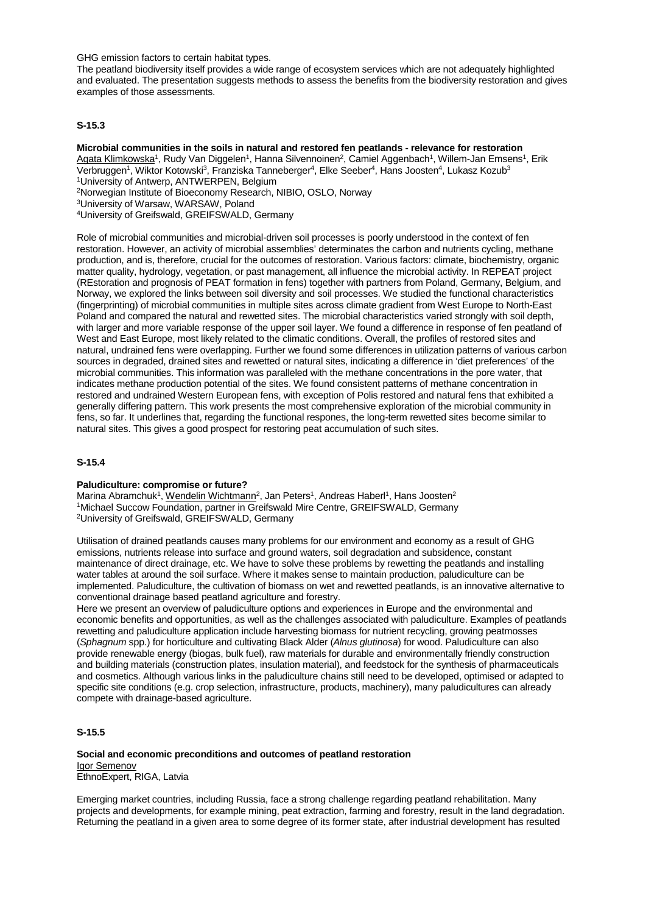GHG emission factors to certain habitat types.

The peatland biodiversity itself provides a wide range of ecosystem services which are not adequately highlighted and evaluated. The presentation suggests methods to assess the benefits from the biodiversity restoration and gives examples of those assessments.

# **S-15.3**

**Microbial communities in the soils in natural and restored fen peatlands - relevance for restoration** Agata Klimkowska<sup>1</sup>, Rudy Van Diggelen<sup>1</sup>, Hanna Silvennoinen<sup>2</sup>, Camiel Aggenbach<sup>1</sup>, Willem-Jan Emsens<sup>1</sup>, Erik Verbruggen<sup>1</sup>, Wiktor Kotowski<sup>3</sup>, Franziska Tanneberger<sup>4</sup>, Elke Seeber<sup>4</sup>, Hans Joosten<sup>4</sup>, Lukasz Kozub<sup>3</sup> 1University of Antwerp, ANTWERPEN, Belgium

2Norwegian Institute of Bioeconomy Research, NIBIO, OSLO, Norway

3University of Warsaw, WARSAW, Poland

4University of Greifswald, GREIFSWALD, Germany

Role of microbial communities and microbial-driven soil processes is poorly understood in the context of fen restoration. However, an activity of microbial assemblies' determinates the carbon and nutrients cycling, methane production, and is, therefore, crucial for the outcomes of restoration. Various factors: climate, biochemistry, organic matter quality, hydrology, vegetation, or past management, all influence the microbial activity. In REPEAT project (REstoration and prognosis of PEAT formation in fens) together with partners from Poland, Germany, Belgium, and Norway, we explored the links between soil diversity and soil processes. We studied the functional characteristics (fingerprinting) of microbial communities in multiple sites across climate gradient from West Europe to North-East Poland and compared the natural and rewetted sites. The microbial characteristics varied strongly with soil depth, with larger and more variable response of the upper soil layer. We found a difference in response of fen peatland of West and East Europe, most likely related to the climatic conditions. Overall, the profiles of restored sites and natural, undrained fens were overlapping. Further we found some differences in utilization patterns of various carbon sources in degraded, drained sites and rewetted or natural sites, indicating a difference in 'diet preferences' of the microbial communities. This information was paralleled with the methane concentrations in the pore water, that indicates methane production potential of the sites. We found consistent patterns of methane concentration in restored and undrained Western European fens, with exception of Polis restored and natural fens that exhibited a generally differing pattern. This work presents the most comprehensive exploration of the microbial community in fens, so far. It underlines that, regarding the functional respones, the long-term rewetted sites become similar to natural sites. This gives a good prospect for restoring peat accumulation of such sites.

#### **S-15.4**

#### **Paludiculture: compromise or future?**

Marina Abramchuk<sup>1</sup>, Wendelin Wichtmann<sup>2</sup>, Jan Peters<sup>1</sup>, Andreas Haberl<sup>1</sup>, Hans Joosten<sup>2</sup> 1Michael Succow Foundation, partner in Greifswald Mire Centre, GREIFSWALD, Germany 2University of Greifswald, GREIFSWALD, Germany

Utilisation of drained peatlands causes many problems for our environment and economy as a result of GHG emissions, nutrients release into surface and ground waters, soil degradation and subsidence, constant maintenance of direct drainage, etc. We have to solve these problems by rewetting the peatlands and installing water tables at around the soil surface. Where it makes sense to maintain production, paludiculture can be implemented. Paludiculture, the cultivation of biomass on wet and rewetted peatlands, is an innovative alternative to conventional drainage based peatland agriculture and forestry.

Here we present an overview of paludiculture options and experiences in Europe and the environmental and economic benefits and opportunities, as well as the challenges associated with paludiculture. Examples of peatlands rewetting and paludiculture application include harvesting biomass for nutrient recycling, growing peatmosses (*Sphagnum* spp.) for horticulture and cultivating Black Alder (*Alnus glutinosa*) for wood. Paludiculture can also provide renewable energy (biogas, bulk fuel), raw materials for durable and environmentally friendly construction and building materials (construction plates, insulation material), and feedstock for the synthesis of pharmaceuticals and cosmetics. Although various links in the paludiculture chains still need to be developed, optimised or adapted to specific site conditions (e.g. crop selection, infrastructure, products, machinery), many paludicultures can already compete with drainage-based agriculture.

# **S-15.5**

#### **Social and economic preconditions and outcomes of peatland restoration** Igor Semenov EthnoExpert, RIGA, Latvia

Emerging market countries, including Russia, face a strong challenge regarding peatland rehabilitation. Many projects and developments, for example mining, peat extraction, farming and forestry, result in the land degradation. Returning the peatland in a given area to some degree of its former state, after industrial development has resulted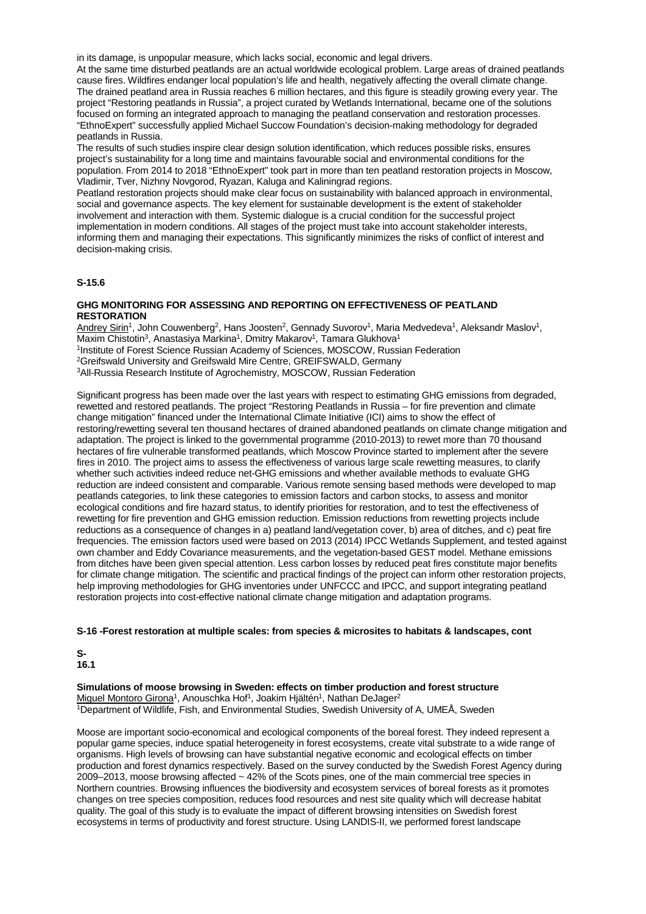in its damage, is unpopular measure, which lacks social, economic and legal drivers.

At the same time disturbed peatlands are an actual worldwide ecological problem. Large areas of drained peatlands cause fires. Wildfires endanger local population's life and health, negatively affecting the overall climate change. The drained peatland area in Russia reaches 6 million hectares, and this figure is steadily growing every year. The project "Restoring peatlands in Russia", a project curated by Wetlands International, became one of the solutions focused on forming an integrated approach to managing the peatland conservation and restoration processes. "EthnoExpert" successfully applied Michael Succow Foundation's decision-making methodology for degraded peatlands in Russia.

The results of such studies inspire clear design solution identification, which reduces possible risks, ensures project's sustainability for a long time and maintains favourable social and environmental conditions for the population. From 2014 to 2018 "EthnoExpert" took part in more than ten peatland restoration projects in Moscow, Vladimir, Tver, Nizhny Novgorod, Ryazan, Kaluga and Kaliningrad regions.

Peatland restoration projects should make clear focus on sustainability with balanced approach in environmental, social and governance aspects. The key element for sustainable development is the extent of stakeholder involvement and interaction with them. Systemic dialogue is a crucial condition for the successful project implementation in modern conditions. All stages of the project must take into account stakeholder interests, informing them and managing their expectations. This significantly minimizes the risks of conflict of interest and decision-making crisis.

### **S-15.6**

### **GHG MONITORING FOR ASSESSING AND REPORTING ON EFFECTIVENESS OF PEATLAND RESTORATION**

Andrey Sirin<sup>1</sup>, John Couwenberg<sup>2</sup>, Hans Joosten<sup>2</sup>, Gennady Suvorov<sup>1</sup>, Maria Medvedeva<sup>1</sup>, Aleksandr Maslov<sup>1</sup>, Maxim Chistotin<sup>3</sup>, Anastasiya Markina<sup>1</sup>, Dmitry Makarov<sup>1</sup>, Tamara Glukhova<sup>1</sup> <sup>1</sup>Institute of Forest Science Russian Academy of Sciences, MOSCOW, Russian Federation 2Greifswald University and Greifswald Mire Centre, GREIFSWALD, Germany 3All-Russia Research Institute of Agrochemistry, MOSCOW, Russian Federation

Significant progress has been made over the last years with respect to estimating GHG emissions from degraded, rewetted and restored peatlands. The project "Restoring Peatlands in Russia – for fire prevention and climate change mitigation" financed under the International Climate Initiative (ICI) aims to show the effect of restoring/rewetting several ten thousand hectares of drained abandoned peatlands on climate change mitigation and adaptation. The project is linked to the governmental programme (2010-2013) to rewet more than 70 thousand hectares of fire vulnerable transformed peatlands, which Moscow Province started to implement after the severe fires in 2010. The project aims to assess the effectiveness of various large scale rewetting measures, to clarify whether such activities indeed reduce net-GHG emissions and whether available methods to evaluate GHG reduction are indeed consistent and comparable. Various remote sensing based methods were developed to map peatlands categories, to link these categories to emission factors and carbon stocks, to assess and monitor ecological conditions and fire hazard status, to identify priorities for restoration, and to test the effectiveness of rewetting for fire prevention and GHG emission reduction. Emission reductions from rewetting projects include reductions as a consequence of changes in a) peatland land/vegetation cover, b) area of ditches, and c) peat fire frequencies. The emission factors used were based on 2013 (2014) IPCC Wetlands Supplement, and tested against own chamber and Eddy Covariance measurements, and the vegetation-based GEST model. Methane emissions from ditches have been given special attention. Less carbon losses by reduced peat fires constitute major benefits for climate change mitigation. The scientific and practical findings of the project can inform other restoration projects, help improving methodologies for GHG inventories under UNFCCC and IPCC, and support integrating peatland restoration projects into cost-effective national climate change mitigation and adaptation programs.

#### **S-16 -Forest restoration at multiple scales: from species & microsites to habitats & landscapes, cont**

**S-16.1**

**Simulations of moose browsing in Sweden: effects on timber production and forest structure** Miguel Montoro Girona<sup>1</sup>, Anouschka Hof<sup>1</sup>, Joakim Hiältén<sup>1</sup>, Nathan DeJager<sup>2</sup> 1Department of Wildlife, Fish, and Environmental Studies, Swedish University of A, UMEÅ, Sweden

Moose are important socio-economical and ecological components of the boreal forest. They indeed represent a popular game species, induce spatial heterogeneity in forest ecosystems, create vital substrate to a wide range of organisms. High levels of browsing can have substantial negative economic and ecological effects on timber production and forest dynamics respectively. Based on the survey conducted by the Swedish Forest Agency during 2009–2013, moose browsing affected ~ 42% of the Scots pines, one of the main commercial tree species in Northern countries. Browsing influences the biodiversity and ecosystem services of boreal forests as it promotes changes on tree species composition, reduces food resources and nest site quality which will decrease habitat quality. The goal of this study is to evaluate the impact of different browsing intensities on Swedish forest ecosystems in terms of productivity and forest structure. Using LANDIS-II, we performed forest landscape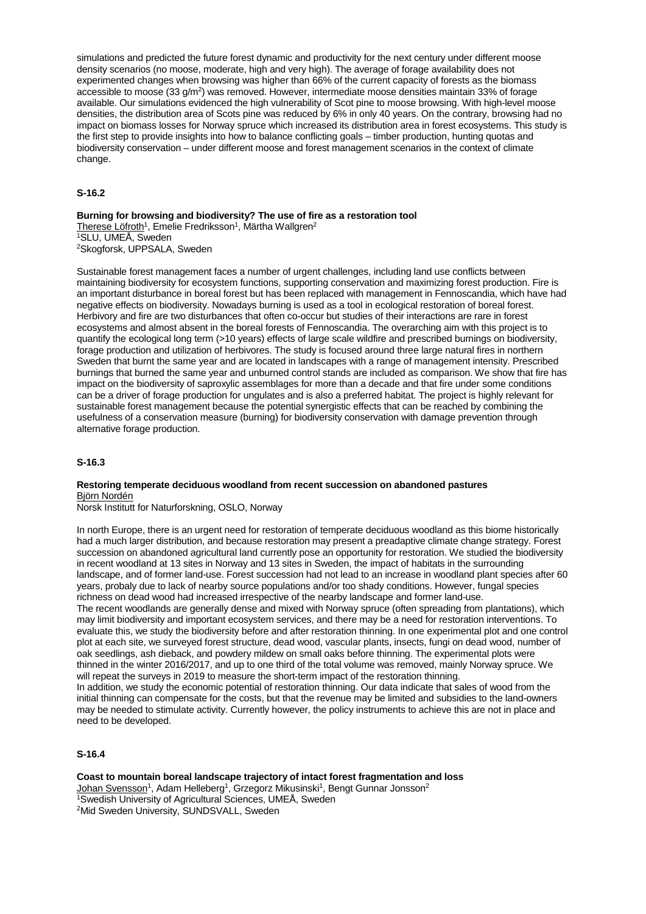simulations and predicted the future forest dynamic and productivity for the next century under different moose density scenarios (no moose, moderate, high and very high). The average of forage availability does not experimented changes when browsing was higher than 66% of the current capacity of forests as the biomass accessible to moose (33 g/m2) was removed. However, intermediate moose densities maintain 33% of forage available. Our simulations evidenced the high vulnerability of Scot pine to moose browsing. With high-level moose densities, the distribution area of Scots pine was reduced by 6% in only 40 years. On the contrary, browsing had no impact on biomass losses for Norway spruce which increased its distribution area in forest ecosystems. This study is the first step to provide insights into how to balance conflicting goals – timber production, hunting quotas and biodiversity conservation – under different moose and forest management scenarios in the context of climate change.

## **S-16.2**

**Burning for browsing and biodiversity? The use of fire as a restoration tool** Therese Löfroth<sup>1</sup>, Emelie Fredriksson<sup>1</sup>, Märtha Wallgren<sup>2</sup> 1SLU, UMEÅ, Sweden

2Skogforsk, UPPSALA, Sweden

Sustainable forest management faces a number of urgent challenges, including land use conflicts between maintaining biodiversity for ecosystem functions, supporting conservation and maximizing forest production. Fire is an important disturbance in boreal forest but has been replaced with management in Fennoscandia, which have had negative effects on biodiversity. Nowadays burning is used as a tool in ecological restoration of boreal forest. Herbivory and fire are two disturbances that often co-occur but studies of their interactions are rare in forest ecosystems and almost absent in the boreal forests of Fennoscandia. The overarching aim with this project is to quantify the ecological long term (>10 years) effects of large scale wildfire and prescribed burnings on biodiversity, forage production and utilization of herbivores. The study is focused around three large natural fires in northern Sweden that burnt the same year and are located in landscapes with a range of management intensity. Prescribed burnings that burned the same year and unburned control stands are included as comparison. We show that fire has impact on the biodiversity of saproxylic assemblages for more than a decade and that fire under some conditions can be a driver of forage production for ungulates and is also a preferred habitat. The project is highly relevant for sustainable forest management because the potential synergistic effects that can be reached by combining the usefulness of a conservation measure (burning) for biodiversity conservation with damage prevention through alternative forage production.

#### **S-16.3**

### **Restoring temperate deciduous woodland from recent succession on abandoned pastures** Björn Nordén

Norsk Institutt for Naturforskning, OSLO, Norway

In north Europe, there is an urgent need for restoration of temperate deciduous woodland as this biome historically had a much larger distribution, and because restoration may present a preadaptive climate change strategy. Forest succession on abandoned agricultural land currently pose an opportunity for restoration. We studied the biodiversity in recent woodland at 13 sites in Norway and 13 sites in Sweden, the impact of habitats in the surrounding landscape, and of former land-use. Forest succession had not lead to an increase in woodland plant species after 60 years, probaly due to lack of nearby source populations and/or too shady conditions. However, fungal species richness on dead wood had increased irrespective of the nearby landscape and former land-use. The recent woodlands are generally dense and mixed with Norway spruce (often spreading from plantations), which may limit biodiversity and important ecosystem services, and there may be a need for restoration interventions. To evaluate this, we study the biodiversity before and after restoration thinning. In one experimental plot and one control plot at each site, we surveyed forest structure, dead wood, vascular plants, insects, fungi on dead wood, number of

oak seedlings, ash dieback, and powdery mildew on small oaks before thinning. The experimental plots were thinned in the winter 2016/2017, and up to one third of the total volume was removed, mainly Norway spruce. We will repeat the surveys in 2019 to measure the short-term impact of the restoration thinning.

In addition, we study the economic potential of restoration thinning. Our data indicate that sales of wood from the initial thinning can compensate for the costs, but that the revenue may be limited and subsidies to the land-owners may be needed to stimulate activity. Currently however, the policy instruments to achieve this are not in place and need to be developed.

# **S-16.4**

**Coast to mountain boreal landscape trajectory of intact forest fragmentation and loss** Johan Svensson<sup>1</sup>, Adam Helleberg<sup>1</sup>, Grzegorz Mikusinski<sup>1</sup>, Bengt Gunnar Jonsson<sup>2</sup> 1Swedish University of Agricultural Sciences, UMEÅ, Sweden 2Mid Sweden University, SUNDSVALL, Sweden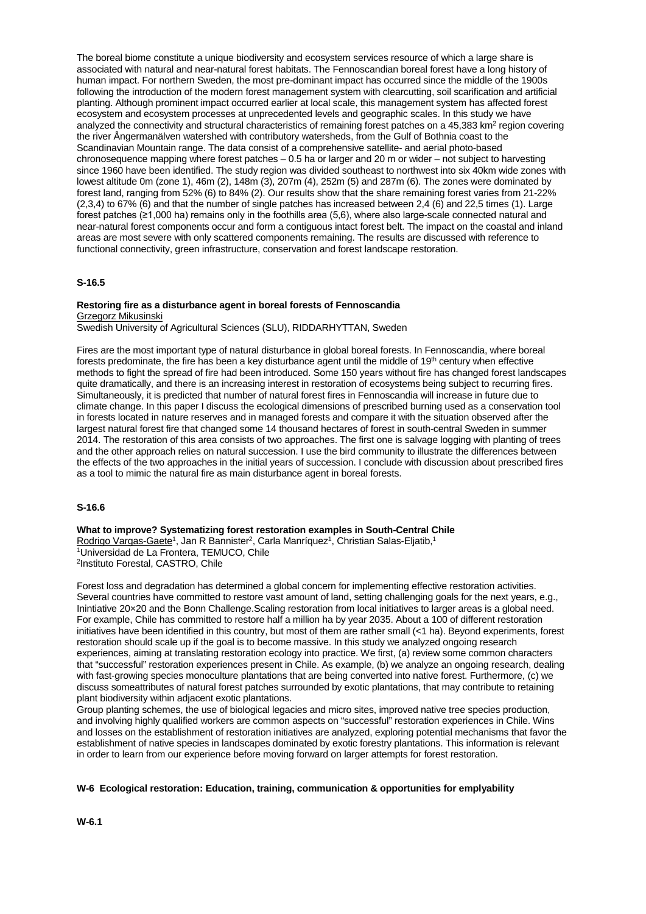The boreal biome constitute a unique biodiversity and ecosystem services resource of which a large share is associated with natural and near-natural forest habitats. The Fennoscandian boreal forest have a long history of human impact. For northern Sweden, the most pre-dominant impact has occurred since the middle of the 1900s following the introduction of the modern forest management system with clearcutting, soil scarification and artificial planting. Although prominent impact occurred earlier at local scale, this management system has affected forest ecosystem and ecosystem processes at unprecedented levels and geographic scales. In this study we have analyzed the connectivity and structural characteristics of remaining forest patches on a 45,383 km2 region covering the river Ångermanälven watershed with contributory watersheds, from the Gulf of Bothnia coast to the Scandinavian Mountain range. The data consist of a comprehensive satellite- and aerial photo-based chronosequence mapping where forest patches – 0.5 ha or larger and 20 m or wider – not subject to harvesting since 1960 have been identified. The study region was divided southeast to northwest into six 40km wide zones with lowest altitude 0m (zone 1), 46m (2), 148m (3), 207m (4), 252m (5) and 287m (6). The zones were dominated by forest land, ranging from 52% (6) to 84% (2). Our results show that the share remaining forest varies from 21-22% (2,3,4) to 67% (6) and that the number of single patches has increased between 2,4 (6) and 22,5 times (1). Large forest patches (≥1,000 ha) remains only in the foothills area (5,6), where also large-scale connected natural and near-natural forest components occur and form a contiguous intact forest belt. The impact on the coastal and inland areas are most severe with only scattered components remaining. The results are discussed with reference to functional connectivity, green infrastructure, conservation and forest landscape restoration.

## **S-16.5**

### **Restoring fire as a disturbance agent in boreal forests of Fennoscandia** Grzegorz Mikusinski

Swedish University of Agricultural Sciences (SLU), RIDDARHYTTAN, Sweden

Fires are the most important type of natural disturbance in global boreal forests. In Fennoscandia, where boreal forests predominate, the fire has been a key disturbance agent until the middle of  $19<sup>th</sup>$  century when effective methods to fight the spread of fire had been introduced. Some 150 years without fire has changed forest landscapes quite dramatically, and there is an increasing interest in restoration of ecosystems being subject to recurring fires. Simultaneously, it is predicted that number of natural forest fires in Fennoscandia will increase in future due to climate change. In this paper I discuss the ecological dimensions of prescribed burning used as a conservation tool in forests located in nature reserves and in managed forests and compare it with the situation observed after the largest natural forest fire that changed some 14 thousand hectares of forest in south-central Sweden in summer 2014. The restoration of this area consists of two approaches. The first one is salvage logging with planting of trees and the other approach relies on natural succession. I use the bird community to illustrate the differences between the effects of the two approaches in the initial years of succession. I conclude with discussion about prescribed fires as a tool to mimic the natural fire as main disturbance agent in boreal forests.

### **S-16.6**

**What to improve? Systematizing forest restoration examples in South-Central Chile**

Rodrigo Vargas-Gaete<sup>1</sup>, Jan R Bannister<sup>2</sup>, Carla Manríquez<sup>1</sup>, Christian Salas-Eljatib,<sup>1</sup> 1Universidad de La Frontera, TEMUCO, Chile 2Instituto Forestal, CASTRO, Chile

Forest loss and degradation has determined a global concern for implementing effective restoration activities. Several countries have committed to restore vast amount of land, setting challenging goals for the next years, e.g., Inintiative 20×20 and the Bonn Challenge.Scaling restoration from local initiatives to larger areas is a global need. For example, Chile has committed to restore half a million ha by year 2035. About a 100 of different restoration initiatives have been identified in this country, but most of them are rather small (<1 ha). Beyond experiments, forest restoration should scale up if the goal is to become massive. In this study we analyzed ongoing research experiences, aiming at translating restoration ecology into practice. We first, (a) review some common characters that "successful" restoration experiences present in Chile. As example, (b) we analyze an ongoing research, dealing with fast-growing species monoculture plantations that are being converted into native forest. Furthermore, (c) we discuss someattributes of natural forest patches surrounded by exotic plantations, that may contribute to retaining plant biodiversity within adjacent exotic plantations.

Group planting schemes, the use of biological legacies and micro sites, improved native tree species production, and involving highly qualified workers are common aspects on "successful" restoration experiences in Chile. Wins and losses on the establishment of restoration initiatives are analyzed, exploring potential mechanisms that favor the establishment of native species in landscapes dominated by exotic forestry plantations. This information is relevant in order to learn from our experience before moving forward on larger attempts for forest restoration.

#### **W-6 Ecological restoration: Education, training, communication & opportunities for emplyability**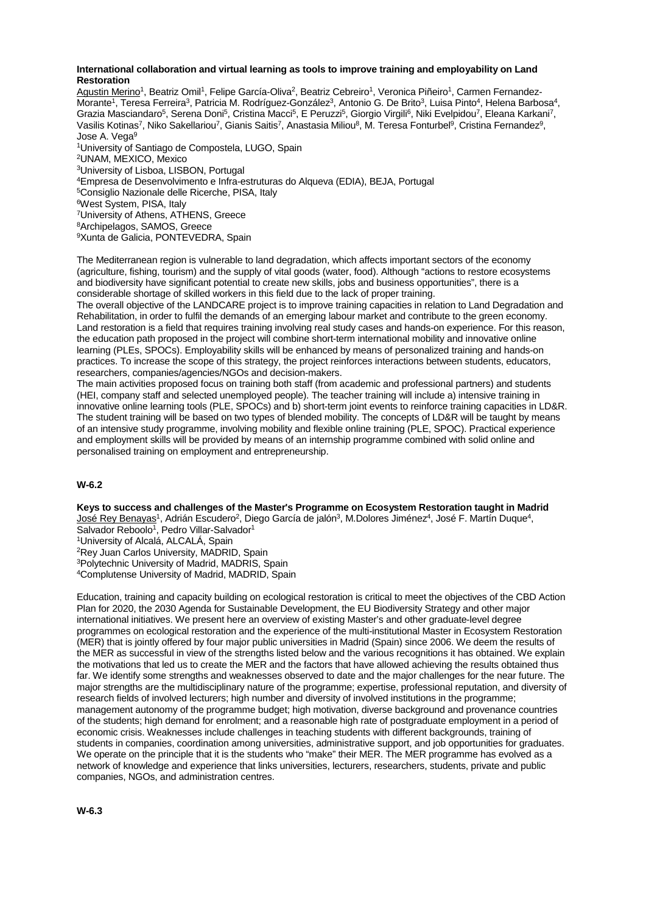### **International collaboration and virtual learning as tools to improve training and employability on Land Restoration**

Agustin Merino<sup>1</sup>, Beatriz Omil<sup>1</sup>, Felipe García-Oliva<sup>2</sup>, Beatriz Cebreiro<sup>1</sup>, Veronica Piñeiro<sup>1</sup>, Carmen Fernandez-Morante<sup>1</sup>, Teresa Ferreira<sup>3</sup>, Patricia M. Rodríguez-González<sup>3</sup>, Antonio G. De Brito<sup>3</sup>, Luisa Pinto<sup>4</sup>, Helena Barbosa<sup>4</sup>, Grazia Masciandaro<sup>5</sup>, Serena Doni<sup>5</sup>, Cristina Macci<sup>5</sup>, E Peruzzi<sup>5</sup>, Giorgio Virgili<sup>6</sup>, Niki Evelpidou<sup>7</sup>, Eleana Karkani<sup>7</sup>, Vasilis Kotinas<sup>7</sup>, Niko Sakellariou<sup>7</sup>, Gianis Saitis<sup>7</sup>, Anastasia Miliou<sup>8</sup>, M. Teresa Fonturbel<sup>9</sup>, Cristina Fernandez<sup>9</sup>, Jose A. Vega9 1University of Santiago de Compostela, LUGO, Spain 2UNAM, MEXICO, Mexico 3University of Lisboa, LISBON, Portugal 4Empresa de Desenvolvimento e Infra-estruturas do Alqueva (EDIA), BEJA, Portugal 5Consiglio Nazionale delle Ricerche, PISA, Italy 6West System, PISA, Italy 7University of Athens, ATHENS, Greece 8Archipelagos, SAMOS, Greece 9Xunta de Galicia, PONTEVEDRA, Spain

The Mediterranean region is vulnerable to land degradation, which affects important sectors of the economy (agriculture, fishing, tourism) and the supply of vital goods (water, food). Although "actions to restore ecosystems and biodiversity have significant potential to create new skills, jobs and business opportunities", there is a considerable shortage of skilled workers in this field due to the lack of proper training.

The overall objective of the LANDCARE project is to improve training capacities in relation to Land Degradation and Rehabilitation, in order to fulfil the demands of an emerging labour market and contribute to the green economy. Land restoration is a field that requires training involving real study cases and hands-on experience. For this reason, the education path proposed in the project will combine short-term international mobility and innovative online learning (PLEs, SPOCs). Employability skills will be enhanced by means of personalized training and hands-on practices. To increase the scope of this strategy, the project reinforces interactions between students, educators, researchers, companies/agencies/NGOs and decision-makers.

The main activities proposed focus on training both staff (from academic and professional partners) and students (HEI, company staff and selected unemployed people). The teacher training will include a) intensive training in innovative online learning tools (PLE, SPOCs) and b) short-term joint events to reinforce training capacities in LD&R. The student training will be based on two types of blended mobility. The concepts of LD&R will be taught by means of an intensive study programme, involving mobility and flexible online training (PLE, SPOC). Practical experience and employment skills will be provided by means of an internship programme combined with solid online and personalised training on employment and entrepreneurship.

# **W-6.2**

**Keys to success and challenges of the Master's Programme on Ecosystem Restoration taught in Madrid** <u>José Rey Benayas</u><sup>1</sup>, Adrián Escudero<sup>2</sup>, Diego García de jalón<sup>3</sup>, M.Dolores Jiménez<sup>4</sup>, José F. Martín Duque<sup>4</sup>, Salvador Reboolo<sup>1</sup>, Pedro Villar-Salvador<sup>1</sup> 1University of Alcalá, ALCALÁ, Spain 2Rey Juan Carlos University, MADRID, Spain 3Polytechnic University of Madrid, MADRIS, Spain 4Complutense University of Madrid, MADRID, Spain

Education, training and capacity building on ecological restoration is critical to meet the objectives of the CBD Action Plan for 2020, the 2030 Agenda for Sustainable Development, the EU Biodiversity Strategy and other major international initiatives. We present here an overview of existing Master's and other graduate-level degree programmes on ecological restoration and the experience of the multi-institutional Master in Ecosystem Restoration (MER) that is jointly offered by four major public universities in Madrid (Spain) since 2006. We deem the results of the MER as successful in view of the strengths listed below and the various recognitions it has obtained. We explain the motivations that led us to create the MER and the factors that have allowed achieving the results obtained thus far. We identify some strengths and weaknesses observed to date and the major challenges for the near future. The major strengths are the multidisciplinary nature of the programme; expertise, professional reputation, and diversity of research fields of involved lecturers; high number and diversity of involved institutions in the programme; management autonomy of the programme budget; high motivation, diverse background and provenance countries of the students; high demand for enrolment; and a reasonable high rate of postgraduate employment in a period of economic crisis. Weaknesses include challenges in teaching students with different backgrounds, training of students in companies, coordination among universities, administrative support, and job opportunities for graduates. We operate on the principle that it is the students who "make" their MER. The MER programme has evolved as a network of knowledge and experience that links universities, lecturers, researchers, students, private and public companies, NGOs, and administration centres.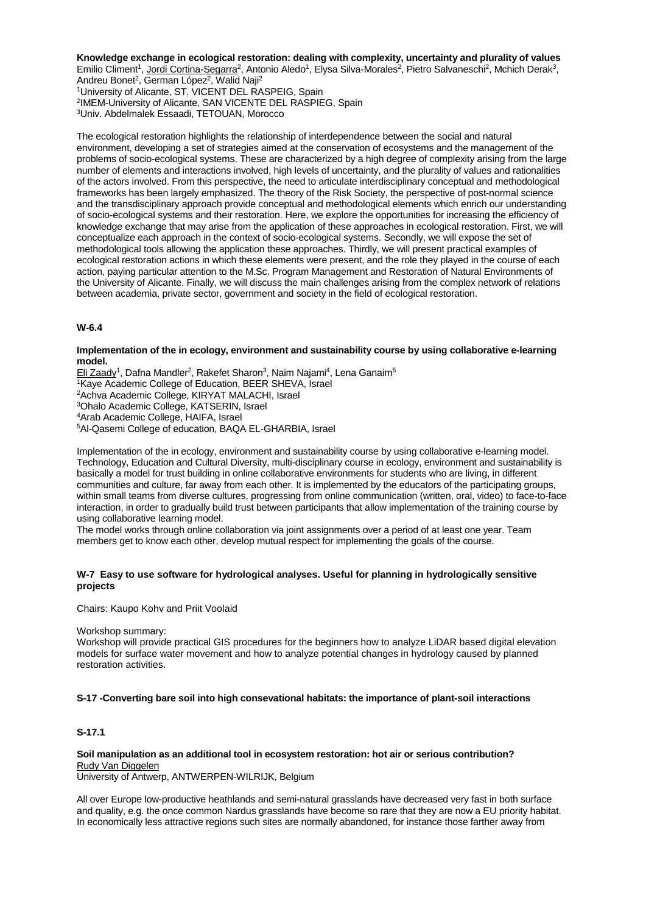### **Knowledge exchange in ecological restoration: dealing with complexity, uncertainty and plurality of values**

Emilio Climent<sup>1</sup>, Jordi Cortina-Segarra<sup>2</sup>, Antonio Aledo<sup>1</sup>, Elysa Silva-Morales<sup>2</sup>, Pietro Salvaneschi<sup>2</sup>, Mchich Derak<sup>3</sup>,

Andreu Bonet<sup>2</sup>, German López<sup>2</sup>, Walid Naji<sup>2</sup> 1University of Alicante, ST. VICENT DEL RASPEIG, Spain 2IMEM-University of Alicante, SAN VICENTE DEL RASPIEG, Spain 3Univ. Abdelmalek Essaadi, TETOUAN, Morocco

The ecological restoration highlights the relationship of interdependence between the social and natural environment, developing a set of strategies aimed at the conservation of ecosystems and the management of the problems of socio-ecological systems. These are characterized by a high degree of complexity arising from the large number of elements and interactions involved, high levels of uncertainty, and the plurality of values and rationalities of the actors involved. From this perspective, the need to articulate interdisciplinary conceptual and methodological frameworks has been largely emphasized. The theory of the Risk Society, the perspective of post-normal science and the transdisciplinary approach provide conceptual and methodological elements which enrich our understanding of socio-ecological systems and their restoration. Here, we explore the opportunities for increasing the efficiency of knowledge exchange that may arise from the application of these approaches in ecological restoration. First, we will conceptualize each approach in the context of socio-ecological systems. Secondly, we will expose the set of methodological tools allowing the application these approaches. Thirdly, we will present practical examples of ecological restoration actions in which these elements were present, and the role they played in the course of each action, paying particular attention to the M.Sc. Program Management and Restoration of Natural Environments of the University of Alicante. Finally, we will discuss the main challenges arising from the complex network of relations between academia, private sector, government and society in the field of ecological restoration.

## **W-6.4**

### **Implementation of the in ecology, environment and sustainability course by using collaborative e-learning model.**

Eli Zaady<sup>1</sup>, Dafna Mandler<sup>2</sup>, Rakefet Sharon<sup>3</sup>, Naim Najami<sup>4</sup>, Lena Ganaim<sup>5</sup> 1Kaye Academic College of Education, BEER SHEVA, Israel 2Achva Academic College, KIRYAT MALACHI, Israel 3Ohalo Academic College, KATSERIN, Israel 4Arab Academic College, HAIFA, Israel 5Al-Qasemi College of education, BAQA EL-GHARBIA, Israel

Implementation of the in ecology, environment and sustainability course by using collaborative e-learning model. Technology, Education and Cultural Diversity, multi-disciplinary course in ecology, environment and sustainability is basically a model for trust building in online collaborative environments for students who are living, in different communities and culture, far away from each other. It is implemented by the educators of the participating groups, within small teams from diverse cultures, progressing from online communication (written, oral, video) to face-to-face interaction, in order to gradually build trust between participants that allow implementation of the training course by using collaborative learning model.

The model works through online collaboration via joint assignments over a period of at least one year. Team members get to know each other, develop mutual respect for implementing the goals of the course.

## **W-7 Easy to use software for hydrological analyses. Useful for planning in hydrologically sensitive projects**

Chairs: Kaupo Kohv and Priit Voolaid

#### Workshop summary:

Workshop will provide practical GIS procedures for the beginners how to analyze LiDAR based digital elevation models for surface water movement and how to analyze potential changes in hydrology caused by planned restoration activities.

## **S-17 -Converting bare soil into high consevational habitats: the importance of plant-soil interactions**

# **S-17.1**

#### **Soil manipulation as an additional tool in ecosystem restoration: hot air or serious contribution?** Rudy Van Diggelen

University of Antwerp, ANTWERPEN-WILRIJK, Belgium

All over Europe low-productive heathlands and semi-natural grasslands have decreased very fast in both surface and quality, e.g. the once common Nardus grasslands have become so rare that they are now a EU priority habitat. In economically less attractive regions such sites are normally abandoned, for instance those farther away from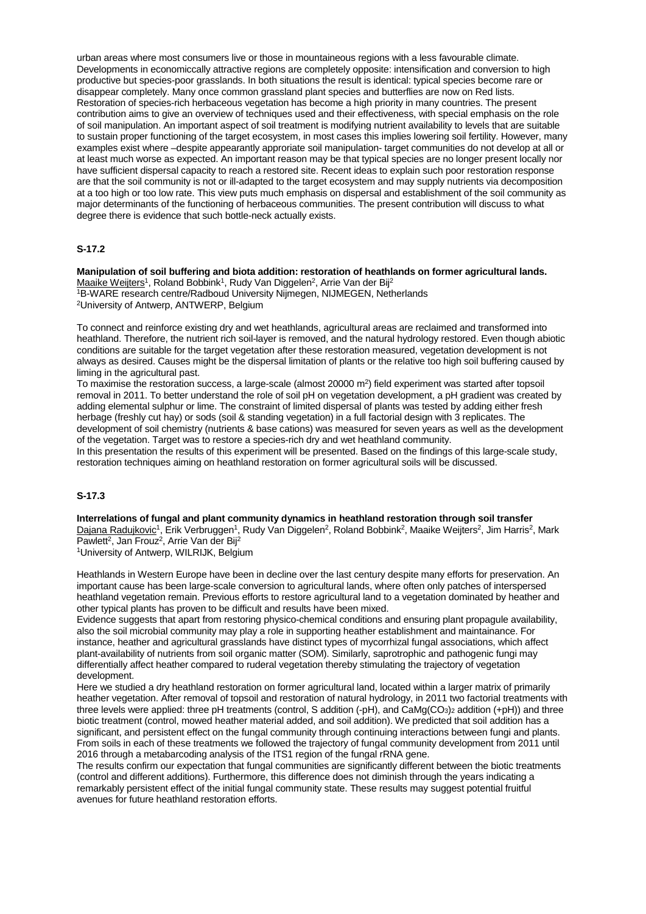urban areas where most consumers live or those in mountaineous regions with a less favourable climate. Developments in economiccally attractive regions are completely opposite: intensification and conversion to high productive but species-poor grasslands. In both situations the result is identical: typical species become rare or disappear completely. Many once common grassland plant species and butterflies are now on Red lists. Restoration of species-rich herbaceous vegetation has become a high priority in many countries. The present contribution aims to give an overview of techniques used and their effectiveness, with special emphasis on the role of soil manipulation. An important aspect of soil treatment is modifying nutrient availability to levels that are suitable to sustain proper functioning of the target ecosystem, in most cases this implies lowering soil fertility. However, many examples exist where –despite appearantly approriate soil manipulation- target communities do not develop at all or at least much worse as expected. An important reason may be that typical species are no longer present locally nor have sufficient dispersal capacity to reach a restored site. Recent ideas to explain such poor restoration response are that the soil community is not or ill-adapted to the target ecosystem and may supply nutrients via decomposition at a too high or too low rate. This view puts much emphasis on dispersal and establishment of the soil community as major determinants of the functioning of herbaceous communities. The present contribution will discuss to what degree there is evidence that such bottle-neck actually exists.

## **S-17.2**

**Manipulation of soil buffering and biota addition: restoration of heathlands on former agricultural lands.** Maaike Weijters<sup>1</sup>, Roland Bobbink<sup>1</sup>, Rudy Van Diggelen<sup>2</sup>, Arrie Van der Bij<sup>2</sup> 1B-WARE research centre/Radboud University Nijmegen, NIJMEGEN, Netherlands

2University of Antwerp, ANTWERP, Belgium

To connect and reinforce existing dry and wet heathlands, agricultural areas are reclaimed and transformed into heathland. Therefore, the nutrient rich soil-layer is removed, and the natural hydrology restored. Even though abiotic conditions are suitable for the target vegetation after these restoration measured, vegetation development is not always as desired. Causes might be the dispersal limitation of plants or the relative too high soil buffering caused by liming in the agricultural past.

To maximise the restoration success, a large-scale (almost  $20000$  m<sup>2</sup>) field experiment was started after topsoil removal in 2011. To better understand the role of soil pH on vegetation development, a pH gradient was created by adding elemental sulphur or lime. The constraint of limited dispersal of plants was tested by adding either fresh herbage (freshly cut hay) or sods (soil & standing vegetation) in a full factorial design with 3 replicates. The development of soil chemistry (nutrients & base cations) was measured for seven years as well as the development of the vegetation. Target was to restore a species-rich dry and wet heathland community.

In this presentation the results of this experiment will be presented. Based on the findings of this large-scale study, restoration techniques aiming on heathland restoration on former agricultural soils will be discussed.

## **S-17.3**

**Interrelations of fungal and plant community dynamics in heathland restoration through soil transfer**

Dajana Radujkovic<sup>1</sup>, Erik Verbruggen<sup>1</sup>, Rudy Van Diggelen<sup>2</sup>, Roland Bobbink<sup>2</sup>, Maaike Weijters<sup>2</sup>, Jim Harris<sup>2</sup>, Mark Pawlett<sup>2</sup>, Jan Frouz<sup>2</sup>, Arrie Van der Bij<sup>2</sup>

1University of Antwerp, WILRIJK, Belgium

Heathlands in Western Europe have been in decline over the last century despite many efforts for preservation. An important cause has been large-scale conversion to agricultural lands, where often only patches of interspersed heathland vegetation remain. Previous efforts to restore agricultural land to a vegetation dominated by heather and other typical plants has proven to be difficult and results have been mixed.

Evidence suggests that apart from restoring physico-chemical conditions and ensuring plant propagule availability, also the soil microbial community may play a role in supporting heather establishment and maintainance. For instance, heather and agricultural grasslands have distinct types of mycorrhizal fungal associations, which affect plant-availability of nutrients from soil organic matter (SOM). Similarly, saprotrophic and pathogenic fungi may differentially affect heather compared to ruderal vegetation thereby stimulating the trajectory of vegetation development.

Here we studied a dry heathland restoration on former agricultural land, located within a larger matrix of primarily heather vegetation. After removal of topsoil and restoration of natural hydrology, in 2011 two factorial treatments with three levels were applied: three pH treatments (control, S addition (-pH), and CaMg(CO3)2 addition (+pH)) and three biotic treatment (control, mowed heather material added, and soil addition). We predicted that soil addition has a significant, and persistent effect on the fungal community through continuing interactions between fungi and plants. From soils in each of these treatments we followed the trajectory of fungal community development from 2011 until 2016 through a metabarcoding analysis of the ITS1 region of the fungal rRNA gene.

The results confirm our expectation that fungal communities are significantly different between the biotic treatments (control and different additions). Furthermore, this difference does not diminish through the years indicating a remarkably persistent effect of the initial fungal community state. These results may suggest potential fruitful avenues for future heathland restoration efforts.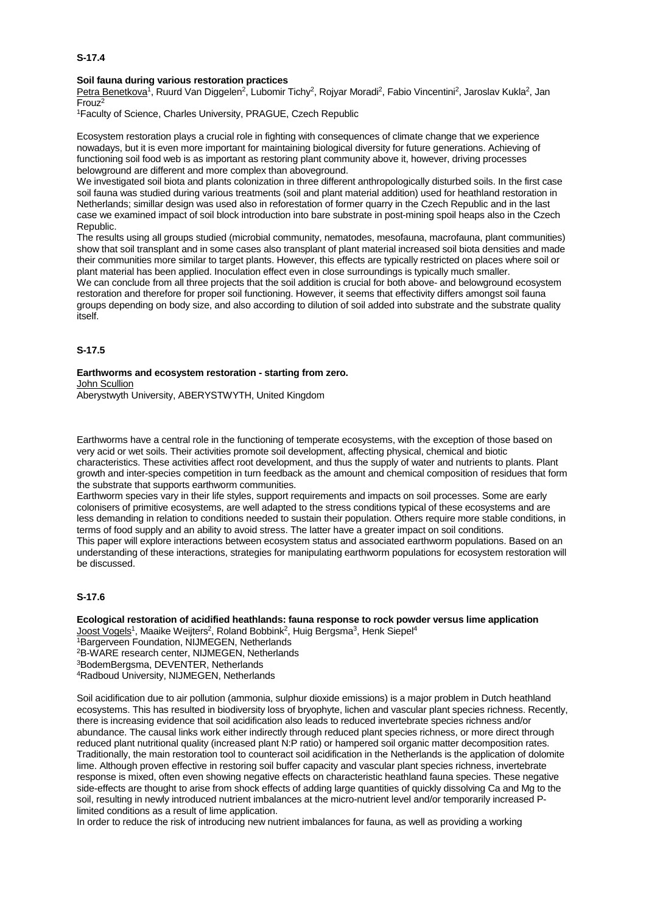# **Soil fauna during various restoration practices**

Petra Benetkova<sup>1</sup>, Ruurd Van Diggelen<sup>2</sup>, Lubomir Tichy<sup>2</sup>, Rojyar Moradi<sup>2</sup>, Fabio Vincentini<sup>2</sup>, Jaroslav Kukla<sup>2</sup>, Jan Frouz2

1Faculty of Science, Charles University, PRAGUE, Czech Republic

Ecosystem restoration plays a crucial role in fighting with consequences of climate change that we experience nowadays, but it is even more important for maintaining biological diversity for future generations. Achieving of functioning soil food web is as important as restoring plant community above it, however, driving processes belowground are different and more complex than aboveground.

We investigated soil biota and plants colonization in three different anthropologically disturbed soils. In the first case soil fauna was studied during various treatments (soil and plant material addition) used for heathland restoration in Netherlands; simillar design was used also in reforestation of former quarry in the Czech Republic and in the last case we examined impact of soil block introduction into bare substrate in post-mining spoil heaps also in the Czech Republic.

The results using all groups studied (microbial community, nematodes, mesofauna, macrofauna, plant communities) show that soil transplant and in some cases also transplant of plant material increased soil biota densities and made their communities more similar to target plants. However, this effects are typically restricted on places where soil or plant material has been applied. Inoculation effect even in close surroundings is typically much smaller.

We can conclude from all three projects that the soil addition is crucial for both above- and belowground ecosystem restoration and therefore for proper soil functioning. However, it seems that effectivity differs amongst soil fauna groups depending on body size, and also according to dilution of soil added into substrate and the substrate quality itself.

## **S-17.5**

#### **Earthworms and ecosystem restoration - starting from zero.** John Scullion

Aberystwyth University, ABERYSTWYTH, United Kingdom

Earthworms have a central role in the functioning of temperate ecosystems, with the exception of those based on very acid or wet soils. Their activities promote soil development, affecting physical, chemical and biotic characteristics. These activities affect root development, and thus the supply of water and nutrients to plants. Plant growth and inter-species competition in turn feedback as the amount and chemical composition of residues that form the substrate that supports earthworm communities.

Earthworm species vary in their life styles, support requirements and impacts on soil processes. Some are early colonisers of primitive ecosystems, are well adapted to the stress conditions typical of these ecosystems and are less demanding in relation to conditions needed to sustain their population. Others require more stable conditions, in terms of food supply and an ability to avoid stress. The latter have a greater impact on soil conditions. This paper will explore interactions between ecosystem status and associated earthworm populations. Based on an understanding of these interactions, strategies for manipulating earthworm populations for ecosystem restoration will be discussed.

## **S-17.6**

**Ecological restoration of acidified heathlands: fauna response to rock powder versus lime application** Joost Vogels<sup>1</sup>, Maaike Weijters<sup>2</sup>, Roland Bobbink<sup>2</sup>, Huig Bergsma<sup>3</sup>, Henk Siepel<sup>4</sup> 1Bargerveen Foundation, NIJMEGEN, Netherlands 2B-WARE research center, NIJMEGEN, Netherlands 3BodemBergsma, DEVENTER, Netherlands 4Radboud University, NIJMEGEN, Netherlands

Soil acidification due to air pollution (ammonia, sulphur dioxide emissions) is a major problem in Dutch heathland ecosystems. This has resulted in biodiversity loss of bryophyte, lichen and vascular plant species richness. Recently, there is increasing evidence that soil acidification also leads to reduced invertebrate species richness and/or abundance. The causal links work either indirectly through reduced plant species richness, or more direct through reduced plant nutritional quality (increased plant N:P ratio) or hampered soil organic matter decomposition rates. Traditionally, the main restoration tool to counteract soil acidification in the Netherlands is the application of dolomite lime. Although proven effective in restoring soil buffer capacity and vascular plant species richness, invertebrate response is mixed, often even showing negative effects on characteristic heathland fauna species. These negative side-effects are thought to arise from shock effects of adding large quantities of quickly dissolving Ca and Mg to the soil, resulting in newly introduced nutrient imbalances at the micro-nutrient level and/or temporarily increased Plimited conditions as a result of lime application.

In order to reduce the risk of introducing new nutrient imbalances for fauna, as well as providing a working

## **S-17.4**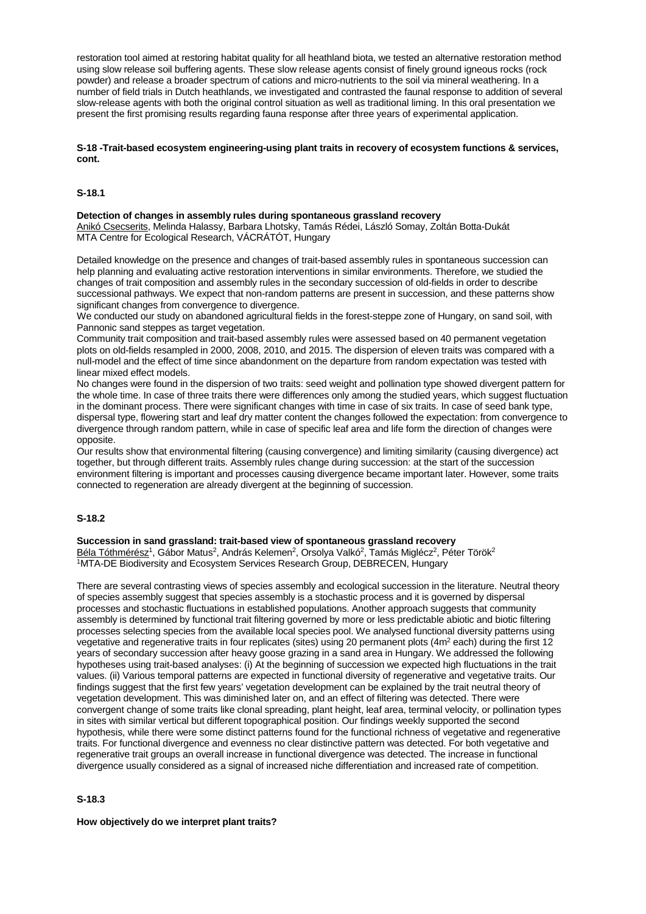restoration tool aimed at restoring habitat quality for all heathland biota, we tested an alternative restoration method using slow release soil buffering agents. These slow release agents consist of finely ground igneous rocks (rock powder) and release a broader spectrum of cations and micro-nutrients to the soil via mineral weathering. In a number of field trials in Dutch heathlands, we investigated and contrasted the faunal response to addition of several slow-release agents with both the original control situation as well as traditional liming. In this oral presentation we present the first promising results regarding fauna response after three years of experimental application.

## **S-18 -Trait-based ecosystem engineering-using plant traits in recovery of ecosystem functions & services, cont.**

# **S-18.1**

### **Detection of changes in assembly rules during spontaneous grassland recovery**

Anikó Csecserits, Melinda Halassy, Barbara Lhotsky, Tamás Rédei, László Somay, Zoltán Botta-Dukát MTA Centre for Ecological Research, VÁCRÁTÓT, Hungary

Detailed knowledge on the presence and changes of trait-based assembly rules in spontaneous succession can help planning and evaluating active restoration interventions in similar environments. Therefore, we studied the changes of trait composition and assembly rules in the secondary succession of old-fields in order to describe successional pathways. We expect that non-random patterns are present in succession, and these patterns show significant changes from convergence to divergence.

We conducted our study on abandoned agricultural fields in the forest-steppe zone of Hungary, on sand soil, with Pannonic sand steppes as target vegetation.

Community trait composition and trait-based assembly rules were assessed based on 40 permanent vegetation plots on old-fields resampled in 2000, 2008, 2010, and 2015. The dispersion of eleven traits was compared with a null-model and the effect of time since abandonment on the departure from random expectation was tested with linear mixed effect models.

No changes were found in the dispersion of two traits: seed weight and pollination type showed divergent pattern for the whole time. In case of three traits there were differences only among the studied years, which suggest fluctuation in the dominant process. There were significant changes with time in case of six traits. In case of seed bank type, dispersal type, flowering start and leaf dry matter content the changes followed the expectation: from convergence to divergence through random pattern, while in case of specific leaf area and life form the direction of changes were opposite.

Our results show that environmental filtering (causing convergence) and limiting similarity (causing divergence) act together, but through different traits. Assembly rules change during succession: at the start of the succession environment filtering is important and processes causing divergence became important later. However, some traits connected to regeneration are already divergent at the beginning of succession.

## **S-18.2**

#### **Succession in sand grassland: trait-based view of spontaneous grassland recovery**

Béla Tóthmérész<sup>1</sup>, Gábor Matus<sup>2</sup>, András Kelemen<sup>2</sup>, Orsolya Valkó<sup>2</sup>, Tamás Miglécz<sup>2</sup>, Péter Török<sup>2</sup> 1MTA-DE Biodiversity and Ecosystem Services Research Group, DEBRECEN, Hungary

There are several contrasting views of species assembly and ecological succession in the literature. Neutral theory of species assembly suggest that species assembly is a stochastic process and it is governed by dispersal processes and stochastic fluctuations in established populations. Another approach suggests that community assembly is determined by functional trait filtering governed by more or less predictable abiotic and biotic filtering processes selecting species from the available local species pool. We analysed functional diversity patterns using vegetative and regenerative traits in four replicates (sites) using 20 permanent plots (4m<sup>2</sup> each) during the first 12 years of secondary succession after heavy goose grazing in a sand area in Hungary. We addressed the following hypotheses using trait-based analyses: (i) At the beginning of succession we expected high fluctuations in the trait values. (ii) Various temporal patterns are expected in functional diversity of regenerative and vegetative traits. Our findings suggest that the first few years' vegetation development can be explained by the trait neutral theory of vegetation development. This was diminished later on, and an effect of filtering was detected. There were convergent change of some traits like clonal spreading, plant height, leaf area, terminal velocity, or pollination types in sites with similar vertical but different topographical position. Our findings weekly supported the second hypothesis, while there were some distinct patterns found for the functional richness of vegetative and regenerative traits. For functional divergence and evenness no clear distinctive pattern was detected. For both vegetative and regenerative trait groups an overall increase in functional divergence was detected. The increase in functional divergence usually considered as a signal of increased niche differentiation and increased rate of competition.

## **S-18.3**

## **How objectively do we interpret plant traits?**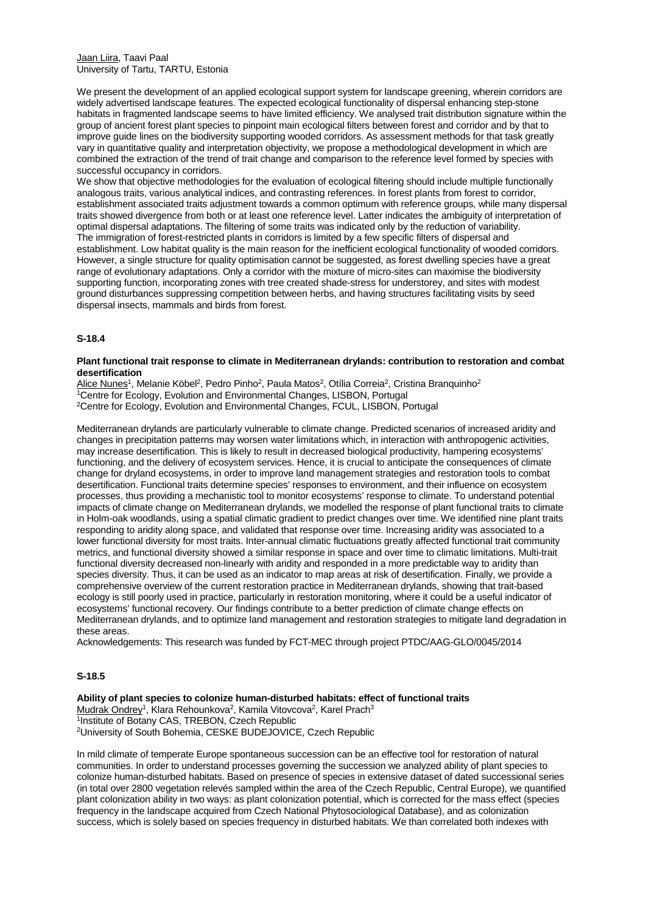Jaan Liira, Taavi Paal University of Tartu, TARTU, Estonia

We present the development of an applied ecological support system for landscape greening, wherein corridors are widely advertised landscape features. The expected ecological functionality of dispersal enhancing step-stone habitats in fragmented landscape seems to have limited efficiency. We analysed trait distribution signature within the group of ancient forest plant species to pinpoint main ecological filters between forest and corridor and by that to improve guide lines on the biodiversity supporting wooded corridors. As assessment methods for that task greatly vary in quantitative quality and interpretation objectivity, we propose a methodological development in which are combined the extraction of the trend of trait change and comparison to the reference level formed by species with successful occupancy in corridors.

We show that objective methodologies for the evaluation of ecological filtering should include multiple functionally analogous traits, various analytical indices, and contrasting references. In forest plants from forest to corridor, establishment associated traits adjustment towards a common optimum with reference groups, while many dispersal traits showed divergence from both or at least one reference level. Latter indicates the ambiguity of interpretation of optimal dispersal adaptations. The filtering of some traits was indicated only by the reduction of variability. The immigration of forest-restricted plants in corridors is limited by a few specific filters of dispersal and establishment. Low habitat quality is the main reason for the inefficient ecological functionality of wooded corridors. However, a single structure for quality optimisation cannot be suggested, as forest dwelling species have a great range of evolutionary adaptations. Only a corridor with the mixture of micro-sites can maximise the biodiversity supporting function, incorporating zones with tree created shade-stress for understorey, and sites with modest ground disturbances suppressing competition between herbs, and having structures facilitating visits by seed dispersal insects, mammals and birds from forest.

# **S-18.4**

### **Plant functional trait response to climate in Mediterranean drylands: contribution to restoration and combat desertification**

Alice Nunes<sup>1</sup>, Melanie Köbel<sup>2</sup>, Pedro Pinho<sup>2</sup>, Paula Matos<sup>2</sup>, Otília Correia<sup>2</sup>, Cristina Branquinho<sup>2</sup> 1Centre for Ecology, Evolution and Environmental Changes, LISBON, Portugal 2Centre for Ecology, Evolution and Environmental Changes, FCUL, LISBON, Portugal

Mediterranean drylands are particularly vulnerable to climate change. Predicted scenarios of increased aridity and changes in precipitation patterns may worsen water limitations which, in interaction with anthropogenic activities, may increase desertification. This is likely to result in decreased biological productivity, hampering ecosystems' functioning, and the delivery of ecosystem services. Hence, it is crucial to anticipate the consequences of climate change for dryland ecosystems, in order to improve land management strategies and restoration tools to combat desertification. Functional traits determine species' responses to environment, and their influence on ecosystem processes, thus providing a mechanistic tool to monitor ecosystems' response to climate. To understand potential impacts of climate change on Mediterranean drylands, we modelled the response of plant functional traits to climate in Holm-oak woodlands, using a spatial climatic gradient to predict changes over time. We identified nine plant traits responding to aridity along space, and validated that response over time. Increasing aridity was associated to a lower functional diversity for most traits. Inter-annual climatic fluctuations greatly affected functional trait community metrics, and functional diversity showed a similar response in space and over time to climatic limitations. Multi-trait functional diversity decreased non-linearly with aridity and responded in a more predictable way to aridity than species diversity. Thus, it can be used as an indicator to map areas at risk of desertification. Finally, we provide a comprehensive overview of the current restoration practice in Mediterranean drylands, showing that trait-based ecology is still poorly used in practice, particularly in restoration monitoring, where it could be a useful indicator of ecosystems' functional recovery. Our findings contribute to a better prediction of climate change effects on Mediterranean drylands, and to optimize land management and restoration strategies to mitigate land degradation in these areas.

Acknowledgements: This research was funded by FCT-MEC through project PTDC/AAG-GLO/0045/2014

## **S-18.5**

**Ability of plant species to colonize human-disturbed habitats: effect of functional traits** Mudrak Ondrey<sup>1</sup>, Klara Rehounkova<sup>2</sup>, Kamila Vitovcova<sup>2</sup>, Karel Prach<sup>3</sup> 1Institute of Botany CAS, TREBON, Czech Republic 2University of South Bohemia, CESKE BUDEJOVICE, Czech Republic

In mild climate of temperate Europe spontaneous succession can be an effective tool for restoration of natural communities. In order to understand processes governing the succession we analyzed ability of plant species to colonize human-disturbed habitats. Based on presence of species in extensive dataset of dated successional series (in total over 2800 vegetation relevés sampled within the area of the Czech Republic, Central Europe), we quantified plant colonization ability in two ways: as plant colonization potential, which is corrected for the mass effect (species frequency in the landscape acquired from Czech National Phytosociological Database), and as colonization success, which is solely based on species frequency in disturbed habitats. We than correlated both indexes with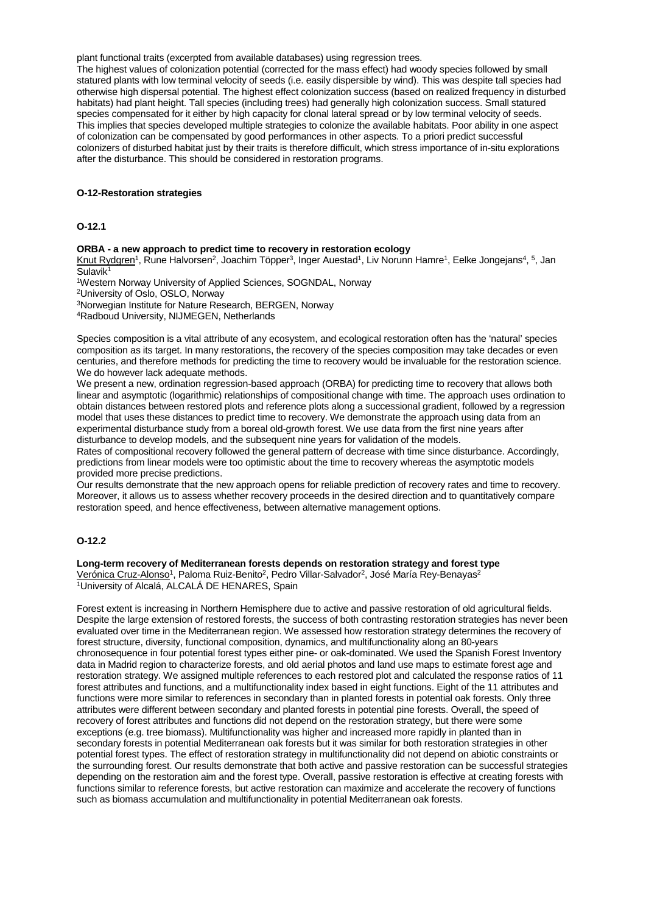plant functional traits (excerpted from available databases) using regression trees.

The highest values of colonization potential (corrected for the mass effect) had woody species followed by small statured plants with low terminal velocity of seeds (i.e. easily dispersible by wind). This was despite tall species had otherwise high dispersal potential. The highest effect colonization success (based on realized frequency in disturbed habitats) had plant height. Tall species (including trees) had generally high colonization success. Small statured species compensated for it either by high capacity for clonal lateral spread or by low terminal velocity of seeds. This implies that species developed multiple strategies to colonize the available habitats. Poor ability in one aspect of colonization can be compensated by good performances in other aspects. To a priori predict successful colonizers of disturbed habitat just by their traits is therefore difficult, which stress importance of in-situ explorations after the disturbance. This should be considered in restoration programs.

#### **O-12-Restoration strategies**

## **O-12.1**

#### **ORBA - a new approach to predict time to recovery in restoration ecology**

Knut Rydgren<sup>1</sup>, Rune Halvorsen<sup>2</sup>, Joachim Töpper<sup>3</sup>, Inger Auestad<sup>1</sup>, Liv Norunn Hamre<sup>1</sup>, Eelke Jongejans<sup>4</sup>, <sup>5</sup>, Jan Sulavik<sup>1</sup>

1Western Norway University of Applied Sciences, SOGNDAL, Norway

2University of Oslo, OSLO, Norway

3Norwegian Institute for Nature Research, BERGEN, Norway

4Radboud University, NIJMEGEN, Netherlands

Species composition is a vital attribute of any ecosystem, and ecological restoration often has the 'natural' species composition as its target. In many restorations, the recovery of the species composition may take decades or even centuries, and therefore methods for predicting the time to recovery would be invaluable for the restoration science. We do however lack adequate methods.

We present a new, ordination regression-based approach (ORBA) for predicting time to recovery that allows both linear and asymptotic (logarithmic) relationships of compositional change with time. The approach uses ordination to obtain distances between restored plots and reference plots along a successional gradient, followed by a regression model that uses these distances to predict time to recovery. We demonstrate the approach using data from an experimental disturbance study from a boreal old-growth forest. We use data from the first nine years after disturbance to develop models, and the subsequent nine years for validation of the models.

Rates of compositional recovery followed the general pattern of decrease with time since disturbance. Accordingly, predictions from linear models were too optimistic about the time to recovery whereas the asymptotic models provided more precise predictions.

Our results demonstrate that the new approach opens for reliable prediction of recovery rates and time to recovery. Moreover, it allows us to assess whether recovery proceeds in the desired direction and to quantitatively compare restoration speed, and hence effectiveness, between alternative management options.

# **O-12.2**

### **Long-term recovery of Mediterranean forests depends on restoration strategy and forest type** Verónica Cruz-Alonso<sup>1</sup>, Paloma Ruiz-Benito<sup>2</sup>, Pedro Villar-Salvador<sup>2</sup>, José María Rey-Benayas<sup>2</sup> 1University of Alcalá, ALCALÁ DE HENARES, Spain

Forest extent is increasing in Northern Hemisphere due to active and passive restoration of old agricultural fields. Despite the large extension of restored forests, the success of both contrasting restoration strategies has never been evaluated over time in the Mediterranean region. We assessed how restoration strategy determines the recovery of forest structure, diversity, functional composition, dynamics, and multifunctionality along an 80-years chronosequence in four potential forest types either pine- or oak-dominated. We used the Spanish Forest Inventory data in Madrid region to characterize forests, and old aerial photos and land use maps to estimate forest age and restoration strategy. We assigned multiple references to each restored plot and calculated the response ratios of 11 forest attributes and functions, and a multifunctionality index based in eight functions. Eight of the 11 attributes and functions were more similar to references in secondary than in planted forests in potential oak forests. Only three attributes were different between secondary and planted forests in potential pine forests. Overall, the speed of recovery of forest attributes and functions did not depend on the restoration strategy, but there were some exceptions (e.g. tree biomass). Multifunctionality was higher and increased more rapidly in planted than in secondary forests in potential Mediterranean oak forests but it was similar for both restoration strategies in other potential forest types. The effect of restoration strategy in multifunctionality did not depend on abiotic constraints or the surrounding forest. Our results demonstrate that both active and passive restoration can be successful strategies depending on the restoration aim and the forest type. Overall, passive restoration is effective at creating forests with functions similar to reference forests, but active restoration can maximize and accelerate the recovery of functions such as biomass accumulation and multifunctionality in potential Mediterranean oak forests.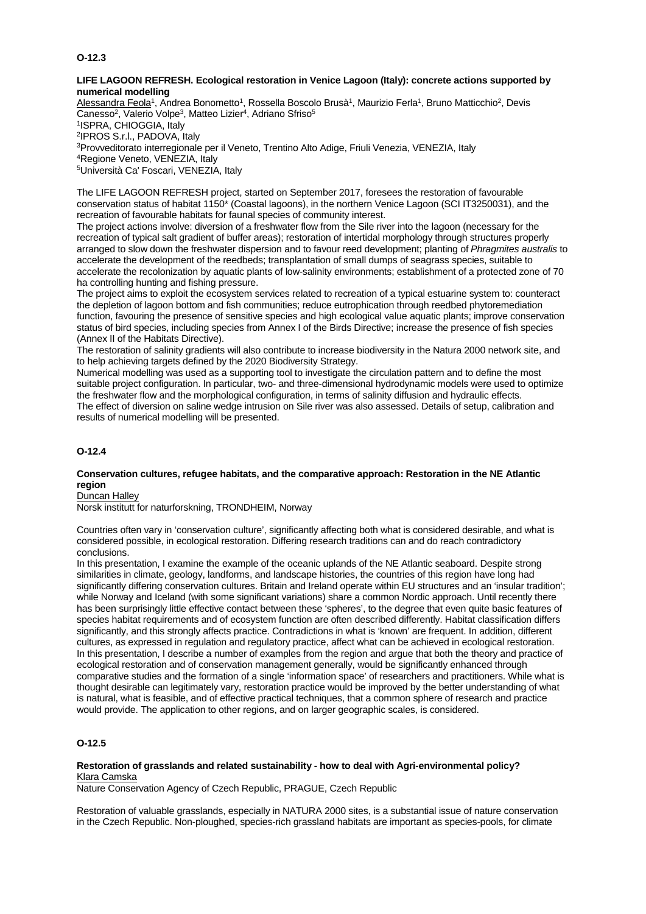# **O-12.3**

## **LIFE LAGOON REFRESH. Ecological restoration in Venice Lagoon (Italy): concrete actions supported by numerical modelling**

Alessandra Feola<sup>1</sup>, Andrea Bonometto<sup>1</sup>, Rossella Boscolo Brusà<sup>1</sup>, Maurizio Ferla<sup>1</sup>, Bruno Matticchio<sup>2</sup>, Devis Canesso<sup>2</sup>, Valerio Volpe<sup>3</sup>, Matteo Lizier<sup>4</sup>, Adriano Sfriso<sup>5</sup> 1ISPRA, CHIOGGIA, Italy 2IPROS S.r.l., PADOVA, Italy 3Provveditorato interregionale per il Veneto, Trentino Alto Adige, Friuli Venezia, VENEZIA, Italy 4Regione Veneto, VENEZIA, Italy 5Università Ca' Foscari, VENEZIA, Italy

The LIFE LAGOON REFRESH project, started on September 2017, foresees the restoration of favourable conservation status of habitat 1150\* (Coastal lagoons), in the northern Venice Lagoon (SCI IT3250031), and the recreation of favourable habitats for faunal species of community interest.

The project actions involve: diversion of a freshwater flow from the Sile river into the lagoon (necessary for the recreation of typical salt gradient of buffer areas); restoration of intertidal morphology through structures properly arranged to slow down the freshwater dispersion and to favour reed development; planting of *Phragmites australis* to accelerate the development of the reedbeds; transplantation of small dumps of seagrass species, suitable to accelerate the recolonization by aquatic plants of low-salinity environments; establishment of a protected zone of 70 ha controlling hunting and fishing pressure.

The project aims to exploit the ecosystem services related to recreation of a typical estuarine system to: counteract the depletion of lagoon bottom and fish communities; reduce eutrophication through reedbed phytoremediation function, favouring the presence of sensitive species and high ecological value aquatic plants; improve conservation status of bird species, including species from Annex I of the Birds Directive; increase the presence of fish species (Annex II of the Habitats Directive).

The restoration of salinity gradients will also contribute to increase biodiversity in the Natura 2000 network site, and to help achieving targets defined by the 2020 Biodiversity Strategy.

Numerical modelling was used as a supporting tool to investigate the circulation pattern and to define the most suitable project configuration. In particular, two- and three-dimensional hydrodynamic models were used to optimize the freshwater flow and the morphological configuration, in terms of salinity diffusion and hydraulic effects. The effect of diversion on saline wedge intrusion on Sile river was also assessed. Details of setup, calibration and results of numerical modelling will be presented.

# **O-12.4**

## **Conservation cultures, refugee habitats, and the comparative approach: Restoration in the NE Atlantic region**

Duncan Halley

Norsk institutt for naturforskning, TRONDHEIM, Norway

Countries often vary in 'conservation culture', significantly affecting both what is considered desirable, and what is considered possible, in ecological restoration. Differing research traditions can and do reach contradictory conclusions.

In this presentation, I examine the example of the oceanic uplands of the NE Atlantic seaboard. Despite strong similarities in climate, geology, landforms, and landscape histories, the countries of this region have long had significantly differing conservation cultures. Britain and Ireland operate within EU structures and an 'insular tradition': while Norway and Iceland (with some significant variations) share a common Nordic approach. Until recently there has been surprisingly little effective contact between these 'spheres', to the degree that even quite basic features of species habitat requirements and of ecosystem function are often described differently. Habitat classification differs significantly, and this strongly affects practice. Contradictions in what is 'known' are frequent. In addition, different cultures, as expressed in regulation and regulatory practice, affect what can be achieved in ecological restoration. In this presentation, I describe a number of examples from the region and argue that both the theory and practice of ecological restoration and of conservation management generally, would be significantly enhanced through comparative studies and the formation of a single 'information space' of researchers and practitioners. While what is thought desirable can legitimately vary, restoration practice would be improved by the better understanding of what is natural, what is feasible, and of effective practical techniques, that a common sphere of research and practice would provide. The application to other regions, and on larger geographic scales, is considered.

# **O-12.5**

## **Restoration of grasslands and related sustainability - how to deal with Agri-environmental policy?** Klara Camska

Nature Conservation Agency of Czech Republic, PRAGUE, Czech Republic

Restoration of valuable grasslands, especially in NATURA 2000 sites, is a substantial issue of nature conservation in the Czech Republic. Non-ploughed, species-rich grassland habitats are important as species-pools, for climate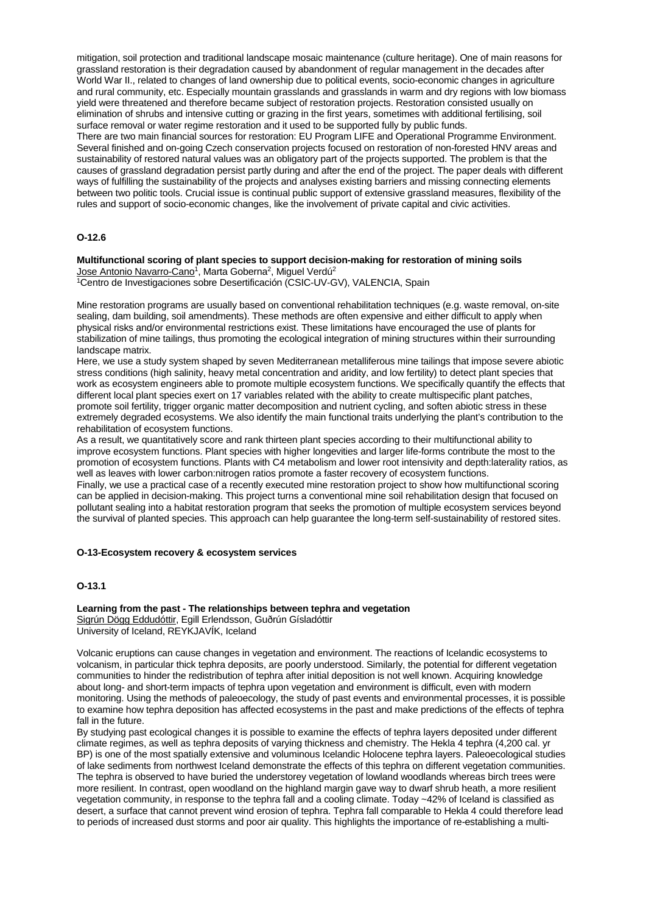mitigation, soil protection and traditional landscape mosaic maintenance (culture heritage). One of main reasons for grassland restoration is their degradation caused by abandonment of regular management in the decades after World War II., related to changes of land ownership due to political events, socio-economic changes in agriculture and rural community, etc. Especially mountain grasslands and grasslands in warm and dry regions with low biomass yield were threatened and therefore became subject of restoration projects. Restoration consisted usually on elimination of shrubs and intensive cutting or grazing in the first years, sometimes with additional fertilising, soil surface removal or water regime restoration and it used to be supported fully by public funds.

There are two main financial sources for restoration: EU Program LIFE and Operational Programme Environment. Several finished and on-going Czech conservation projects focused on restoration of non-forested HNV areas and sustainability of restored natural values was an obligatory part of the projects supported. The problem is that the causes of grassland degradation persist partly during and after the end of the project. The paper deals with different ways of fulfilling the sustainability of the projects and analyses existing barriers and missing connecting elements between two politic tools. Crucial issue is continual public support of extensive grassland measures, flexibility of the rules and support of socio-economic changes, like the involvement of private capital and civic activities.

## **O-12.6**

**Multifunctional scoring of plant species to support decision-making for restoration of mining soils** Jose Antonio Navarro-Cano<sup>1</sup>, Marta Goberna<sup>2</sup>, Miguel Verdú<sup>2</sup>

<sup>1</sup>Centro de Investigaciones sobre Desertificación (CSIC-UV-GV), VALENCIA, Spain

Mine restoration programs are usually based on conventional rehabilitation techniques (e.g. waste removal, on-site sealing, dam building, soil amendments). These methods are often expensive and either difficult to apply when physical risks and/or environmental restrictions exist. These limitations have encouraged the use of plants for stabilization of mine tailings, thus promoting the ecological integration of mining structures within their surrounding landscape matrix.

Here, we use a study system shaped by seven Mediterranean metalliferous mine tailings that impose severe abiotic stress conditions (high salinity, heavy metal concentration and aridity, and low fertility) to detect plant species that work as ecosystem engineers able to promote multiple ecosystem functions. We specifically quantify the effects that different local plant species exert on 17 variables related with the ability to create multispecific plant patches, promote soil fertility, trigger organic matter decomposition and nutrient cycling, and soften abiotic stress in these extremely degraded ecosystems. We also identify the main functional traits underlying the plant's contribution to the rehabilitation of ecosystem functions.

As a result, we quantitatively score and rank thirteen plant species according to their multifunctional ability to improve ecosystem functions. Plant species with higher longevities and larger life-forms contribute the most to the promotion of ecosystem functions. Plants with C4 metabolism and lower root intensivity and depth:laterality ratios, as well as leaves with lower carbon:nitrogen ratios promote a faster recovery of ecosystem functions.

Finally, we use a practical case of a recently executed mine restoration project to show how multifunctional scoring can be applied in decision-making. This project turns a conventional mine soil rehabilitation design that focused on pollutant sealing into a habitat restoration program that seeks the promotion of multiple ecosystem services beyond the survival of planted species. This approach can help guarantee the long-term self-sustainability of restored sites.

#### **O-13-Ecosystem recovery & ecosystem services**

#### **O-13.1**

**Learning from the past - The relationships between tephra and vegetation** Sigrún Dögg Eddudóttir, Egill Erlendsson, Guðrún Gísladóttir University of Iceland, REYKJAVÍK, Iceland

Volcanic eruptions can cause changes in vegetation and environment. The reactions of Icelandic ecosystems to volcanism, in particular thick tephra deposits, are poorly understood. Similarly, the potential for different vegetation communities to hinder the redistribution of tephra after initial deposition is not well known. Acquiring knowledge about long- and short-term impacts of tephra upon vegetation and environment is difficult, even with modern monitoring. Using the methods of paleoecology, the study of past events and environmental processes, it is possible to examine how tephra deposition has affected ecosystems in the past and make predictions of the effects of tephra fall in the future.

By studying past ecological changes it is possible to examine the effects of tephra layers deposited under different climate regimes, as well as tephra deposits of varying thickness and chemistry. The Hekla 4 tephra (4,200 cal. yr BP) is one of the most spatially extensive and voluminous Icelandic Holocene tephra layers. Paleoecological studies of lake sediments from northwest Iceland demonstrate the effects of this tephra on different vegetation communities. The tephra is observed to have buried the understorey vegetation of lowland woodlands whereas birch trees were more resilient. In contrast, open woodland on the highland margin gave way to dwarf shrub heath, a more resilient vegetation community, in response to the tephra fall and a cooling climate. Today ~42% of Iceland is classified as desert, a surface that cannot prevent wind erosion of tephra. Tephra fall comparable to Hekla 4 could therefore lead to periods of increased dust storms and poor air quality. This highlights the importance of re-establishing a multi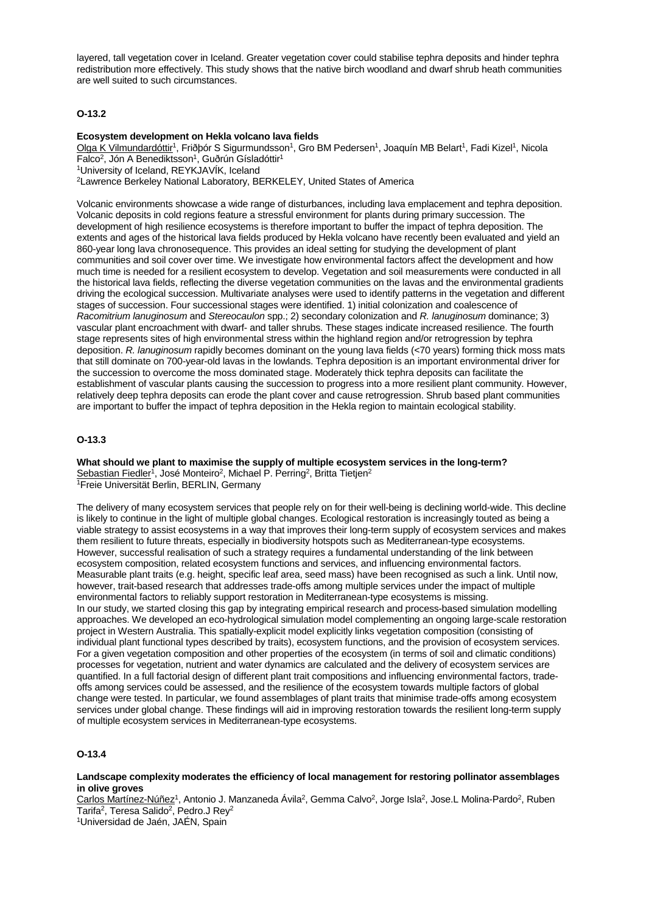layered, tall vegetation cover in Iceland. Greater vegetation cover could stabilise tephra deposits and hinder tephra redistribution more effectively. This study shows that the native birch woodland and dwarf shrub heath communities are well suited to such circumstances.

## **O-13.2**

#### **Ecosystem development on Hekla volcano lava fields**

Olga K Vilmundardóttir<sup>1</sup>, Friðþór S Sigurmundsson<sup>1</sup>, Gro BM Pedersen<sup>1</sup>, Joaquín MB Belart<sup>1</sup>, Fadi Kizel<sup>1</sup>, Nicola Falco<sup>2</sup>, Jón A Benediktsson<sup>1</sup>, Guðrún Gísladóttir<sup>1</sup> 1University of Iceland, REYKJAVÍK, Iceland 2Lawrence Berkeley National Laboratory, BERKELEY, United States of America

Volcanic environments showcase a wide range of disturbances, including lava emplacement and tephra deposition. Volcanic deposits in cold regions feature a stressful environment for plants during primary succession. The development of high resilience ecosystems is therefore important to buffer the impact of tephra deposition. The extents and ages of the historical lava fields produced by Hekla volcano have recently been evaluated and yield an 860-year long lava chronosequence. This provides an ideal setting for studying the development of plant communities and soil cover over time. We investigate how environmental factors affect the development and how much time is needed for a resilient ecosystem to develop. Vegetation and soil measurements were conducted in all the historical lava fields, reflecting the diverse vegetation communities on the lavas and the environmental gradients driving the ecological succession. Multivariate analyses were used to identify patterns in the vegetation and different stages of succession. Four successional stages were identified. 1) initial colonization and coalescence of *Racomitrium lanuginosum* and *Stereocaulon* spp.; 2) secondary colonization and *R. lanuginosum* dominance; 3) vascular plant encroachment with dwarf- and taller shrubs. These stages indicate increased resilience. The fourth stage represents sites of high environmental stress within the highland region and/or retrogression by tephra deposition. *R. lanuginosum* rapidly becomes dominant on the young lava fields (<70 years) forming thick moss mats that still dominate on 700-year-old lavas in the lowlands. Tephra deposition is an important environmental driver for the succession to overcome the moss dominated stage. Moderately thick tephra deposits can facilitate the establishment of vascular plants causing the succession to progress into a more resilient plant community. However, relatively deep tephra deposits can erode the plant cover and cause retrogression. Shrub based plant communities are important to buffer the impact of tephra deposition in the Hekla region to maintain ecological stability.

## **O-13.3**

**What should we plant to maximise the supply of multiple ecosystem services in the long-term?** Sebastian Fiedler<sup>1</sup>, José Monteiro<sup>2</sup>, Michael P. Perring<sup>2</sup>, Britta Tietjen<sup>2</sup> 1Freie Universität Berlin, BERLIN, Germany

The delivery of many ecosystem services that people rely on for their well-being is declining world-wide. This decline is likely to continue in the light of multiple global changes. Ecological restoration is increasingly touted as being a viable strategy to assist ecosystems in a way that improves their long-term supply of ecosystem services and makes them resilient to future threats, especially in biodiversity hotspots such as Mediterranean-type ecosystems. However, successful realisation of such a strategy requires a fundamental understanding of the link between ecosystem composition, related ecosystem functions and services, and influencing environmental factors. Measurable plant traits (e.g. height, specific leaf area, seed mass) have been recognised as such a link. Until now, however, trait-based research that addresses trade-offs among multiple services under the impact of multiple environmental factors to reliably support restoration in Mediterranean-type ecosystems is missing. In our study, we started closing this gap by integrating empirical research and process-based simulation modelling approaches. We developed an eco-hydrological simulation model complementing an ongoing large-scale restoration project in Western Australia. This spatially-explicit model explicitly links vegetation composition (consisting of individual plant functional types described by traits), ecosystem functions, and the provision of ecosystem services. For a given vegetation composition and other properties of the ecosystem (in terms of soil and climatic conditions) processes for vegetation, nutrient and water dynamics are calculated and the delivery of ecosystem services are quantified. In a full factorial design of different plant trait compositions and influencing environmental factors, tradeoffs among services could be assessed, and the resilience of the ecosystem towards multiple factors of global change were tested. In particular, we found assemblages of plant traits that minimise trade-offs among ecosystem services under global change. These findings will aid in improving restoration towards the resilient long-term supply of multiple ecosystem services in Mediterranean-type ecosystems.

# **O-13.4**

## **Landscape complexity moderates the efficiency of local management for restoring pollinator assemblages in olive groves**

Carlos Martínez-Núñez<sup>1</sup>, Antonio J. Manzaneda Ávila<sup>2</sup>, Gemma Calvo<sup>2</sup>, Jorge Isla<sup>2</sup>, Jose.L Molina-Pardo<sup>2</sup>, Ruben Tarifa<sup>2</sup>, Teresa Salido<sup>2</sup>, Pedro, J Rev<sup>2</sup>

1Universidad de Jaén, JAÉN, Spain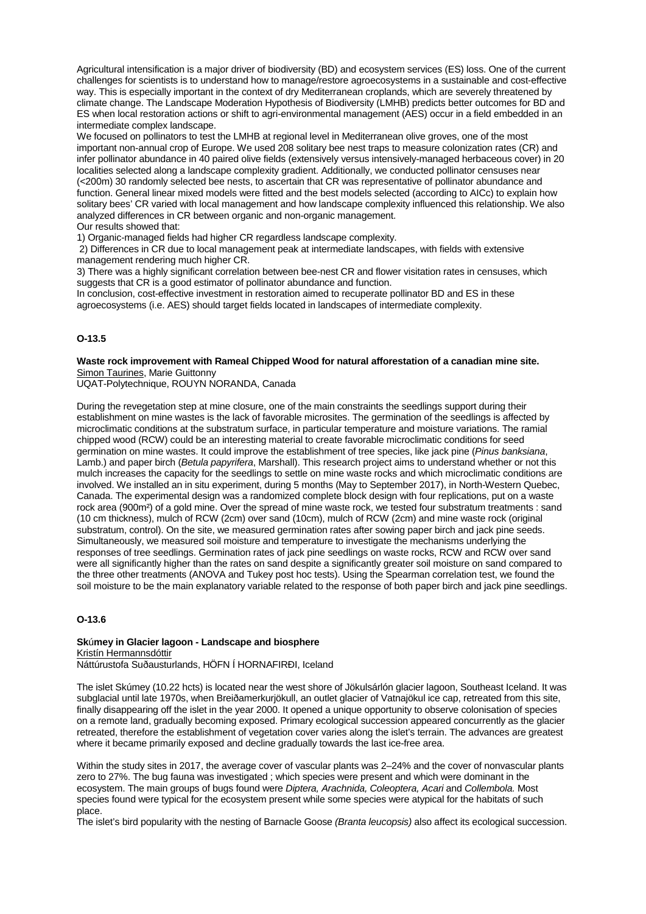Agricultural intensification is a major driver of biodiversity (BD) and ecosystem services (ES) loss. One of the current challenges for scientists is to understand how to manage/restore agroecosystems in a sustainable and cost-effective way. This is especially important in the context of dry Mediterranean croplands, which are severely threatened by climate change. The Landscape Moderation Hypothesis of Biodiversity (LMHB) predicts better outcomes for BD and ES when local restoration actions or shift to agri-environmental management (AES) occur in a field embedded in an intermediate complex landscape.

We focused on pollinators to test the LMHB at regional level in Mediterranean olive groves, one of the most important non-annual crop of Europe. We used 208 solitary bee nest traps to measure colonization rates (CR) and infer pollinator abundance in 40 paired olive fields (extensively versus intensively-managed herbaceous cover) in 20 localities selected along a landscape complexity gradient. Additionally, we conducted pollinator censuses near (<200m) 30 randomly selected bee nests, to ascertain that CR was representative of pollinator abundance and function. General linear mixed models were fitted and the best models selected (according to AICc) to explain how solitary bees' CR varied with local management and how landscape complexity influenced this relationship. We also analyzed differences in CR between organic and non-organic management.

Our results showed that:

1) Organic-managed fields had higher CR regardless landscape complexity.

2) Differences in CR due to local management peak at intermediate landscapes, with fields with extensive management rendering much higher CR.

3) There was a highly significant correlation between bee-nest CR and flower visitation rates in censuses, which suggests that CR is a good estimator of pollinator abundance and function.

In conclusion, cost-effective investment in restoration aimed to recuperate pollinator BD and ES in these agroecosystems (i.e. AES) should target fields located in landscapes of intermediate complexity.

## **O-13.5**

### **Waste rock improvement with Rameal Chipped Wood for natural afforestation of a canadian mine site.** Simon Taurines, Marie Guittonny

UQAT-Polytechnique, ROUYN NORANDA, Canada

During the revegetation step at mine closure, one of the main constraints the seedlings support during their establishment on mine wastes is the lack of favorable microsites. The germination of the seedlings is affected by microclimatic conditions at the substratum surface, in particular temperature and moisture variations. The ramial chipped wood (RCW) could be an interesting material to create favorable microclimatic conditions for seed germination on mine wastes. It could improve the establishment of tree species, like jack pine (*Pinus banksiana*, Lamb.) and paper birch (*Betula papyrifera*, Marshall). This research project aims to understand whether or not this mulch increases the capacity for the seedlings to settle on mine waste rocks and which microclimatic conditions are involved. We installed an in situ experiment, during 5 months (May to September 2017), in North-Western Quebec, Canada. The experimental design was a randomized complete block design with four replications, put on a waste rock area (900m²) of a gold mine. Over the spread of mine waste rock, we tested four substratum treatments : sand (10 cm thickness), mulch of RCW (2cm) over sand (10cm), mulch of RCW (2cm) and mine waste rock (original substratum, control). On the site, we measured germination rates after sowing paper birch and jack pine seeds. Simultaneously, we measured soil moisture and temperature to investigate the mechanisms underlying the responses of tree seedlings. Germination rates of jack pine seedlings on waste rocks, RCW and RCW over sand were all significantly higher than the rates on sand despite a significantly greater soil moisture on sand compared to the three other treatments (ANOVA and Tukey post hoc tests). Using the Spearman correlation test, we found the soil moisture to be the main explanatory variable related to the response of both paper birch and jack pine seedlings.

## **O-13.6**

**Sk**ú**mey in Glacier lagoon - Landscape and biosphere** Kristín Hermannsdóttir Náttúrustofa Suðausturlands, HÖFN Í HORNAFIRÐI, Iceland

The islet Skúmey (10.22 hcts) is located near the west shore of Jökulsárlón glacier lagoon, Southeast Iceland. It was subglacial until late 1970s, when Breiðamerkurjökull, an outlet glacier of Vatnajökul ice cap, retreated from this site, finally disappearing off the islet in the year 2000. It opened a unique opportunity to observe colonisation of species on a remote land, gradually becoming exposed. Primary ecological succession appeared concurrently as the glacier retreated, therefore the establishment of vegetation cover varies along the islet's terrain. The advances are greatest where it became primarily exposed and decline gradually towards the last ice-free area.

Within the study sites in 2017, the average cover of vascular plants was 2–24% and the cover of nonvascular plants zero to 27%. The bug fauna was investigated ; which species were present and which were dominant in the ecosystem. The main groups of bugs found were *Diptera, Arachnida, Coleoptera, Acari* and *Collembola.* Most species found were typical for the ecosystem present while some species were atypical for the habitats of such place.

The islet's bird popularity with the nesting of Barnacle Goose *(Branta leucopsis)* also affect its ecological succession.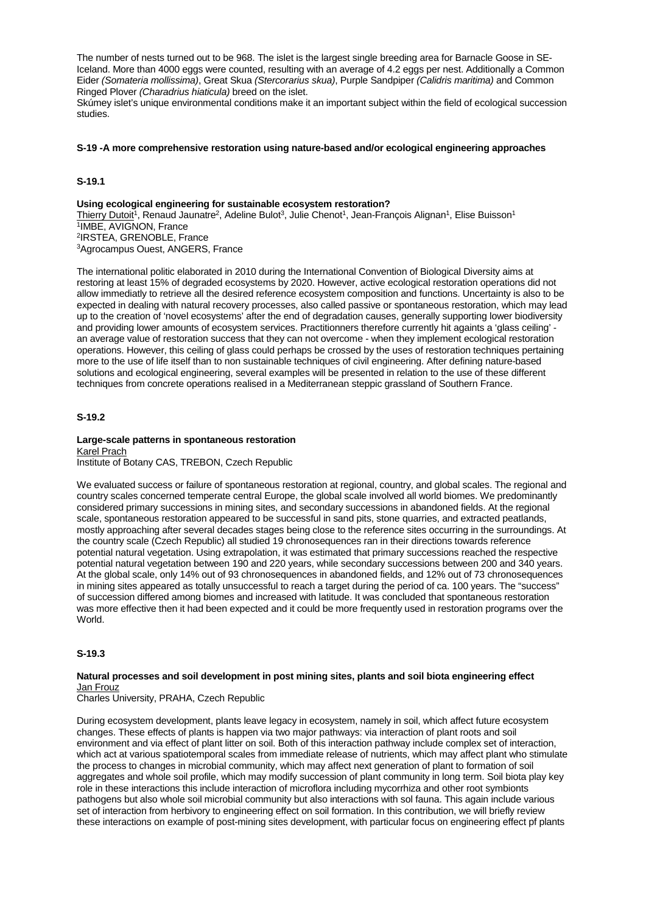The number of nests turned out to be 968. The islet is the largest single breeding area for Barnacle Goose in SE-Iceland. More than 4000 eggs were counted, resulting with an average of 4.2 eggs per nest. Additionally a Common Eider *(Somateria mollissima)*, Great Skua *(Stercorarius skua)*, Purple Sandpiper *(Calidris maritima)* and Common Ringed Plover *(Charadrius hiaticula)* breed on the islet.

Skúmey islet's unique environmental conditions make it an important subject within the field of ecological succession studies.

#### **S-19 -A more comprehensive restoration using nature-based and/or ecological engineering approaches**

## **S-19.1**

**Using ecological engineering for sustainable ecosystem restoration?**

Thierry Dutoit<sup>1</sup>, Renaud Jaunatre<sup>2</sup>, Adeline Bulot<sup>3</sup>, Julie Chenot<sup>1</sup>, Jean-François Alignan<sup>1</sup>, Elise Buisson<sup>1</sup> 1IMBE, AVIGNON, France 2IRSTEA, GRENOBLE, France 3Agrocampus Ouest, ANGERS, France

The international politic elaborated in 2010 during the International Convention of Biological Diversity aims at restoring at least 15% of degraded ecosystems by 2020. However, active ecological restoration operations did not allow immediatly to retrieve all the desired reference ecosystem composition and functions. Uncertainty is also to be expected in dealing with natural recovery processes, also called passive or spontaneous restoration, which may lead up to the creation of 'novel ecosystems' after the end of degradation causes, generally supporting lower biodiversity and providing lower amounts of ecosystem services. Practitionners therefore currently hit againts a 'glass ceiling' an average value of restoration success that they can not overcome - when they implement ecological restoration operations. However, this ceiling of glass could perhaps be crossed by the uses of restoration techniques pertaining more to the use of life itself than to non sustainable techniques of civil engineering. After defining nature-based solutions and ecological engineering, several examples will be presented in relation to the use of these different techniques from concrete operations realised in a Mediterranean steppic grassland of Southern France.

## **S-19.2**

#### **Large-scale patterns in spontaneous restoration** Karel Prach

Institute of Botany CAS, TREBON, Czech Republic

We evaluated success or failure of spontaneous restoration at regional, country, and global scales. The regional and country scales concerned temperate central Europe, the global scale involved all world biomes. We predominantly considered primary successions in mining sites, and secondary successions in abandoned fields. At the regional scale, spontaneous restoration appeared to be successful in sand pits, stone quarries, and extracted peatlands, mostly approaching after several decades stages being close to the reference sites occurring in the surroundings. At the country scale (Czech Republic) all studied 19 chronosequences ran in their directions towards reference potential natural vegetation. Using extrapolation, it was estimated that primary successions reached the respective potential natural vegetation between 190 and 220 years, while secondary successions between 200 and 340 years. At the global scale, only 14% out of 93 chronosequences in abandoned fields, and 12% out of 73 chronosequences in mining sites appeared as totally unsuccessful to reach a target during the period of ca. 100 years. The "success" of succession differed among biomes and increased with latitude. It was concluded that spontaneous restoration was more effective then it had been expected and it could be more frequently used in restoration programs over the World.

# **S-19.3**

### **Natural processes and soil development in post mining sites, plants and soil biota engineering effect** Jan Frouz

Charles University, PRAHA, Czech Republic

During ecosystem development, plants leave legacy in ecosystem, namely in soil, which affect future ecosystem changes. These effects of plants is happen via two major pathways: via interaction of plant roots and soil environment and via effect of plant litter on soil. Both of this interaction pathway include complex set of interaction, which act at various spatiotemporal scales from immediate release of nutrients, which may affect plant who stimulate the process to changes in microbial community, which may affect next generation of plant to formation of soil aggregates and whole soil profile, which may modify succession of plant community in long term. Soil biota play key role in these interactions this include interaction of microflora including mycorrhiza and other root symbionts pathogens but also whole soil microbial community but also interactions with sol fauna. This again include various set of interaction from herbivory to engineering effect on soil formation. In this contribution, we will briefly review these interactions on example of post-mining sites development, with particular focus on engineering effect pf plants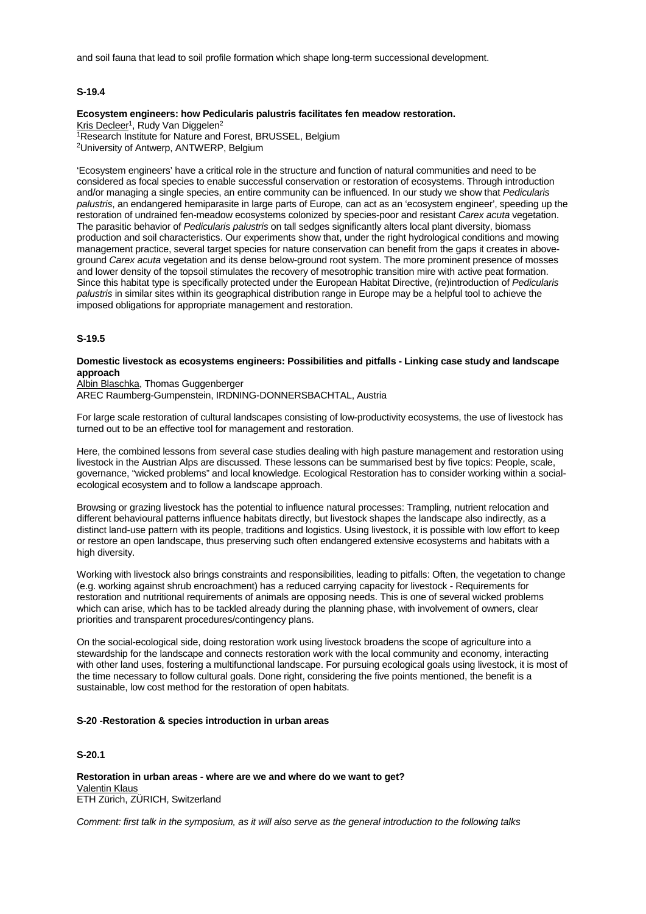and soil fauna that lead to soil profile formation which shape long-term successional development.

### **S-19.4**

### **Ecosystem engineers: how Pedicularis palustris facilitates fen meadow restoration.** Kris Decleer<sup>1</sup>, Rudy Van Diggelen<sup>2</sup>

1Research Institute for Nature and Forest, BRUSSEL, Belgium 2University of Antwerp, ANTWERP, Belgium

'Ecosystem engineers' have a critical role in the structure and function of natural communities and need to be considered as focal species to enable successful conservation or restoration of ecosystems. Through introduction and/or managing a single species, an entire community can be influenced. In our study we show that *Pedicularis palustris*, an endangered hemiparasite in large parts of Europe, can act as an 'ecosystem engineer', speeding up the restoration of undrained fen-meadow ecosystems colonized by species-poor and resistant *Carex acuta* vegetation. The parasitic behavior of *Pedicularis palustris* on tall sedges significantly alters local plant diversity, biomass production and soil characteristics. Our experiments show that, under the right hydrological conditions and mowing management practice, several target species for nature conservation can benefit from the gaps it creates in aboveground *Carex acuta* vegetation and its dense below-ground root system. The more prominent presence of mosses and lower density of the topsoil stimulates the recovery of mesotrophic transition mire with active peat formation. Since this habitat type is specifically protected under the European Habitat Directive, (re)introduction of *Pedicularis palustris* in similar sites within its geographical distribution range in Europe may be a helpful tool to achieve the imposed obligations for appropriate management and restoration.

## **S-19.5**

## **Domestic livestock as ecosystems engineers: Possibilities and pitfalls - Linking case study and landscape approach**

Albin Blaschka, Thomas Guggenberger AREC Raumberg-Gumpenstein, IRDNING-DONNERSBACHTAL, Austria

For large scale restoration of cultural landscapes consisting of low-productivity ecosystems, the use of livestock has turned out to be an effective tool for management and restoration.

Here, the combined lessons from several case studies dealing with high pasture management and restoration using livestock in the Austrian Alps are discussed. These lessons can be summarised best by five topics: People, scale, governance, "wicked problems" and local knowledge. Ecological Restoration has to consider working within a socialecological ecosystem and to follow a landscape approach.

Browsing or grazing livestock has the potential to influence natural processes: Trampling, nutrient relocation and different behavioural patterns influence habitats directly, but livestock shapes the landscape also indirectly, as a distinct land-use pattern with its people, traditions and logistics. Using livestock, it is possible with low effort to keep or restore an open landscape, thus preserving such often endangered extensive ecosystems and habitats with a high diversity.

Working with livestock also brings constraints and responsibilities, leading to pitfalls: Often, the vegetation to change (e.g. working against shrub encroachment) has a reduced carrying capacity for livestock - Requirements for restoration and nutritional requirements of animals are opposing needs. This is one of several wicked problems which can arise, which has to be tackled already during the planning phase, with involvement of owners, clear priorities and transparent procedures/contingency plans.

On the social-ecological side, doing restoration work using livestock broadens the scope of agriculture into a stewardship for the landscape and connects restoration work with the local community and economy, interacting with other land uses, fostering a multifunctional landscape. For pursuing ecological goals using livestock, it is most of the time necessary to follow cultural goals. Done right, considering the five points mentioned, the benefit is a sustainable, low cost method for the restoration of open habitats.

### **S-20 -Restoration & species introduction in urban areas**

## **S-20.1**

**Restoration in urban areas - where are we and where do we want to get?** Valentin Klaus ETH Zürich, ZÜRICH, Switzerland

*Comment: first talk in the symposium, as it will also serve as the general introduction to the following talks*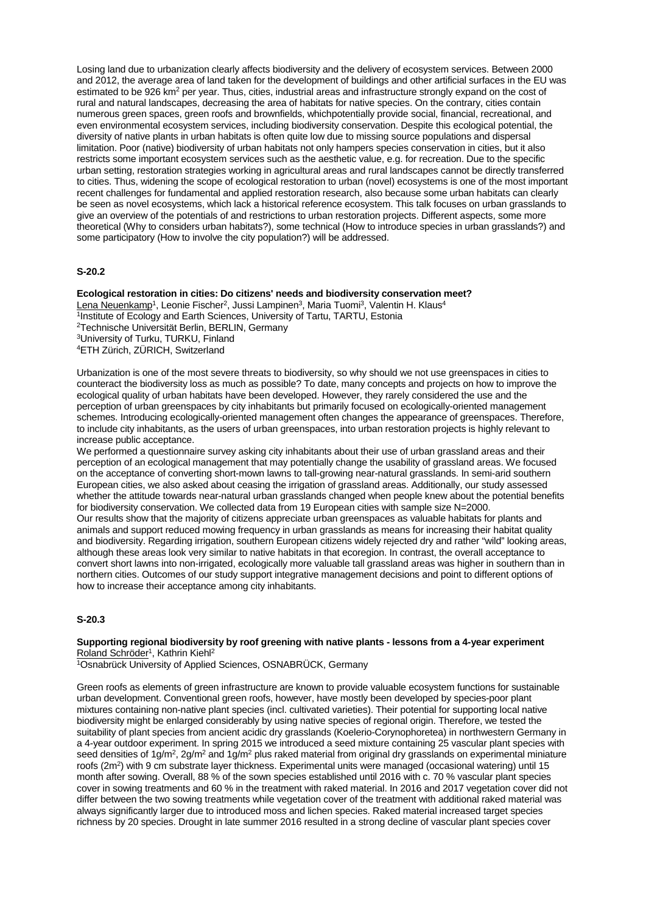Losing land due to urbanization clearly affects biodiversity and the delivery of ecosystem services. Between 2000 and 2012, the average area of land taken for the development of buildings and other artificial surfaces in the EU was estimated to be 926 km<sup>2</sup> per year. Thus, cities, industrial areas and infrastructure strongly expand on the cost of rural and natural landscapes, decreasing the area of habitats for native species. On the contrary, cities contain numerous green spaces, green roofs and brownfields, whichpotentially provide social, financial, recreational, and even environmental ecosystem services, including biodiversity conservation. Despite this ecological potential, the diversity of native plants in urban habitats is often quite low due to missing source populations and dispersal limitation. Poor (native) biodiversity of urban habitats not only hampers species conservation in cities, but it also restricts some important ecosystem services such as the aesthetic value, e.g. for recreation. Due to the specific urban setting, restoration strategies working in agricultural areas and rural landscapes cannot be directly transferred to cities. Thus, widening the scope of ecological restoration to urban (novel) ecosystems is one of the most important recent challenges for fundamental and applied restoration research, also because some urban habitats can clearly be seen as novel ecosystems, which lack a historical reference ecosystem. This talk focuses on urban grasslands to give an overview of the potentials of and restrictions to urban restoration projects. Different aspects, some more theoretical (Why to considers urban habitats?), some technical (How to introduce species in urban grasslands?) and some participatory (How to involve the city population?) will be addressed.

## **S-20.2**

**Ecological restoration in cities: Do citizens' needs and biodiversity conservation meet?** Lena Neuenkamp<sup>1</sup>, Leonie Fischer<sup>2</sup>, Jussi Lampinen<sup>3</sup>, Maria Tuomi<sup>3</sup>, Valentin H. Klaus<sup>4</sup> <sup>1</sup>Institute of Ecology and Earth Sciences, University of Tartu, TARTU, Estonia 2Technische Universität Berlin, BERLIN, Germany 3University of Turku, TURKU, Finland 4ETH Zürich, ZÜRICH, Switzerland

Urbanization is one of the most severe threats to biodiversity, so why should we not use greenspaces in cities to counteract the biodiversity loss as much as possible? To date, many concepts and projects on how to improve the ecological quality of urban habitats have been developed. However, they rarely considered the use and the perception of urban greenspaces by city inhabitants but primarily focused on ecologically-oriented management schemes. Introducing ecologically-oriented management often changes the appearance of greenspaces. Therefore, to include city inhabitants, as the users of urban greenspaces, into urban restoration projects is highly relevant to increase public acceptance.

We performed a questionnaire survey asking city inhabitants about their use of urban grassland areas and their perception of an ecological management that may potentially change the usability of grassland areas. We focused on the acceptance of converting short-mown lawns to tall-growing near-natural grasslands. In semi-arid southern European cities, we also asked about ceasing the irrigation of grassland areas. Additionally, our study assessed whether the attitude towards near-natural urban grasslands changed when people knew about the potential benefits for biodiversity conservation. We collected data from 19 European cities with sample size N=2000. Our results show that the majority of citizens appreciate urban greenspaces as valuable habitats for plants and animals and support reduced mowing frequency in urban grasslands as means for increasing their habitat quality and biodiversity. Regarding irrigation, southern European citizens widely rejected dry and rather "wild" looking areas, although these areas look very similar to native habitats in that ecoregion. In contrast, the overall acceptance to convert short lawns into non-irrigated, ecologically more valuable tall grassland areas was higher in southern than in northern cities. Outcomes of our study support integrative management decisions and point to different options of how to increase their acceptance among city inhabitants.

#### **S-20.3**

**Supporting regional biodiversity by roof greening with native plants - lessons from a 4-year experiment** Roland Schröder<sup>1</sup>, Kathrin Kiehl<sup>2</sup>

1Osnabrück University of Applied Sciences, OSNABRÜCK, Germany

Green roofs as elements of green infrastructure are known to provide valuable ecosystem functions for sustainable urban development. Conventional green roofs, however, have mostly been developed by species-poor plant mixtures containing non-native plant species (incl. cultivated varieties). Their potential for supporting local native biodiversity might be enlarged considerably by using native species of regional origin. Therefore, we tested the suitability of plant species from ancient acidic dry grasslands (Koelerio-Corynophoretea) in northwestern Germany in a 4-year outdoor experiment. In spring 2015 we introduced a seed mixture containing 25 vascular plant species with seed densities of  $1g/m^2$ ,  $2g/m^2$  and  $1g/m^2$  plus raked material from original dry grasslands on experimental miniature roofs (2m<sup>2</sup>) with 9 cm substrate layer thickness. Experimental units were managed (occasional watering) until 15 month after sowing. Overall, 88 % of the sown species established until 2016 with c. 70 % vascular plant species cover in sowing treatments and 60 % in the treatment with raked material. In 2016 and 2017 vegetation cover did not differ between the two sowing treatments while vegetation cover of the treatment with additional raked material was always significantly larger due to introduced moss and lichen species. Raked material increased target species richness by 20 species. Drought in late summer 2016 resulted in a strong decline of vascular plant species cover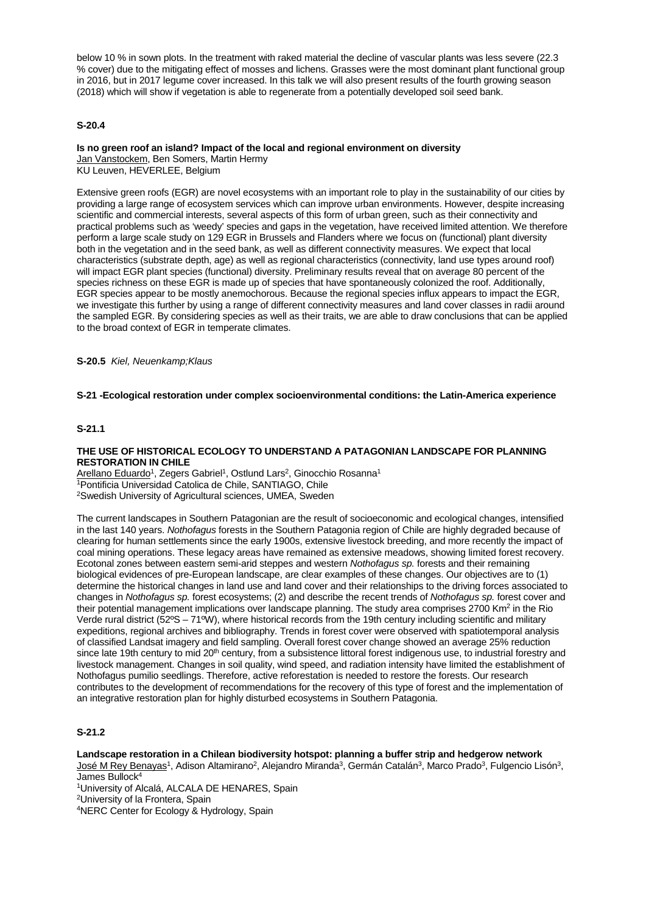below 10 % in sown plots. In the treatment with raked material the decline of vascular plants was less severe (22.3 % cover) due to the mitigating effect of mosses and lichens. Grasses were the most dominant plant functional group in 2016, but in 2017 legume cover increased. In this talk we will also present results of the fourth growing season (2018) which will show if vegetation is able to regenerate from a potentially developed soil seed bank.

## **S-20.4**

#### **Is no green roof an island? Impact of the local and regional environment on diversity** Jan Vanstockem, Ben Somers, Martin Hermy KU Leuven, HEVERLEE, Belgium

Extensive green roofs (EGR) are novel ecosystems with an important role to play in the sustainability of our cities by providing a large range of ecosystem services which can improve urban environments. However, despite increasing scientific and commercial interests, several aspects of this form of urban green, such as their connectivity and practical problems such as 'weedy' species and gaps in the vegetation, have received limited attention. We therefore perform a large scale study on 129 EGR in Brussels and Flanders where we focus on (functional) plant diversity both in the vegetation and in the seed bank, as well as different connectivity measures. We expect that local characteristics (substrate depth, age) as well as regional characteristics (connectivity, land use types around roof) will impact EGR plant species (functional) diversity. Preliminary results reveal that on average 80 percent of the species richness on these EGR is made up of species that have spontaneously colonized the roof. Additionally, EGR species appear to be mostly anemochorous. Because the regional species influx appears to impact the EGR, we investigate this further by using a range of different connectivity measures and land cover classes in radii around the sampled EGR. By considering species as well as their traits, we are able to draw conclusions that can be applied to the broad context of EGR in temperate climates.

**S-20.5** *Kiel, Neuenkamp;Klaus*

#### **S-21 -Ecological restoration under complex socioenvironmental conditions: the Latin-America experience**

## **S-21.1**

### **THE USE OF HISTORICAL ECOLOGY TO UNDERSTAND A PATAGONIAN LANDSCAPE FOR PLANNING RESTORATION IN CHILE**

Arellano Eduardo<sup>1</sup>, Zegers Gabriel<sup>1</sup>, Ostlund Lars<sup>2</sup>, Ginocchio Rosanna<sup>1</sup> 1Pontificia Universidad Catolica de Chile, SANTIAGO, Chile 2Swedish University of Agricultural sciences, UMEA, Sweden

The current landscapes in Southern Patagonian are the result of socioeconomic and ecological changes, intensified in the last 140 years. *Nothofagus* forests in the Southern Patagonia region of Chile are highly degraded because of clearing for human settlements since the early 1900s, extensive livestock breeding, and more recently the impact of coal mining operations. These legacy areas have remained as extensive meadows, showing limited forest recovery. Ecotonal zones between eastern semi-arid steppes and western *Nothofagus sp.* forests and their remaining biological evidences of pre-European landscape, are clear examples of these changes. Our objectives are to (1) determine the historical changes in land use and land cover and their relationships to the driving forces associated to changes in *Nothofagus sp.* forest ecosystems; (2) and describe the recent trends of *Nothofagus sp.* forest cover and their potential management implications over landscape planning. The study area comprises 2700 Km<sup>2</sup> in the Rio Verde rural district (52ºS – 71ºW), where historical records from the 19th century including scientific and military expeditions, regional archives and bibliography. Trends in forest cover were observed with spatiotemporal analysis of classified Landsat imagery and field sampling. Overall forest cover change showed an average 25% reduction since late 19th century to mid 20<sup>th</sup> century, from a subsistence littoral forest indigenous use, to industrial forestry and livestock management. Changes in soil quality, wind speed, and radiation intensity have limited the establishment of Nothofagus pumilio seedlings. Therefore, active reforestation is needed to restore the forests. Our research contributes to the development of recommendations for the recovery of this type of forest and the implementation of an integrative restoration plan for highly disturbed ecosystems in Southern Patagonia.

# **S-21.2**

**Landscape restoration in a Chilean biodiversity hotspot: planning a buffer strip and hedgerow network** José M Rey Benayas<sup>1</sup>, Adison Altamirano<sup>2</sup>, Alejandro Miranda<sup>3</sup>, Germán Catalán<sup>3</sup>, Marco Prado<sup>3</sup>, Fulgencio Lisón<sup>3</sup>, James Bullock<sup>4</sup>

<sup>1</sup>University of Alcalá, ALCALA DE HENARES, Spain

2University of la Frontera, Spain

4NERC Center for Ecology & Hydrology, Spain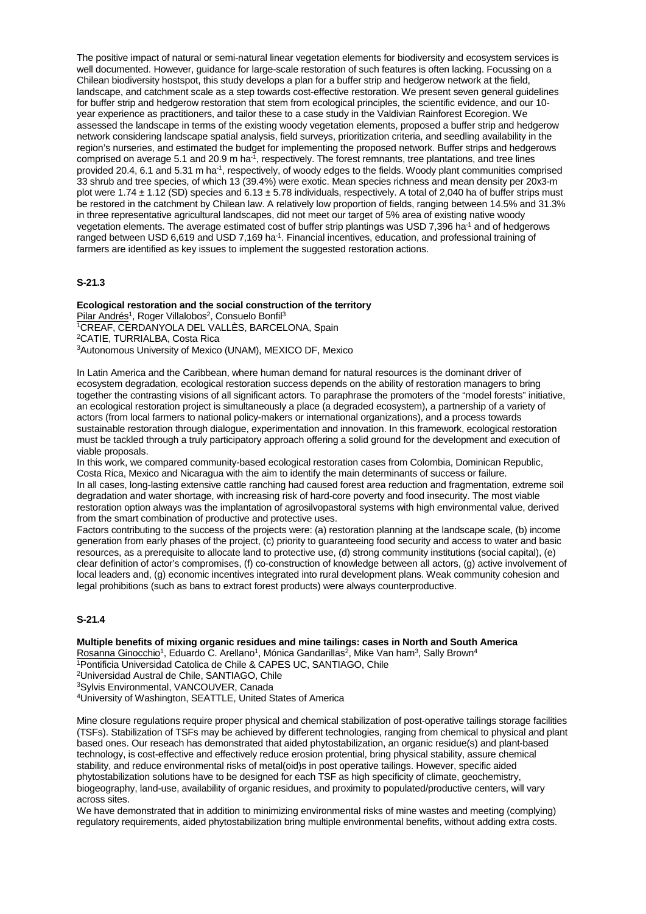The positive impact of natural or semi-natural linear vegetation elements for biodiversity and ecosystem services is well documented. However, guidance for large-scale restoration of such features is often lacking. Focussing on a Chilean biodiversity hostspot, this study develops a plan for a buffer strip and hedgerow network at the field, landscape, and catchment scale as a step towards cost-effective restoration. We present seven general guidelines for buffer strip and hedgerow restoration that stem from ecological principles, the scientific evidence, and our 10 year experience as practitioners, and tailor these to a case study in the Valdivian Rainforest Ecoregion. We assessed the landscape in terms of the existing woody vegetation elements, proposed a buffer strip and hedgerow network considering landscape spatial analysis, field surveys, prioritization criteria, and seedling availability in the region's nurseries, and estimated the budget for implementing the proposed network. Buffer strips and hedgerows comprised on average 5.1 and 20.9 m ha<sup>-1</sup>, respectively. The forest remnants, tree plantations, and tree lines provided 20.4, 6.1 and 5.31 m ha-1, respectively, of woody edges to the fields. Woody plant communities comprised 33 shrub and tree species, of which 13 (39.4%) were exotic. Mean species richness and mean density per 20x3-m plot were 1.74  $\pm$  1.12 (SD) species and 6.13  $\pm$  5.78 individuals, respectively. A total of 2,040 ha of buffer strips must be restored in the catchment by Chilean law. A relatively low proportion of fields, ranging between 14.5% and 31.3% in three representative agricultural landscapes, did not meet our target of 5% area of existing native woody vegetation elements. The average estimated cost of buffer strip plantings was USD 7,396 ha<sup>-1</sup> and of hedgerows ranged between USD 6,619 and USD 7,169 ha<sup>-1</sup>. Financial incentives, education, and professional training of farmers are identified as key issues to implement the suggested restoration actions.

## **S-21.3**

**Ecological restoration and the social construction of the territory** Pilar Andrés<sup>1</sup>, Roger Villalobos<sup>2</sup>, Consuelo Bonfil<sup>3</sup> 1CREAF, CERDANYOLA DEL VALLÈS, BARCELONA, Spain 2CATIE, TURRIALBA, Costa Rica 3Autonomous University of Mexico (UNAM), MEXICO DF, Mexico

In Latin America and the Caribbean, where human demand for natural resources is the dominant driver of ecosystem degradation, ecological restoration success depends on the ability of restoration managers to bring together the contrasting visions of all significant actors. To paraphrase the promoters of the "model forests" initiative, an ecological restoration project is simultaneously a place (a degraded ecosystem), a partnership of a variety of actors (from local farmers to national policy-makers or international organizations), and a process towards sustainable restoration through dialogue, experimentation and innovation. In this framework, ecological restoration must be tackled through a truly participatory approach offering a solid ground for the development and execution of viable proposals.

In this work, we compared community-based ecological restoration cases from Colombia, Dominican Republic, Costa Rica, Mexico and Nicaragua with the aim to identify the main determinants of success or failure. In all cases, long-lasting extensive cattle ranching had caused forest area reduction and fragmentation, extreme soil degradation and water shortage, with increasing risk of hard-core poverty and food insecurity. The most viable restoration option always was the implantation of agrosilvopastoral systems with high environmental value, derived from the smart combination of productive and protective uses.

Factors contributing to the success of the projects were: (a) restoration planning at the landscape scale, (b) income generation from early phases of the project, (c) priority to guaranteeing food security and access to water and basic resources, as a prerequisite to allocate land to protective use, (d) strong community institutions (social capital), (e) clear definition of actor's compromises, (f) co-construction of knowledge between all actors, (g) active involvement of local leaders and, (g) economic incentives integrated into rural development plans. Weak community cohesion and legal prohibitions (such as bans to extract forest products) were always counterproductive.

## **S-21.4**

#### **Multiple benefits of mixing organic residues and mine tailings: cases in North and South America**

Rosanna Ginocchio<sup>1</sup>, Eduardo C. Arellano<sup>1</sup>, Mónica Gandarillas<sup>2</sup>, Mike Van ham<sup>3</sup>, Sally Brown<sup>4</sup>

1Pontificia Universidad Catolica de Chile & CAPES UC, SANTIAGO, Chile

2Universidad Austral de Chile, SANTIAGO, Chile

3Sylvis Environmental, VANCOUVER, Canada

4University of Washington, SEATTLE, United States of America

Mine closure regulations require proper physical and chemical stabilization of post-operative tailings storage facilities (TSFs). Stabilization of TSFs may be achieved by different technologies, ranging from chemical to physical and plant based ones. Our reseach has demonstrated that aided phytostabilization, an organic residue(s) and plant-based technology, is cost-effective and effectively reduce erosion protential, bring physical stability, assure chemical stability, and reduce environmental risks of metal(oid)s in post operative tailings. However, specific aided phytostabilization solutions have to be designed for each TSF as high specificity of climate, geochemistry, biogeography, land-use, availability of organic residues, and proximity to populated/productive centers, will vary across sites.

We have demonstrated that in addition to minimizing environmental risks of mine wastes and meeting (complying) regulatory requirements, aided phytostabilization bring multiple environmental benefits, without adding extra costs.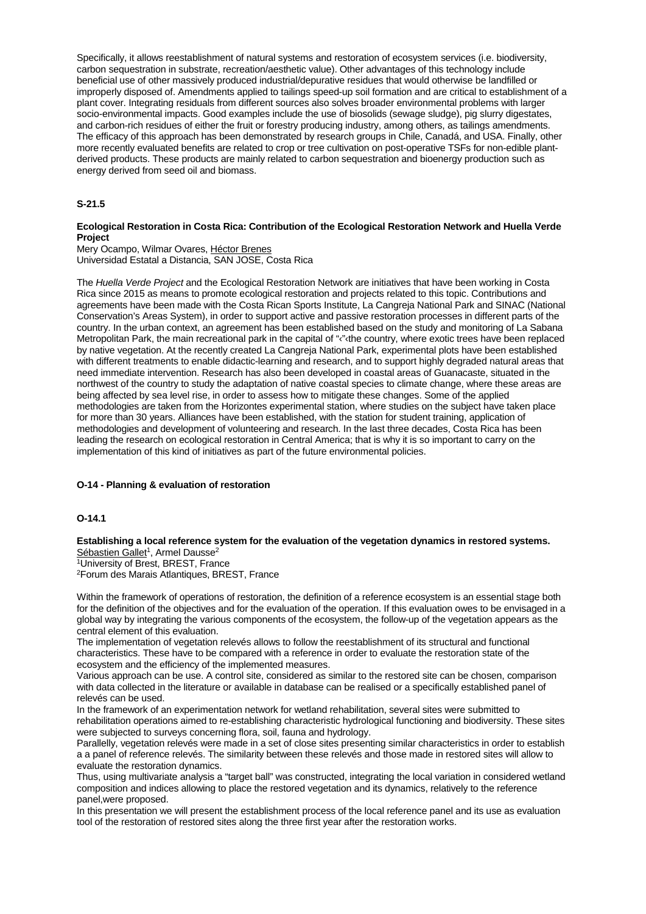Specifically, it allows reestablishment of natural systems and restoration of ecosystem services (i.e. biodiversity, carbon sequestration in substrate, recreation/aesthetic value). Other advantages of this technology include beneficial use of other massively produced industrial/depurative residues that would otherwise be landfilled or improperly disposed of. Amendments applied to tailings speed-up soil formation and are critical to establishment of a plant cover. Integrating residuals from different sources also solves broader environmental problems with larger socio-environmental impacts. Good examples include the use of biosolids (sewage sludge), pig slurry digestates, and carbon-rich residues of either the fruit or forestry producing industry, among others, as tailings amendments. The efficacy of this approach has been demonstrated by research groups in Chile, Canadá, and USA. Finally, other more recently evaluated benefits are related to crop or tree cultivation on post-operative TSFs for non-edible plantderived products. These products are mainly related to carbon sequestration and bioenergy production such as energy derived from seed oil and biomass.

## **S-21.5**

## **Ecological Restoration in Costa Rica: Contribution of the Ecological Restoration Network and Huella Verde Project**

Mery Ocampo, Wilmar Ovares, Héctor Brenes Universidad Estatal a Distancia, SAN JOSE, Costa Rica

The *Huella Verde Project* and the Ecological Restoration Network are initiatives that have been working in Costa Rica since 2015 as means to promote ecological restoration and projects related to this topic. Contributions and agreements have been made with the Costa Rican Sports Institute, La Cangreja National Park and SINAC (National Conservation's Areas System), in order to support active and passive restoration processes in different parts of the country. In the urban context, an agreement has been established based on the study and monitoring of La Sabana Metropolitan Park, the main recreational park in the capital of "‹"‹the country, where exotic trees have been replaced by native vegetation. At the recently created La Cangreja National Park, experimental plots have been established with different treatments to enable didactic-learning and research, and to support highly degraded natural areas that need immediate intervention. Research has also been developed in coastal areas of Guanacaste, situated in the northwest of the country to study the adaptation of native coastal species to climate change, where these areas are being affected by sea level rise, in order to assess how to mitigate these changes. Some of the applied methodologies are taken from the Horizontes experimental station, where studies on the subject have taken place for more than 30 years. Alliances have been established, with the station for student training, application of methodologies and development of volunteering and research. In the last three decades, Costa Rica has been leading the research on ecological restoration in Central America; that is why it is so important to carry on the implementation of this kind of initiatives as part of the future environmental policies.

## **O-14 - Planning & evaluation of restoration**

## **O-14.1**

**Establishing a local reference system for the evaluation of the vegetation dynamics in restored systems.** Sébastien Gallet<sup>1</sup>, Armel Dausse<sup>2</sup>

1University of Brest, BREST, France 2Forum des Marais Atlantiques, BREST, France

Within the framework of operations of restoration, the definition of a reference ecosystem is an essential stage both for the definition of the objectives and for the evaluation of the operation. If this evaluation owes to be envisaged in a global way by integrating the various components of the ecosystem, the follow-up of the vegetation appears as the central element of this evaluation.

The implementation of vegetation relevés allows to follow the reestablishment of its structural and functional characteristics. These have to be compared with a reference in order to evaluate the restoration state of the ecosystem and the efficiency of the implemented measures.

Various approach can be use. A control site, considered as similar to the restored site can be chosen, comparison with data collected in the literature or available in database can be realised or a specifically established panel of relevés can be used.

In the framework of an experimentation network for wetland rehabilitation, several sites were submitted to rehabilitation operations aimed to re-establishing characteristic hydrological functioning and biodiversity. These sites were subjected to surveys concerning flora, soil, fauna and hydrology.

Parallelly, vegetation relevés were made in a set of close sites presenting similar characteristics in order to establish a a panel of reference relevés. The similarity between these relevés and those made in restored sites will allow to evaluate the restoration dynamics.

Thus, using multivariate analysis a "target ball" was constructed, integrating the local variation in considered wetland composition and indices allowing to place the restored vegetation and its dynamics, relatively to the reference panel,were proposed.

In this presentation we will present the establishment process of the local reference panel and its use as evaluation tool of the restoration of restored sites along the three first year after the restoration works.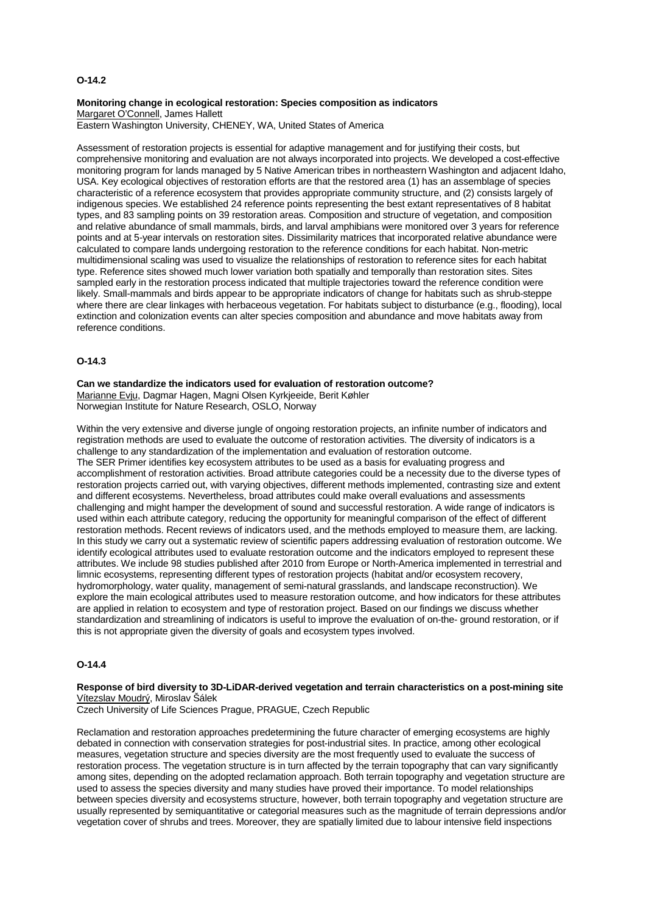## **O-14.2**

#### **Monitoring change in ecological restoration: Species composition as indicators** Margaret O'Connell, James Hallett

Eastern Washington University, CHENEY, WA, United States of America

Assessment of restoration projects is essential for adaptive management and for justifying their costs, but comprehensive monitoring and evaluation are not always incorporated into projects. We developed a cost-effective monitoring program for lands managed by 5 Native American tribes in northeastern Washington and adjacent Idaho, USA. Key ecological objectives of restoration efforts are that the restored area (1) has an assemblage of species characteristic of a reference ecosystem that provides appropriate community structure, and (2) consists largely of indigenous species. We established 24 reference points representing the best extant representatives of 8 habitat types, and 83 sampling points on 39 restoration areas. Composition and structure of vegetation, and composition and relative abundance of small mammals, birds, and larval amphibians were monitored over 3 years for reference points and at 5-year intervals on restoration sites. Dissimilarity matrices that incorporated relative abundance were calculated to compare lands undergoing restoration to the reference conditions for each habitat. Non-metric multidimensional scaling was used to visualize the relationships of restoration to reference sites for each habitat type. Reference sites showed much lower variation both spatially and temporally than restoration sites. Sites sampled early in the restoration process indicated that multiple trajectories toward the reference condition were likely. Small-mammals and birds appear to be appropriate indicators of change for habitats such as shrub-steppe where there are clear linkages with herbaceous vegetation. For habitats subject to disturbance (e.g., flooding), local extinction and colonization events can alter species composition and abundance and move habitats away from reference conditions.

## **O-14.3**

**Can we standardize the indicators used for evaluation of restoration outcome?** Marianne Evju, Dagmar Hagen, Magni Olsen Kyrkjeeide, Berit Køhler Norwegian Institute for Nature Research, OSLO, Norway

Within the very extensive and diverse jungle of ongoing restoration projects, an infinite number of indicators and registration methods are used to evaluate the outcome of restoration activities. The diversity of indicators is a challenge to any standardization of the implementation and evaluation of restoration outcome. The SER Primer identifies key ecosystem attributes to be used as a basis for evaluating progress and accomplishment of restoration activities. Broad attribute categories could be a necessity due to the diverse types of restoration projects carried out, with varying objectives, different methods implemented, contrasting size and extent and different ecosystems. Nevertheless, broad attributes could make overall evaluations and assessments challenging and might hamper the development of sound and successful restoration. A wide range of indicators is used within each attribute category, reducing the opportunity for meaningful comparison of the effect of different restoration methods. Recent reviews of indicators used, and the methods employed to measure them, are lacking. In this study we carry out a systematic review of scientific papers addressing evaluation of restoration outcome. We identify ecological attributes used to evaluate restoration outcome and the indicators employed to represent these attributes. We include 98 studies published after 2010 from Europe or North-America implemented in terrestrial and limnic ecosystems, representing different types of restoration projects (habitat and/or ecosystem recovery, hydromorphology, water quality, management of semi-natural grasslands, and landscape reconstruction). We explore the main ecological attributes used to measure restoration outcome, and how indicators for these attributes are applied in relation to ecosystem and type of restoration project. Based on our findings we discuss whether standardization and streamlining of indicators is useful to improve the evaluation of on-the- ground restoration, or if this is not appropriate given the diversity of goals and ecosystem types involved.

### **O-14.4**

#### **Response of bird diversity to 3D-LiDAR-derived vegetation and terrain characteristics on a post-mining site** Vítezslav Moudrý, Miroslav Šálek

Czech University of Life Sciences Prague, PRAGUE, Czech Republic

Reclamation and restoration approaches predetermining the future character of emerging ecosystems are highly debated in connection with conservation strategies for post-industrial sites. In practice, among other ecological measures, vegetation structure and species diversity are the most frequently used to evaluate the success of restoration process. The vegetation structure is in turn affected by the terrain topography that can vary significantly among sites, depending on the adopted reclamation approach. Both terrain topography and vegetation structure are used to assess the species diversity and many studies have proved their importance. To model relationships between species diversity and ecosystems structure, however, both terrain topography and vegetation structure are usually represented by semiquantitative or categorial measures such as the magnitude of terrain depressions and/or vegetation cover of shrubs and trees. Moreover, they are spatially limited due to labour intensive field inspections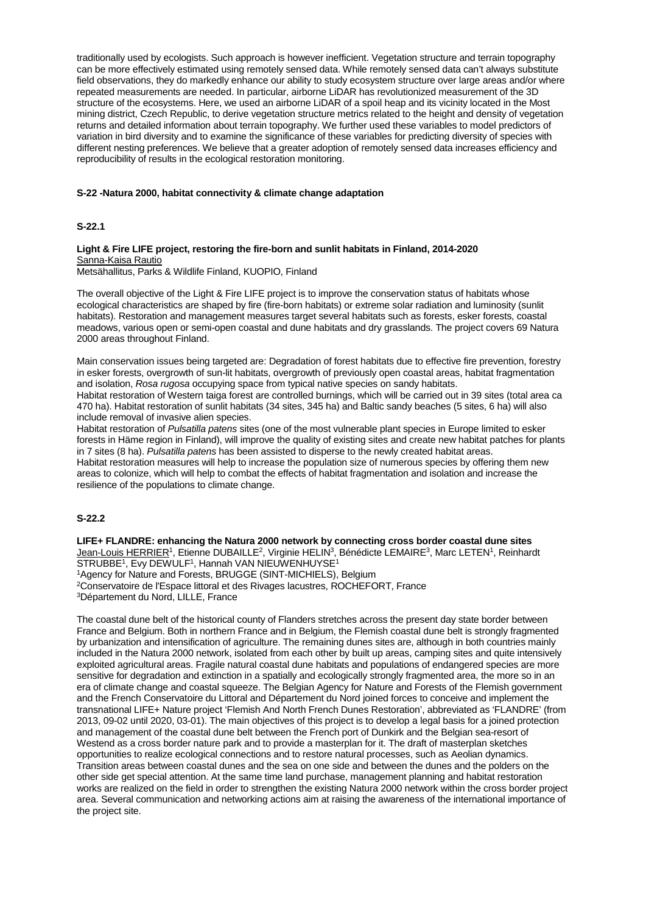traditionally used by ecologists. Such approach is however inefficient. Vegetation structure and terrain topography can be more effectively estimated using remotely sensed data. While remotely sensed data can't always substitute field observations, they do markedly enhance our ability to study ecosystem structure over large areas and/or where repeated measurements are needed. In particular, airborne LiDAR has revolutionized measurement of the 3D structure of the ecosystems. Here, we used an airborne LiDAR of a spoil heap and its vicinity located in the Most mining district, Czech Republic, to derive vegetation structure metrics related to the height and density of vegetation returns and detailed information about terrain topography. We further used these variables to model predictors of variation in bird diversity and to examine the significance of these variables for predicting diversity of species with different nesting preferences. We believe that a greater adoption of remotely sensed data increases efficiency and reproducibility of results in the ecological restoration monitoring.

# **S-22 -Natura 2000, habitat connectivity & climate change adaptation**

## **S-22.1**

## **Light & Fire LIFE project, restoring the fire-born and sunlit habitats in Finland, 2014-2020** Sanna-Kaisa Rautio

Metsähallitus, Parks & Wildlife Finland, KUOPIO, Finland

The overall objective of the Light & Fire LIFE project is to improve the conservation status of habitats whose ecological characteristics are shaped by fire (fire-born habitats) or extreme solar radiation and luminosity (sunlit habitats). Restoration and management measures target several habitats such as forests, esker forests, coastal meadows, various open or semi-open coastal and dune habitats and dry grasslands. The project covers 69 Natura 2000 areas throughout Finland.

Main conservation issues being targeted are: Degradation of forest habitats due to effective fire prevention, forestry in esker forests, overgrowth of sun-lit habitats, overgrowth of previously open coastal areas, habitat fragmentation and isolation, *Rosa rugosa* occupying space from typical native species on sandy habitats.

Habitat restoration of Western taiga forest are controlled burnings, which will be carried out in 39 sites (total area ca 470 ha). Habitat restoration of sunlit habitats (34 sites, 345 ha) and Baltic sandy beaches (5 sites, 6 ha) will also include removal of invasive alien species.

Habitat restoration of *Pulsatilla patens* sites (one of the most vulnerable plant species in Europe limited to esker forests in Häme region in Finland), will improve the quality of existing sites and create new habitat patches for plants in 7 sites (8 ha). *Pulsatilla patens* has been assisted to disperse to the newly created habitat areas. Habitat restoration measures will help to increase the population size of numerous species by offering them new areas to colonize, which will help to combat the effects of habitat fragmentation and isolation and increase the resilience of the populations to climate change.

## **S-22.2**

**LIFE+ FLANDRE: enhancing the Natura 2000 network by connecting cross border coastal dune sites** Jean-Louis HERRIER<sup>1</sup>, Etienne DUBAILLE<sup>2</sup>, Virginie HELIN<sup>3</sup>, Bénédicte LEMAIRE<sup>3</sup>, Marc LETEN<sup>1</sup>, Reinhardt STRUBBE<sup>1</sup>, Evy DEWULF<sup>1</sup>, Hannah VAN NIEUWENHUYSE<sup>1</sup>

1Agency for Nature and Forests, BRUGGE (SINT-MICHIELS), Belgium

2Conservatoire de l'Espace littoral et des Rivages lacustres, ROCHEFORT, France 3Département du Nord, LILLE, France

The coastal dune belt of the historical county of Flanders stretches across the present day state border between France and Belgium. Both in northern France and in Belgium, the Flemish coastal dune belt is strongly fragmented by urbanization and intensification of agriculture. The remaining dunes sites are, although in both countries mainly included in the Natura 2000 network, isolated from each other by built up areas, camping sites and quite intensively exploited agricultural areas. Fragile natural coastal dune habitats and populations of endangered species are more sensitive for degradation and extinction in a spatially and ecologically strongly fragmented area, the more so in an era of climate change and coastal squeeze. The Belgian Agency for Nature and Forests of the Flemish government and the French Conservatoire du Littoral and Département du Nord joined forces to conceive and implement the transnational LIFE+ Nature project 'Flemish And North French Dunes Restoration', abbreviated as 'FLANDRE' (from 2013, 09-02 until 2020, 03-01). The main objectives of this project is to develop a legal basis for a joined protection and management of the coastal dune belt between the French port of Dunkirk and the Belgian sea-resort of Westend as a cross border nature park and to provide a masterplan for it. The draft of masterplan sketches opportunities to realize ecological connections and to restore natural processes, such as Aeolian dynamics. Transition areas between coastal dunes and the sea on one side and between the dunes and the polders on the other side get special attention. At the same time land purchase, management planning and habitat restoration works are realized on the field in order to strengthen the existing Natura 2000 network within the cross border project area. Several communication and networking actions aim at raising the awareness of the international importance of the project site.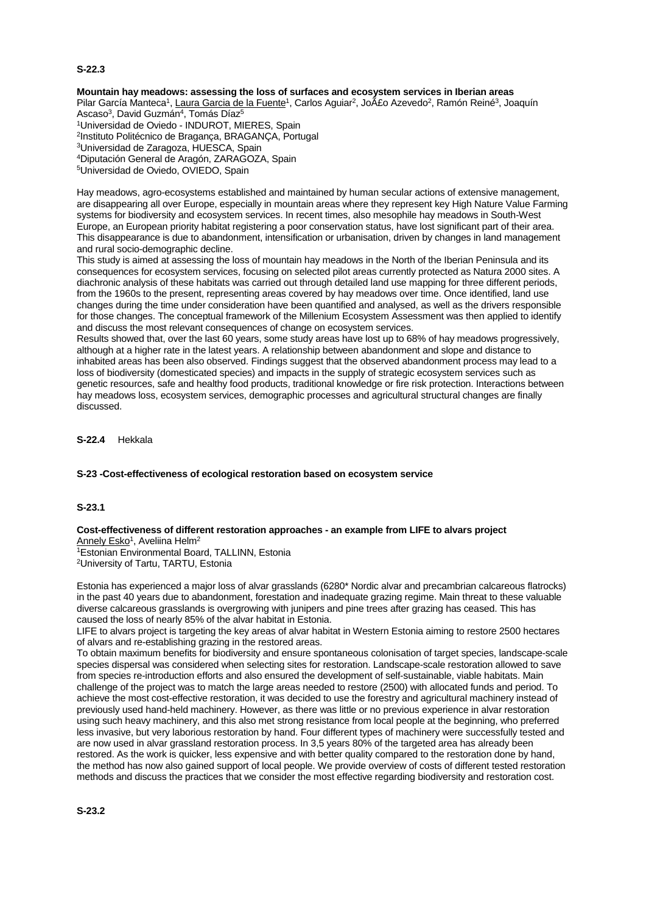## **S-22.3**

# **Mountain hay meadows: assessing the loss of surfaces and ecosystem services in Iberian areas**

Pilar García Manteca<sup>1</sup>, Laura Garcia de la Fuente<sup>1</sup>, Carlos Aguiar<sup>2</sup>, Jo£o Azevedo<sup>2</sup>, Ramón Reiné<sup>3</sup>, Joaquín Ascaso<sup>3</sup>, David Guzmán<sup>4</sup>, Tomás Díaz<sup>5</sup>

1Universidad de Oviedo - INDUROT, MIERES, Spain

2Instituto Politécnico de Bragança, BRAGANÇA, Portugal

3Universidad de Zaragoza, HUESCA, Spain

4Diputación General de Aragón, ZARAGOZA, Spain

5Universidad de Oviedo, OVIEDO, Spain

Hay meadows, agro-ecosystems established and maintained by human secular actions of extensive management, are disappearing all over Europe, especially in mountain areas where they represent key High Nature Value Farming systems for biodiversity and ecosystem services. In recent times, also mesophile hay meadows in South-West Europe, an European priority habitat registering a poor conservation status, have lost significant part of their area. This disappearance is due to abandonment, intensification or urbanisation, driven by changes in land management and rural socio-demographic decline.

This study is aimed at assessing the loss of mountain hay meadows in the North of the Iberian Peninsula and its consequences for ecosystem services, focusing on selected pilot areas currently protected as Natura 2000 sites. A diachronic analysis of these habitats was carried out through detailed land use mapping for three different periods, from the 1960s to the present, representing areas covered by hay meadows over time. Once identified, land use changes during the time under consideration have been quantified and analysed, as well as the drivers responsible for those changes. The conceptual framework of the Millenium Ecosystem Assessment was then applied to identify and discuss the most relevant consequences of change on ecosystem services.

Results showed that, over the last 60 years, some study areas have lost up to 68% of hay meadows progressively, although at a higher rate in the latest years. A relationship between abandonment and slope and distance to inhabited areas has been also observed. Findings suggest that the observed abandonment process may lead to a loss of biodiversity (domesticated species) and impacts in the supply of strategic ecosystem services such as genetic resources, safe and healthy food products, traditional knowledge or fire risk protection. Interactions between hay meadows loss, ecosystem services, demographic processes and agricultural structural changes are finally discussed.

**S-22.4** Hekkala

## **S-23 -Cost-effectiveness of ecological restoration based on ecosystem service**

## **S-23.1**

#### **Cost-effectiveness of different restoration approaches - an example from LIFE to alvars project** Annely Esko<sup>1</sup>, Aveliina Helm<sup>2</sup>

1Estonian Environmental Board, TALLINN, Estonia 2University of Tartu, TARTU, Estonia

Estonia has experienced a major loss of alvar grasslands (6280\* Nordic alvar and precambrian calcareous flatrocks) in the past 40 years due to abandonment, forestation and inadequate grazing regime. Main threat to these valuable diverse calcareous grasslands is overgrowing with junipers and pine trees after grazing has ceased. This has caused the loss of nearly 85% of the alvar habitat in Estonia.

LIFE to alvars project is targeting the key areas of alvar habitat in Western Estonia aiming to restore 2500 hectares of alvars and re-establishing grazing in the restored areas.

To obtain maximum benefits for biodiversity and ensure spontaneous colonisation of target species, landscape-scale species dispersal was considered when selecting sites for restoration. Landscape-scale restoration allowed to save from species re-introduction efforts and also ensured the development of self-sustainable, viable habitats. Main challenge of the project was to match the large areas needed to restore (2500) with allocated funds and period. To achieve the most cost-effective restoration, it was decided to use the forestry and agricultural machinery instead of previously used hand-held machinery. However, as there was little or no previous experience in alvar restoration using such heavy machinery, and this also met strong resistance from local people at the beginning, who preferred less invasive, but very laborious restoration by hand. Four different types of machinery were successfully tested and are now used in alvar grassland restoration process. In 3,5 years 80% of the targeted area has already been restored. As the work is quicker, less expensive and with better quality compared to the restoration done by hand, the method has now also gained support of local people. We provide overview of costs of different tested restoration methods and discuss the practices that we consider the most effective regarding biodiversity and restoration cost.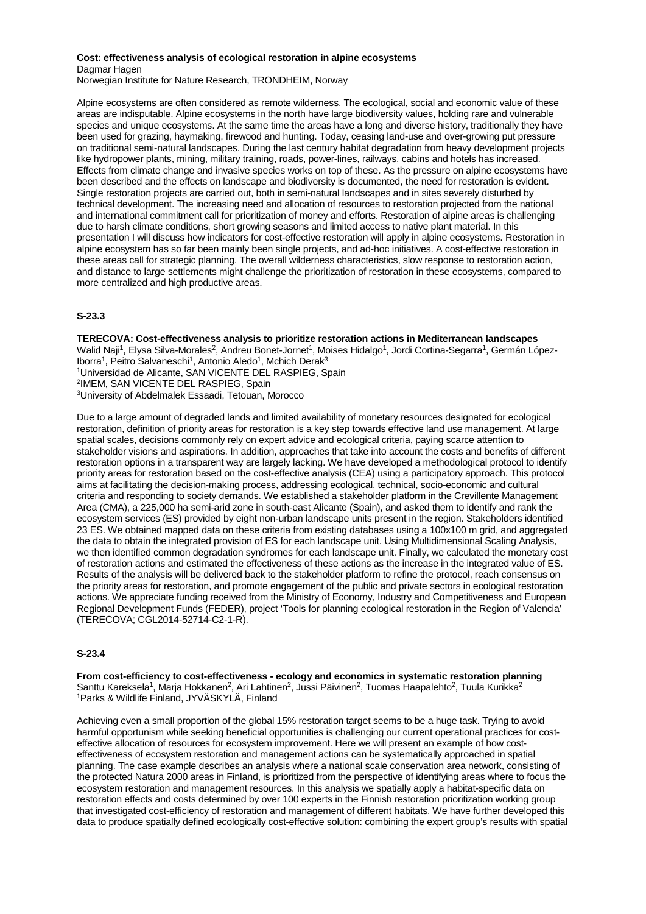## **Cost: effectiveness analysis of ecological restoration in alpine ecosystems** Dagmar Hagen

Norwegian Institute for Nature Research, TRONDHEIM, Norway

Alpine ecosystems are often considered as remote wilderness. The ecological, social and economic value of these areas are indisputable. Alpine ecosystems in the north have large biodiversity values, holding rare and vulnerable species and unique ecosystems. At the same time the areas have a long and diverse history, traditionally they have been used for grazing, haymaking, firewood and hunting. Today, ceasing land-use and over-growing put pressure on traditional semi-natural landscapes. During the last century habitat degradation from heavy development projects like hydropower plants, mining, military training, roads, power-lines, railways, cabins and hotels has increased. Effects from climate change and invasive species works on top of these. As the pressure on alpine ecosystems have been described and the effects on landscape and biodiversity is documented, the need for restoration is evident. Single restoration projects are carried out, both in semi-natural landscapes and in sites severely disturbed by technical development. The increasing need and allocation of resources to restoration projected from the national and international commitment call for prioritization of money and efforts. Restoration of alpine areas is challenging due to harsh climate conditions, short growing seasons and limited access to native plant material. In this presentation I will discuss how indicators for cost-effective restoration will apply in alpine ecosystems. Restoration in alpine ecosystem has so far been mainly been single projects, and ad-hoc initiatives. A cost-effective restoration in these areas call for strategic planning. The overall wilderness characteristics, slow response to restoration action, and distance to large settlements might challenge the prioritization of restoration in these ecosystems, compared to more centralized and high productive areas.

# **S-23.3**

**TERECOVA: Cost-effectiveness analysis to prioritize restoration actions in Mediterranean landscapes** Walid Naji<sup>1</sup>, Elysa Silva-Morales<sup>2</sup>, Andreu Bonet-Jornet<sup>1</sup>, Moises Hidalgo<sup>1</sup>, Jordi Cortina-Segarra<sup>1</sup>, Germán López-Iborra<sup>1</sup>, Peitro Salvaneschi<sup>1</sup>, Antonio Aledo<sup>1</sup>, Mchich Derak<sup>3</sup> 1Universidad de Alicante, SAN VICENTE DEL RASPIEG, Spain 2IMEM, SAN VICENTE DEL RASPIEG, Spain 3University of Abdelmalek Essaadi, Tetouan, Morocco

Due to a large amount of degraded lands and limited availability of monetary resources designated for ecological restoration, definition of priority areas for restoration is a key step towards effective land use management. At large spatial scales, decisions commonly rely on expert advice and ecological criteria, paying scarce attention to stakeholder visions and aspirations. In addition, approaches that take into account the costs and benefits of different restoration options in a transparent way are largely lacking. We have developed a methodological protocol to identify priority areas for restoration based on the cost-effective analysis (CEA) using a participatory approach. This protocol aims at facilitating the decision-making process, addressing ecological, technical, socio-economic and cultural criteria and responding to society demands. We established a stakeholder platform in the Crevillente Management Area (CMA), a 225,000 ha semi-arid zone in south-east Alicante (Spain), and asked them to identify and rank the ecosystem services (ES) provided by eight non-urban landscape units present in the region. Stakeholders identified 23 ES. We obtained mapped data on these criteria from existing databases using a 100x100 m grid, and aggregated the data to obtain the integrated provision of ES for each landscape unit. Using Multidimensional Scaling Analysis, we then identified common degradation syndromes for each landscape unit. Finally, we calculated the monetary cost of restoration actions and estimated the effectiveness of these actions as the increase in the integrated value of ES. Results of the analysis will be delivered back to the stakeholder platform to refine the protocol, reach consensus on the priority areas for restoration, and promote engagement of the public and private sectors in ecological restoration actions. We appreciate funding received from the Ministry of Economy, Industry and Competitiveness and European Regional Development Funds (FEDER), project 'Tools for planning ecological restoration in the Region of Valencia' (TERECOVA; CGL2014-52714-C2-1-R).

## **S-23.4**

**From cost-efficiency to cost-effectiveness - ecology and economics in systematic restoration planning** <u>Santtu Kareksela</u><sup>1</sup>, Marja Hokkanen<sup>2</sup>, Ari Lahtinen<sup>2</sup>, Jussi Päivinen<sup>2</sup>, Tuomas Haapalehto<sup>2</sup>, Tuula Kurikka<sup>2</sup> 1Parks & Wildlife Finland, JYVÄSKYLÄ, Finland

Achieving even a small proportion of the global 15% restoration target seems to be a huge task. Trying to avoid harmful opportunism while seeking beneficial opportunities is challenging our current operational practices for costeffective allocation of resources for ecosystem improvement. Here we will present an example of how costeffectiveness of ecosystem restoration and management actions can be systematically approached in spatial planning. The case example describes an analysis where a national scale conservation area network, consisting of the protected Natura 2000 areas in Finland, is prioritized from the perspective of identifying areas where to focus the ecosystem restoration and management resources. In this analysis we spatially apply a habitat-specific data on restoration effects and costs determined by over 100 experts in the Finnish restoration prioritization working group that investigated cost-efficiency of restoration and management of different habitats. We have further developed this data to produce spatially defined ecologically cost-effective solution: combining the expert group's results with spatial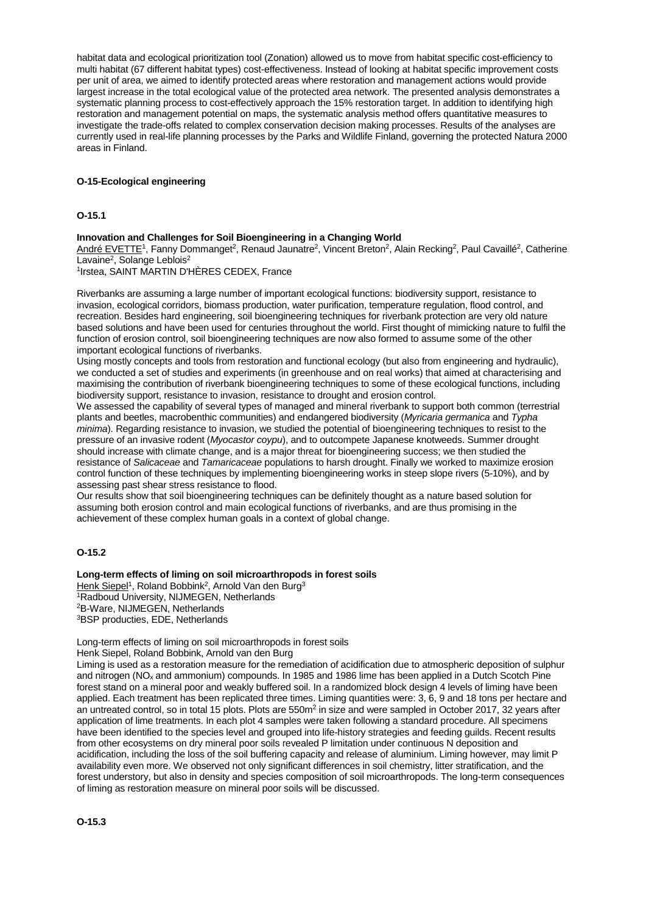habitat data and ecological prioritization tool (Zonation) allowed us to move from habitat specific cost-efficiency to multi habitat (67 different habitat types) cost-effectiveness. Instead of looking at habitat specific improvement costs per unit of area, we aimed to identify protected areas where restoration and management actions would provide largest increase in the total ecological value of the protected area network. The presented analysis demonstrates a systematic planning process to cost-effectively approach the 15% restoration target. In addition to identifying high restoration and management potential on maps, the systematic analysis method offers quantitative measures to investigate the trade-offs related to complex conservation decision making processes. Results of the analyses are currently used in real-life planning processes by the Parks and Wildlife Finland, governing the protected Natura 2000 areas in Finland.

## **O-15-Ecological engineering**

## **O-15.1**

## **Innovation and Challenges for Soil Bioengineering in a Changing World**

André EVETTE<sup>1</sup>, Fanny Dommanget<sup>2</sup>, Renaud Jaunatre<sup>2</sup>, Vincent Breton<sup>2</sup>, Alain Recking<sup>2</sup>, Paul Cavaillé<sup>2</sup>, Catherine Lavaine<sup>2</sup>, Solange Leblois<sup>2</sup>

1Irstea, SAINT MARTIN D'HÈRES CEDEX, France

Riverbanks are assuming a large number of important ecological functions: biodiversity support, resistance to invasion, ecological corridors, biomass production, water purification, temperature regulation, flood control, and recreation. Besides hard engineering, soil bioengineering techniques for riverbank protection are very old nature based solutions and have been used for centuries throughout the world. First thought of mimicking nature to fulfil the function of erosion control, soil bioengineering techniques are now also formed to assume some of the other important ecological functions of riverbanks.

Using mostly concepts and tools from restoration and functional ecology (but also from engineering and hydraulic), we conducted a set of studies and experiments (in greenhouse and on real works) that aimed at characterising and maximising the contribution of riverbank bioengineering techniques to some of these ecological functions, including biodiversity support, resistance to invasion, resistance to drought and erosion control.

We assessed the capability of several types of managed and mineral riverbank to support both common (terrestrial plants and beetles, macrobenthic communities) and endangered biodiversity (*Myricaria germanica* and *Typha minima*). Regarding resistance to invasion, we studied the potential of bioengineering techniques to resist to the pressure of an invasive rodent (*Myocastor coypu*), and to outcompete Japanese knotweeds. Summer drought should increase with climate change, and is a major threat for bioengineering success; we then studied the resistance of *Salicaceae* and *Tamaricaceae* populations to harsh drought. Finally we worked to maximize erosion control function of these techniques by implementing bioengineering works in steep slope rivers (5-10%), and by assessing past shear stress resistance to flood.

Our results show that soil bioengineering techniques can be definitely thought as a nature based solution for assuming both erosion control and main ecological functions of riverbanks, and are thus promising in the achievement of these complex human goals in a context of global change.

# **O-15.2**

## **Long-term effects of liming on soil microarthropods in forest soils**

Henk Siepel<sup>1</sup>, Roland Bobbink<sup>2</sup>, Arnold Van den Burg<sup>3</sup> 1Radboud University, NIJMEGEN, Netherlands 2B-Ware, NIJMEGEN, Netherlands

3BSP producties, EDE, Netherlands

Long-term effects of liming on soil microarthropods in forest soils

Henk Siepel, Roland Bobbink, Arnold van den Burg

Liming is used as a restoration measure for the remediation of acidification due to atmospheric deposition of sulphur and nitrogen ( $NO<sub>x</sub>$  and ammonium) compounds. In 1985 and 1986 lime has been applied in a Dutch Scotch Pine forest stand on a mineral poor and weakly buffered soil. In a randomized block design 4 levels of liming have been applied. Each treatment has been replicated three times. Liming quantities were: 3, 6, 9 and 18 tons per hectare and an untreated control, so in total 15 plots. Plots are 550m<sup>2</sup> in size and were sampled in October 2017, 32 years after application of lime treatments. In each plot 4 samples were taken following a standard procedure. All specimens have been identified to the species level and grouped into life-history strategies and feeding guilds. Recent results from other ecosystems on dry mineral poor soils revealed P limitation under continuous N deposition and acidification, including the loss of the soil buffering capacity and release of aluminium. Liming however, may limit P availability even more. We observed not only significant differences in soil chemistry, litter stratification, and the forest understory, but also in density and species composition of soil microarthropods. The long-term consequences of liming as restoration measure on mineral poor soils will be discussed.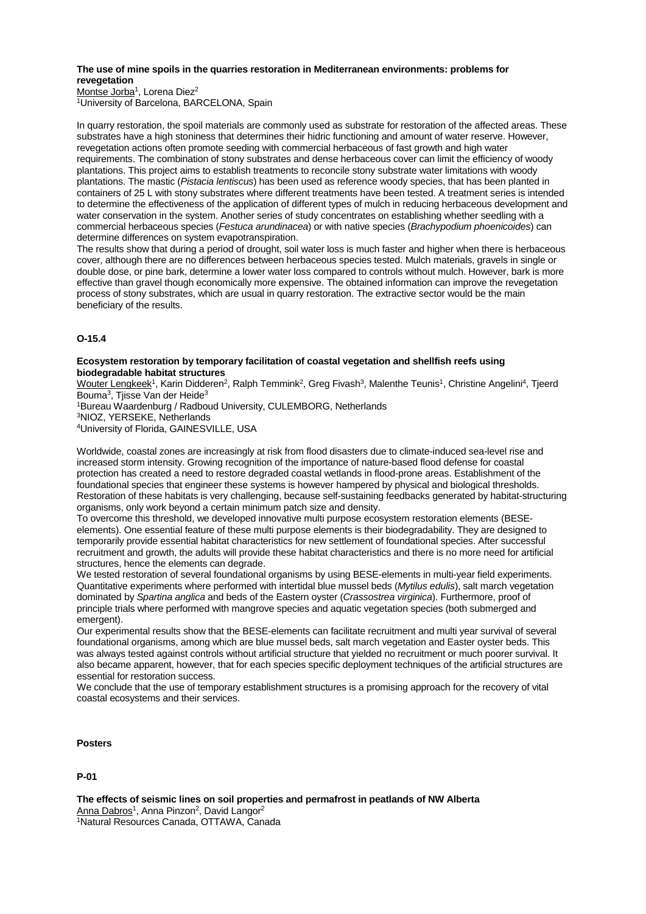## **The use of mine spoils in the quarries restoration in Mediterranean environments: problems for revegetation**

Montse Jorba<sup>1</sup>, Lorena Diez<sup>2</sup> 1University of Barcelona, BARCELONA, Spain

In quarry restoration, the spoil materials are commonly used as substrate for restoration of the affected areas. These substrates have a high stoniness that determines their hidric functioning and amount of water reserve. However, revegetation actions often promote seeding with commercial herbaceous of fast growth and high water requirements. The combination of stony substrates and dense herbaceous cover can limit the efficiency of woody plantations. This project aims to establish treatments to reconcile stony substrate water limitations with woody plantations. The mastic (*Pistacia lentiscus*) has been used as reference woody species, that has been planted in containers of 25 L with stony substrates where different treatments have been tested. A treatment series is intended to determine the effectiveness of the application of different types of mulch in reducing herbaceous development and water conservation in the system. Another series of study concentrates on establishing whether seedling with a commercial herbaceous species (*Festuca arundinacea*) or with native species (*Brachypodium phoenicoides*) can determine differences on system evapotranspiration.

The results show that during a period of drought, soil water loss is much faster and higher when there is herbaceous cover, although there are no differences between herbaceous species tested. Mulch materials, gravels in single or double dose, or pine bark, determine a lower water loss compared to controls without mulch. However, bark is more effective than gravel though economically more expensive. The obtained information can improve the revegetation process of stony substrates, which are usual in quarry restoration. The extractive sector would be the main beneficiary of the results.

# **O-15.4**

#### **Ecosystem restoration by temporary facilitation of coastal vegetation and shellfish reefs using biodegradable habitat structures**

Wouter Lengkeek<sup>1</sup>, Karin Didderen<sup>2</sup>, Ralph Temmink<sup>2</sup>, Greg Fivash<sup>3</sup>, Malenthe Teunis<sup>1</sup>, Christine Angelini<sup>4</sup>, Tjeerd Bouma3, Tjisse Van der Heide3

1Bureau Waardenburg / Radboud University, CULEMBORG, Netherlands

3NIOZ, YERSEKE, Netherlands

4University of Florida, GAINESVILLE, USA

Worldwide, coastal zones are increasingly at risk from flood disasters due to climate-induced sea-level rise and increased storm intensity. Growing recognition of the importance of nature-based flood defense for coastal protection has created a need to restore degraded coastal wetlands in flood-prone areas. Establishment of the foundational species that engineer these systems is however hampered by physical and biological thresholds. Restoration of these habitats is very challenging, because self-sustaining feedbacks generated by habitat-structuring organisms, only work beyond a certain minimum patch size and density.

To overcome this threshold, we developed innovative multi purpose ecosystem restoration elements (BESEelements). One essential feature of these multi purpose elements is their biodegradability. They are designed to temporarily provide essential habitat characteristics for new settlement of foundational species. After successful recruitment and growth, the adults will provide these habitat characteristics and there is no more need for artificial structures, hence the elements can degrade.

We tested restoration of several foundational organisms by using BESE-elements in multi-year field experiments. Quantitative experiments where performed with intertidal blue mussel beds (*Mytilus edulis*), salt march vegetation dominated by *Spartina anglica* and beds of the Eastern oyster (*Crassostrea virginica*). Furthermore, proof of principle trials where performed with mangrove species and aquatic vegetation species (both submerged and emergent).

Our experimental results show that the BESE-elements can facilitate recruitment and multi year survival of several foundational organisms, among which are blue mussel beds, salt march vegetation and Easter oyster beds. This was always tested against controls without artificial structure that yielded no recruitment or much poorer survival. It also became apparent, however, that for each species specific deployment techniques of the artificial structures are essential for restoration success.

We conclude that the use of temporary establishment structures is a promising approach for the recovery of vital coastal ecosystems and their services.

# **Posters**

## **P-01**

**The effects of seismic lines on soil properties and permafrost in peatlands of NW Alberta** Anna Dabros<sup>1</sup>, Anna Pinzon<sup>2</sup>, David Langor<sup>2</sup> 1Natural Resources Canada, OTTAWA, Canada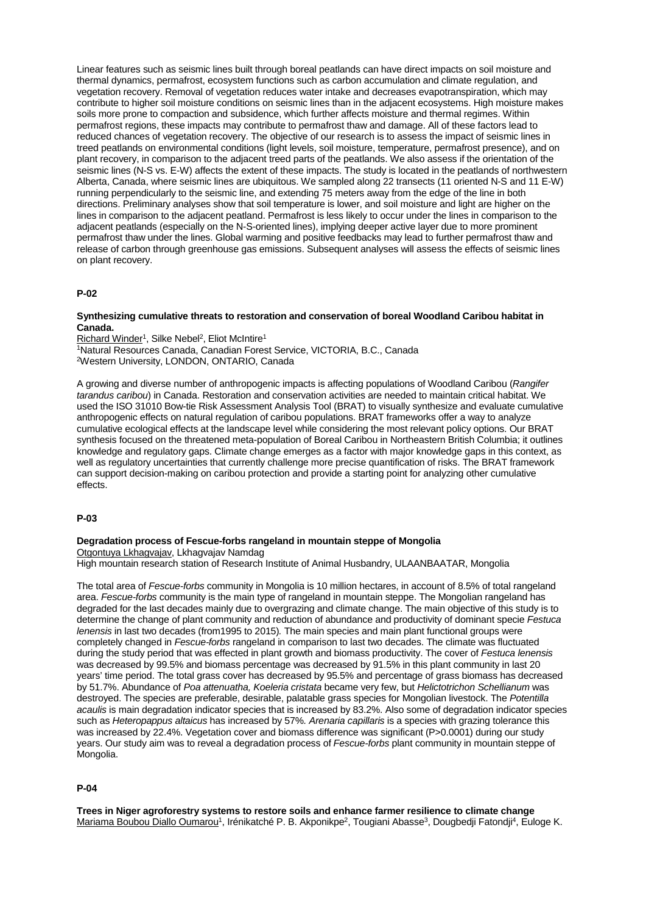Linear features such as seismic lines built through boreal peatlands can have direct impacts on soil moisture and thermal dynamics, permafrost, ecosystem functions such as carbon accumulation and climate regulation, and vegetation recovery. Removal of vegetation reduces water intake and decreases evapotranspiration, which may contribute to higher soil moisture conditions on seismic lines than in the adjacent ecosystems. High moisture makes soils more prone to compaction and subsidence, which further affects moisture and thermal regimes. Within permafrost regions, these impacts may contribute to permafrost thaw and damage. All of these factors lead to reduced chances of vegetation recovery. The objective of our research is to assess the impact of seismic lines in treed peatlands on environmental conditions (light levels, soil moisture, temperature, permafrost presence), and on plant recovery, in comparison to the adjacent treed parts of the peatlands. We also assess if the orientation of the seismic lines (N-S vs. E-W) affects the extent of these impacts. The study is located in the peatlands of northwestern Alberta, Canada, where seismic lines are ubiquitous. We sampled along 22 transects (11 oriented N-S and 11 E-W) running perpendicularly to the seismic line, and extending 75 meters away from the edge of the line in both directions. Preliminary analyses show that soil temperature is lower, and soil moisture and light are higher on the lines in comparison to the adjacent peatland. Permafrost is less likely to occur under the lines in comparison to the adjacent peatlands (especially on the N-S-oriented lines), implying deeper active layer due to more prominent permafrost thaw under the lines. Global warming and positive feedbacks may lead to further permafrost thaw and release of carbon through greenhouse gas emissions. Subsequent analyses will assess the effects of seismic lines on plant recovery.

## **P-02**

### **Synthesizing cumulative threats to restoration and conservation of boreal Woodland Caribou habitat in Canada.**

Richard Winder<sup>1</sup>, Silke Nebel<sup>2</sup>, Eliot McIntire<sup>1</sup> 1Natural Resources Canada, Canadian Forest Service, VICTORIA, B.C., Canada 2Western University, LONDON, ONTARIO, Canada

A growing and diverse number of anthropogenic impacts is affecting populations of Woodland Caribou (*Rangifer tarandus caribou*) in Canada. Restoration and conservation activities are needed to maintain critical habitat. We used the ISO 31010 Bow-tie Risk Assessment Analysis Tool (BRAT) to visually synthesize and evaluate cumulative anthropogenic effects on natural regulation of caribou populations. BRAT frameworks offer a way to analyze cumulative ecological effects at the landscape level while considering the most relevant policy options. Our BRAT synthesis focused on the threatened meta-population of Boreal Caribou in Northeastern British Columbia; it outlines knowledge and regulatory gaps. Climate change emerges as a factor with major knowledge gaps in this context, as well as regulatory uncertainties that currently challenge more precise quantification of risks. The BRAT framework can support decision-making on caribou protection and provide a starting point for analyzing other cumulative effects.

#### **P-03**

#### **Degradation process of Fescue-forbs rangeland in mountain steppe of Mongolia**

Otgontuya Lkhagvajav, Lkhagvajav Namdag High mountain research station of Research Institute of Animal Husbandry, ULAANBAATAR, Mongolia

The total area of *Fescue-forbs* community in Mongolia is 10 million hectares, in account of 8.5% of total rangeland area. *Fescue-forbs* community is the main type of rangeland in mountain steppe. The Mongolian rangeland has degraded for the last decades mainly due to overgrazing and climate change. The main objective of this study is to determine the change of plant community and reduction of abundance and productivity of dominant specie *Festuca lenensis* in last two decades (from1995 to 2015)*.* The main species and main plant functional groups were completely changed in *Fescue-forbs* rangeland in comparison to last two decades. The climate was fluctuated during the study period that was effected in plant growth and biomass productivity. The cover of *Festuca lenensis* was decreased by 99.5% and biomass percentage was decreased by 91.5% in this plant community in last 20 years' time period. The total grass cover has decreased by 95.5% and percentage of grass biomass has decreased by 51.7%. Abundance of *Poa attenuatha, Koeleria cristata* became very few, but *Helictotrichon Schellianum* was destroyed. The species are preferable, desirable, palatable grass species for Mongolian livestock. The *Potentilla acaulis* is main degradation indicator species that is increased by 83.2%. Also some of degradation indicator species such as *Heteropappus altaicus* has increased by 57%*. Arenaria capillaris* is a species with grazing tolerance this was increased by 22.4%. Vegetation cover and biomass difference was significant (P>0.0001) during our study years. Our study aim was to reveal a degradation process of *Fescue-forbs* plant community in mountain steppe of Mongolia.

## **P-04**

**Trees in Niger agroforestry systems to restore soils and enhance farmer resilience to climate change** Mariama Boubou Diallo Oumarou<sup>1</sup>, Irénikatché P. B. Akponikpe<sup>2</sup>, Tougiani Abasse<sup>3</sup>, Dougbedji Fatondji<sup>4</sup>, Euloge K.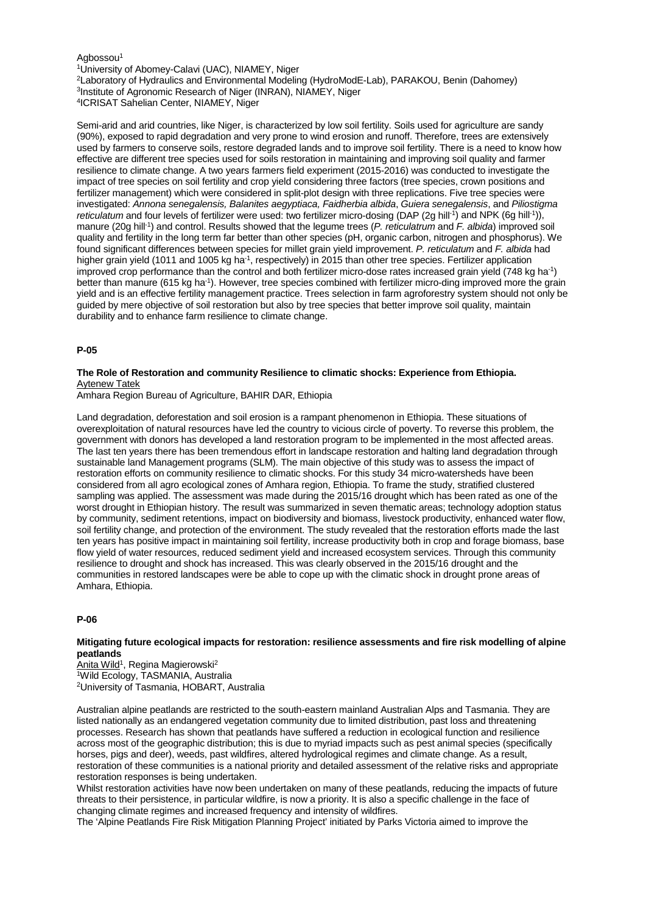#### Agbossou<sup>1</sup>

<sup>1</sup>University of Abomey-Calavi (UAC), NIAMEY, Niger

2Laboratory of Hydraulics and Environmental Modeling (HydroModE-Lab), PARAKOU, Benin (Dahomey)

3Institute of Agronomic Research of Niger (INRAN), NIAMEY, Niger

4ICRISAT Sahelian Center, NIAMEY, Niger

Semi-arid and arid countries, like Niger, is characterized by low soil fertility. Soils used for agriculture are sandy (90%), exposed to rapid degradation and very prone to wind erosion and runoff. Therefore, trees are extensively used by farmers to conserve soils, restore degraded lands and to improve soil fertility. There is a need to know how effective are different tree species used for soils restoration in maintaining and improving soil quality and farmer resilience to climate change. A two years farmers field experiment (2015-2016) was conducted to investigate the impact of tree species on soil fertility and crop yield considering three factors (tree species, crown positions and fertilizer management) which were considered in split-plot design with three replications. Five tree species were investigated: *Annona senegalensis, Balanites aegyptiaca, Faidherbia albida*, *Guiera senegalensis*, and *Piliostigma*  reticulatum and four levels of fertilizer were used: two fertilizer micro-dosing (DAP (2g hill<sup>-1</sup>) and NPK (6g hill<sup>-1</sup>)), manure (20g hill-1) and control. Results showed that the legume trees (*P. reticulatrum* and *F. albida*) improved soil quality and fertility in the long term far better than other species (pH, organic carbon, nitrogen and phosphorus). We found significant differences between species for millet grain yield improvement. *P. reticulatum* and *F. albida* had higher grain yield (1011 and 1005 kg ha<sup>-1</sup>, respectively) in 2015 than other tree species. Fertilizer application improved crop performance than the control and both fertilizer micro-dose rates increased grain yield (748 kg ha-1) better than manure (615 kg ha<sup>-1</sup>). However, tree species combined with fertilizer micro-ding improved more the grain yield and is an effective fertility management practice. Trees selection in farm agroforestry system should not only be guided by mere objective of soil restoration but also by tree species that better improve soil quality, maintain durability and to enhance farm resilience to climate change.

## **P-05**

## **The Role of Restoration and community Resilience to climatic shocks: Experience from Ethiopia.** Aytenew Tatek

Amhara Region Bureau of Agriculture, BAHIR DAR, Ethiopia

Land degradation, deforestation and soil erosion is a rampant phenomenon in Ethiopia. These situations of overexploitation of natural resources have led the country to vicious circle of poverty. To reverse this problem, the government with donors has developed a land restoration program to be implemented in the most affected areas. The last ten years there has been tremendous effort in landscape restoration and halting land degradation through sustainable land Management programs (SLM). The main objective of this study was to assess the impact of restoration efforts on community resilience to climatic shocks. For this study 34 micro-watersheds have been considered from all agro ecological zones of Amhara region, Ethiopia. To frame the study, stratified clustered sampling was applied. The assessment was made during the 2015/16 drought which has been rated as one of the worst drought in Ethiopian history. The result was summarized in seven thematic areas; technology adoption status by community, sediment retentions, impact on biodiversity and biomass, livestock productivity, enhanced water flow, soil fertility change, and protection of the environment. The study revealed that the restoration efforts made the last ten years has positive impact in maintaining soil fertility, increase productivity both in crop and forage biomass, base flow yield of water resources, reduced sediment yield and increased ecosystem services. Through this community resilience to drought and shock has increased. This was clearly observed in the 2015/16 drought and the communities in restored landscapes were be able to cope up with the climatic shock in drought prone areas of Amhara, Ethiopia.

## **P-06**

#### **Mitigating future ecological impacts for restoration: resilience assessments and fire risk modelling of alpine peatlands**

Anita Wild<sup>1</sup>, Regina Magierowski<sup>2</sup> 1Wild Ecology, TASMANIA, Australia 2University of Tasmania, HOBART, Australia

Australian alpine peatlands are restricted to the south-eastern mainland Australian Alps and Tasmania. They are listed nationally as an endangered vegetation community due to limited distribution, past loss and threatening processes. Research has shown that peatlands have suffered a reduction in ecological function and resilience across most of the geographic distribution; this is due to myriad impacts such as pest animal species (specifically horses, pigs and deer), weeds, past wildfires, altered hydrological regimes and climate change. As a result, restoration of these communities is a national priority and detailed assessment of the relative risks and appropriate restoration responses is being undertaken.

Whilst restoration activities have now been undertaken on many of these peatlands, reducing the impacts of future threats to their persistence, in particular wildfire, is now a priority. It is also a specific challenge in the face of changing climate regimes and increased frequency and intensity of wildfires.

The 'Alpine Peatlands Fire Risk Mitigation Planning Project' initiated by Parks Victoria aimed to improve the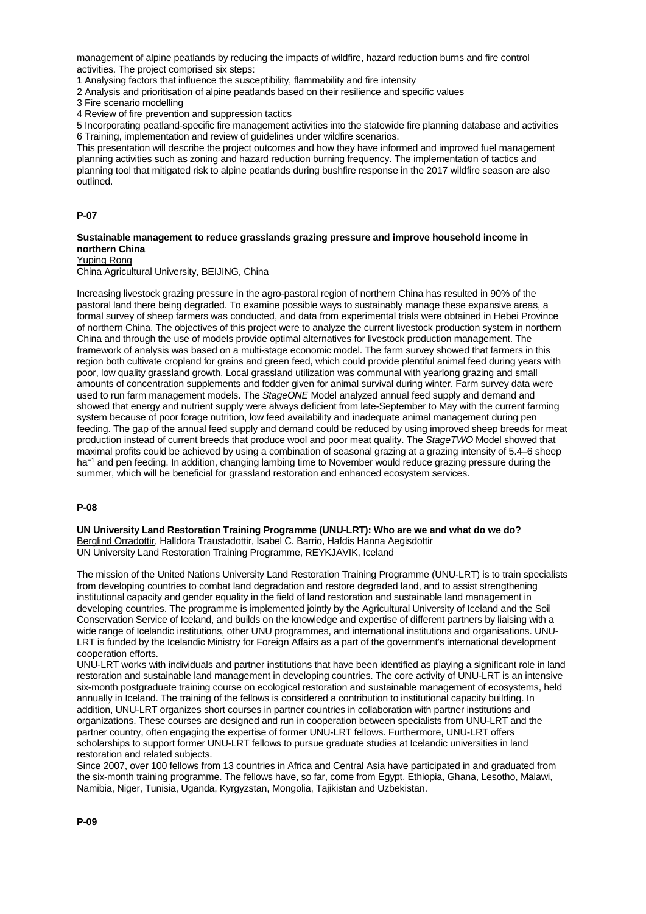management of alpine peatlands by reducing the impacts of wildfire, hazard reduction burns and fire control activities. The project comprised six steps:

1 Analysing factors that influence the susceptibility, flammability and fire intensity

2 Analysis and prioritisation of alpine peatlands based on their resilience and specific values

3 Fire scenario modelling

4 Review of fire prevention and suppression tactics

5 Incorporating peatland-specific fire management activities into the statewide fire planning database and activities 6 Training, implementation and review of guidelines under wildfire scenarios.

This presentation will describe the project outcomes and how they have informed and improved fuel management planning activities such as zoning and hazard reduction burning frequency. The implementation of tactics and planning tool that mitigated risk to alpine peatlands during bushfire response in the 2017 wildfire season are also outlined.

### **P-07**

## **Sustainable management to reduce grasslands grazing pressure and improve household income in northern China**

Yuping Rong

China Agricultural University, BEIJING, China

Increasing livestock grazing pressure in the agro-pastoral region of northern China has resulted in 90% of the pastoral land there being degraded. To examine possible ways to sustainably manage these expansive areas, a formal survey of sheep farmers was conducted, and data from experimental trials were obtained in Hebei Province of northern China. The objectives of this project were to analyze the current livestock production system in northern China and through the use of models provide optimal alternatives for livestock production management. The framework of analysis was based on a multi-stage economic model. The farm survey showed that farmers in this region both cultivate cropland for grains and green feed, which could provide plentiful animal feed during years with poor, low quality grassland growth. Local grassland utilization was communal with yearlong grazing and small amounts of concentration supplements and fodder given for animal survival during winter. Farm survey data were used to run farm management models. The *StageONE* Model analyzed annual feed supply and demand and showed that energy and nutrient supply were always deficient from late-September to May with the current farming system because of poor forage nutrition, low feed availability and inadequate animal management during pen feeding. The gap of the annual feed supply and demand could be reduced by using improved sheep breeds for meat production instead of current breeds that produce wool and poor meat quality. The *StageTWO* Model showed that maximal profits could be achieved by using a combination of seasonal grazing at a grazing intensity of 5.4–6 sheep ha<sup>-1</sup> and pen feeding. In addition, changing lambing time to November would reduce grazing pressure during the summer, which will be beneficial for grassland restoration and enhanced ecosystem services.

## **P-08**

**UN University Land Restoration Training Programme (UNU-LRT): Who are we and what do we do?** Berglind Orradottir, Halldora Traustadottir, Isabel C. Barrio, Hafdis Hanna Aegisdottir UN University Land Restoration Training Programme, REYKJAVIK, Iceland

The mission of the United Nations University Land Restoration Training Programme (UNU-LRT) is to train specialists from developing countries to combat land degradation and restore degraded land, and to assist strengthening institutional capacity and gender equality in the field of land restoration and sustainable land management in developing countries. The programme is implemented jointly by the Agricultural University of Iceland and the Soil Conservation Service of Iceland, and builds on the knowledge and expertise of different partners by liaising with a wide range of Icelandic institutions, other UNU programmes, and international institutions and organisations. UNU-LRT is funded by the Icelandic Ministry for Foreign Affairs as a part of the government's international development cooperation efforts.

UNU-LRT works with individuals and partner institutions that have been identified as playing a significant role in land restoration and sustainable land management in developing countries. The core activity of UNU-LRT is an intensive six-month postgraduate training course on ecological restoration and sustainable management of ecosystems, held annually in Iceland. The training of the fellows is considered a contribution to institutional capacity building. In addition, UNU-LRT organizes short courses in partner countries in collaboration with partner institutions and organizations. These courses are designed and run in cooperation between specialists from UNU-LRT and the partner country, often engaging the expertise of former UNU-LRT fellows. Furthermore, UNU-LRT offers scholarships to support former UNU-LRT fellows to pursue graduate studies at Icelandic universities in land restoration and related subjects.

Since 2007, over 100 fellows from 13 countries in Africa and Central Asia have participated in and graduated from the six-month training programme. The fellows have, so far, come from Egypt, Ethiopia, Ghana, Lesotho, Malawi, Namibia, Niger, Tunisia, Uganda, Kyrgyzstan, Mongolia, Tajikistan and Uzbekistan.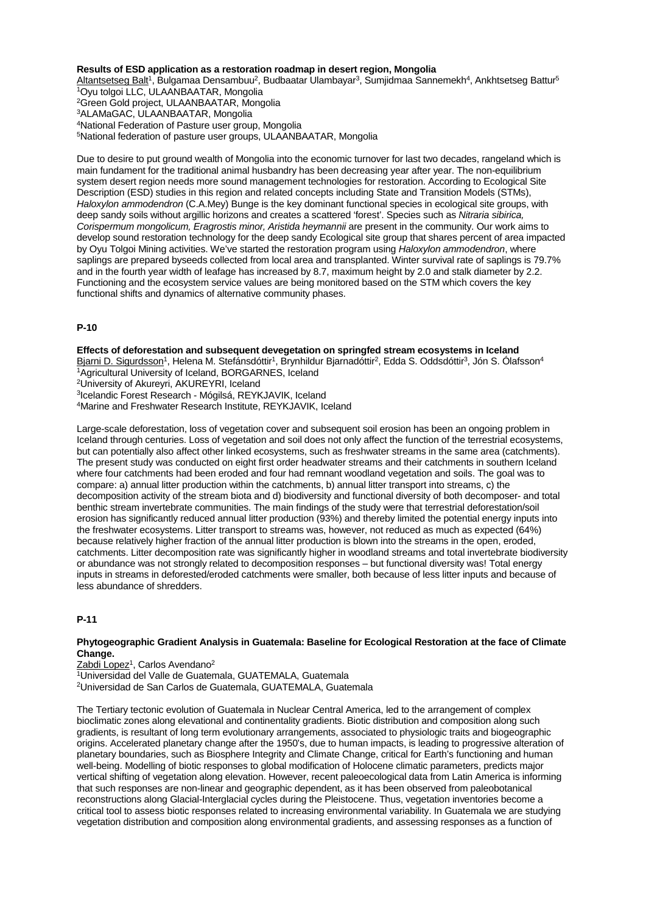### **Results of ESD application as a restoration roadmap in desert region, Mongolia**

Altantsetseg Balt<sup>1</sup>, Bulgamaa Densambuu<sup>2</sup>, Budbaatar Ulambayar<sup>3</sup>, Sumjidmaa Sannemekh<sup>4</sup>, Ankhtsetseg Battur<sup>5</sup> 1Oyu tolgoi LLC, ULAANBAATAR, Mongolia 2Green Gold project, ULAANBAATAR, Mongolia 3ALAMaGAC, ULAANBAATAR, Mongolia 4National Federation of Pasture user group, Mongolia 5National federation of pasture user groups, ULAANBAATAR, Mongolia

Due to desire to put ground wealth of Mongolia into the economic turnover for last two decades, rangeland which is main fundament for the traditional animal husbandry has been decreasing year after year. The non-equilibrium system desert region needs more sound management technologies for restoration. According to Ecological Site Description (ESD) studies in this region and related concepts including State and Transition Models (STMs), *Haloxylon ammodendron* (C.A.Mey) Bunge is the key dominant functional species in ecological site groups, with deep sandy soils without argillic horizons and creates a scattered 'forest'. Species such as *Nitraria sibirica, Corispermum mongolicum, Eragrostis minor, Aristida heymannii* are present in the community. Our work aims to develop sound restoration technology for the deep sandy Ecological site group that shares percent of area impacted by Oyu Tolgoi Mining activities. We've started the restoration program using *Haloxylon ammodendron*, where saplings are prepared byseeds collected from local area and transplanted. Winter survival rate of saplings is 79.7% and in the fourth year width of leafage has increased by 8.7, maximum height by 2.0 and stalk diameter by 2.2. Functioning and the ecosystem service values are being monitored based on the STM which covers the key functional shifts and dynamics of alternative community phases.

# **P-10**

**Effects of deforestation and subsequent devegetation on springfed stream ecosystems in Iceland** Bjarni D. Sigurdsson<sup>1</sup>, Helena M. Stefánsdóttir<sup>1</sup>, Brynhildur Bjarnadóttir<sup>2</sup>, Edda S. Oddsdóttir<sup>3</sup>, Jón S. Ólafsson<sup>4</sup> 1Agricultural University of Iceland, BORGARNES, Iceland

2University of Akureyri, AKUREYRI, Iceland

3Icelandic Forest Research - Mógilsá, REYKJAVIK, Iceland

4Marine and Freshwater Research Institute, REYKJAVIK, Iceland

Large-scale deforestation, loss of vegetation cover and subsequent soil erosion has been an ongoing problem in Iceland through centuries. Loss of vegetation and soil does not only affect the function of the terrestrial ecosystems, but can potentially also affect other linked ecosystems, such as freshwater streams in the same area (catchments). The present study was conducted on eight first order headwater streams and their catchments in southern Iceland where four catchments had been eroded and four had remnant woodland vegetation and soils. The goal was to compare: a) annual litter production within the catchments, b) annual litter transport into streams, c) the decomposition activity of the stream biota and d) biodiversity and functional diversity of both decomposer- and total benthic stream invertebrate communities. The main findings of the study were that terrestrial deforestation/soil erosion has significantly reduced annual litter production (93%) and thereby limited the potential energy inputs into the freshwater ecosystems. Litter transport to streams was, however, not reduced as much as expected (64%) because relatively higher fraction of the annual litter production is blown into the streams in the open, eroded, catchments. Litter decomposition rate was significantly higher in woodland streams and total invertebrate biodiversity or abundance was not strongly related to decomposition responses – but functional diversity was! Total energy inputs in streams in deforested/eroded catchments were smaller, both because of less litter inputs and because of less abundance of shredders.

# **P-11**

#### **Phytogeographic Gradient Analysis in Guatemala: Baseline for Ecological Restoration at the face of Climate Change.**

Zabdi Lopez<sup>1</sup>, Carlos Avendano<sup>2</sup>

1Universidad del Valle de Guatemala, GUATEMALA, Guatemala

2Universidad de San Carlos de Guatemala, GUATEMALA, Guatemala

The Tertiary tectonic evolution of Guatemala in Nuclear Central America, led to the arrangement of complex bioclimatic zones along elevational and continentality gradients. Biotic distribution and composition along such gradients, is resultant of long term evolutionary arrangements, associated to physiologic traits and biogeographic origins. Accelerated planetary change after the 1950's, due to human impacts, is leading to progressive alteration of planetary boundaries, such as Biosphere Integrity and Climate Change, critical for Earth's functioning and human well-being. Modelling of biotic responses to global modification of Holocene climatic parameters, predicts major vertical shifting of vegetation along elevation. However, recent paleoecological data from Latin America is informing that such responses are non-linear and geographic dependent, as it has been observed from paleobotanical reconstructions along Glacial-Interglacial cycles during the Pleistocene. Thus, vegetation inventories become a critical tool to assess biotic responses related to increasing environmental variability. In Guatemala we are studying vegetation distribution and composition along environmental gradients, and assessing responses as a function of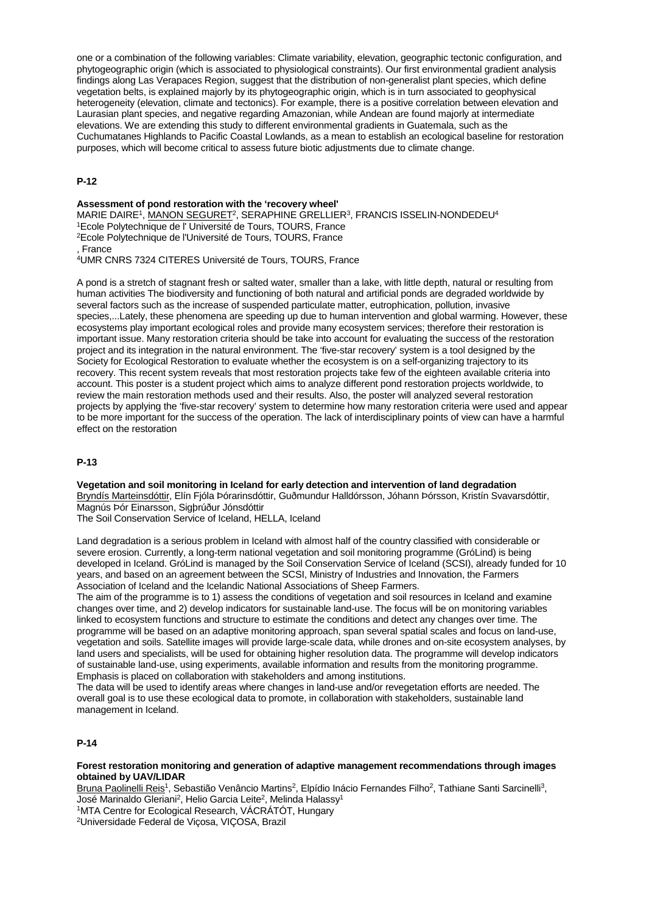one or a combination of the following variables: Climate variability, elevation, geographic tectonic configuration, and phytogeographic origin (which is associated to physiological constraints). Our first environmental gradient analysis findings along Las Verapaces Region, suggest that the distribution of non-generalist plant species, which define vegetation belts, is explained majorly by its phytogeographic origin, which is in turn associated to geophysical heterogeneity (elevation, climate and tectonics). For example, there is a positive correlation between elevation and Laurasian plant species, and negative regarding Amazonian, while Andean are found majorly at intermediate elevations. We are extending this study to different environmental gradients in Guatemala, such as the Cuchumatanes Highlands to Pacific Coastal Lowlands, as a mean to establish an ecological baseline for restoration purposes, which will become critical to assess future biotic adjustments due to climate change.

## **P-12**

## **Assessment of pond restoration with the 'recovery wheel'** MARIE DAIRE<sup>1</sup>, MANON SEGURET<sup>2</sup>, SERAPHINE GRELLIER<sup>3</sup>, FRANCIS ISSELIN-NONDEDEU<sup>4</sup> <sup>1</sup>Ecole Polytechnique de l' Université de Tours, TOURS, France

- <sup>2</sup>Ecole Polytechnique de l'Université de Tours, TOURS, France
- , France

4UMR CNRS 7324 CITERES Université de Tours, TOURS, France

A pond is a stretch of stagnant fresh or salted water, smaller than a lake, with little depth, natural or resulting from human activities The biodiversity and functioning of both natural and artificial ponds are degraded worldwide by several factors such as the increase of suspended particulate matter, eutrophication, pollution, invasive species,...Lately, these phenomena are speeding up due to human intervention and global warming. However, these ecosystems play important ecological roles and provide many ecosystem services; therefore their restoration is important issue. Many restoration criteria should be take into account for evaluating the success of the restoration project and its integration in the natural environment. The 'five-star recovery' system is a tool designed by the Society for Ecological Restoration to evaluate whether the ecosystem is on a self-organizing trajectory to its recovery. This recent system reveals that most restoration projects take few of the eighteen available criteria into account. This poster is a student project which aims to analyze different pond restoration projects worldwide, to review the main restoration methods used and their results. Also, the poster will analyzed several restoration projects by applying the 'five-star recovery' system to determine how many restoration criteria were used and appear to be more important for the success of the operation. The lack of interdisciplinary points of view can have a harmful effect on the restoration

## **P-13**

**Vegetation and soil monitoring in Iceland for early detection and intervention of land degradation** Bryndís Marteinsdóttir, Elín Fjóla Þórarinsdóttir, Guðmundur Halldórsson, Jóhann Þórsson, Kristín Svavarsdóttir, Magnús Þór Einarsson, Sigþrúður Jónsdóttir The Soil Conservation Service of Iceland, HELLA, Iceland

Land degradation is a serious problem in Iceland with almost half of the country classified with considerable or severe erosion. Currently, a long-term national vegetation and soil monitoring programme (GróLind) is being developed in Iceland. GróLind is managed by the Soil Conservation Service of Iceland (SCSI), already funded for 10 years, and based on an agreement between the SCSI, Ministry of Industries and Innovation, the Farmers Association of Iceland and the Icelandic National Associations of Sheep Farmers.

The aim of the programme is to 1) assess the conditions of vegetation and soil resources in Iceland and examine changes over time, and 2) develop indicators for sustainable land-use. The focus will be on monitoring variables linked to ecosystem functions and structure to estimate the conditions and detect any changes over time. The programme will be based on an adaptive monitoring approach, span several spatial scales and focus on land-use, vegetation and soils. Satellite images will provide large-scale data, while drones and on-site ecosystem analyses, by land users and specialists, will be used for obtaining higher resolution data. The programme will develop indicators of sustainable land-use, using experiments, available information and results from the monitoring programme. Emphasis is placed on collaboration with stakeholders and among institutions.

The data will be used to identify areas where changes in land-use and/or revegetation efforts are needed. The overall goal is to use these ecological data to promote, in collaboration with stakeholders, sustainable land management in Iceland.

## **P-14**

## **Forest restoration monitoring and generation of adaptive management recommendations through images obtained by UAV/LIDAR**

Bruna Paolinelli Reis<sup>1</sup>, Sebastião Venâncio Martins<sup>2</sup>, Elpídio Inácio Fernandes Filho<sup>2</sup>, Tathiane Santi Sarcinelli<sup>3</sup>, José Marinaldo Gleriani<sup>2</sup>, Helio Garcia Leite<sup>2</sup>, Melinda Halassy<sup>1</sup>

1MTA Centre for Ecological Research, VÁCRÁTÓT, Hungary

2Universidade Federal de Viçosa, VIÇOSA, Brazil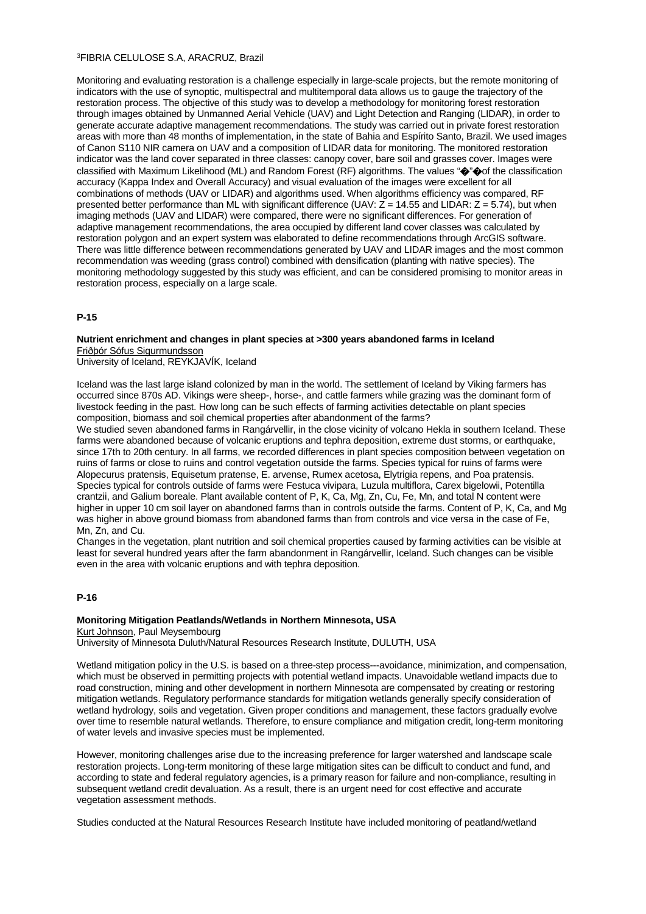### 3FIBRIA CELULOSE S.A, ARACRUZ, Brazil

Monitoring and evaluating restoration is a challenge especially in large-scale projects, but the remote monitoring of indicators with the use of synoptic, multispectral and multitemporal data allows us to gauge the trajectory of the restoration process. The objective of this study was to develop a methodology for monitoring forest restoration through images obtained by Unmanned Aerial Vehicle (UAV) and Light Detection and Ranging (LIDAR), in order to generate accurate adaptive management recommendations. The study was carried out in private forest restoration areas with more than 48 months of implementation, in the state of Bahia and Espírito Santo, Brazil. We used images of Canon S110 NIR camera on UAV and a composition of LIDAR data for monitoring. The monitored restoration indicator was the land cover separated in three classes: canopy cover, bare soil and grasses cover. Images were classified with Maximum Likelihood (ML) and Random Forest (RF) algorithms. The values "�"�of the classification accuracy (Kappa Index and Overall Accuracy) and visual evaluation of the images were excellent for all combinations of methods (UAV or LIDAR) and algorithms used. When algorithms efficiency was compared, RF presented better performance than ML with significant difference (UAV:  $\overline{Z}$  = 14.55 and LIDAR:  $\overline{Z}$  = 5.74), but when imaging methods (UAV and LIDAR) were compared, there were no significant differences. For generation of adaptive management recommendations, the area occupied by different land cover classes was calculated by restoration polygon and an expert system was elaborated to define recommendations through ArcGIS software. There was little difference between recommendations generated by UAV and LIDAR images and the most common recommendation was weeding (grass control) combined with densification (planting with native species). The monitoring methodology suggested by this study was efficient, and can be considered promising to monitor areas in restoration process, especially on a large scale.

## **P-15**

### **Nutrient enrichment and changes in plant species at >300 years abandoned farms in Iceland** Friðþór Sófus Sigurmundsson

University of Iceland, REYKJAVÍK, Iceland

Iceland was the last large island colonized by man in the world. The settlement of Iceland by Viking farmers has occurred since 870s AD. Vikings were sheep-, horse-, and cattle farmers while grazing was the dominant form of livestock feeding in the past. How long can be such effects of farming activities detectable on plant species composition, biomass and soil chemical properties after abandonment of the farms?

We studied seven abandoned farms in Rangárvellir, in the close vicinity of volcano Hekla in southern Iceland. These farms were abandoned because of volcanic eruptions and tephra deposition, extreme dust storms, or earthquake, since 17th to 20th century. In all farms, we recorded differences in plant species composition between vegetation on ruins of farms or close to ruins and control vegetation outside the farms. Species typical for ruins of farms were Alopecurus pratensis, Equisetum pratense, E. arvense, Rumex acetosa, Elytrigia repens, and Poa pratensis. Species typical for controls outside of farms were Festuca vivipara, Luzula multiflora, Carex bigelowii, Potentilla crantzii, and Galium boreale. Plant available content of P, K, Ca, Mg, Zn, Cu, Fe, Mn, and total N content were higher in upper 10 cm soil layer on abandoned farms than in controls outside the farms. Content of P, K, Ca, and Mg was higher in above ground biomass from abandoned farms than from controls and vice versa in the case of Fe, Mn, Zn, and Cu.

Changes in the vegetation, plant nutrition and soil chemical properties caused by farming activities can be visible at least for several hundred years after the farm abandonment in Rangárvellir, Iceland. Such changes can be visible even in the area with volcanic eruptions and with tephra deposition.

#### **P-16**

## **Monitoring Mitigation Peatlands/Wetlands in Northern Minnesota, USA**

Kurt Johnson, Paul Meysembourg

University of Minnesota Duluth/Natural Resources Research Institute, DULUTH, USA

Wetland mitigation policy in the U.S. is based on a three-step process---avoidance, minimization, and compensation, which must be observed in permitting projects with potential wetland impacts. Unavoidable wetland impacts due to road construction, mining and other development in northern Minnesota are compensated by creating or restoring mitigation wetlands. Regulatory performance standards for mitigation wetlands generally specify consideration of wetland hydrology, soils and vegetation. Given proper conditions and management, these factors gradually evolve over time to resemble natural wetlands. Therefore, to ensure compliance and mitigation credit, long-term monitoring of water levels and invasive species must be implemented.

However, monitoring challenges arise due to the increasing preference for larger watershed and landscape scale restoration projects. Long-term monitoring of these large mitigation sites can be difficult to conduct and fund, and according to state and federal regulatory agencies, is a primary reason for failure and non-compliance, resulting in subsequent wetland credit devaluation. As a result, there is an urgent need for cost effective and accurate vegetation assessment methods.

Studies conducted at the Natural Resources Research Institute have included monitoring of peatland/wetland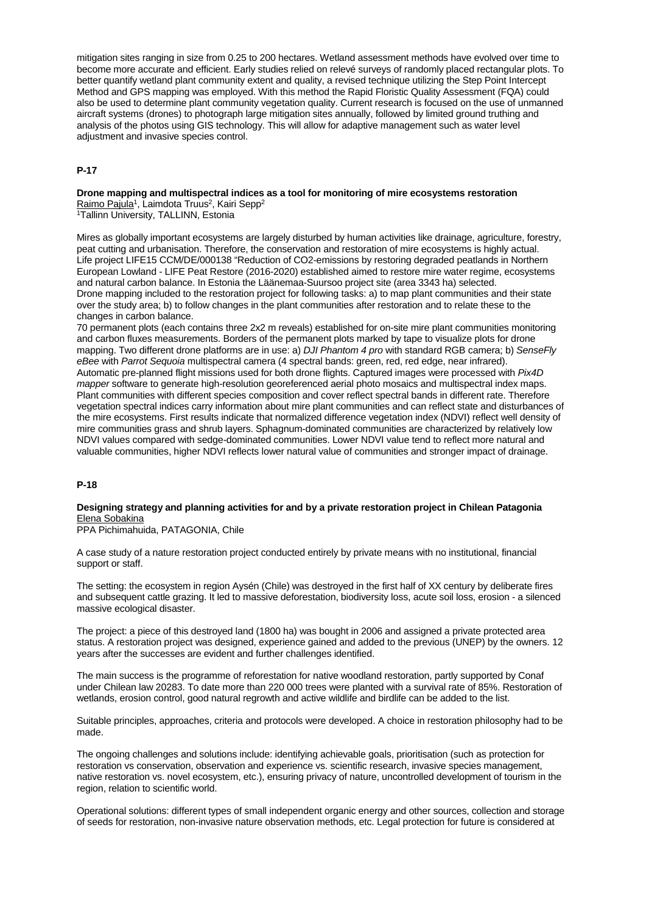mitigation sites ranging in size from 0.25 to 200 hectares. Wetland assessment methods have evolved over time to become more accurate and efficient. Early studies relied on relevé surveys of randomly placed rectangular plots. To better quantify wetland plant community extent and quality, a revised technique utilizing the Step Point Intercept Method and GPS mapping was employed. With this method the Rapid Floristic Quality Assessment (FQA) could also be used to determine plant community vegetation quality. Current research is focused on the use of unmanned aircraft systems (drones) to photograph large mitigation sites annually, followed by limited ground truthing and analysis of the photos using GIS technology. This will allow for adaptive management such as water level adjustment and invasive species control.

## **P-17**

#### **Drone mapping and multispectral indices as a tool for monitoring of mire ecosystems restoration** Raimo Pajula<sup>1</sup>, Laimdota Truus<sup>2</sup>, Kairi Sepp<sup>2</sup>

1Tallinn University, TALLINN, Estonia

Mires as globally important ecosystems are largely disturbed by human activities like drainage, agriculture, forestry, peat cutting and urbanisation. Therefore, the conservation and restoration of mire ecosystems is highly actual. Life project LIFE15 CCM/DE/000138 "Reduction of CO2-emissions by restoring degraded peatlands in Northern European Lowland - LIFE Peat Restore (2016-2020) established aimed to restore mire water regime, ecosystems and natural carbon balance. In Estonia the Läänemaa-Suursoo project site (area 3343 ha) selected. Drone mapping included to the restoration project for following tasks: a) to map plant communities and their state over the study area; b) to follow changes in the plant communities after restoration and to relate these to the changes in carbon balance.

70 permanent plots (each contains three 2x2 m reveals) established for on-site mire plant communities monitoring and carbon fluxes measurements. Borders of the permanent plots marked by tape to visualize plots for drone mapping. Two different drone platforms are in use: a) *DJI Phantom 4 pro* with standard RGB camera; b) *SenseFly eBee* with *Parrot Sequoia* multispectral camera (4 spectral bands: green, red, red edge, near infrared). Automatic pre-planned flight missions used for both drone flights. Captured images were processed with *Pix4D mapper* software to generate high-resolution georeferenced aerial photo mosaics and multispectral index maps. Plant communities with different species composition and cover reflect spectral bands in different rate. Therefore vegetation spectral indices carry information about mire plant communities and can reflect state and disturbances of the mire ecosystems. First results indicate that normalized difference vegetation index (NDVI) reflect well density of mire communities grass and shrub layers. Sphagnum-dominated communities are characterized by relatively low NDVI values compared with sedge-dominated communities. Lower NDVI value tend to reflect more natural and valuable communities, higher NDVI reflects lower natural value of communities and stronger impact of drainage.

## **P-18**

## **Designing strategy and planning activities for and by a private restoration project in Chilean Patagonia** Elena Sobakina

PPA Pichimahuida, PATAGONIA, Chile

A case study of a nature restoration project conducted entirely by private means with no institutional, financial support or staff.

The setting: the ecosystem in region Aysén (Chile) was destroyed in the first half of XX century by deliberate fires and subsequent cattle grazing. It led to massive deforestation, biodiversity loss, acute soil loss, erosion - a silenced massive ecological disaster.

The project: a piece of this destroyed land (1800 ha) was bought in 2006 and assigned a private protected area status. A restoration project was designed, experience gained and added to the previous (UNEP) by the owners. 12 years after the successes are evident and further challenges identified.

The main success is the programme of reforestation for native woodland restoration, partly supported by Conaf under Chilean law 20283. To date more than 220 000 trees were planted with a survival rate of 85%. Restoration of wetlands, erosion control, good natural regrowth and active wildlife and birdlife can be added to the list.

Suitable principles, approaches, criteria and protocols were developed. A choice in restoration philosophy had to be made.

The ongoing challenges and solutions include: identifying achievable goals, prioritisation (such as protection for restoration vs conservation, observation and experience vs. scientific research, invasive species management, native restoration vs. novel ecosystem, etc.), ensuring privacy of nature, uncontrolled development of tourism in the region, relation to scientific world.

Operational solutions: different types of small independent organic energy and other sources, collection and storage of seeds for restoration, non-invasive nature observation methods, etc. Legal protection for future is considered at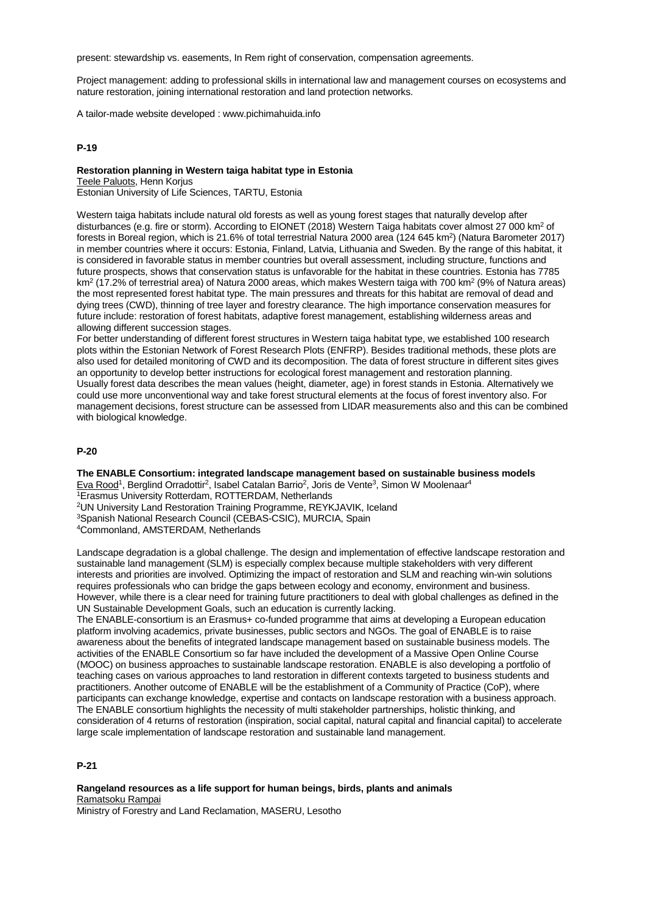present: stewardship vs. easements, In Rem right of conservation, compensation agreements.

Project management: adding to professional skills in international law and management courses on ecosystems and nature restoration, joining international restoration and land protection networks.

A tailor-made website developed : www.pichimahuida.info

#### **P-19**

# **Restoration planning in Western taiga habitat type in Estonia**

Teele Paluots, Henn Korjus

Estonian University of Life Sciences, TARTU, Estonia

Western taiga habitats include natural old forests as well as young forest stages that naturally develop after disturbances (e.g. fire or storm). According to EIONET (2018) Western Taiga habitats cover almost 27 000 km<sup>2</sup> of forests in Boreal region, which is 21.6% of total terrestrial Natura 2000 area (124 645 km<sup>2</sup>) (Natura Barometer 2017) in member countries where it occurs: Estonia, Finland, Latvia, Lithuania and Sweden. By the range of this habitat, it is considered in favorable status in member countries but overall assessment, including structure, functions and future prospects, shows that conservation status is unfavorable for the habitat in these countries. Estonia has 7785  $km<sup>2</sup>$  (17.2% of terrestrial area) of Natura 2000 areas, which makes Western taiga with 700 km<sup>2</sup> (9% of Natura areas) the most represented forest habitat type. The main pressures and threats for this habitat are removal of dead and dying trees (CWD), thinning of tree layer and forestry clearance. The high importance conservation measures for future include: restoration of forest habitats, adaptive forest management, establishing wilderness areas and allowing different succession stages.

For better understanding of different forest structures in Western taiga habitat type, we established 100 research plots within the Estonian Network of Forest Research Plots (ENFRP). Besides traditional methods, these plots are also used for detailed monitoring of CWD and its decomposition. The data of forest structure in different sites gives an opportunity to develop better instructions for ecological forest management and restoration planning. Usually forest data describes the mean values (height, diameter, age) in forest stands in Estonia. Alternatively we could use more unconventional way and take forest structural elements at the focus of forest inventory also. For management decisions, forest structure can be assessed from LIDAR measurements also and this can be combined with biological knowledge.

#### **P-20**

**The ENABLE Consortium: integrated landscape management based on sustainable business models** Eva Rood1, Berglind Orradottir2, Isabel Catalan Barrio2, Joris de Vente3, Simon W Moolenaar4 1Erasmus University Rotterdam, ROTTERDAM, Netherlands 2UN University Land Restoration Training Programme, REYKJAVIK, Iceland

3Spanish National Research Council (CEBAS-CSIC), MURCIA, Spain

4Commonland, AMSTERDAM, Netherlands

Landscape degradation is a global challenge. The design and implementation of effective landscape restoration and sustainable land management (SLM) is especially complex because multiple stakeholders with very different interests and priorities are involved. Optimizing the impact of restoration and SLM and reaching win-win solutions requires professionals who can bridge the gaps between ecology and economy, environment and business. However, while there is a clear need for training future practitioners to deal with global challenges as defined in the UN Sustainable Development Goals, such an education is currently lacking.

The ENABLE-consortium is an Erasmus+ co-funded programme that aims at developing a European education platform involving academics, private businesses, public sectors and NGOs. The goal of ENABLE is to raise awareness about the benefits of integrated landscape management based on sustainable business models. The activities of the ENABLE Consortium so far have included the development of a Massive Open Online Course (MOOC) on business approaches to sustainable landscape restoration. ENABLE is also developing a portfolio of teaching cases on various approaches to land restoration in different contexts targeted to business students and practitioners. Another outcome of ENABLE will be the establishment of a Community of Practice (CoP), where participants can exchange knowledge, expertise and contacts on landscape restoration with a business approach. The ENABLE consortium highlights the necessity of multi stakeholder partnerships, holistic thinking, and consideration of 4 returns of restoration (inspiration, social capital, natural capital and financial capital) to accelerate large scale implementation of landscape restoration and sustainable land management.

## **P-21**

**Rangeland resources as a life support for human beings, birds, plants and animals** Ramatsoku Rampai Ministry of Forestry and Land Reclamation, MASERU, Lesotho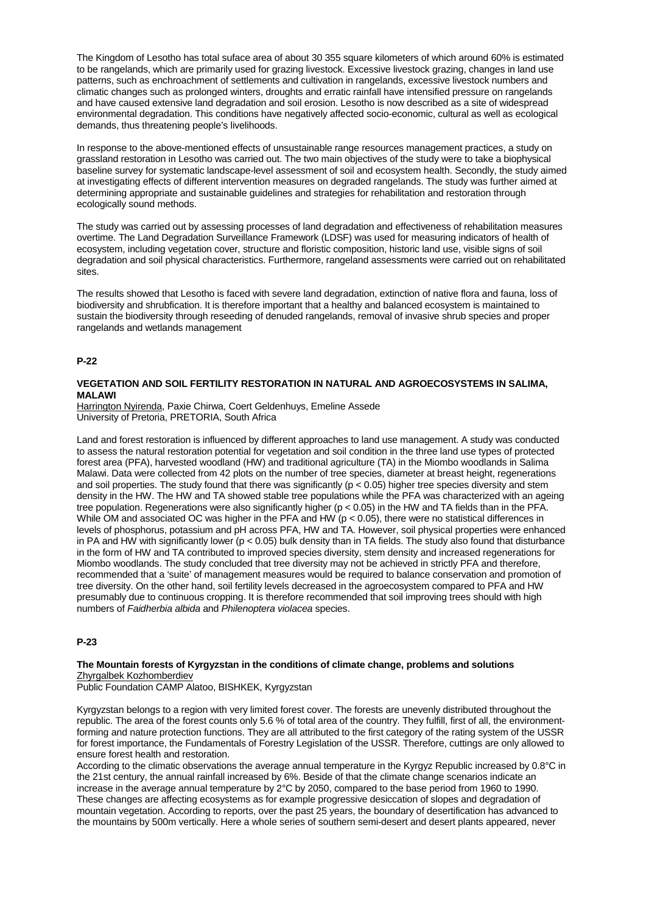The Kingdom of Lesotho has total suface area of about 30 355 square kilometers of which around 60% is estimated to be rangelands, which are primarily used for grazing livestock. Excessive livestock grazing, changes in land use patterns, such as enchroachment of settlements and cultivation in rangelands, excessive livestock numbers and climatic changes such as prolonged winters, droughts and erratic rainfall have intensified pressure on rangelands and have caused extensive land degradation and soil erosion. Lesotho is now described as a site of widespread environmental degradation. This conditions have negatively affected socio-economic, cultural as well as ecological demands, thus threatening people's livelihoods.

In response to the above-mentioned effects of unsustainable range resources management practices, a study on grassland restoration in Lesotho was carried out. The two main objectives of the study were to take a biophysical baseline survey for systematic landscape-level assessment of soil and ecosystem health. Secondly, the study aimed at investigating effects of different intervention measures on degraded rangelands. The study was further aimed at determining appropriate and sustainable guidelines and strategies for rehabilitation and restoration through ecologically sound methods.

The study was carried out by assessing processes of land degradation and effectiveness of rehabilitation measures overtime. The Land Degradation Surveillance Framework (LDSF) was used for measuring indicators of health of ecosystem, including vegetation cover, structure and floristic composition, historic land use, visible signs of soil degradation and soil physical characteristics. Furthermore, rangeland assessments were carried out on rehabilitated sites.

The results showed that Lesotho is faced with severe land degradation, extinction of native flora and fauna, loss of biodiversity and shrubfication. It is therefore important that a healthy and balanced ecosystem is maintained to sustain the biodiversity through reseeding of denuded rangelands, removal of invasive shrub species and proper rangelands and wetlands management

## **P-22**

## **VEGETATION AND SOIL FERTILITY RESTORATION IN NATURAL AND AGROECOSYSTEMS IN SALIMA, MALAWI**

Harrington Nyirenda, Paxie Chirwa, Coert Geldenhuys, Emeline Assede University of Pretoria, PRETORIA, South Africa

Land and forest restoration is influenced by different approaches to land use management. A study was conducted to assess the natural restoration potential for vegetation and soil condition in the three land use types of protected forest area (PFA), harvested woodland (HW) and traditional agriculture (TA) in the Miombo woodlands in Salima Malawi. Data were collected from 42 plots on the number of tree species, diameter at breast height, regenerations and soil properties. The study found that there was significantly ( $p < 0.05$ ) higher tree species diversity and stem density in the HW. The HW and TA showed stable tree populations while the PFA was characterized with an ageing tree population. Regenerations were also significantly higher ( $p < 0.05$ ) in the HW and TA fields than in the PFA. While OM and associated OC was higher in the PFA and HW (p < 0.05), there were no statistical differences in levels of phosphorus, potassium and pH across PFA, HW and TA. However, soil physical properties were enhanced in PA and HW with significantly lower ( $p < 0.05$ ) bulk density than in TA fields. The study also found that disturbance in the form of HW and TA contributed to improved species diversity, stem density and increased regenerations for Miombo woodlands. The study concluded that tree diversity may not be achieved in strictly PFA and therefore, recommended that a 'suite' of management measures would be required to balance conservation and promotion of tree diversity. On the other hand, soil fertility levels decreased in the agroecosystem compared to PFA and HW presumably due to continuous cropping. It is therefore recommended that soil improving trees should with high numbers of *Faidherbia albida* and *Philenoptera violacea* species.

## **P-23**

## **The Mountain forests of Kyrgyzstan in the conditions of climate change, problems and solutions** Zhyrgalbek Kozhomberdiev

Public Foundation CAMP Alatoo, BISHKEK, Kyrgyzstan

Kyrgyzstan belongs to a region with very limited forest cover. The forests are unevenly distributed throughout the republic. The area of the forest counts only 5.6 % of total area of the country. They fulfill, first of all, the environmentforming and nature protection functions. They are all attributed to the first category of the rating system of the USSR for forest importance, the Fundamentals of Forestry Legislation of the USSR. Therefore, cuttings are only allowed to ensure forest health and restoration.

According to the climatic observations the average annual temperature in the Kyrgyz Republic increased by 0.8°C in the 21st century, the annual rainfall increased by 6%. Beside of that the climate change scenarios indicate an increase in the average annual temperature by 2°C by 2050, compared to the base period from 1960 to 1990. These changes are affecting ecosystems as for example progressive desiccation of slopes and degradation of mountain vegetation. According to reports, over the past 25 years, the boundary of desertification has advanced to the mountains by 500m vertically. Here a whole series of southern semi-desert and desert plants appeared, never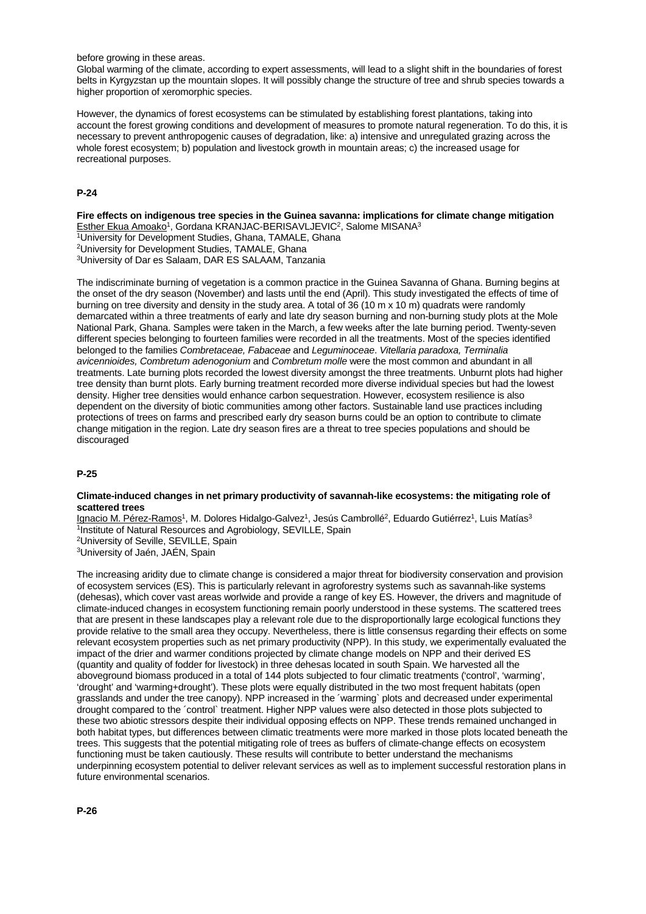before growing in these areas.

Global warming of the climate, according to expert assessments, will lead to a slight shift in the boundaries of forest belts in Kyrgyzstan up the mountain slopes. It will possibly change the structure of tree and shrub species towards a higher proportion of xeromorphic species.

However, the dynamics of forest ecosystems can be stimulated by establishing forest plantations, taking into account the forest growing conditions and development of measures to promote natural regeneration. To do this, it is necessary to prevent anthropogenic causes of degradation, like: a) intensive and unregulated grazing across the whole forest ecosystem; b) population and livestock growth in mountain areas; c) the increased usage for recreational purposes.

## **P-24**

**Fire effects on indigenous tree species in the Guinea savanna: implications for climate change mitigation** Esther Ekua Amoako<sup>1</sup>, Gordana KRANJAC-BERISAVLJEVIC<sup>2</sup>, Salome MISANA<sup>3</sup> <sup>1</sup>University for Development Studies, Ghana, TAMALE, Ghana 2University for Development Studies, TAMALE, Ghana

3University of Dar es Salaam, DAR ES SALAAM, Tanzania

The indiscriminate burning of vegetation is a common practice in the Guinea Savanna of Ghana. Burning begins at the onset of the dry season (November) and lasts until the end (April). This study investigated the effects of time of burning on tree diversity and density in the study area. A total of 36 (10 m x 10 m) quadrats were randomly demarcated within a three treatments of early and late dry season burning and non-burning study plots at the Mole National Park, Ghana. Samples were taken in the March, a few weeks after the late burning period. Twenty-seven different species belonging to fourteen families were recorded in all the treatments. Most of the species identified belonged to the families *Combretaceae, Fabaceae* and *Leguminoceae*. *Vitellaria paradoxa, Terminalia avicennioides, Combretum adenogonium* and *Combretum molle* were the most common and abundant in all treatments. Late burning plots recorded the lowest diversity amongst the three treatments. Unburnt plots had higher tree density than burnt plots. Early burning treatment recorded more diverse individual species but had the lowest density. Higher tree densities would enhance carbon sequestration. However, ecosystem resilience is also dependent on the diversity of biotic communities among other factors. Sustainable land use practices including protections of trees on farms and prescribed early dry season burns could be an option to contribute to climate change mitigation in the region. Late dry season fires are a threat to tree species populations and should be discouraged

## **P-25**

#### **Climate-induced changes in net primary productivity of savannah-like ecosystems: the mitigating role of scattered trees**

Ignacio M. Pérez-Ramos<sup>1</sup>, M. Dolores Hidalgo-Galvez<sup>1</sup>, Jesús Cambrollé<sup>2</sup>, Eduardo Gutiérrez<sup>1</sup>, Luis Matías<sup>3</sup> <sup>1</sup>Institute of Natural Resources and Agrobiology, SEVILLE, Spain 2University of Seville, SEVILLE, Spain

3University of Jaén, JAÉN, Spain

The increasing aridity due to climate change is considered a major threat for biodiversity conservation and provision of ecosystem services (ES). This is particularly relevant in agroforestry systems such as savannah-like systems (dehesas), which cover vast areas worlwide and provide a range of key ES. However, the drivers and magnitude of climate-induced changes in ecosystem functioning remain poorly understood in these systems. The scattered trees that are present in these landscapes play a relevant role due to the disproportionally large ecological functions they provide relative to the small area they occupy. Nevertheless, there is little consensus regarding their effects on some relevant ecosystem properties such as net primary productivity (NPP). In this study, we experimentally evaluated the impact of the drier and warmer conditions projected by climate change models on NPP and their derived ES (quantity and quality of fodder for livestock) in three dehesas located in south Spain. We harvested all the aboveground biomass produced in a total of 144 plots subjected to four climatic treatments ('control', 'warming', 'drought' and 'warming+drought'). These plots were equally distributed in the two most frequent habitats (open grasslands and under the tree canopy). NPP increased in the ´warming` plots and decreased under experimental drought compared to the ´control` treatment. Higher NPP values were also detected in those plots subjected to these two abiotic stressors despite their individual opposing effects on NPP. These trends remained unchanged in both habitat types, but differences between climatic treatments were more marked in those plots located beneath the trees. This suggests that the potential mitigating role of trees as buffers of climate-change effects on ecosystem functioning must be taken cautiously. These results will contribute to better understand the mechanisms underpinning ecosystem potential to deliver relevant services as well as to implement successful restoration plans in future environmental scenarios.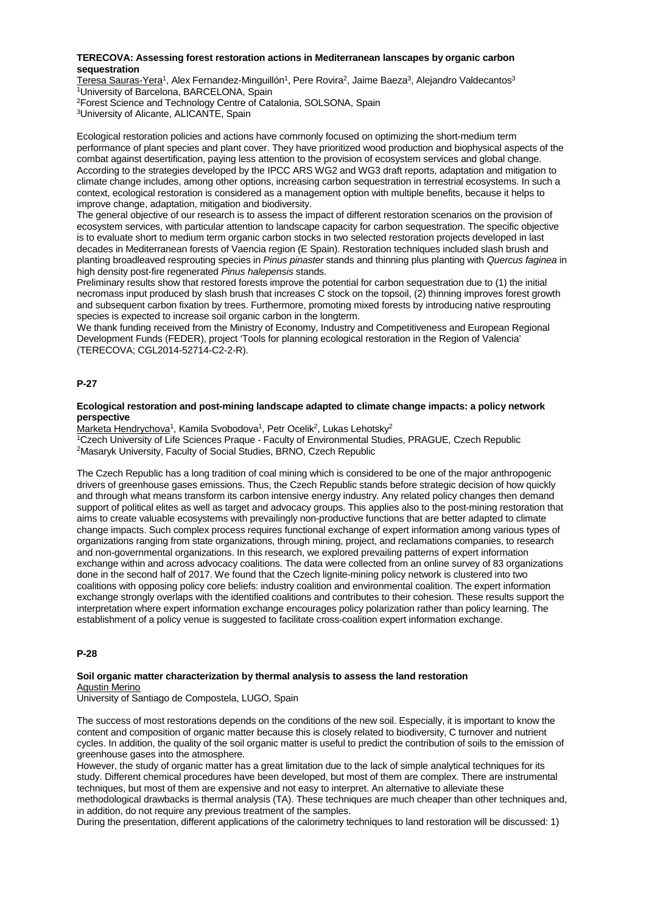### **TERECOVA: Assessing forest restoration actions in Mediterranean lanscapes by organic carbon sequestration**

Teresa Sauras-Yera<sup>1</sup>, Alex Fernandez-Minguillón<sup>1</sup>, Pere Rovira<sup>2</sup>, Jaime Baeza<sup>3</sup>, Alejandro Valdecantos<sup>3</sup> <sup>1</sup>University of Barcelona, BARCELONA, Spain

2Forest Science and Technology Centre of Catalonia, SOLSONA, Spain

3University of Alicante, ALICANTE, Spain

Ecological restoration policies and actions have commonly focused on optimizing the short-medium term performance of plant species and plant cover. They have prioritized wood production and biophysical aspects of the combat against desertification, paying less attention to the provision of ecosystem services and global change. According to the strategies developed by the IPCC ARS WG2 and WG3 draft reports, adaptation and mitigation to climate change includes, among other options, increasing carbon sequestration in terrestrial ecosystems. In such a context, ecological restoration is considered as a management option with multiple benefits, because it helps to improve change, adaptation, mitigation and biodiversity.

The general objective of our research is to assess the impact of different restoration scenarios on the provision of ecosystem services, with particular attention to landscape capacity for carbon sequestration. The specific objective is to evaluate short to medium term organic carbon stocks in two selected restoration projects developed in last decades in Mediterranean forests of Vaencia region (E Spain). Restoration techniques included slash brush and planting broadleaved resprouting species in *Pinus pinaster* stands and thinning plus planting with *Quercus faginea* in high density post-fire regenerated *Pinus halepensis* stands.

Preliminary results show that restored forests improve the potential for carbon sequestration due to (1) the initial necromass input produced by slash brush that increases C stock on the topsoil, (2) thinning improves forest growth and subsequent carbon fixation by trees. Furthermore, promoting mixed forests by introducing native resprouting species is expected to increase soil organic carbon in the longterm.

We thank funding received from the Ministry of Economy, Industry and Competitiveness and European Regional Development Funds (FEDER), project 'Tools for planning ecological restoration in the Region of Valencia' (TERECOVA; CGL2014-52714-C2-2-R).

## **P-27**

### **Ecological restoration and post-mining landscape adapted to climate change impacts: a policy network perspective**

Marketa Hendrychova<sup>1</sup>, Kamila Svobodova<sup>1</sup>, Petr Ocelik<sup>2</sup>, Lukas Lehotsky<sup>2</sup> 1Czech University of Life Sciences Praque - Faculty of Environmental Studies, PRAGUE, Czech Republic

2Masaryk University, Faculty of Social Studies, BRNO, Czech Republic

The Czech Republic has a long tradition of coal mining which is considered to be one of the major anthropogenic drivers of greenhouse gases emissions. Thus, the Czech Republic stands before strategic decision of how quickly and through what means transform its carbon intensive energy industry. Any related policy changes then demand support of political elites as well as target and advocacy groups. This applies also to the post-mining restoration that aims to create valuable ecosystems with prevailingly non-productive functions that are better adapted to climate change impacts. Such complex process requires functional exchange of expert information among various types of organizations ranging from state organizations, through mining, project, and reclamations companies, to research and non-governmental organizations. In this research, we explored prevailing patterns of expert information exchange within and across advocacy coalitions. The data were collected from an online survey of 83 organizations done in the second half of 2017. We found that the Czech lignite-mining policy network is clustered into two coalitions with opposing policy core beliefs: industry coalition and environmental coalition. The expert information exchange strongly overlaps with the identified coalitions and contributes to their cohesion. These results support the interpretation where expert information exchange encourages policy polarization rather than policy learning. The establishment of a policy venue is suggested to facilitate cross-coalition expert information exchange.

## **P-28**

## **Soil organic matter characterization by thermal analysis to assess the land restoration** Agustin Merino

University of Santiago de Compostela, LUGO, Spain

The success of most restorations depends on the conditions of the new soil. Especially, it is important to know the content and composition of organic matter because this is closely related to biodiversity, C turnover and nutrient cycles. In addition, the quality of the soil organic matter is useful to predict the contribution of soils to the emission of greenhouse gases into the atmosphere.

However, the study of organic matter has a great limitation due to the lack of simple analytical techniques for its study. Different chemical procedures have been developed, but most of them are complex. There are instrumental techniques, but most of them are expensive and not easy to interpret. An alternative to alleviate these methodological drawbacks is thermal analysis (TA). These techniques are much cheaper than other techniques and, in addition, do not require any previous treatment of the samples.

During the presentation, different applications of the calorimetry techniques to land restoration will be discussed: 1)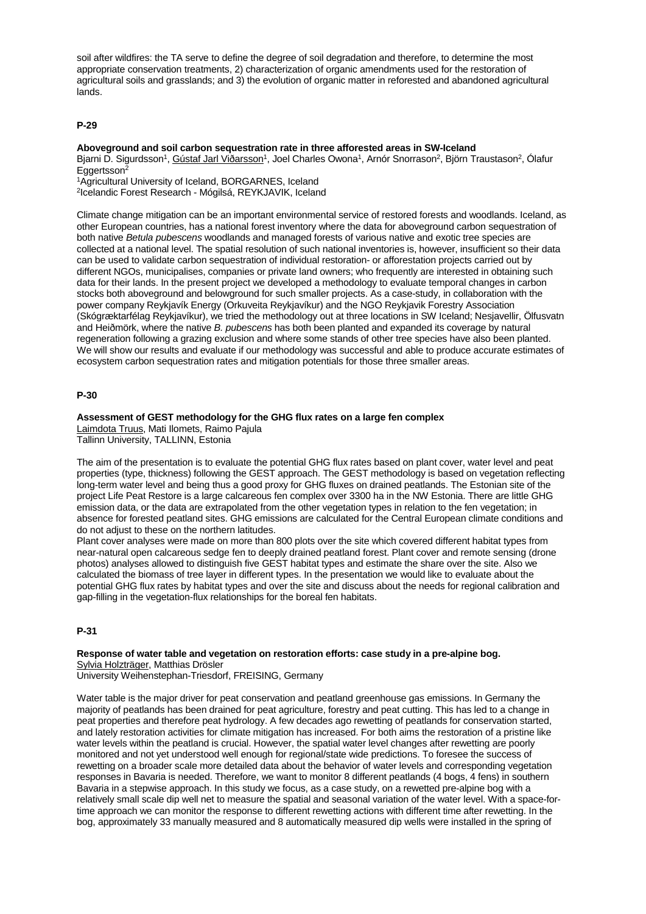soil after wildfires: the TA serve to define the degree of soil degradation and therefore, to determine the most appropriate conservation treatments, 2) characterization of organic amendments used for the restoration of agricultural soils and grasslands; and 3) the evolution of organic matter in reforested and abandoned agricultural lands.

## **P-29**

## **Aboveground and soil carbon sequestration rate in three afforested areas in SW-Iceland**

Bjarni D. Sigurdsson<sup>1</sup>, Gústaf Jarl Viðarsson<sup>1</sup>, Joel Charles Owona<sup>1</sup>, Arnór Snorrason<sup>2</sup>, Björn Traustason<sup>2</sup>, Ólafur Eggertsson2

1Agricultural University of Iceland, BORGARNES, Iceland

2Icelandic Forest Research - Mógilsá, REYKJAVIK, Iceland

Climate change mitigation can be an important environmental service of restored forests and woodlands. Iceland, as other European countries, has a national forest inventory where the data for aboveground carbon sequestration of both native *Betula pubescens* woodlands and managed forests of various native and exotic tree species are collected at a national level. The spatial resolution of such national inventories is, however, insufficient so their data can be used to validate carbon sequestration of individual restoration- or afforestation projects carried out by different NGOs, municipalises, companies or private land owners; who frequently are interested in obtaining such data for their lands. In the present project we developed a methodology to evaluate temporal changes in carbon stocks both aboveground and belowground for such smaller projects. As a case-study, in collaboration with the power company Reykjavík Energy (Orkuveita Reykjavíkur) and the NGO Reykjavik Forestry Association (Skógræktarfélag Reykjavíkur), we tried the methodology out at three locations in SW Iceland; Nesjavellir, Ölfusvatn and Heiðmörk, where the native *B. pubescens* has both been planted and expanded its coverage by natural regeneration following a grazing exclusion and where some stands of other tree species have also been planted. We will show our results and evaluate if our methodology was successful and able to produce accurate estimates of ecosystem carbon sequestration rates and mitigation potentials for those three smaller areas.

## **P-30**

## **Assessment of GEST methodology for the GHG flux rates on a large fen complex**

Laimdota Truus, Mati Ilomets, Raimo Pajula Tallinn University, TALLINN, Estonia

The aim of the presentation is to evaluate the potential GHG flux rates based on plant cover, water level and peat properties (type, thickness) following the GEST approach. The GEST methodology is based on vegetation reflecting long-term water level and being thus a good proxy for GHG fluxes on drained peatlands. The Estonian site of the project Life Peat Restore is a large calcareous fen complex over 3300 ha in the NW Estonia. There are little GHG emission data, or the data are extrapolated from the other vegetation types in relation to the fen vegetation; in absence for forested peatland sites. GHG emissions are calculated for the Central European climate conditions and do not adjust to these on the northern latitudes.

Plant cover analyses were made on more than 800 plots over the site which covered different habitat types from near-natural open calcareous sedge fen to deeply drained peatland forest. Plant cover and remote sensing (drone photos) analyses allowed to distinguish five GEST habitat types and estimate the share over the site. Also we calculated the biomass of tree layer in different types. In the presentation we would like to evaluate about the potential GHG flux rates by habitat types and over the site and discuss about the needs for regional calibration and gap-filling in the vegetation-flux relationships for the boreal fen habitats.

## **P-31**

## **Response of water table and vegetation on restoration efforts: case study in a pre-alpine bog.** Sylvia Holzträger, Matthias Drösler

University Weihenstephan-Triesdorf, FREISING, Germany

Water table is the major driver for peat conservation and peatland greenhouse gas emissions. In Germany the majority of peatlands has been drained for peat agriculture, forestry and peat cutting. This has led to a change in peat properties and therefore peat hydrology. A few decades ago rewetting of peatlands for conservation started, and lately restoration activities for climate mitigation has increased. For both aims the restoration of a pristine like water levels within the peatland is crucial. However, the spatial water level changes after rewetting are poorly monitored and not yet understood well enough for regional/state wide predictions. To foresee the success of rewetting on a broader scale more detailed data about the behavior of water levels and corresponding vegetation responses in Bavaria is needed. Therefore, we want to monitor 8 different peatlands (4 bogs, 4 fens) in southern Bavaria in a stepwise approach. In this study we focus, as a case study, on a rewetted pre-alpine bog with a relatively small scale dip well net to measure the spatial and seasonal variation of the water level. With a space-fortime approach we can monitor the response to different rewetting actions with different time after rewetting. In the bog, approximately 33 manually measured and 8 automatically measured dip wells were installed in the spring of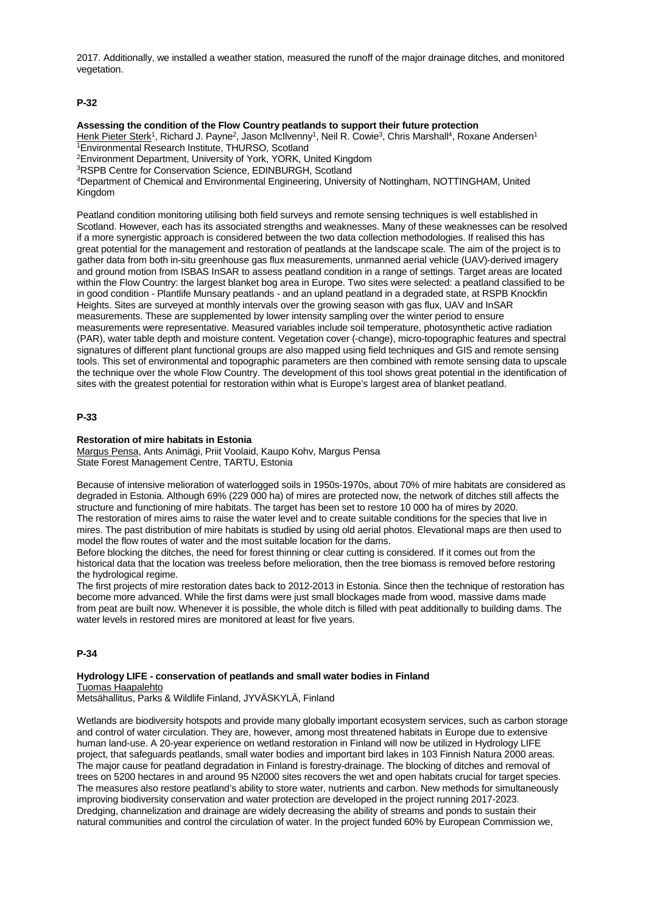2017. Additionally, we installed a weather station, measured the runoff of the major drainage ditches, and monitored vegetation.

## **P-32**

## **Assessing the condition of the Flow Country peatlands to support their future protection**

Henk Pieter Sterk<sup>1</sup>, Richard J. Payne<sup>2</sup>, Jason McIlvenny<sup>1</sup>, Neil R. Cowie<sup>3</sup>, Chris Marshall<sup>4</sup>, Roxane Andersen<sup>1</sup> 1Environmental Research Institute, THURSO, Scotland

2Environment Department, University of York, YORK, United Kingdom

3RSPB Centre for Conservation Science, EDINBURGH, Scotland

4Department of Chemical and Environmental Engineering, University of Nottingham, NOTTINGHAM, United Kingdom

Peatland condition monitoring utilising both field surveys and remote sensing techniques is well established in Scotland. However, each has its associated strengths and weaknesses. Many of these weaknesses can be resolved if a more synergistic approach is considered between the two data collection methodologies. If realised this has great potential for the management and restoration of peatlands at the landscape scale. The aim of the project is to gather data from both in-situ greenhouse gas flux measurements, unmanned aerial vehicle (UAV)-derived imagery and ground motion from ISBAS InSAR to assess peatland condition in a range of settings. Target areas are located within the Flow Country: the largest blanket bog area in Europe. Two sites were selected: a peatland classified to be in good condition - Plantlife Munsary peatlands - and an upland peatland in a degraded state, at RSPB Knockfin Heights. Sites are surveyed at monthly intervals over the growing season with gas flux, UAV and InSAR measurements. These are supplemented by lower intensity sampling over the winter period to ensure measurements were representative. Measured variables include soil temperature, photosynthetic active radiation (PAR), water table depth and moisture content. Vegetation cover (-change), micro-topographic features and spectral signatures of different plant functional groups are also mapped using field techniques and GIS and remote sensing tools. This set of environmental and topographic parameters are then combined with remote sensing data to upscale the technique over the whole Flow Country. The development of this tool shows great potential in the identification of sites with the greatest potential for restoration within what is Europe's largest area of blanket peatland.

## **P-33**

## **Restoration of mire habitats in Estonia**

Margus Pensa, Ants Animägi, Priit Voolaid, Kaupo Kohv, Margus Pensa State Forest Management Centre, TARTU, Estonia

Because of intensive melioration of waterlogged soils in 1950s-1970s, about 70% of mire habitats are considered as degraded in Estonia. Although 69% (229 000 ha) of mires are protected now, the network of ditches still affects the structure and functioning of mire habitats. The target has been set to restore 10 000 ha of mires by 2020. The restoration of mires aims to raise the water level and to create suitable conditions for the species that live in mires. The past distribution of mire habitats is studied by using old aerial photos. Elevational maps are then used to model the flow routes of water and the most suitable location for the dams.

Before blocking the ditches, the need for forest thinning or clear cutting is considered. If it comes out from the historical data that the location was treeless before melioration, then the tree biomass is removed before restoring the hydrological regime.

The first projects of mire restoration dates back to 2012-2013 in Estonia. Since then the technique of restoration has become more advanced. While the first dams were just small blockages made from wood, massive dams made from peat are built now. Whenever it is possible, the whole ditch is filled with peat additionally to building dams. The water levels in restored mires are monitored at least for five years.

## **P-34**

#### **Hydrology LIFE - conservation of peatlands and small water bodies in Finland** Tuomas Haapalehto

Metsähallitus, Parks & Wildlife Finland, JYVÄSKYLÄ, Finland

Wetlands are biodiversity hotspots and provide many globally important ecosystem services, such as carbon storage and control of water circulation. They are, however, among most threatened habitats in Europe due to extensive human land-use. A 20-year experience on wetland restoration in Finland will now be utilized in Hydrology LIFE project, that safeguards peatlands, small water bodies and important bird lakes in 103 Finnish Natura 2000 areas. The major cause for peatland degradation in Finland is forestry-drainage. The blocking of ditches and removal of trees on 5200 hectares in and around 95 N2000 sites recovers the wet and open habitats crucial for target species. The measures also restore peatland's ability to store water, nutrients and carbon. New methods for simultaneously improving biodiversity conservation and water protection are developed in the project running 2017-2023. Dredging, channelization and drainage are widely decreasing the ability of streams and ponds to sustain their natural communities and control the circulation of water. In the project funded 60% by European Commission we,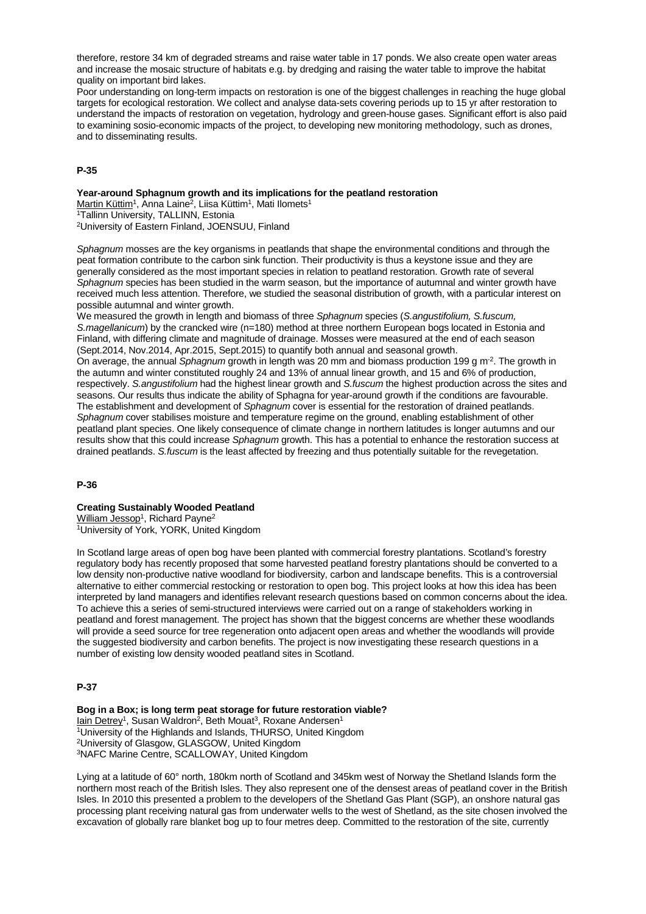therefore, restore 34 km of degraded streams and raise water table in 17 ponds. We also create open water areas and increase the mosaic structure of habitats e.g. by dredging and raising the water table to improve the habitat quality on important bird lakes.

Poor understanding on long-term impacts on restoration is one of the biggest challenges in reaching the huge global targets for ecological restoration. We collect and analyse data-sets covering periods up to 15 yr after restoration to understand the impacts of restoration on vegetation, hydrology and green-house gases. Significant effort is also paid to examining sosio-economic impacts of the project, to developing new monitoring methodology, such as drones, and to disseminating results.

## **P-35**

#### **Year-around Sphagnum growth and its implications for the peatland restoration**

Martin Küttim<sup>1</sup>, Anna Laine<sup>2</sup>, Liisa Küttim<sup>1</sup>, Mati Ilomets<sup>1</sup>

1Tallinn University, TALLINN, Estonia

2University of Eastern Finland, JOENSUU, Finland

*Sphagnum* mosses are the key organisms in peatlands that shape the environmental conditions and through the peat formation contribute to the carbon sink function. Their productivity is thus a keystone issue and they are generally considered as the most important species in relation to peatland restoration. Growth rate of several *Sphagnum* species has been studied in the warm season, but the importance of autumnal and winter growth have received much less attention. Therefore, we studied the seasonal distribution of growth, with a particular interest on possible autumnal and winter growth.

We measured the growth in length and biomass of three *Sphagnum* species (*S.angustifolium, S.fuscum, S.magellanicum*) by the crancked wire (n=180) method at three northern European bogs located in Estonia and Finland, with differing climate and magnitude of drainage. Mosses were measured at the end of each season (Sept.2014, Nov.2014, Apr.2015, Sept.2015) to quantify both annual and seasonal growth.

On average, the annual *Sphagnum* growth in length was 20 mm and biomass production 199 g m-2. The growth in the autumn and winter constituted roughly 24 and 13% of annual linear growth, and 15 and 6% of production, respectively. *S.angustifolium* had the highest linear growth and *S.fuscum* the highest production across the sites and seasons. Our results thus indicate the ability of Sphagna for year-around growth if the conditions are favourable. The establishment and development of *Sphagnum* cover is essential for the restoration of drained peatlands. *Sphagnum* cover stabilises moisture and temperature regime on the ground, enabling establishment of other peatland plant species. One likely consequence of climate change in northern latitudes is longer autumns and our results show that this could increase *Sphagnum* growth. This has a potential to enhance the restoration success at drained peatlands. *S.fuscum* is the least affected by freezing and thus potentially suitable for the revegetation.

## **P-36**

## **Creating Sustainably Wooded Peatland**

William Jessop<sup>1</sup>, Richard Payne<sup>2</sup>

1University of York, YORK, United Kingdom

In Scotland large areas of open bog have been planted with commercial forestry plantations. Scotland's forestry regulatory body has recently proposed that some harvested peatland forestry plantations should be converted to a low density non-productive native woodland for biodiversity, carbon and landscape benefits. This is a controversial alternative to either commercial restocking or restoration to open bog. This project looks at how this idea has been interpreted by land managers and identifies relevant research questions based on common concerns about the idea. To achieve this a series of semi-structured interviews were carried out on a range of stakeholders working in peatland and forest management. The project has shown that the biggest concerns are whether these woodlands will provide a seed source for tree regeneration onto adjacent open areas and whether the woodlands will provide the suggested biodiversity and carbon benefits. The project is now investigating these research questions in a number of existing low density wooded peatland sites in Scotland.

# **P-37**

**Bog in a Box; is long term peat storage for future restoration viable?** Iain Detrey<sup>1</sup>, Susan Waldron<sup>2</sup>, Beth Mouat<sup>3</sup>, Roxane Andersen<sup>1</sup>  $\overline{1}$ University of the Highlands and Islands, THURSO, United Kingdom 2University of Glasgow, GLASGOW, United Kingdom 3NAFC Marine Centre, SCALLOWAY, United Kingdom

Lying at a latitude of 60° north, 180km north of Scotland and 345km west of Norway the Shetland Islands form the northern most reach of the British Isles. They also represent one of the densest areas of peatland cover in the British Isles. In 2010 this presented a problem to the developers of the Shetland Gas Plant (SGP), an onshore natural gas processing plant receiving natural gas from underwater wells to the west of Shetland, as the site chosen involved the excavation of globally rare blanket bog up to four metres deep. Committed to the restoration of the site, currently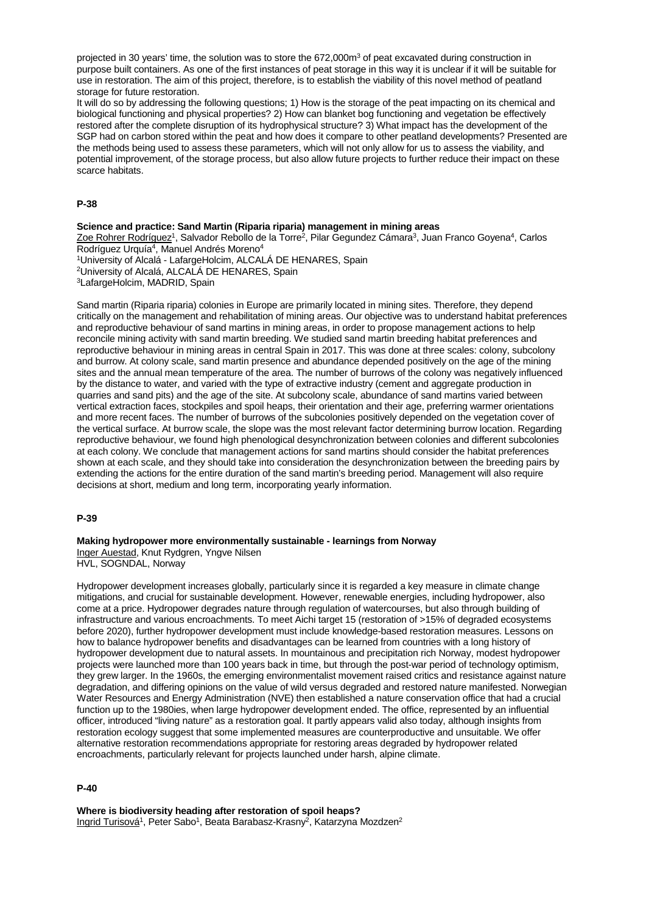projected in 30 years' time, the solution was to store the 672,000m<sup>3</sup> of peat excavated during construction in purpose built containers. As one of the first instances of peat storage in this way it is unclear if it will be suitable for use in restoration. The aim of this project, therefore, is to establish the viability of this novel method of peatland storage for future restoration.

It will do so by addressing the following questions; 1) How is the storage of the peat impacting on its chemical and biological functioning and physical properties? 2) How can blanket bog functioning and vegetation be effectively restored after the complete disruption of its hydrophysical structure? 3) What impact has the development of the SGP had on carbon stored within the peat and how does it compare to other peatland developments? Presented are the methods being used to assess these parameters, which will not only allow for us to assess the viability, and potential improvement, of the storage process, but also allow future projects to further reduce their impact on these scarce habitats.

### **P-38**

**Science and practice: Sand Martin (Riparia riparia) management in mining areas** Zoe Rohrer Rodríguez<sup>1</sup>, Salvador Rebollo de la Torre<sup>2</sup>, Pilar Gegundez Cámara<sup>3</sup>, Juan Franco Goyena<sup>4</sup>, Carlos Rodríguez Urquía<sup>4</sup>, Manuel Andrés Moreno<sup>4</sup> 1University of Alcalá - LafargeHolcim, ALCALÁ DE HENARES, Spain 2University of Alcalá, ALCALÁ DE HENARES, Spain 3LafargeHolcim, MADRID, Spain

Sand martin (Riparia riparia) colonies in Europe are primarily located in mining sites. Therefore, they depend critically on the management and rehabilitation of mining areas. Our objective was to understand habitat preferences and reproductive behaviour of sand martins in mining areas, in order to propose management actions to help reconcile mining activity with sand martin breeding. We studied sand martin breeding habitat preferences and reproductive behaviour in mining areas in central Spain in 2017. This was done at three scales: colony, subcolony and burrow. At colony scale, sand martin presence and abundance depended positively on the age of the mining sites and the annual mean temperature of the area. The number of burrows of the colony was negatively influenced by the distance to water, and varied with the type of extractive industry (cement and aggregate production in quarries and sand pits) and the age of the site. At subcolony scale, abundance of sand martins varied between vertical extraction faces, stockpiles and spoil heaps, their orientation and their age, preferring warmer orientations and more recent faces. The number of burrows of the subcolonies positively depended on the vegetation cover of the vertical surface. At burrow scale, the slope was the most relevant factor determining burrow location. Regarding reproductive behaviour, we found high phenological desynchronization between colonies and different subcolonies at each colony. We conclude that management actions for sand martins should consider the habitat preferences shown at each scale, and they should take into consideration the desynchronization between the breeding pairs by extending the actions for the entire duration of the sand martin's breeding period. Management will also require decisions at short, medium and long term, incorporating yearly information.

#### **P-39**

**Making hydropower more environmentally sustainable - learnings from Norway** Inger Auestad, Knut Rydgren, Yngve Nilsen HVL, SOGNDAL, Norway

Hydropower development increases globally, particularly since it is regarded a key measure in climate change mitigations, and crucial for sustainable development. However, renewable energies, including hydropower, also come at a price. Hydropower degrades nature through regulation of watercourses, but also through building of infrastructure and various encroachments. To meet Aichi target 15 (restoration of >15% of degraded ecosystems before 2020), further hydropower development must include knowledge-based restoration measures. Lessons on how to balance hydropower benefits and disadvantages can be learned from countries with a long history of hydropower development due to natural assets. In mountainous and precipitation rich Norway, modest hydropower projects were launched more than 100 years back in time, but through the post-war period of technology optimism, they grew larger. In the 1960s, the emerging environmentalist movement raised critics and resistance against nature degradation, and differing opinions on the value of wild versus degraded and restored nature manifested. Norwegian Water Resources and Energy Administration (NVE) then established a nature conservation office that had a crucial function up to the 1980ies, when large hydropower development ended. The office, represented by an influential officer, introduced "living nature" as a restoration goal. It partly appears valid also today, although insights from restoration ecology suggest that some implemented measures are counterproductive and unsuitable. We offer alternative restoration recommendations appropriate for restoring areas degraded by hydropower related encroachments, particularly relevant for projects launched under harsh, alpine climate.

## **P-40**

**Where is biodiversity heading after restoration of spoil heaps?** Ingrid Turisová<sup>1</sup>, Peter Sabo<sup>1</sup>, Beata Barabasz-Krasny<sup>2</sup>, Katarzyna Mozdzen<sup>2</sup>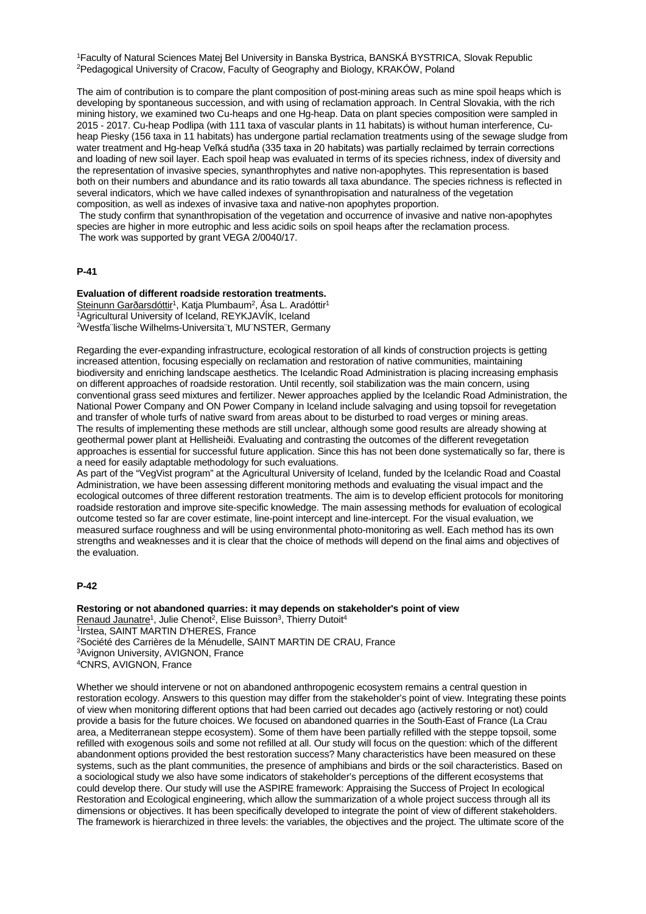1Faculty of Natural Sciences Matej Bel University in Banska Bystrica, BANSKÁ BYSTRICA, Slovak Republic 2Pedagogical University of Cracow, Faculty of Geography and Biology, KRAKÓW, Poland

The aim of contribution is to compare the plant composition of post-mining areas such as mine spoil heaps which is developing by spontaneous succession, and with using of reclamation approach. In Central Slovakia, with the rich mining history, we examined two Cu-heaps and one Hg-heap. Data on plant species composition were sampled in 2015 - 2017. Cu-heap Podlipa (with 111 taxa of vascular plants in 11 habitats) is without human interference, Cuheap Piesky (156 taxa in 11 habitats) has undergone partial reclamation treatments using of the sewage sludge from water treatment and Hg-heap Veľká studňa (335 taxa in 20 habitats) was partially reclaimed by terrain corrections and loading of new soil layer. Each spoil heap was evaluated in terms of its species richness, index of diversity and the representation of invasive species, synanthrophytes and native non-apophytes. This representation is based both on their numbers and abundance and its ratio towards all taxa abundance. The species richness is reflected in several indicators, which we have called indexes of synanthropisation and naturalness of the vegetation composition, as well as indexes of invasive taxa and native-non apophytes proportion.

The study confirm that synanthropisation of the vegetation and occurrence of invasive and native non-apophytes species are higher in more eutrophic and less acidic soils on spoil heaps after the reclamation process. The work was supported by grant VEGA 2/0040/17.

### **P-41**

## **Evaluation of different roadside restoration treatments.**

Steinunn Garðarsdóttir<sup>1</sup>, Katja Plumbaum<sup>2</sup>, Ása L. Aradóttir<sup>1</sup> 1Agricultural University of Iceland, REYKJAVÍK, Iceland 2Westfa¨lische Wilhelms-Universita¨t, MU¨NSTER, Germany

Regarding the ever-expanding infrastructure, ecological restoration of all kinds of construction projects is getting increased attention, focusing especially on reclamation and restoration of native communities, maintaining biodiversity and enriching landscape aesthetics. The Icelandic Road Administration is placing increasing emphasis on different approaches of roadside restoration. Until recently, soil stabilization was the main concern, using conventional grass seed mixtures and fertilizer. Newer approaches applied by the Icelandic Road Administration, the National Power Company and ON Power Company in Iceland include salvaging and using topsoil for revegetation and transfer of whole turfs of native sward from areas about to be disturbed to road verges or mining areas. The results of implementing these methods are still unclear, although some good results are already showing at geothermal power plant at Hellisheiði. Evaluating and contrasting the outcomes of the different revegetation approaches is essential for successful future application. Since this has not been done systematically so far, there is a need for easily adaptable methodology for such evaluations.

As part of the "VegVist program" at the Agricultural University of Iceland, funded by the Icelandic Road and Coastal Administration, we have been assessing different monitoring methods and evaluating the visual impact and the ecological outcomes of three different restoration treatments. The aim is to develop efficient protocols for monitoring roadside restoration and improve site-specific knowledge. The main assessing methods for evaluation of ecological outcome tested so far are cover estimate, line-point intercept and line-intercept. For the visual evaluation, we measured surface roughness and will be using environmental photo-monitoring as well. Each method has its own strengths and weaknesses and it is clear that the choice of methods will depend on the final aims and objectives of the evaluation.

#### **P-42**

**Restoring or not abandoned quarries: it may depends on stakeholder's point of view** Renaud Jaunatre<sup>1</sup>, Julie Chenot<sup>2</sup>, Elise Buisson<sup>3</sup>, Thierry Dutoit<sup>4</sup> 1Irstea, SAINT MARTIN D'HERES, France 2Société des Carrières de la Ménudelle, SAINT MARTIN DE CRAU, France 3Avignon University, AVIGNON, France 4CNRS, AVIGNON, France

Whether we should intervene or not on abandoned anthropogenic ecosystem remains a central question in restoration ecology. Answers to this question may differ from the stakeholder's point of view. Integrating these points of view when monitoring different options that had been carried out decades ago (actively restoring or not) could provide a basis for the future choices. We focused on abandoned quarries in the South-East of France (La Crau area, a Mediterranean steppe ecosystem). Some of them have been partially refilled with the steppe topsoil, some refilled with exogenous soils and some not refilled at all. Our study will focus on the question: which of the different abandonment options provided the best restoration success? Many characteristics have been measured on these systems, such as the plant communities, the presence of amphibians and birds or the soil characteristics. Based on a sociological study we also have some indicators of stakeholder's perceptions of the different ecosystems that could develop there. Our study will use the ASPIRE framework: Appraising the Success of Project In ecological Restoration and Ecological engineering, which allow the summarization of a whole project success through all its dimensions or objectives. It has been specifically developed to integrate the point of view of different stakeholders. The framework is hierarchized in three levels: the variables, the objectives and the project. The ultimate score of the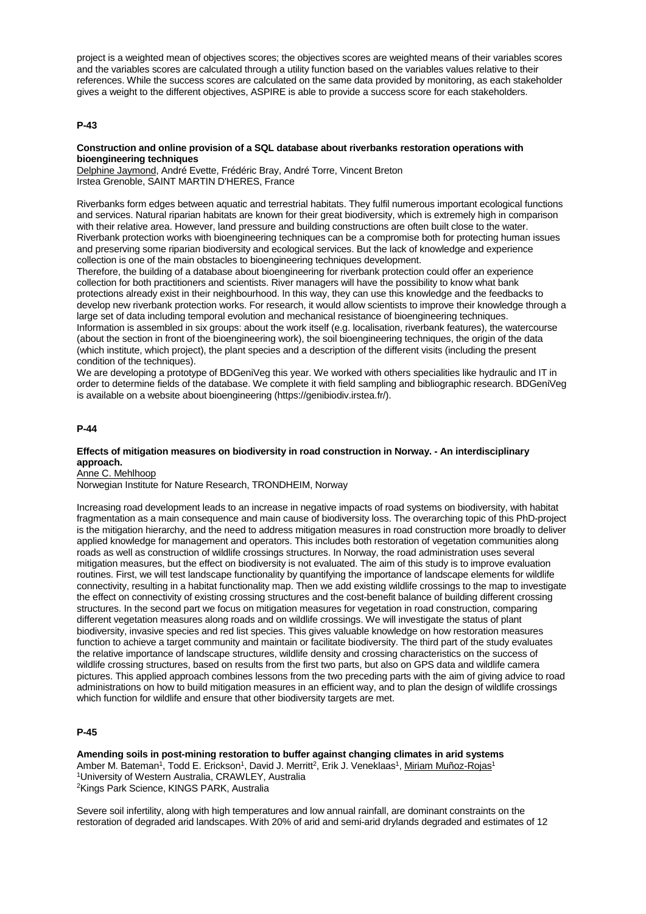project is a weighted mean of objectives scores; the objectives scores are weighted means of their variables scores and the variables scores are calculated through a utility function based on the variables values relative to their references. While the success scores are calculated on the same data provided by monitoring, as each stakeholder gives a weight to the different objectives, ASPIRE is able to provide a success score for each stakeholders.

### **P-43**

#### **Construction and online provision of a SQL database about riverbanks restoration operations with bioengineering techniques**

Delphine Jaymond, André Evette, Frédéric Bray, André Torre, Vincent Breton Irstea Grenoble, SAINT MARTIN D'HERES, France

Riverbanks form edges between aquatic and terrestrial habitats. They fulfil numerous important ecological functions and services. Natural riparian habitats are known for their great biodiversity, which is extremely high in comparison with their relative area. However, land pressure and building constructions are often built close to the water. Riverbank protection works with bioengineering techniques can be a compromise both for protecting human issues and preserving some riparian biodiversity and ecological services. But the lack of knowledge and experience collection is one of the main obstacles to bioengineering techniques development.

Therefore, the building of a database about bioengineering for riverbank protection could offer an experience collection for both practitioners and scientists. River managers will have the possibility to know what bank protections already exist in their neighbourhood. In this way, they can use this knowledge and the feedbacks to develop new riverbank protection works. For research, it would allow scientists to improve their knowledge through a large set of data including temporal evolution and mechanical resistance of bioengineering techniques. Information is assembled in six groups: about the work itself (e.g. localisation, riverbank features), the watercourse (about the section in front of the bioengineering work), the soil bioengineering techniques, the origin of the data (which institute, which project), the plant species and a description of the different visits (including the present condition of the techniques).

We are developing a prototype of BDGeniVeg this year. We worked with others specialities like hydraulic and IT in order to determine fields of the database. We complete it with field sampling and bibliographic research. BDGeniVeg is available on a website about bioengineering (https://genibiodiv.irstea.fr/).

## **P-44**

#### **Effects of mitigation measures on biodiversity in road construction in Norway. - An interdisciplinary approach.**

Anne C. Mehlhoop

Norwegian Institute for Nature Research, TRONDHEIM, Norway

Increasing road development leads to an increase in negative impacts of road systems on biodiversity, with habitat fragmentation as a main consequence and main cause of biodiversity loss. The overarching topic of this PhD-project is the mitigation hierarchy, and the need to address mitigation measures in road construction more broadly to deliver applied knowledge for management and operators. This includes both restoration of vegetation communities along roads as well as construction of wildlife crossings structures. In Norway, the road administration uses several mitigation measures, but the effect on biodiversity is not evaluated. The aim of this study is to improve evaluation routines. First, we will test landscape functionality by quantifying the importance of landscape elements for wildlife connectivity, resulting in a habitat functionality map. Then we add existing wildlife crossings to the map to investigate the effect on connectivity of existing crossing structures and the cost-benefit balance of building different crossing structures. In the second part we focus on mitigation measures for vegetation in road construction, comparing different vegetation measures along roads and on wildlife crossings. We will investigate the status of plant biodiversity, invasive species and red list species. This gives valuable knowledge on how restoration measures function to achieve a target community and maintain or facilitate biodiversity. The third part of the study evaluates the relative importance of landscape structures, wildlife density and crossing characteristics on the success of wildlife crossing structures, based on results from the first two parts, but also on GPS data and wildlife camera pictures. This applied approach combines lessons from the two preceding parts with the aim of giving advice to road administrations on how to build mitigation measures in an efficient way, and to plan the design of wildlife crossings which function for wildlife and ensure that other biodiversity targets are met.

### **P-45**

**Amending soils in post-mining restoration to buffer against changing climates in arid systems** Amber M. Bateman<sup>1</sup>, Todd E. Erickson<sup>1</sup>, David J. Merritt<sup>2</sup>, Erik J. Veneklaas<sup>1</sup>, Miriam Muñoz-Rojas<sup>1</sup> 1University of Western Australia, CRAWLEY, Australia 2Kings Park Science, KINGS PARK, Australia

Severe soil infertility, along with high temperatures and low annual rainfall, are dominant constraints on the restoration of degraded arid landscapes. With 20% of arid and semi-arid drylands degraded and estimates of 12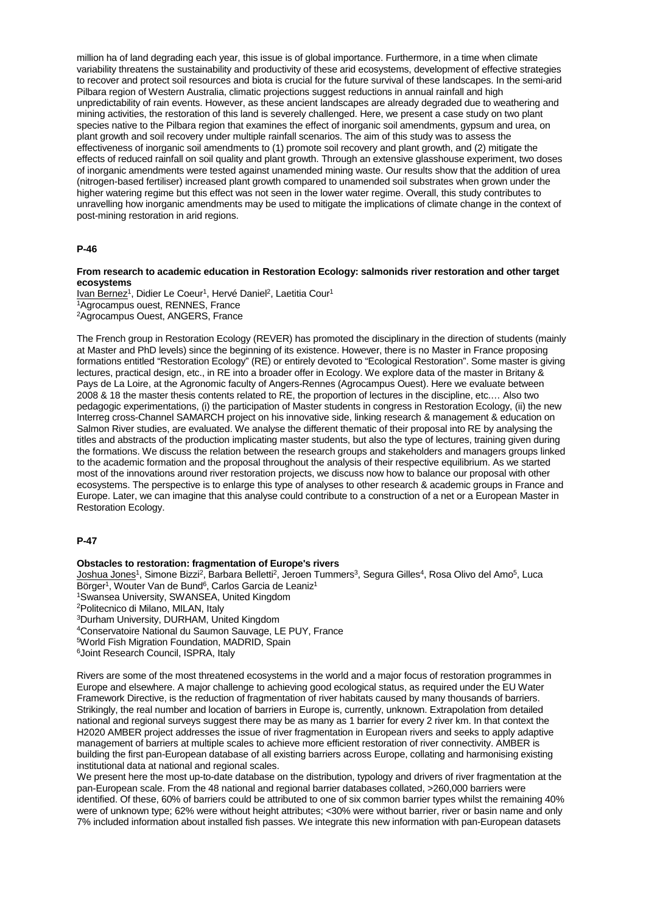million ha of land degrading each year, this issue is of global importance. Furthermore, in a time when climate variability threatens the sustainability and productivity of these arid ecosystems, development of effective strategies to recover and protect soil resources and biota is crucial for the future survival of these landscapes. In the semi-arid Pilbara region of Western Australia, climatic projections suggest reductions in annual rainfall and high unpredictability of rain events. However, as these ancient landscapes are already degraded due to weathering and mining activities, the restoration of this land is severely challenged. Here, we present a case study on two plant species native to the Pilbara region that examines the effect of inorganic soil amendments, gypsum and urea, on plant growth and soil recovery under multiple rainfall scenarios. The aim of this study was to assess the effectiveness of inorganic soil amendments to (1) promote soil recovery and plant growth, and (2) mitigate the effects of reduced rainfall on soil quality and plant growth. Through an extensive glasshouse experiment, two doses of inorganic amendments were tested against unamended mining waste. Our results show that the addition of urea (nitrogen-based fertiliser) increased plant growth compared to unamended soil substrates when grown under the higher watering regime but this effect was not seen in the lower water regime. Overall, this study contributes to unravelling how inorganic amendments may be used to mitigate the implications of climate change in the context of post-mining restoration in arid regions.

#### **P-46**

**From research to academic education in Restoration Ecology: salmonids river restoration and other target ecosystems**

Ivan Bernez<sup>1</sup>, Didier Le Coeur<sup>1</sup>, Hervé Daniel<sup>2</sup>, Laetitia Cour<sup>1</sup> 1Agrocampus ouest, RENNES, France 2Agrocampus Ouest, ANGERS, France

The French group in Restoration Ecology (REVER) has promoted the disciplinary in the direction of students (mainly at Master and PhD levels) since the beginning of its existence. However, there is no Master in France proposing formations entitled "Restoration Ecology" (RE) or entirely devoted to "Ecological Restoration". Some master is giving lectures, practical design, etc., in RE into a broader offer in Ecology. We explore data of the master in Britany & Pays de La Loire, at the Agronomic faculty of Angers-Rennes (Agrocampus Ouest). Here we evaluate between 2008 & 18 the master thesis contents related to RE, the proportion of lectures in the discipline, etc.… Also two pedagogic experimentations, (i) the participation of Master students in congress in Restoration Ecology, (ii) the new Interreg cross-Channel SAMARCH project on his innovative side, linking research & management & education on Salmon River studies, are evaluated. We analyse the different thematic of their proposal into RE by analysing the titles and abstracts of the production implicating master students, but also the type of lectures, training given during the formations. We discuss the relation between the research groups and stakeholders and managers groups linked to the academic formation and the proposal throughout the analysis of their respective equilibrium. As we started most of the innovations around river restoration projects, we discuss now how to balance our proposal with other ecosystems. The perspective is to enlarge this type of analyses to other research & academic groups in France and Europe. Later, we can imagine that this analyse could contribute to a construction of a net or a European Master in Restoration Ecology.

## **P-47**

## **Obstacles to restoration: fragmentation of Europe's rivers**

Joshua Jones<sup>1</sup>, Simone Bizzi<sup>2</sup>, Barbara Belletti<sup>2</sup>, Jeroen Tummers<sup>3</sup>, Segura Gilles<sup>4</sup>, Rosa Olivo del Amo<sup>5</sup>, Luca Börger<sup>1</sup>, Wouter Van de Bund<sup>6</sup>, Carlos Garcia de Leaniz<sup>1</sup> 1Swansea University, SWANSEA, United Kingdom 2Politecnico di Milano, MILAN, Italy 3Durham University, DURHAM, United Kingdom 4Conservatoire National du Saumon Sauvage, LE PUY, France 5World Fish Migration Foundation, MADRID, Spain 6Joint Research Council, ISPRA, Italy

Rivers are some of the most threatened ecosystems in the world and a major focus of restoration programmes in Europe and elsewhere. A major challenge to achieving good ecological status, as required under the EU Water Framework Directive, is the reduction of fragmentation of river habitats caused by many thousands of barriers. Strikingly, the real number and location of barriers in Europe is, currently, unknown. Extrapolation from detailed national and regional surveys suggest there may be as many as 1 barrier for every 2 river km. In that context the H2020 AMBER project addresses the issue of river fragmentation in European rivers and seeks to apply adaptive management of barriers at multiple scales to achieve more efficient restoration of river connectivity. AMBER is building the first pan-European database of all existing barriers across Europe, collating and harmonising existing institutional data at national and regional scales.

We present here the most up-to-date database on the distribution, typology and drivers of river fragmentation at the pan-European scale. From the 48 national and regional barrier databases collated, >260,000 barriers were identified. Of these, 60% of barriers could be attributed to one of six common barrier types whilst the remaining 40% were of unknown type; 62% were without height attributes; <30% were without barrier, river or basin name and only 7% included information about installed fish passes. We integrate this new information with pan-European datasets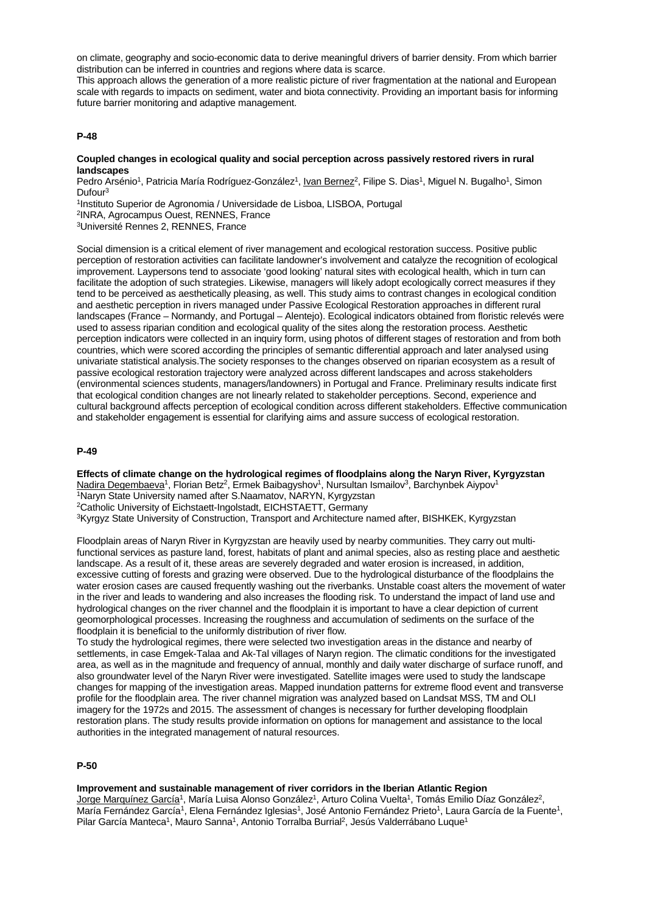on climate, geography and socio-economic data to derive meaningful drivers of barrier density. From which barrier distribution can be inferred in countries and regions where data is scarce.

This approach allows the generation of a more realistic picture of river fragmentation at the national and European scale with regards to impacts on sediment, water and biota connectivity. Providing an important basis for informing future barrier monitoring and adaptive management.

### **P-48**

## **Coupled changes in ecological quality and social perception across passively restored rivers in rural landscapes**

Pedro Arsénio<sup>1</sup>, Patricia María Rodríguez-González<sup>1</sup>, Ivan Bernez<sup>2</sup>, Filipe S. Dias<sup>1</sup>, Miguel N. Bugalho<sup>1</sup>, Simon Dufour3

1Instituto Superior de Agronomia / Universidade de Lisboa, LISBOA, Portugal

2INRA, Agrocampus Ouest, RENNES, France

3Université Rennes 2, RENNES, France

Social dimension is a critical element of river management and ecological restoration success. Positive public perception of restoration activities can facilitate landowner's involvement and catalyze the recognition of ecological improvement. Laypersons tend to associate 'good looking' natural sites with ecological health, which in turn can facilitate the adoption of such strategies. Likewise, managers will likely adopt ecologically correct measures if they tend to be perceived as aesthetically pleasing, as well. This study aims to contrast changes in ecological condition and aesthetic perception in rivers managed under Passive Ecological Restoration approaches in different rural landscapes (France – Normandy, and Portugal – Alentejo). Ecological indicators obtained from floristic relevés were used to assess riparian condition and ecological quality of the sites along the restoration process. Aesthetic perception indicators were collected in an inquiry form, using photos of different stages of restoration and from both countries, which were scored according the principles of semantic differential approach and later analysed using univariate statistical analysis.The society responses to the changes observed on riparian ecosystem as a result of passive ecological restoration trajectory were analyzed across different landscapes and across stakeholders (environmental sciences students, managers/landowners) in Portugal and France. Preliminary results indicate first that ecological condition changes are not linearly related to stakeholder perceptions. Second, experience and cultural background affects perception of ecological condition across different stakeholders. Effective communication and stakeholder engagement is essential for clarifying aims and assure success of ecological restoration.

#### **P-49**

**Effects of climate change on the hydrological regimes of floodplains along the Naryn River, Kyrgyzstan** Nadira Degembaeva<sup>1</sup>, Florian Betz<sup>2</sup>, Ermek Baibagyshov<sup>1</sup>, Nursultan Ismailov<sup>3</sup>, Barchynbek Aiypov<sup>1</sup> 1Naryn State University named after S.Naamatov, NARYN, Kyrgyzstan 2Catholic University of Eichstaett-Ingolstadt, EICHSTAETT, Germany <sup>3</sup>Kyrgyz State University of Construction, Transport and Architecture named after, BISHKEK, Kyrgyzstan

Floodplain areas of Naryn River in Kyrgyzstan are heavily used by nearby communities. They carry out multifunctional services as pasture land, forest, habitats of plant and animal species, also as resting place and aesthetic landscape. As a result of it, these areas are severely degraded and water erosion is increased, in addition, excessive cutting of forests and grazing were observed. Due to the hydrological disturbance of the floodplains the water erosion cases are caused frequently washing out the riverbanks. Unstable coast alters the movement of water in the river and leads to wandering and also increases the flooding risk. To understand the impact of land use and hydrological changes on the river channel and the floodplain it is important to have a clear depiction of current geomorphological processes. Increasing the roughness and accumulation of sediments on the surface of the floodplain it is beneficial to the uniformly distribution of river flow.

To study the hydrological regimes, there were selected two investigation areas in the distance and nearby of settlements, in case Emgek-Talaa and Ak-Tal villages of Naryn region. The climatic conditions for the investigated area, as well as in the magnitude and frequency of annual, monthly and daily water discharge of surface runoff, and also groundwater level of the Naryn River were investigated. Satellite images were used to study the landscape changes for mapping of the investigation areas. Mapped inundation patterns for extreme flood event and transverse profile for the floodplain area. The river channel migration was analyzed based on Landsat MSS, TM and OLI imagery for the 1972s and 2015. The assessment of changes is necessary for further developing floodplain restoration plans. The study results provide information on options for management and assistance to the local authorities in the integrated management of natural resources.

### **P-50**

#### **Improvement and sustainable management of river corridors in the Iberian Atlantic Region** Jorge Marquínez García<sup>1</sup>, María Luisa Alonso González<sup>1</sup>, Arturo Colina Vuelta<sup>1</sup>, Tomás Emilio Díaz González<sup>2</sup>, María Fernández García<sup>1</sup>, Elena Fernández Iglesias<sup>1</sup>, José Antonio Fernández Prieto<sup>1</sup>, Laura García de la Fuente<sup>1</sup>, Pilar García Manteca<sup>1</sup>, Mauro Sanna<sup>1</sup>, Antonio Torralba Burrial<sup>2</sup>, Jesús Valderrábano Luque<sup>1</sup>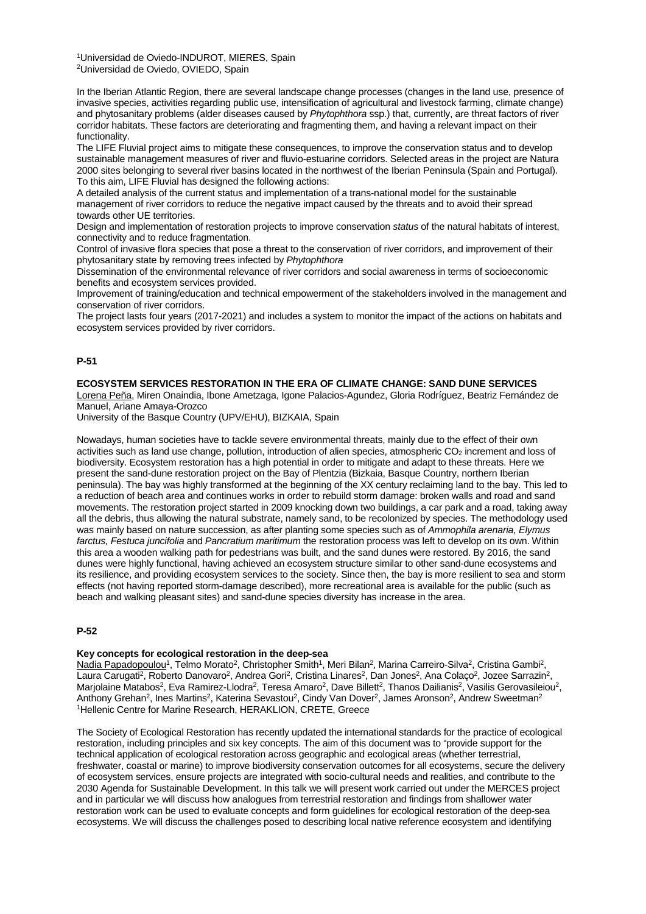1Universidad de Oviedo-INDUROT, MIERES, Spain 2Universidad de Oviedo, OVIEDO, Spain

In the Iberian Atlantic Region, there are several landscape change processes (changes in the land use, presence of invasive species, activities regarding public use, intensification of agricultural and livestock farming, climate change) and phytosanitary problems (alder diseases caused by *Phytophthora* ssp.) that, currently, are threat factors of river corridor habitats. These factors are deteriorating and fragmenting them, and having a relevant impact on their functionality.

The LIFE Fluvial project aims to mitigate these consequences, to improve the conservation status and to develop sustainable management measures of river and fluvio-estuarine corridors. Selected areas in the project are Natura 2000 sites belonging to several river basins located in the northwest of the Iberian Peninsula (Spain and Portugal). To this aim, LIFE Fluvial has designed the following actions:

A detailed analysis of the current status and implementation of a trans-national model for the sustainable management of river corridors to reduce the negative impact caused by the threats and to avoid their spread towards other UE territories.

Design and implementation of restoration projects to improve conservation *status* of the natural habitats of interest, connectivity and to reduce fragmentation.

Control of invasive flora species that pose a threat to the conservation of river corridors, and improvement of their phytosanitary state by removing trees infected by *Phytophthora*

Dissemination of the environmental relevance of river corridors and social awareness in terms of socioeconomic benefits and ecosystem services provided.

Improvement of training/education and technical empowerment of the stakeholders involved in the management and conservation of river corridors.

The project lasts four years (2017-2021) and includes a system to monitor the impact of the actions on habitats and ecosystem services provided by river corridors.

## **P-51**

## **ECOSYSTEM SERVICES RESTORATION IN THE ERA OF CLIMATE CHANGE: SAND DUNE SERVICES**

Lorena Peña, Miren Onaindia, Ibone Ametzaga, Igone Palacios-Agundez, Gloria Rodríguez, Beatriz Fernández de Manuel, Ariane Amaya-Orozco

University of the Basque Country (UPV/EHU), BIZKAIA, Spain

Nowadays, human societies have to tackle severe environmental threats, mainly due to the effect of their own activities such as land use change, pollution, introduction of alien species, atmospheric CO<sub>2</sub> increment and loss of biodiversity. Ecosystem restoration has a high potential in order to mitigate and adapt to these threats. Here we present the sand-dune restoration project on the Bay of Plentzia (Bizkaia, Basque Country, northern Iberian peninsula). The bay was highly transformed at the beginning of the XX century reclaiming land to the bay. This led to a reduction of beach area and continues works in order to rebuild storm damage: broken walls and road and sand movements. The restoration project started in 2009 knocking down two buildings, a car park and a road, taking away all the debris, thus allowing the natural substrate, namely sand, to be recolonized by species. The methodology used was mainly based on nature succession, as after planting some species such as of *Ammophila arenaria, Elymus farctus, Festuca juncifolia* and *Pancratium maritimum* the restoration process was left to develop on its own. Within this area a wooden walking path for pedestrians was built, and the sand dunes were restored. By 2016, the sand dunes were highly functional, having achieved an ecosystem structure similar to other sand-dune ecosystems and its resilience, and providing ecosystem services to the society. Since then, the bay is more resilient to sea and storm effects (not having reported storm-damage described), more recreational area is available for the public (such as beach and walking pleasant sites) and sand-dune species diversity has increase in the area.

## **P-52**

## **Key concepts for ecological restoration in the deep-sea**

Nadia Papadopoulou<sup>1</sup>, Telmo Morato<sup>2</sup>, Christopher Smith<sup>1</sup>, Meri Bilan<sup>2</sup>, Marina Carreiro-Silva<sup>2</sup>, Cristina Gambi<sup>2</sup>, Laura Carugati<sup>2</sup>, Roberto Danovaro<sup>2</sup>, Andrea Gori<sup>2</sup>, Cristina Linares<sup>2</sup>, Dan Jones<sup>2</sup>, Ana Colaço<sup>2</sup>, Jozee Sarrazin<sup>2</sup>, Marjolaine Matabos<sup>2</sup>, Eva Ramirez-Llodra<sup>2</sup>, Teresa Amaro<sup>2</sup>, Dave Billett<sup>2</sup>, Thanos Dailianis<sup>2</sup>, Vasilis Gerovasileiou<sup>2</sup>, Anthony Grehan<sup>2</sup>, Ines Martins<sup>2</sup>, Katerina Sevastou<sup>2</sup>, Cindy Van Dover<sup>2</sup>, James Aronson<sup>2</sup>, Andrew Sweetman<sup>2</sup> 1Hellenic Centre for Marine Research, HERAKLION, CRETE, Greece

The Society of Ecological Restoration has recently updated the international standards for the practice of ecological restoration, including principles and six key concepts. The aim of this document was to "provide support for the technical application of ecological restoration across geographic and ecological areas (whether terrestrial, freshwater, coastal or marine) to improve biodiversity conservation outcomes for all ecosystems, secure the delivery of ecosystem services, ensure projects are integrated with socio-cultural needs and realities, and contribute to the 2030 Agenda for Sustainable Development. In this talk we will present work carried out under the MERCES project and in particular we will discuss how analogues from terrestrial restoration and findings from shallower water restoration work can be used to evaluate concepts and form guidelines for ecological restoration of the deep-sea ecosystems. We will discuss the challenges posed to describing local native reference ecosystem and identifying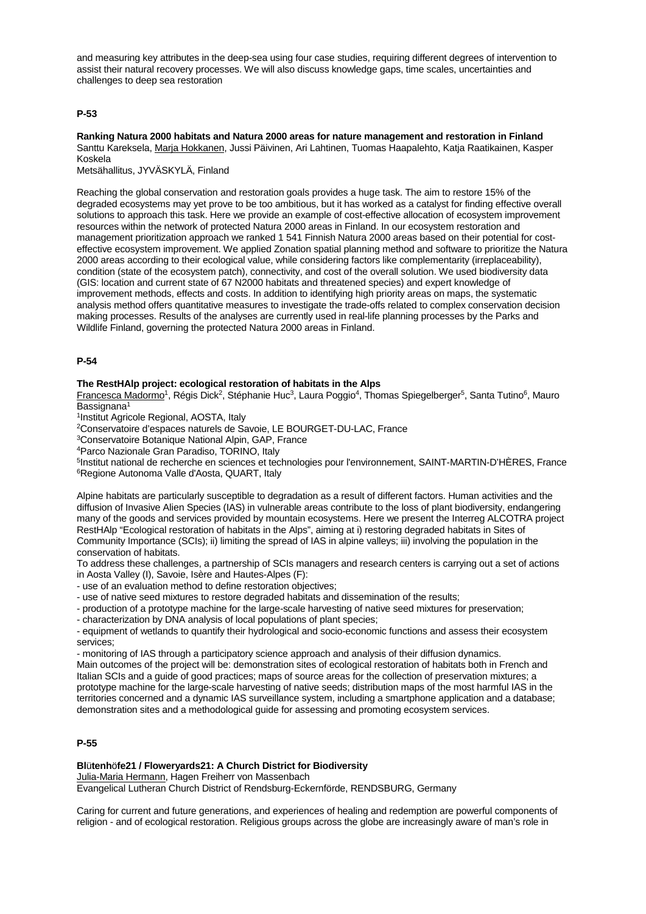and measuring key attributes in the deep-sea using four case studies, requiring different degrees of intervention to assist their natural recovery processes. We will also discuss knowledge gaps, time scales, uncertainties and challenges to deep sea restoration

## **P-53**

**Ranking Natura 2000 habitats and Natura 2000 areas for nature management and restoration in Finland** Santtu Kareksela, Marja Hokkanen, Jussi Päivinen, Ari Lahtinen, Tuomas Haapalehto, Katja Raatikainen, Kasper Koskela

Metsähallitus, JYVÄSKYLÄ, Finland

Reaching the global conservation and restoration goals provides a huge task. The aim to restore 15% of the degraded ecosystems may yet prove to be too ambitious, but it has worked as a catalyst for finding effective overall solutions to approach this task. Here we provide an example of cost-effective allocation of ecosystem improvement resources within the network of protected Natura 2000 areas in Finland. In our ecosystem restoration and management prioritization approach we ranked 1 541 Finnish Natura 2000 areas based on their potential for costeffective ecosystem improvement. We applied Zonation spatial planning method and software to prioritize the Natura 2000 areas according to their ecological value, while considering factors like complementarity (irreplaceability), condition (state of the ecosystem patch), connectivity, and cost of the overall solution. We used biodiversity data (GIS: location and current state of 67 N2000 habitats and threatened species) and expert knowledge of improvement methods, effects and costs. In addition to identifying high priority areas on maps, the systematic analysis method offers quantitative measures to investigate the trade-offs related to complex conservation decision making processes. Results of the analyses are currently used in real-life planning processes by the Parks and Wildlife Finland, governing the protected Natura 2000 areas in Finland.

## **P-54**

## **The RestHAlp project: ecological restoration of habitats in the Alps**

Francesca Madormo<sup>1</sup>, Régis Dick<sup>2</sup>, Stéphanie Huc<sup>3</sup>, Laura Poggio<sup>4</sup>, Thomas Spiegelberger<sup>5</sup>, Santa Tutino<sup>6</sup>, Mauro  $B$ assignana<sup>1</sup>

1Institut Agricole Regional, AOSTA, Italy

2Conservatoire d'espaces naturels de Savoie, LE BOURGET-DU-LAC, France

3Conservatoire Botanique National Alpin, GAP, France

4Parco Nazionale Gran Paradiso, TORINO, Italy

5Institut national de recherche en sciences et technologies pour l'environnement, SAINT-MARTIN-D'HÈRES, France 6Regione Autonoma Valle d'Aosta, QUART, Italy

Alpine habitats are particularly susceptible to degradation as a result of different factors. Human activities and the diffusion of Invasive Alien Species (IAS) in vulnerable areas contribute to the loss of plant biodiversity, endangering many of the goods and services provided by mountain ecosystems. Here we present the Interreg ALCOTRA project RestHAlp "Ecological restoration of habitats in the Alps", aiming at i) restoring degraded habitats in Sites of Community Importance (SCIs); ii) limiting the spread of IAS in alpine valleys; iii) involving the population in the conservation of habitats.

To address these challenges, a partnership of SCIs managers and research centers is carrying out a set of actions in Aosta Valley (I), Savoie, Isère and Hautes-Alpes (F):

- use of an evaluation method to define restoration objectives;

- use of native seed mixtures to restore degraded habitats and dissemination of the results;

- production of a prototype machine for the large-scale harvesting of native seed mixtures for preservation;

- characterization by DNA analysis of local populations of plant species;

- equipment of wetlands to quantify their hydrological and socio-economic functions and assess their ecosystem services;

- monitoring of IAS through a participatory science approach and analysis of their diffusion dynamics.

Main outcomes of the project will be: demonstration sites of ecological restoration of habitats both in French and Italian SCIs and a guide of good practices; maps of source areas for the collection of preservation mixtures; a prototype machine for the large-scale harvesting of native seeds; distribution maps of the most harmful IAS in the territories concerned and a dynamic IAS surveillance system, including a smartphone application and a database; demonstration sites and a methodological guide for assessing and promoting ecosystem services.

## **P-55**

# **Bl**ü**tenh**ö**fe21 / Floweryards21: A Church District for Biodiversity**

Julia-Maria Hermann, Hagen Freiherr von Massenbach

Evangelical Lutheran Church District of Rendsburg-Eckernförde, RENDSBURG, Germany

Caring for current and future generations, and experiences of healing and redemption are powerful components of religion - and of ecological restoration. Religious groups across the globe are increasingly aware of man's role in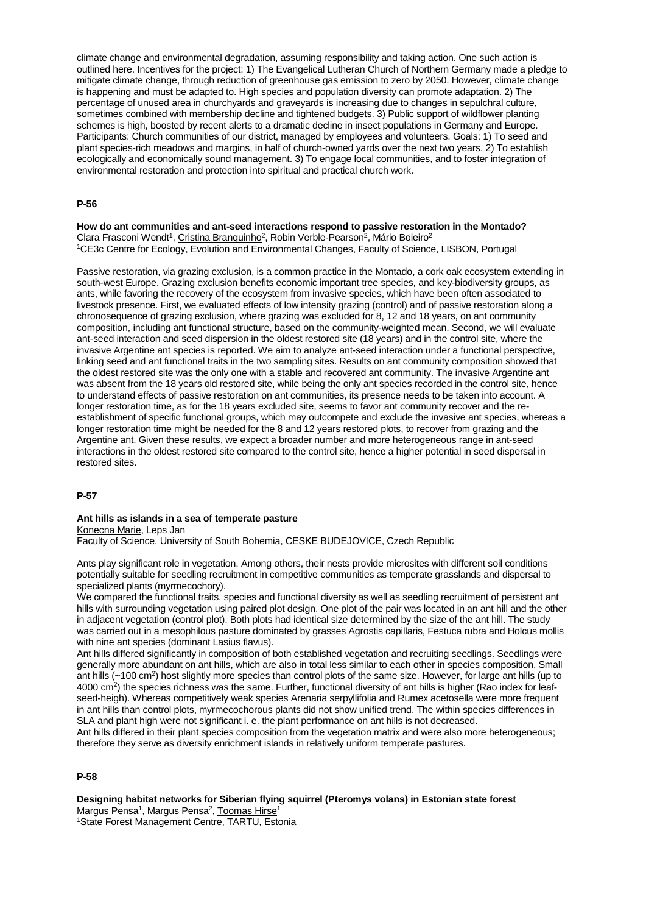climate change and environmental degradation, assuming responsibility and taking action. One such action is outlined here. Incentives for the project: 1) The Evangelical Lutheran Church of Northern Germany made a pledge to mitigate climate change, through reduction of greenhouse gas emission to zero by 2050. However, climate change is happening and must be adapted to. High species and population diversity can promote adaptation. 2) The percentage of unused area in churchyards and graveyards is increasing due to changes in sepulchral culture, sometimes combined with membership decline and tightened budgets. 3) Public support of wildflower planting schemes is high, boosted by recent alerts to a dramatic decline in insect populations in Germany and Europe. Participants: Church communities of our district, managed by employees and volunteers. Goals: 1) To seed and plant species-rich meadows and margins, in half of church-owned yards over the next two years. 2) To establish ecologically and economically sound management. 3) To engage local communities, and to foster integration of environmental restoration and protection into spiritual and practical church work.

#### **P-56**

**How do ant communities and ant-seed interactions respond to passive restoration in the Montado?** Clara Frasconi Wendt<sup>1</sup>, Cristina Branquinho<sup>2</sup>, Robin Verble-Pearson<sup>2</sup>, Mário Boieiro<sup>2</sup> 1CE3c Centre for Ecology, Evolution and Environmental Changes, Faculty of Science, LISBON, Portugal

Passive restoration, via grazing exclusion, is a common practice in the Montado, a cork oak ecosystem extending in south-west Europe. Grazing exclusion benefits economic important tree species, and key-biodiversity groups, as ants, while favoring the recovery of the ecosystem from invasive species, which have been often associated to livestock presence. First, we evaluated effects of low intensity grazing (control) and of passive restoration along a chronosequence of grazing exclusion, where grazing was excluded for 8, 12 and 18 years, on ant community composition, including ant functional structure, based on the community-weighted mean. Second, we will evaluate ant-seed interaction and seed dispersion in the oldest restored site (18 years) and in the control site, where the invasive Argentine ant species is reported. We aim to analyze ant-seed interaction under a functional perspective, linking seed and ant functional traits in the two sampling sites. Results on ant community composition showed that the oldest restored site was the only one with a stable and recovered ant community. The invasive Argentine ant was absent from the 18 years old restored site, while being the only ant species recorded in the control site, hence to understand effects of passive restoration on ant communities, its presence needs to be taken into account. A longer restoration time, as for the 18 years excluded site, seems to favor ant community recover and the reestablishment of specific functional groups, which may outcompete and exclude the invasive ant species, whereas a longer restoration time might be needed for the 8 and 12 years restored plots, to recover from grazing and the Argentine ant. Given these results, we expect a broader number and more heterogeneous range in ant-seed interactions in the oldest restored site compared to the control site, hence a higher potential in seed dispersal in restored sites.

## **P-57**

#### **Ant hills as islands in a sea of temperate pasture** Konecna Marie, Leps Jan

Faculty of Science, University of South Bohemia, CESKE BUDEJOVICE, Czech Republic

Ants play significant role in vegetation. Among others, their nests provide microsites with different soil conditions potentially suitable for seedling recruitment in competitive communities as temperate grasslands and dispersal to specialized plants (myrmecochory).

We compared the functional traits, species and functional diversity as well as seedling recruitment of persistent ant hills with surrounding vegetation using paired plot design. One plot of the pair was located in an ant hill and the other in adjacent vegetation (control plot). Both plots had identical size determined by the size of the ant hill. The study was carried out in a mesophilous pasture dominated by grasses Agrostis capillaris, Festuca rubra and Holcus mollis with nine ant species (dominant Lasius flavus).

Ant hills differed significantly in composition of both established vegetation and recruiting seedlings. Seedlings were generally more abundant on ant hills, which are also in total less similar to each other in species composition. Small ant hills (~100 cm<sup>2</sup>) host slightly more species than control plots of the same size. However, for large ant hills (up to 4000 cm2) the species richness was the same. Further, functional diversity of ant hills is higher (Rao index for leafseed-heigh). Whereas competitively weak species Arenaria serpyllifolia and Rumex acetosella were more frequent in ant hills than control plots, myrmecochorous plants did not show unified trend. The within species differences in SLA and plant high were not significant i. e. the plant performance on ant hills is not decreased.

Ant hills differed in their plant species composition from the vegetation matrix and were also more heterogeneous; therefore they serve as diversity enrichment islands in relatively uniform temperate pastures.

## **P-58**

**Designing habitat networks for Siberian flying squirrel (Pteromys volans) in Estonian state forest** Margus Pensa<sup>1</sup>, Margus Pensa<sup>2</sup>, Toomas Hirse<sup>1</sup> 1State Forest Management Centre, TARTU, Estonia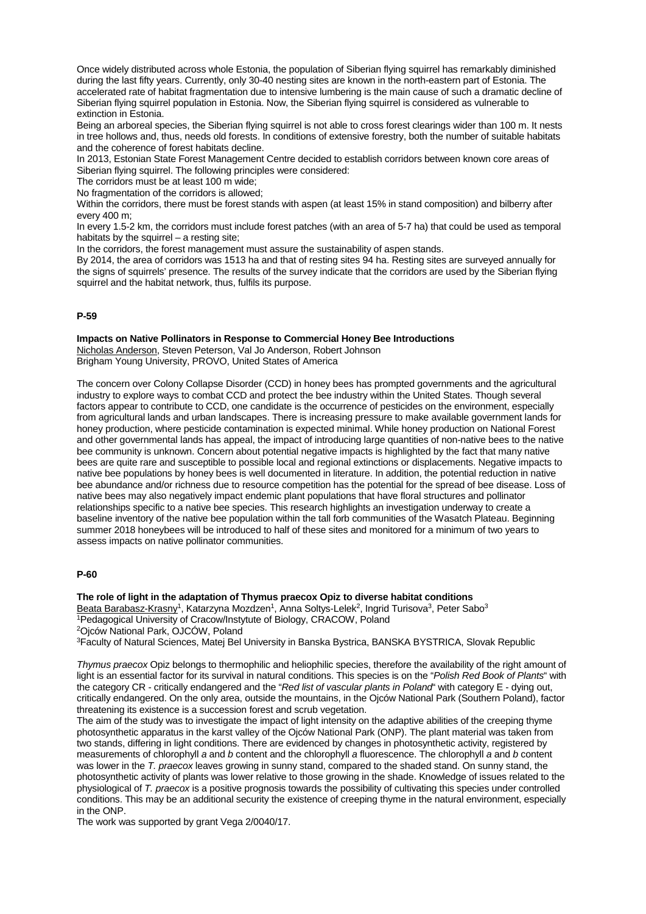Once widely distributed across whole Estonia, the population of Siberian flying squirrel has remarkably diminished during the last fifty years. Currently, only 30-40 nesting sites are known in the north-eastern part of Estonia. The accelerated rate of habitat fragmentation due to intensive lumbering is the main cause of such a dramatic decline of Siberian flying squirrel population in Estonia. Now, the Siberian flying squirrel is considered as vulnerable to extinction in Estonia.

Being an arboreal species, the Siberian flying squirrel is not able to cross forest clearings wider than 100 m. It nests in tree hollows and, thus, needs old forests. In conditions of extensive forestry, both the number of suitable habitats and the coherence of forest habitats decline.

In 2013, Estonian State Forest Management Centre decided to establish corridors between known core areas of Siberian flying squirrel. The following principles were considered:

The corridors must be at least 100 m wide;

No fragmentation of the corridors is allowed;

Within the corridors, there must be forest stands with aspen (at least 15% in stand composition) and bilberry after every 400 m;

In every 1.5-2 km, the corridors must include forest patches (with an area of 5-7 ha) that could be used as temporal habitats by the squirrel – a resting site:

In the corridors, the forest management must assure the sustainability of aspen stands.

By 2014, the area of corridors was 1513 ha and that of resting sites 94 ha. Resting sites are surveyed annually for the signs of squirrels' presence. The results of the survey indicate that the corridors are used by the Siberian flying squirrel and the habitat network, thus, fulfils its purpose.

## **P-59**

## **Impacts on Native Pollinators in Response to Commercial Honey Bee Introductions**

Nicholas Anderson, Steven Peterson, Val Jo Anderson, Robert Johnson Brigham Young University, PROVO, United States of America

The concern over Colony Collapse Disorder (CCD) in honey bees has prompted governments and the agricultural industry to explore ways to combat CCD and protect the bee industry within the United States. Though several factors appear to contribute to CCD, one candidate is the occurrence of pesticides on the environment, especially from agricultural lands and urban landscapes. There is increasing pressure to make available government lands for honey production, where pesticide contamination is expected minimal. While honey production on National Forest and other governmental lands has appeal, the impact of introducing large quantities of non-native bees to the native bee community is unknown. Concern about potential negative impacts is highlighted by the fact that many native bees are quite rare and susceptible to possible local and regional extinctions or displacements. Negative impacts to native bee populations by honey bees is well documented in literature. In addition, the potential reduction in native bee abundance and/or richness due to resource competition has the potential for the spread of bee disease. Loss of native bees may also negatively impact endemic plant populations that have floral structures and pollinator relationships specific to a native bee species. This research highlights an investigation underway to create a baseline inventory of the native bee population within the tall forb communities of the Wasatch Plateau. Beginning summer 2018 honeybees will be introduced to half of these sites and monitored for a minimum of two years to assess impacts on native pollinator communities.

## **P-60**

**The role of light in the adaptation of Thymus praecox Opiz to diverse habitat conditions**

Beata Barabasz-Krasny<sup>1</sup>, Katarzyna Mozdzen<sup>1</sup>, Anna Soltys-Lelek<sup>2</sup>, Ingrid Turisova<sup>3</sup>, Peter Sabo<sup>3</sup> 1Pedagogical University of Cracow/Instytute of Biology, CRACOW, Poland

2Ojców National Park, OJCÓW, Poland

3Faculty of Natural Sciences, Matej Bel University in Banska Bystrica, BANSKA BYSTRICA, Slovak Republic

*Thymus praecox* Opiz belongs to thermophilic and heliophilic species, therefore the availability of the right amount of light is an essential factor for its survival in natural conditions. This species is on the "*Polish Red Book of Plants*" with the category CR - critically endangered and the "*Red list of vascular plants in Poland*" with category E - dying out, critically endangered. On the only area, outside the mountains, in the Ojców National Park (Southern Poland), factor threatening its existence is a succession forest and scrub vegetation.

The aim of the study was to investigate the impact of light intensity on the adaptive abilities of the creeping thyme photosynthetic apparatus in the karst valley of the Ojców National Park (ONP). The plant material was taken from two stands, differing in light conditions. There are evidenced by changes in photosynthetic activity, registered by measurements of chlorophyll *a* and *b* content and the chlorophyll *a* fluorescence. The chlorophyll *a* and *b* content was lower in the *T. praecox* leaves growing in sunny stand, compared to the shaded stand. On sunny stand, the photosynthetic activity of plants was lower relative to those growing in the shade. Knowledge of issues related to the physiological of *T. praecox* is a positive prognosis towards the possibility of cultivating this species under controlled conditions. This may be an additional security the existence of creeping thyme in the natural environment, especially in the ONP.

The work was supported by grant Vega 2/0040/17.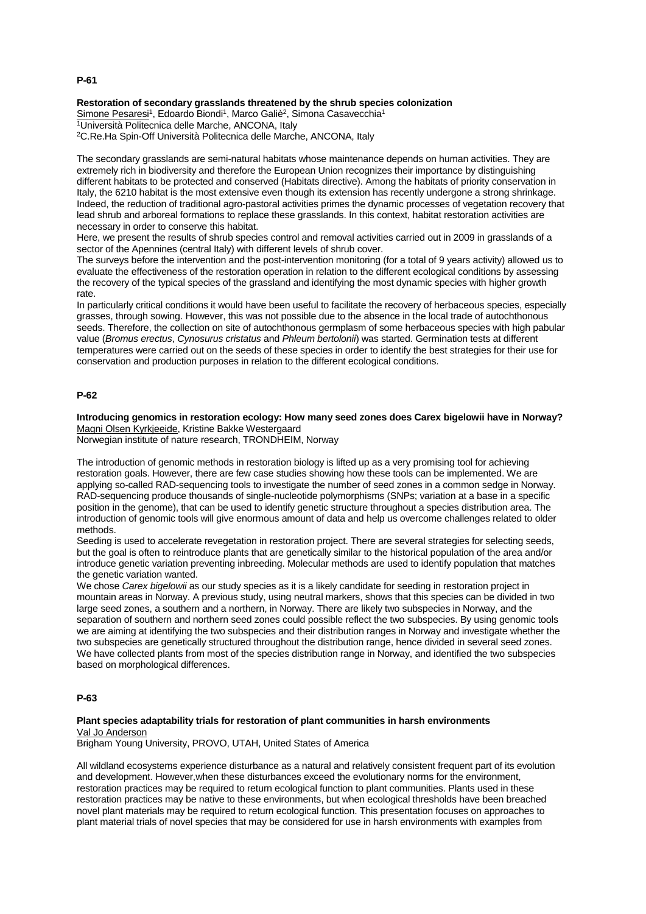# **Restoration of secondary grasslands threatened by the shrub species colonization**

Simone Pesaresi<sup>1</sup>, Edoardo Biondi<sup>1</sup>, Marco Galiè<sup>2</sup>, Simona Casavecchia<sup>1</sup> 1Università Politecnica delle Marche, ANCONA, Italy 2C.Re.Ha Spin-Off Università Politecnica delle Marche, ANCONA, Italy

The secondary grasslands are semi-natural habitats whose maintenance depends on human activities. They are extremely rich in biodiversity and therefore the European Union recognizes their importance by distinguishing different habitats to be protected and conserved (Habitats directive). Among the habitats of priority conservation in Italy, the 6210 habitat is the most extensive even though its extension has recently undergone a strong shrinkage. Indeed, the reduction of traditional agro-pastoral activities primes the dynamic processes of vegetation recovery that lead shrub and arboreal formations to replace these grasslands. In this context, habitat restoration activities are necessary in order to conserve this habitat.

Here, we present the results of shrub species control and removal activities carried out in 2009 in grasslands of a sector of the Apennines (central Italy) with different levels of shrub cover.

The surveys before the intervention and the post-intervention monitoring (for a total of 9 years activity) allowed us to evaluate the effectiveness of the restoration operation in relation to the different ecological conditions by assessing the recovery of the typical species of the grassland and identifying the most dynamic species with higher growth rate.

In particularly critical conditions it would have been useful to facilitate the recovery of herbaceous species, especially grasses, through sowing. However, this was not possible due to the absence in the local trade of autochthonous seeds. Therefore, the collection on site of autochthonous germplasm of some herbaceous species with high pabular value (*Bromus erectus*, *Cynosurus cristatus* and *Phleum bertolonii*) was started. Germination tests at different temperatures were carried out on the seeds of these species in order to identify the best strategies for their use for conservation and production purposes in relation to the different ecological conditions.

## **P-62**

**Introducing genomics in restoration ecology: How many seed zones does Carex bigelowii have in Norway?** Magni Olsen Kyrkjeeide, Kristine Bakke Westergaard

Norwegian institute of nature research, TRONDHEIM, Norway

The introduction of genomic methods in restoration biology is lifted up as a very promising tool for achieving restoration goals. However, there are few case studies showing how these tools can be implemented. We are applying so-called RAD-sequencing tools to investigate the number of seed zones in a common sedge in Norway. RAD-sequencing produce thousands of single-nucleotide polymorphisms (SNPs; variation at a base in a specific position in the genome), that can be used to identify genetic structure throughout a species distribution area. The introduction of genomic tools will give enormous amount of data and help us overcome challenges related to older methods.

Seeding is used to accelerate revegetation in restoration project. There are several strategies for selecting seeds, but the goal is often to reintroduce plants that are genetically similar to the historical population of the area and/or introduce genetic variation preventing inbreeding. Molecular methods are used to identify population that matches the genetic variation wanted.

We chose *Carex bigelowii* as our study species as it is a likely candidate for seeding in restoration project in mountain areas in Norway. A previous study, using neutral markers, shows that this species can be divided in two large seed zones, a southern and a northern, in Norway. There are likely two subspecies in Norway, and the separation of southern and northern seed zones could possible reflect the two subspecies. By using genomic tools we are aiming at identifying the two subspecies and their distribution ranges in Norway and investigate whether the two subspecies are genetically structured throughout the distribution range, hence divided in several seed zones. We have collected plants from most of the species distribution range in Norway, and identified the two subspecies based on morphological differences.

## **P-63**

## **Plant species adaptability trials for restoration of plant communities in harsh environments** Val Jo Anderson

Brigham Young University, PROVO, UTAH, United States of America

All wildland ecosystems experience disturbance as a natural and relatively consistent frequent part of its evolution and development. However,when these disturbances exceed the evolutionary norms for the environment, restoration practices may be required to return ecological function to plant communities. Plants used in these restoration practices may be native to these environments, but when ecological thresholds have been breached novel plant materials may be required to return ecological function. This presentation focuses on approaches to plant material trials of novel species that may be considered for use in harsh environments with examples from

### **P-61**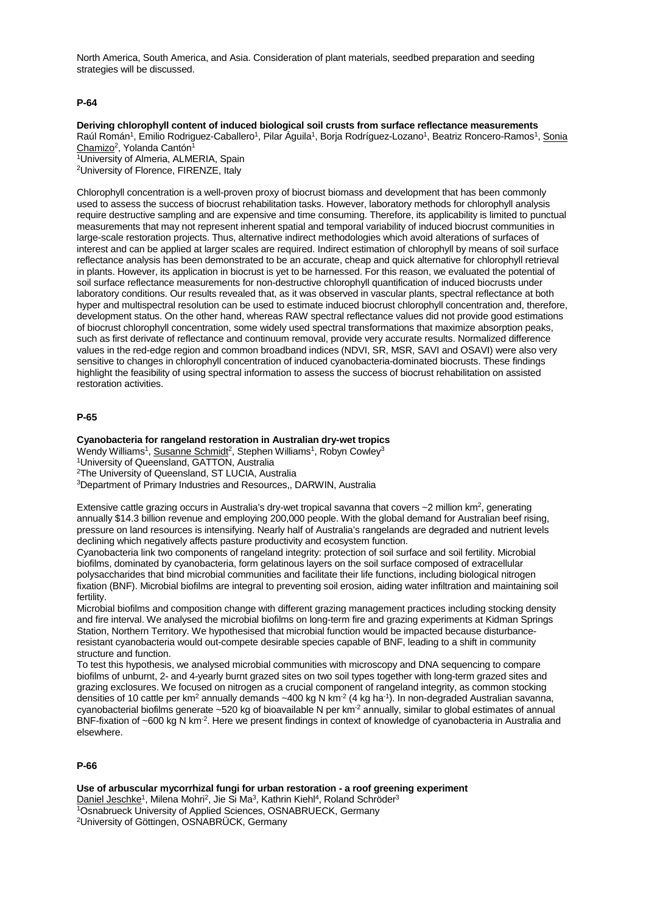North America, South America, and Asia. Consideration of plant materials, seedbed preparation and seeding strategies will be discussed.

## **P-64**

**Deriving chlorophyll content of induced biological soil crusts from surface reflectance measurements** Raúl Román<sup>1</sup>, Emilio Rodriguez-Caballero<sup>1</sup>, Pilar Águila<sup>1</sup>, Borja Rodríguez-Lozano<sup>1</sup>, Beatriz Roncero-Ramos<sup>1</sup>, Sonia Chamizo<sup>2</sup>, Yolanda Cantón<sup>1</sup>

1University of Almeria, ALMERIA, Spain 2University of Florence, FIRENZE, Italy

Chlorophyll concentration is a well-proven proxy of biocrust biomass and development that has been commonly used to assess the success of biocrust rehabilitation tasks. However, laboratory methods for chlorophyll analysis require destructive sampling and are expensive and time consuming. Therefore, its applicability is limited to punctual measurements that may not represent inherent spatial and temporal variability of induced biocrust communities in large-scale restoration projects. Thus, alternative indirect methodologies which avoid alterations of surfaces of interest and can be applied at larger scales are required. Indirect estimation of chlorophyll by means of soil surface reflectance analysis has been demonstrated to be an accurate, cheap and quick alternative for chlorophyll retrieval in plants. However, its application in biocrust is yet to be harnessed. For this reason, we evaluated the potential of soil surface reflectance measurements for non-destructive chlorophyll quantification of induced biocrusts under laboratory conditions. Our results revealed that, as it was observed in vascular plants, spectral reflectance at both hyper and multispectral resolution can be used to estimate induced biocrust chlorophyll concentration and, therefore, development status. On the other hand, whereas RAW spectral reflectance values did not provide good estimations of biocrust chlorophyll concentration, some widely used spectral transformations that maximize absorption peaks, such as first derivate of reflectance and continuum removal, provide very accurate results. Normalized difference values in the red-edge region and common broadband indices (NDVI, SR, MSR, SAVI and OSAVI) were also very sensitive to changes in chlorophyll concentration of induced cyanobacteria-dominated biocrusts. These findings highlight the feasibility of using spectral information to assess the success of biocrust rehabilitation on assisted restoration activities.

#### **P-65**

## **Cyanobacteria for rangeland restoration in Australian dry-wet tropics**

Wendy Williams<sup>1</sup>, Susanne Schmidt<sup>2</sup>, Stephen Williams<sup>1</sup>, Robyn Cowley<sup>3</sup>

1University of Queensland, GATTON, Australia

2The University of Queensland, ST LUCIA, Australia

3Department of Primary Industries and Resources,, DARWIN, Australia

Extensive cattle grazing occurs in Australia's dry-wet tropical savanna that covers ~2 million km2, generating annually \$14.3 billion revenue and employing 200,000 people. With the global demand for Australian beef rising, pressure on land resources is intensifying. Nearly half of Australia's rangelands are degraded and nutrient levels declining which negatively affects pasture productivity and ecosystem function.

Cyanobacteria link two components of rangeland integrity: protection of soil surface and soil fertility. Microbial biofilms, dominated by cyanobacteria, form gelatinous layers on the soil surface composed of extracellular polysaccharides that bind microbial communities and facilitate their life functions, including biological nitrogen fixation (BNF). Microbial biofilms are integral to preventing soil erosion, aiding water infiltration and maintaining soil fertility.

Microbial biofilms and composition change with different grazing management practices including stocking density and fire interval. We analysed the microbial biofilms on long-term fire and grazing experiments at Kidman Springs Station, Northern Territory. We hypothesised that microbial function would be impacted because disturbanceresistant cyanobacteria would out-compete desirable species capable of BNF, leading to a shift in community structure and function.

To test this hypothesis, we analysed microbial communities with microscopy and DNA sequencing to compare biofilms of unburnt, 2- and 4-yearly burnt grazed sites on two soil types together with long-term grazed sites and grazing exclosures. We focused on nitrogen as a crucial component of rangeland integrity, as common stocking densities of 10 cattle per km<sup>2</sup> annually demands ~400 kg N km<sup>-2</sup> (4 kg ha<sup>-1</sup>). In non-degraded Australian savanna, cyanobacterial biofilms generate  $\sim$ 520 kg of bioavailable N per km<sup>-2</sup> annually, similar to global estimates of annual BNF-fixation of ~600 kg N km<sup>-2</sup>. Here we present findings in context of knowledge of cyanobacteria in Australia and elsewhere.

### **P-66**

**Use of arbuscular mycorrhizal fungi for urban restoration - a roof greening experiment** Daniel Jeschke<sup>1</sup>, Milena Mohri<sup>2</sup>, Jie Si Ma<sup>3</sup>, Kathrin Kiehl<sup>4</sup>, Roland Schröder<sup>3</sup> 1Osnabrueck University of Applied Sciences, OSNABRUECK, Germany 2University of Göttingen, OSNABRÜCK, Germany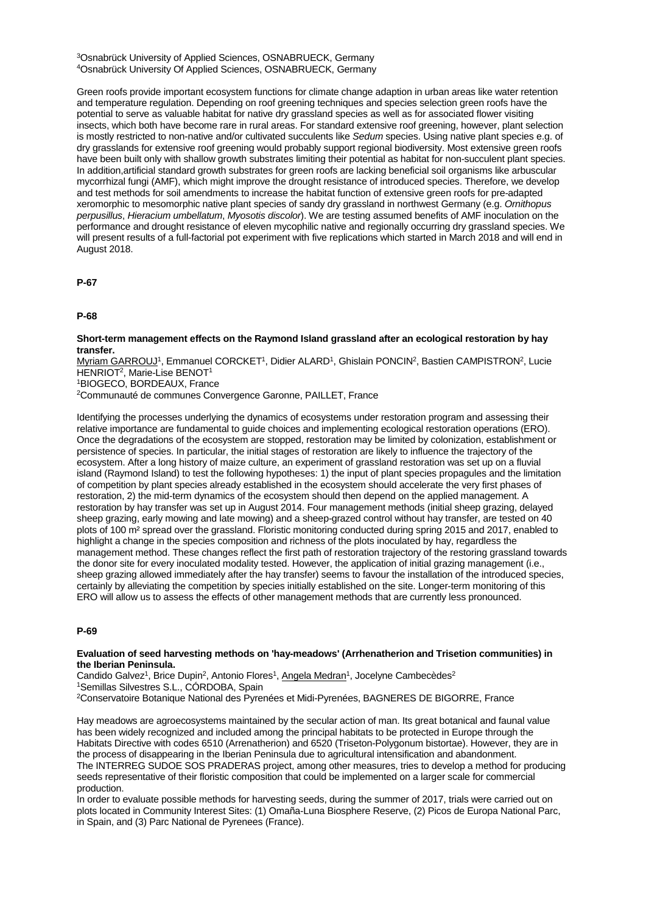3Osnabrück University of Applied Sciences, OSNABRUECK, Germany 4Osnabrück University Of Applied Sciences, OSNABRUECK, Germany

Green roofs provide important ecosystem functions for climate change adaption in urban areas like water retention and temperature regulation. Depending on roof greening techniques and species selection green roofs have the potential to serve as valuable habitat for native dry grassland species as well as for associated flower visiting insects, which both have become rare in rural areas. For standard extensive roof greening, however, plant selection is mostly restricted to non-native and/or cultivated succulents like *Sedum* species. Using native plant species e.g. of dry grasslands for extensive roof greening would probably support regional biodiversity. Most extensive green roofs have been built only with shallow growth substrates limiting their potential as habitat for non-succulent plant species. In addition,artificial standard growth substrates for green roofs are lacking beneficial soil organisms like arbuscular mycorrhizal fungi (AMF), which might improve the drought resistance of introduced species. Therefore, we develop and test methods for soil amendments to increase the habitat function of extensive green roofs for pre-adapted xeromorphic to mesomorphic native plant species of sandy dry grassland in northwest Germany (e.g. *Ornithopus perpusillus*, *Hieracium umbellatum*, *Myosotis discolor*). We are testing assumed benefits of AMF inoculation on the performance and drought resistance of eleven mycophilic native and regionally occurring dry grassland species. We will present results of a full-factorial pot experiment with five replications which started in March 2018 and will end in August 2018.

**P-67**

**P-68**

#### **Short-term management effects on the Raymond Island grassland after an ecological restoration by hay transfer.**

Myriam GARROUJ1, Emmanuel CORCKET1, Didier ALARD1, Ghislain PONCIN2, Bastien CAMPISTRON2, Lucie HENRIOT<sup>2</sup>, Marie-Lise BENOT<sup>1</sup>

1BIOGECO, BORDEAUX, France

2Communauté de communes Convergence Garonne, PAILLET, France

Identifying the processes underlying the dynamics of ecosystems under restoration program and assessing their relative importance are fundamental to guide choices and implementing ecological restoration operations (ERO). Once the degradations of the ecosystem are stopped, restoration may be limited by colonization, establishment or persistence of species. In particular, the initial stages of restoration are likely to influence the trajectory of the ecosystem. After a long history of maize culture, an experiment of grassland restoration was set up on a fluvial island (Raymond Island) to test the following hypotheses: 1) the input of plant species propagules and the limitation of competition by plant species already established in the ecosystem should accelerate the very first phases of restoration, 2) the mid-term dynamics of the ecosystem should then depend on the applied management. A restoration by hay transfer was set up in August 2014. Four management methods (initial sheep grazing, delayed sheep grazing, early mowing and late mowing) and a sheep-grazed control without hay transfer, are tested on 40 plots of 100 m² spread over the grassland. Floristic monitoring conducted during spring 2015 and 2017, enabled to highlight a change in the species composition and richness of the plots inoculated by hay, regardless the management method. These changes reflect the first path of restoration trajectory of the restoring grassland towards the donor site for every inoculated modality tested. However, the application of initial grazing management (i.e., sheep grazing allowed immediately after the hay transfer) seems to favour the installation of the introduced species, certainly by alleviating the competition by species initially established on the site. Longer-term monitoring of this ERO will allow us to assess the effects of other management methods that are currently less pronounced.

#### **P-69**

#### **Evaluation of seed harvesting methods on 'hay-meadows' (Arrhenatherion and Trisetion communities) in the Iberian Peninsula.**

Candido Galvez<sup>1</sup>, Brice Dupin<sup>2</sup>, Antonio Flores<sup>1</sup>, Angela Medran<sup>1</sup>, Jocelyne Cambecèdes<sup>2</sup> 1Semillas Silvestres S.L., CÓRDOBA, Spain

2Conservatoire Botanique National des Pyrenées et Midi-Pyrenées, BAGNERES DE BIGORRE, France

Hay meadows are agroecosystems maintained by the secular action of man. Its great botanical and faunal value has been widely recognized and included among the principal habitats to be protected in Europe through the Habitats Directive with codes 6510 (Arrenatherion) and 6520 (Triseton-Polygonum bistortae). However, they are in the process of disappearing in the Iberian Peninsula due to agricultural intensification and abandonment. The INTERREG SUDOE SOS PRADERAS project, among other measures, tries to develop a method for producing seeds representative of their floristic composition that could be implemented on a larger scale for commercial production.

In order to evaluate possible methods for harvesting seeds, during the summer of 2017, trials were carried out on plots located in Community Interest Sites: (1) Omaña-Luna Biosphere Reserve, (2) Picos de Europa National Parc, in Spain, and (3) Parc National de Pyrenees (France).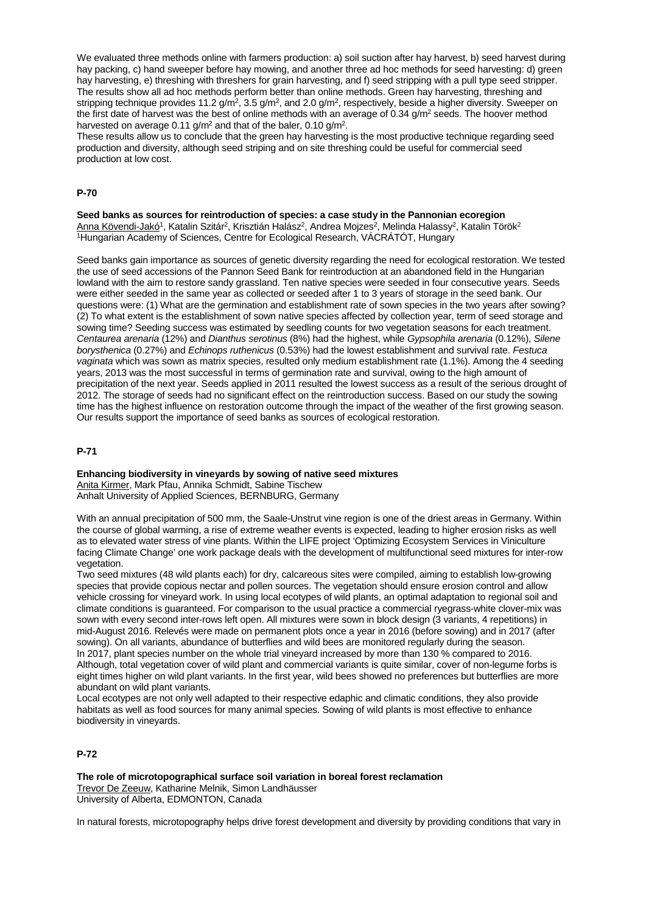We evaluated three methods online with farmers production: a) soil suction after hav harvest, b) seed harvest during hay packing, c) hand sweeper before hay mowing, and another three ad hoc methods for seed harvesting: d) green hay harvesting, e) threshing with threshers for grain harvesting, and f) seed stripping with a pull type seed stripper. The results show all ad hoc methods perform better than online methods. Green hay harvesting, threshing and stripping technique provides 11.2  $g/m^2$ , 3.5  $g/m^2$ , and 2.0  $g/m^2$ , respectively, beside a higher diversity. Sweeper on the first date of harvest was the best of online methods with an average of 0.34  $q/m^2$  seeds. The hoover method harvested on average  $0.11$  g/m<sup>2</sup> and that of the baler,  $0.10$  g/m<sup>2</sup>.

These results allow us to conclude that the green hay harvesting is the most productive technique regarding seed production and diversity, although seed striping and on site threshing could be useful for commercial seed production at low cost.

#### **P-70**

**Seed banks as sources for reintroduction of species: a case study in the Pannonian ecoregion** <u>Anna Kövendi-Jakó</u>1, Katalin Szitár<sup>2</sup>, Krisztián Halász<sup>2</sup>, Andrea Mojzes<sup>2</sup>, Melinda Halassy<sup>2</sup>, Katalin Török<sup>2</sup> 1Hungarian Academy of Sciences, Centre for Ecological Research, VÁCRÁTÓT, Hungary

Seed banks gain importance as sources of genetic diversity regarding the need for ecological restoration. We tested the use of seed accessions of the Pannon Seed Bank for reintroduction at an abandoned field in the Hungarian lowland with the aim to restore sandy grassland. Ten native species were seeded in four consecutive years. Seeds were either seeded in the same year as collected or seeded after 1 to 3 years of storage in the seed bank. Our questions were: (1) What are the germination and establishment rate of sown species in the two years after sowing? (2) To what extent is the establishment of sown native species affected by collection year, term of seed storage and sowing time? Seeding success was estimated by seedling counts for two vegetation seasons for each treatment. *Centaurea arenaria* (12%) and *Dianthus serotinus* (8%) had the highest, while *Gypsophila arenaria* (0.12%), *Silene borysthenica* (0.27%) and *Echinops ruthenicus* (0.53%) had the lowest establishment and survival rate. *Festuca vaginata* which was sown as matrix species, resulted only medium establishment rate (1.1%). Among the 4 seeding years, 2013 was the most successful in terms of germination rate and survival, owing to the high amount of precipitation of the next year. Seeds applied in 2011 resulted the lowest success as a result of the serious drought of 2012. The storage of seeds had no significant effect on the reintroduction success. Based on our study the sowing time has the highest influence on restoration outcome through the impact of the weather of the first growing season. Our results support the importance of seed banks as sources of ecological restoration.

#### **P-71**

#### **Enhancing biodiversity in vineyards by sowing of native seed mixtures**

Anita Kirmer, Mark Pfau, Annika Schmidt, Sabine Tischew Anhalt University of Applied Sciences, BERNBURG, Germany

With an annual precipitation of 500 mm, the Saale-Unstrut vine region is one of the driest areas in Germany. Within the course of global warming, a rise of extreme weather events is expected, leading to higher erosion risks as well as to elevated water stress of vine plants. Within the LIFE project 'Optimizing Ecosystem Services in Viniculture facing Climate Change' one work package deals with the development of multifunctional seed mixtures for inter-row vegetation.

Two seed mixtures (48 wild plants each) for dry, calcareous sites were compiled, aiming to establish low-growing species that provide copious nectar and pollen sources. The vegetation should ensure erosion control and allow vehicle crossing for vineyard work. In using local ecotypes of wild plants, an optimal adaptation to regional soil and climate conditions is guaranteed. For comparison to the usual practice a commercial ryegrass-white clover-mix was sown with every second inter-rows left open. All mixtures were sown in block design (3 variants, 4 repetitions) in mid-August 2016. Relevés were made on permanent plots once a year in 2016 (before sowing) and in 2017 (after sowing). On all variants, abundance of butterflies and wild bees are monitored regularly during the season. In 2017, plant species number on the whole trial vineyard increased by more than 130 % compared to 2016. Although, total vegetation cover of wild plant and commercial variants is quite similar, cover of non-legume forbs is eight times higher on wild plant variants. In the first year, wild bees showed no preferences but butterflies are more abundant on wild plant variants.

Local ecotypes are not only well adapted to their respective edaphic and climatic conditions, they also provide habitats as well as food sources for many animal species. Sowing of wild plants is most effective to enhance biodiversity in vineyards.

# **P-72**

**The role of microtopographical surface soil variation in boreal forest reclamation** Trevor De Zeeuw, Katharine Melnik, Simon Landhäusser University of Alberta, EDMONTON, Canada

In natural forests, microtopography helps drive forest development and diversity by providing conditions that vary in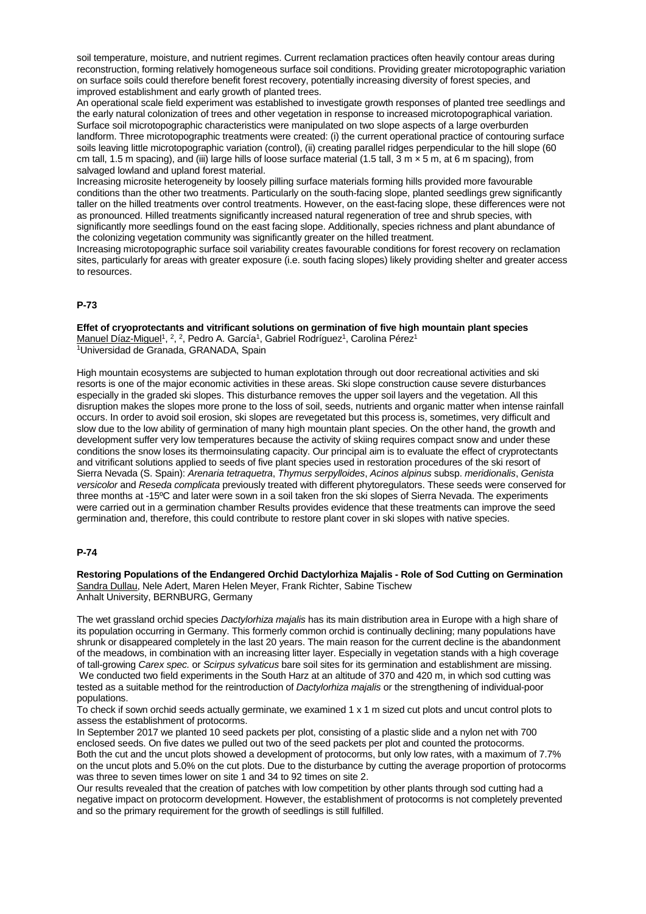soil temperature, moisture, and nutrient regimes. Current reclamation practices often heavily contour areas during reconstruction, forming relatively homogeneous surface soil conditions. Providing greater microtopographic variation on surface soils could therefore benefit forest recovery, potentially increasing diversity of forest species, and improved establishment and early growth of planted trees.

An operational scale field experiment was established to investigate growth responses of planted tree seedlings and the early natural colonization of trees and other vegetation in response to increased microtopographical variation. Surface soil microtopographic characteristics were manipulated on two slope aspects of a large overburden landform. Three microtopographic treatments were created: (i) the current operational practice of contouring surface soils leaving little microtopographic variation (control), (ii) creating parallel ridges perpendicular to the hill slope (60 cm tall, 1.5 m spacing), and (iii) large hills of loose surface material (1.5 tall,  $3 \text{ m} \times 5 \text{ m}$ , at 6 m spacing), from salvaged lowland and upland forest material.

Increasing microsite heterogeneity by loosely pilling surface materials forming hills provided more favourable conditions than the other two treatments. Particularly on the south-facing slope, planted seedlings grew significantly taller on the hilled treatments over control treatments. However, on the east-facing slope, these differences were not as pronounced. Hilled treatments significantly increased natural regeneration of tree and shrub species, with significantly more seedlings found on the east facing slope. Additionally, species richness and plant abundance of the colonizing vegetation community was significantly greater on the hilled treatment.

Increasing microtopographic surface soil variability creates favourable conditions for forest recovery on reclamation sites, particularly for areas with greater exposure (i.e. south facing slopes) likely providing shelter and greater access to resources.

#### **P-73**

**Effet of cryoprotectants and vitrificant solutions on germination of five high mountain plant species** Manuel Díaz-Miguel<sup>1</sup>, <sup>2</sup>, <sup>2</sup>, Pedro A. García<sup>1</sup>, Gabriel Rodríguez<sup>1</sup>, Carolina Pérez<sup>1</sup> 1Universidad de Granada, GRANADA, Spain

High mountain ecosystems are subjected to human explotation through out door recreational activities and ski resorts is one of the major economic activities in these areas. Ski slope construction cause severe disturbances especially in the graded ski slopes. This disturbance removes the upper soil layers and the vegetation. All this disruption makes the slopes more prone to the loss of soil, seeds, nutrients and organic matter when intense rainfall occurs. In order to avoid soil erosion, ski slopes are revegetated but this process is, sometimes, very difficult and slow due to the low ability of germination of many high mountain plant species. On the other hand, the growth and development suffer very low temperatures because the activity of skiing requires compact snow and under these conditions the snow loses its thermoinsulating capacity. Our principal aim is to evaluate the effect of cryprotectants and vitrificant solutions applied to seeds of five plant species used in restoration procedures of the ski resort of Sierra Nevada (S. Spain): *Arenaria tetraquetra*, *Thymus serpylloides*, *Acinos alpinus* subsp. *meridionalis*, *Genista versicolor* and *Reseda complicata* previously treated with different phytoregulators. These seeds were conserved for three months at -15ºC and later were sown in a soil taken fron the ski slopes of Sierra Nevada. The experiments were carried out in a germination chamber Results provides evidence that these treatments can improve the seed germination and, therefore, this could contribute to restore plant cover in ski slopes with native species.

#### **P-74**

**Restoring Populations of the Endangered Orchid Dactylorhiza Majalis - Role of Sod Cutting on Germination** Sandra Dullau, Nele Adert, Maren Helen Meyer, Frank Richter, Sabine Tischew Anhalt University, BERNBURG, Germany

The wet grassland orchid species *Dactylorhiza majalis* has its main distribution area in Europe with a high share of its population occurring in Germany. This formerly common orchid is continually declining; many populations have shrunk or disappeared completely in the last 20 years. The main reason for the current decline is the abandonment of the meadows, in combination with an increasing litter layer. Especially in vegetation stands with a high coverage of tall-growing *Carex spec.* or *Scirpus sylvaticus* bare soil sites for its germination and establishment are missing. We conducted two field experiments in the South Harz at an altitude of 370 and 420 m, in which sod cutting was tested as a suitable method for the reintroduction of *Dactylorhiza majalis* or the strengthening of individual-poor populations.

To check if sown orchid seeds actually germinate, we examined 1 x 1 m sized cut plots and uncut control plots to assess the establishment of protocorms.

In September 2017 we planted 10 seed packets per plot, consisting of a plastic slide and a nylon net with 700 enclosed seeds. On five dates we pulled out two of the seed packets per plot and counted the protocorms. Both the cut and the uncut plots showed a development of protocorms, but only low rates, with a maximum of 7.7% on the uncut plots and 5.0% on the cut plots. Due to the disturbance by cutting the average proportion of protocorms was three to seven times lower on site 1 and 34 to 92 times on site 2.

Our results revealed that the creation of patches with low competition by other plants through sod cutting had a negative impact on protocorm development. However, the establishment of protocorms is not completely prevented and so the primary requirement for the growth of seedlings is still fulfilled.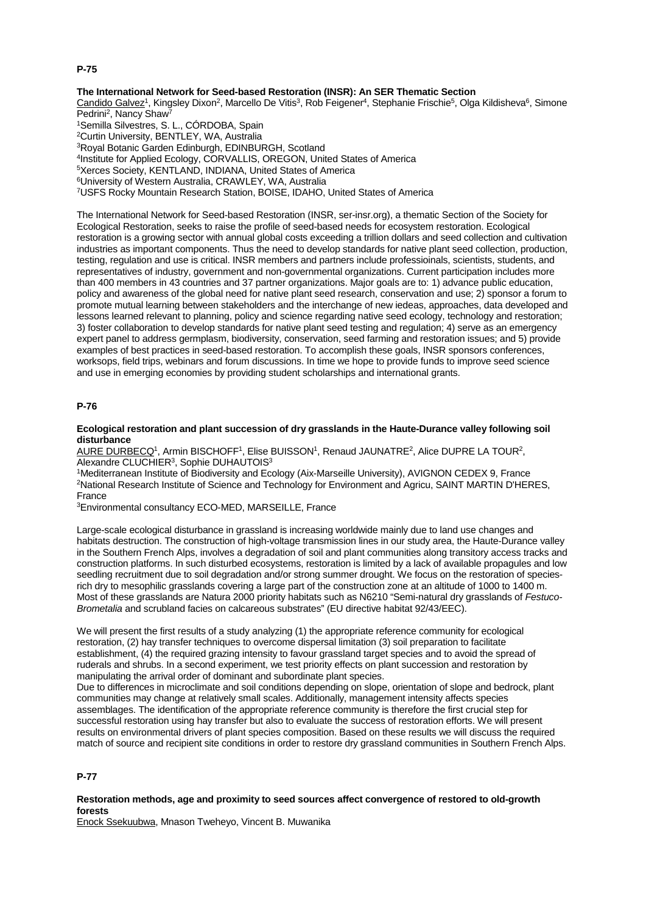# **P-75**

#### **The International Network for Seed-based Restoration (INSR): An SER Thematic Section**

Candido Galvez<sup>1</sup>, Kingsley Dixon<sup>2</sup>, Marcello De Vitis<sup>3</sup>, Rob Feigener<sup>4</sup>, Stephanie Frischie<sup>5</sup>, Olga Kildisheva<sup>6</sup>, Simone Pedrini<sup>2</sup>, Nancy Shaw<sup>7</sup>

1Semilla Silvestres, S. L., CÓRDOBA, Spain 2Curtin University, BENTLEY, WA, Australia 3Royal Botanic Garden Edinburgh, EDINBURGH, Scotland 4Institute for Applied Ecology, CORVALLIS, OREGON, United States of America 5Xerces Society, KENTLAND, INDIANA, United States of America 6University of Western Australia, CRAWLEY, WA, Australia 7USFS Rocky Mountain Research Station, BOISE, IDAHO, United States of America

The International Network for Seed-based Restoration (INSR, ser-insr.org), a thematic Section of the Society for Ecological Restoration, seeks to raise the profile of seed-based needs for ecosystem restoration. Ecological restoration is a growing sector with annual global costs exceeding a trillion dollars and seed collection and cultivation industries as important components. Thus the need to develop standards for native plant seed collection, production, testing, regulation and use is critical. INSR members and partners include professioinals, scientists, students, and representatives of industry, government and non-governmental organizations. Current participation includes more than 400 members in 43 countries and 37 partner organizations. Major goals are to: 1) advance public education, policy and awareness of the global need for native plant seed research, conservation and use; 2) sponsor a forum to promote mutual learning between stakeholders and the interchange of new iedeas, approaches, data developed and lessons learned relevant to planning, policy and science regarding native seed ecology, technology and restoration; 3) foster collaboration to develop standards for native plant seed testing and regulation; 4) serve as an emergency expert panel to address germplasm, biodiversity, conservation, seed farming and restoration issues; and 5) provide examples of best practices in seed-based restoration. To accomplish these goals, INSR sponsors conferences, worksops, field trips, webinars and forum discussions. In time we hope to provide funds to improve seed science and use in emerging economies by providing student scholarships and international grants.

#### **P-76**

**Ecological restoration and plant succession of dry grasslands in the Haute-Durance valley following soil disturbance**

AURE DURBECQ<sup>1</sup>, Armin BISCHOFF<sup>1</sup>, Elise BUISSON<sup>1</sup>, Renaud JAUNATRE<sup>2</sup>, Alice DUPRE LA TOUR<sup>2</sup>, Alexandre CLUCHIER3, Sophie DUHAUTOIS3

1Mediterranean Institute of Biodiversity and Ecology (Aix-Marseille University), AVIGNON CEDEX 9, France 2National Research Institute of Science and Technology for Environment and Agricu, SAINT MARTIN D'HERES, France

3Environmental consultancy ECO-MED, MARSEILLE, France

Large-scale ecological disturbance in grassland is increasing worldwide mainly due to land use changes and habitats destruction. The construction of high-voltage transmission lines in our study area, the Haute-Durance valley in the Southern French Alps, involves a degradation of soil and plant communities along transitory access tracks and construction platforms. In such disturbed ecosystems, restoration is limited by a lack of available propagules and low seedling recruitment due to soil degradation and/or strong summer drought. We focus on the restoration of speciesrich dry to mesophilic grasslands covering a large part of the construction zone at an altitude of 1000 to 1400 m. Most of these grasslands are Natura 2000 priority habitats such as N6210 "Semi-natural dry grasslands of *Festuco-Brometalia* and scrubland facies on calcareous substrates" (EU directive habitat 92/43/EEC).

We will present the first results of a study analyzing (1) the appropriate reference community for ecological restoration, (2) hay transfer techniques to overcome dispersal limitation (3) soil preparation to facilitate establishment, (4) the required grazing intensity to favour grassland target species and to avoid the spread of ruderals and shrubs. In a second experiment, we test priority effects on plant succession and restoration by manipulating the arrival order of dominant and subordinate plant species.

Due to differences in microclimate and soil conditions depending on slope, orientation of slope and bedrock, plant communities may change at relatively small scales. Additionally, management intensity affects species assemblages. The identification of the appropriate reference community is therefore the first crucial step for successful restoration using hay transfer but also to evaluate the success of restoration efforts. We will present results on environmental drivers of plant species composition. Based on these results we will discuss the required match of source and recipient site conditions in order to restore dry grassland communities in Southern French Alps.

## **P-77**

#### **Restoration methods, age and proximity to seed sources affect convergence of restored to old-growth forests**

Enock Ssekuubwa, Mnason Tweheyo, Vincent B. Muwanika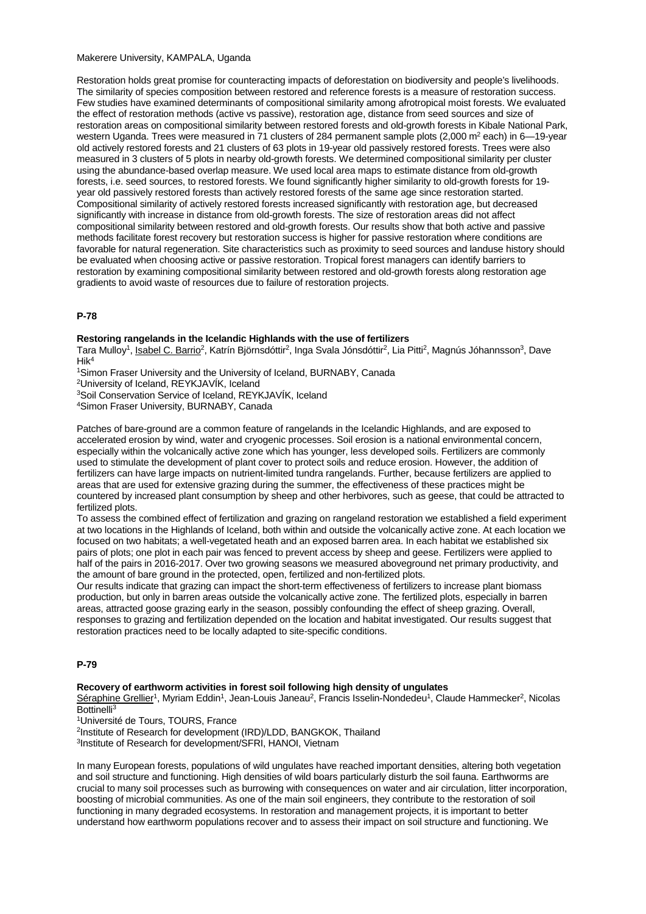Makerere University, KAMPALA, Uganda

Restoration holds great promise for counteracting impacts of deforestation on biodiversity and people's livelihoods. The similarity of species composition between restored and reference forests is a measure of restoration success. Few studies have examined determinants of compositional similarity among afrotropical moist forests. We evaluated the effect of restoration methods (active vs passive), restoration age, distance from seed sources and size of restoration areas on compositional similarity between restored forests and old-growth forests in Kibale National Park, western Uganda. Trees were measured in 71 clusters of 284 permanent sample plots (2,000 m<sup>2</sup> each) in 6-19-year old actively restored forests and 21 clusters of 63 plots in 19-year old passively restored forests. Trees were also measured in 3 clusters of 5 plots in nearby old-growth forests. We determined compositional similarity per cluster using the abundance-based overlap measure. We used local area maps to estimate distance from old-growth forests, i.e. seed sources, to restored forests. We found significantly higher similarity to old-growth forests for 19 year old passively restored forests than actively restored forests of the same age since restoration started. Compositional similarity of actively restored forests increased significantly with restoration age, but decreased significantly with increase in distance from old-growth forests. The size of restoration areas did not affect compositional similarity between restored and old-growth forests. Our results show that both active and passive methods facilitate forest recovery but restoration success is higher for passive restoration where conditions are favorable for natural regeneration. Site characteristics such as proximity to seed sources and landuse history should be evaluated when choosing active or passive restoration. Tropical forest managers can identify barriers to restoration by examining compositional similarity between restored and old-growth forests along restoration age gradients to avoid waste of resources due to failure of restoration projects.

## **P-78**

#### **Restoring rangelands in the Icelandic Highlands with the use of fertilizers**

Tara Mulloy<sup>1</sup>, Isabel C. Barrio<sup>2</sup>, Katrín Björnsdóttir<sup>2</sup>, Inga Svala Jónsdóttir<sup>2</sup>, Lia Pitti<sup>2</sup>, Magnús Jóhannsson<sup>3</sup>, Dave Hik4

1Simon Fraser University and the University of Iceland, BURNABY, Canada

2University of Iceland, REYKJAVÍK, Iceland

3Soil Conservation Service of Iceland, REYKJAVÍK, Iceland

4Simon Fraser University, BURNABY, Canada

Patches of bare-ground are a common feature of rangelands in the Icelandic Highlands, and are exposed to accelerated erosion by wind, water and cryogenic processes. Soil erosion is a national environmental concern, especially within the volcanically active zone which has younger, less developed soils. Fertilizers are commonly used to stimulate the development of plant cover to protect soils and reduce erosion. However, the addition of fertilizers can have large impacts on nutrient-limited tundra rangelands. Further, because fertilizers are applied to areas that are used for extensive grazing during the summer, the effectiveness of these practices might be countered by increased plant consumption by sheep and other herbivores, such as geese, that could be attracted to fertilized plots.

To assess the combined effect of fertilization and grazing on rangeland restoration we established a field experiment at two locations in the Highlands of Iceland, both within and outside the volcanically active zone. At each location we focused on two habitats; a well-vegetated heath and an exposed barren area. In each habitat we established six pairs of plots; one plot in each pair was fenced to prevent access by sheep and geese. Fertilizers were applied to half of the pairs in 2016-2017. Over two growing seasons we measured aboveground net primary productivity, and the amount of bare ground in the protected, open, fertilized and non-fertilized plots.

Our results indicate that grazing can impact the short-term effectiveness of fertilizers to increase plant biomass production, but only in barren areas outside the volcanically active zone. The fertilized plots, especially in barren areas, attracted goose grazing early in the season, possibly confounding the effect of sheep grazing. Overall, responses to grazing and fertilization depended on the location and habitat investigated. Our results suggest that restoration practices need to be locally adapted to site-specific conditions.

#### **P-79**

#### **Recovery of earthworm activities in forest soil following high density of ungulates**

Séraphine Grellier<sup>1</sup>, Myriam Eddin<sup>1</sup>, Jean-Louis Janeau<sup>2</sup>, Francis Isselin-Nondedeu<sup>1</sup>, Claude Hammecker<sup>2</sup>, Nicolas Bottinelli3

<sup>1</sup>Université de Tours, TOURS, France

2Institute of Research for development (IRD)/LDD, BANGKOK, Thailand

3Institute of Research for development/SFRI, HANOI, Vietnam

In many European forests, populations of wild ungulates have reached important densities, altering both vegetation and soil structure and functioning. High densities of wild boars particularly disturb the soil fauna. Earthworms are crucial to many soil processes such as burrowing with consequences on water and air circulation, litter incorporation, boosting of microbial communities. As one of the main soil engineers, they contribute to the restoration of soil functioning in many degraded ecosystems. In restoration and management projects, it is important to better understand how earthworm populations recover and to assess their impact on soil structure and functioning. We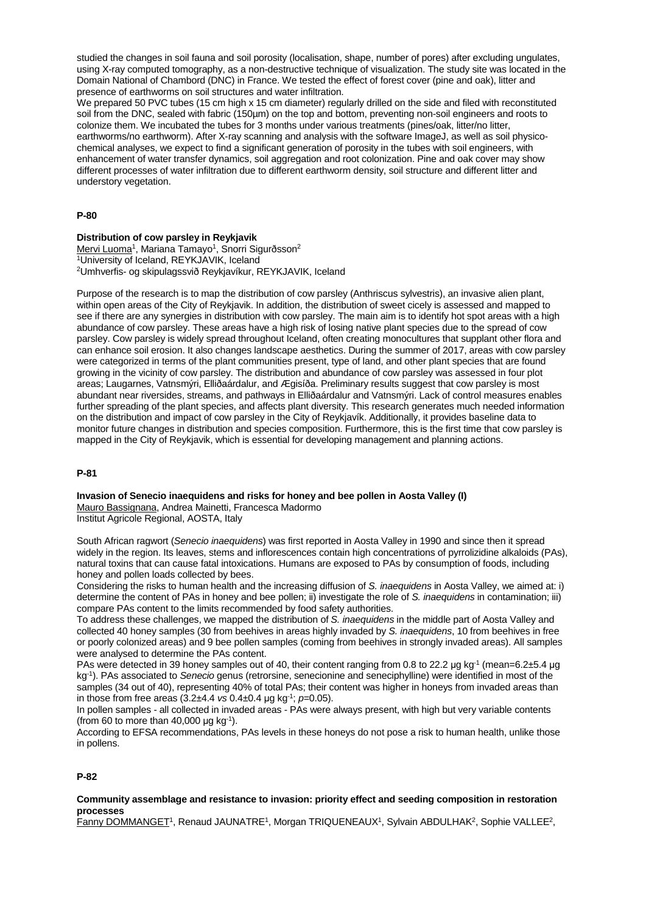studied the changes in soil fauna and soil porosity (localisation, shape, number of pores) after excluding ungulates, using X-ray computed tomography, as a non-destructive technique of visualization. The study site was located in the Domain National of Chambord (DNC) in France. We tested the effect of forest cover (pine and oak), litter and presence of earthworms on soil structures and water infiltration.

We prepared 50 PVC tubes (15 cm high x 15 cm diameter) regularly drilled on the side and filed with reconstituted soil from the DNC, sealed with fabric (150µm) on the top and bottom, preventing non-soil engineers and roots to colonize them. We incubated the tubes for 3 months under various treatments (pines/oak, litter/no litter, earthworms/no earthworm). After X-ray scanning and analysis with the software ImageJ, as well as soil physicochemical analyses, we expect to find a significant generation of porosity in the tubes with soil engineers, with enhancement of water transfer dynamics, soil aggregation and root colonization. Pine and oak cover may show different processes of water infiltration due to different earthworm density, soil structure and different litter and understory vegetation.

#### **P-80**

#### **Distribution of cow parsley in Reykjavik**

Mervi Luoma<sup>1</sup>, Mariana Tamayo<sup>1</sup>, Snorri Sigurðsson<sup>2</sup> 1University of Iceland, REYKJAVIK, Iceland 2Umhverfis- og skipulagssvið Reykjavíkur, REYKJAVIK, Iceland

Purpose of the research is to map the distribution of cow parsley (Anthriscus sylvestris), an invasive alien plant, within open areas of the City of Reykjavik. In addition, the distribution of sweet cicely is assessed and mapped to see if there are any synergies in distribution with cow parsley. The main aim is to identify hot spot areas with a high abundance of cow parsley. These areas have a high risk of losing native plant species due to the spread of cow parsley. Cow parsley is widely spread throughout Iceland, often creating monocultures that supplant other flora and can enhance soil erosion. It also changes landscape aesthetics. During the summer of 2017, areas with cow parsley were categorized in terms of the plant communities present, type of land, and other plant species that are found growing in the vicinity of cow parsley. The distribution and abundance of cow parsley was assessed in four plot areas; Laugarnes, Vatnsmýri, Elliðaárdalur, and Ægisíða. Preliminary results suggest that cow parsley is most abundant near riversides, streams, and pathways in Elliðaárdalur and Vatnsmýri. Lack of control measures enables further spreading of the plant species, and affects plant diversity. This research generates much needed information on the distribution and impact of cow parsley in the City of Reykjavík. Additionally, it provides baseline data to monitor future changes in distribution and species composition. Furthermore, this is the first time that cow parsley is mapped in the City of Reykjavik, which is essential for developing management and planning actions.

#### **P-81**

# **Invasion of Senecio inaequidens and risks for honey and bee pollen in Aosta Valley (I)**

Mauro Bassignana, Andrea Mainetti, Francesca Madormo Institut Agricole Regional, AOSTA, Italy

South African ragwort (*Senecio inaequidens*) was first reported in Aosta Valley in 1990 and since then it spread widely in the region. Its leaves, stems and inflorescences contain high concentrations of pyrrolizidine alkaloids (PAs), natural toxins that can cause fatal intoxications. Humans are exposed to PAs by consumption of foods, including honey and pollen loads collected by bees.

Considering the risks to human health and the increasing diffusion of *S. inaequidens* in Aosta Valley, we aimed at: i) determine the content of PAs in honey and bee pollen; ii) investigate the role of *S. inaequidens* in contamination; iii) compare PAs content to the limits recommended by food safety authorities.

To address these challenges, we mapped the distribution of *S. inaequidens* in the middle part of Aosta Valley and collected 40 honey samples (30 from beehives in areas highly invaded by *S. inaequidens*, 10 from beehives in free or poorly colonized areas) and 9 bee pollen samples (coming from beehives in strongly invaded areas). All samples were analysed to determine the PAs content.

PAs were detected in 39 honey samples out of 40, their content ranging from 0.8 to 22.2 μg kg<sup>-1</sup> (mean=6.2±5.4 μg kg-1). PAs associated to *Senecio* genus (retrorsine, senecionine and seneciphylline) were identified in most of the samples (34 out of 40), representing 40% of total PAs; their content was higher in honeys from invaded areas than in those from free areas (3.2±4.4 *vs* 0.4±0.4 μg kg-1; *p*=0.05).

In pollen samples - all collected in invaded areas - PAs were always present, with high but very variable contents (from 60 to more than 40,000  $\mu$ g kg<sup>-1</sup>).

According to EFSA recommendations, PAs levels in these honeys do not pose a risk to human health, unlike those in pollens.

#### **P-82**

# **Community assemblage and resistance to invasion: priority effect and seeding composition in restoration processes**

Fanny DOMMANGET<sup>1</sup>, Renaud JAUNATRE<sup>1</sup>, Morgan TRIQUENEAUX<sup>1</sup>, Sylvain ABDULHAK<sup>2</sup>, Sophie VALLEE<sup>2</sup>,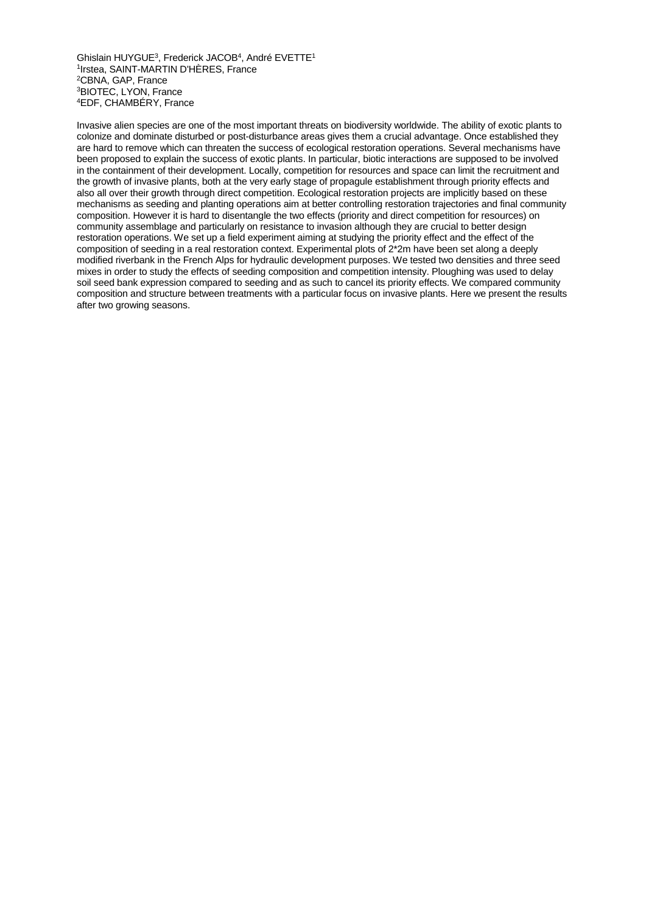Ghislain HUYGUE3, Frederick JACOB4, André EVETTE1 1Irstea, SAINT-MARTIN D'HÈRES, France 2CBNA, GAP, France 3BIOTEC, LYON, France 4EDF, CHAMBÉRY, France

Invasive alien species are one of the most important threats on biodiversity worldwide. The ability of exotic plants to colonize and dominate disturbed or post-disturbance areas gives them a crucial advantage. Once established they are hard to remove which can threaten the success of ecological restoration operations. Several mechanisms have been proposed to explain the success of exotic plants. In particular, biotic interactions are supposed to be involved in the containment of their development. Locally, competition for resources and space can limit the recruitment and the growth of invasive plants, both at the very early stage of propagule establishment through priority effects and also all over their growth through direct competition. Ecological restoration projects are implicitly based on these mechanisms as seeding and planting operations aim at better controlling restoration trajectories and final community composition. However it is hard to disentangle the two effects (priority and direct competition for resources) on community assemblage and particularly on resistance to invasion although they are crucial to better design restoration operations. We set up a field experiment aiming at studying the priority effect and the effect of the composition of seeding in a real restoration context. Experimental plots of 2\*2m have been set along a deeply modified riverbank in the French Alps for hydraulic development purposes. We tested two densities and three seed mixes in order to study the effects of seeding composition and competition intensity. Ploughing was used to delay soil seed bank expression compared to seeding and as such to cancel its priority effects. We compared community composition and structure between treatments with a particular focus on invasive plants. Here we present the results after two growing seasons.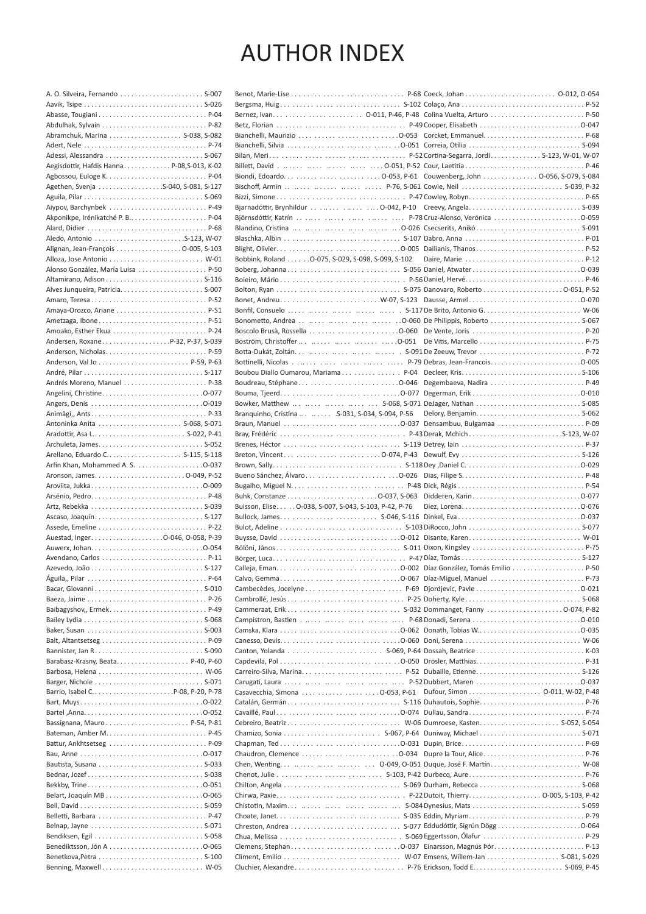# **AUTHOR INDEX**

|                                           | Bianchelli, Maurizio      .0-053 Corcket, Emmanuel.  P-68 |  |
|-------------------------------------------|-----------------------------------------------------------|--|
|                                           |                                                           |  |
| Adessi, Alessandra  S-067                 |                                                           |  |
| Aegisdottir, Hafdis HannaP-08,S-013, K-02 |                                                           |  |
|                                           |                                                           |  |
|                                           |                                                           |  |
|                                           | Bischoff, Armin      P-76, S-061 Cowie, Neil  S-039, P-32 |  |
|                                           |                                                           |  |
| Aiypov, Barchynbek  P-49                  |                                                           |  |
|                                           |                                                           |  |
|                                           |                                                           |  |
|                                           |                                                           |  |
| Alignan, Jean-François 0-005, S-103       |                                                           |  |
|                                           | Bobbink, Roland 0-075, S-029, S-098, S-099, S-102         |  |
| Alonso González, María Luisa  P-50        |                                                           |  |
|                                           |                                                           |  |
|                                           | Bolton, Ryan       S-075 Danovaro, Roberto  . O-051, P-52 |  |
|                                           |                                                           |  |
|                                           | Bonfil, Consuelo      S-117 De Brito, Antonio G.  W-06    |  |
| Ametzaga, Ibone P-51                      |                                                           |  |
|                                           |                                                           |  |
| Andersen, RoxaneP-32, P-37, S-039         |                                                           |  |
|                                           |                                                           |  |
| Anderson, Nicholas P-59                   |                                                           |  |
|                                           |                                                           |  |
|                                           | Boubou Diallo Oumarou, Mariama   P-04 Decleer, Kris S-106 |  |
| Andrés Moreno, Manuel  P-38               |                                                           |  |
|                                           |                                                           |  |
|                                           | Bowker, Matthew      S-068, S-071 DeJager, Nathan  S-085  |  |
|                                           | Branquinho, Cristina   S-031, S-034, S-094, P-56          |  |
|                                           |                                                           |  |
|                                           |                                                           |  |
|                                           |                                                           |  |
|                                           |                                                           |  |
| Arfin Khan, Mohammed A. S. 0-037          |                                                           |  |
| Aronson, James 0-049, P-52                |                                                           |  |
|                                           |                                                           |  |
|                                           |                                                           |  |
|                                           | Buisson, Elise 0-038, S-007, S-043, S-103, P-42, P-76     |  |
|                                           |                                                           |  |
|                                           | Bulot, Adeline     . S-103 DiRocco, John  S-077           |  |
|                                           | Buysse, David      O-012 Disante, Karen W-01              |  |
|                                           |                                                           |  |
| Avendano, Carlos  P-11                    |                                                           |  |
|                                           |                                                           |  |
|                                           |                                                           |  |
|                                           | Calvo, Gemma      0-067 Díaz-Miguel, Manuel  P-73         |  |
|                                           |                                                           |  |
|                                           |                                                           |  |
| Baibagyshov,, Ermek P-49                  |                                                           |  |
|                                           |                                                           |  |
|                                           |                                                           |  |
| Balt, Altantsetseg  P-09                  |                                                           |  |
|                                           |                                                           |  |
|                                           |                                                           |  |
|                                           |                                                           |  |
|                                           |                                                           |  |
|                                           |                                                           |  |
|                                           | Catalán, Germán     S-116 Duhautois, Sophie P-76          |  |
|                                           |                                                           |  |
|                                           |                                                           |  |
|                                           |                                                           |  |
| Battur, Ankhtsetseg  P-09                 |                                                           |  |
|                                           |                                                           |  |
|                                           | Chen, Wenting    0-049, 0-051 Duque, José F. Martín W-08  |  |
|                                           |                                                           |  |
|                                           |                                                           |  |
|                                           |                                                           |  |
|                                           |                                                           |  |
|                                           | Chistotin, Maxim      S-084 Dynesius, Mats S-059          |  |
|                                           |                                                           |  |
|                                           | Chreston, Andrea      S-077 Eddudóttir, Sigrún Dögg 0-064 |  |
|                                           |                                                           |  |
|                                           | Clemens, Stephan     O-037 Einarsson, Magnús Þór P-13     |  |
|                                           |                                                           |  |
| Benning, Maxwell W-05                     | Cluchier, Alexandre     P-76 Erickson, Todd E S-069, P-45 |  |
|                                           |                                                           |  |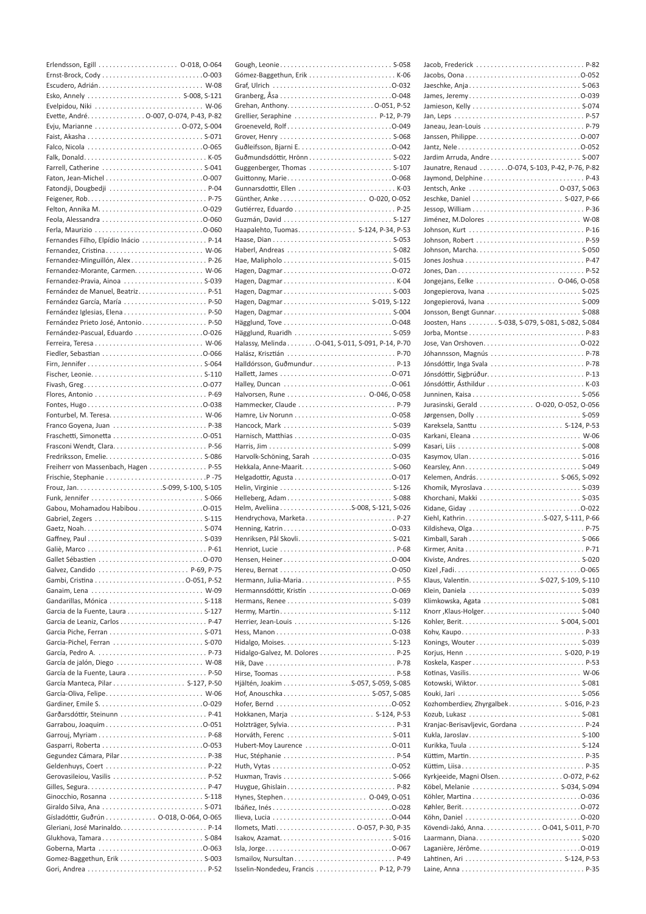| Esko, Annely  S-008, S-121              |
|-----------------------------------------|
|                                         |
| Evette, André. 0-007, 0-074, P-43, P-82 |
|                                         |
|                                         |
|                                         |
|                                         |
| Farrell, Catherine  S-041               |
|                                         |
| Fatondji, Dougbedji  P-04               |
|                                         |
|                                         |
|                                         |
|                                         |
| Fernandes Filho, Elpídio Inácio  P-14   |
| Fernandez, Cristina W-06                |
| Fernandez-Minguillón, AlexP-26          |
| Fernandez-Morante, Carmen. W-06         |
| Fernandez-Pravia, Ainoa  S-039          |
| Fernández de Manuel, Beatriz P-51       |
| Fernández García, María  P-50           |
|                                         |
| Fernández Prieto José, Antonio P-50     |
|                                         |
|                                         |
|                                         |
|                                         |
|                                         |
|                                         |
|                                         |
|                                         |
|                                         |
|                                         |
|                                         |
|                                         |
|                                         |
|                                         |
|                                         |
| Freiherr von Massenbach, Hagen P-55     |
|                                         |
|                                         |
| Gabou, Mohamadou Habibou0-015           |
|                                         |
|                                         |
|                                         |
|                                         |
|                                         |
| Galvez, Candido  P-69, P-75             |
|                                         |
|                                         |
|                                         |
| Gandarillas, Mónica  S-118              |
| Garcia de la Fuente, Laura  S-127       |
|                                         |
|                                         |
|                                         |
| García, Pedro A.  P-73                  |
| García de jalón, Diego  W-08            |
| García de la Fuente, Laura  P-50        |
|                                         |
|                                         |
|                                         |
|                                         |
| Garrabou, Joaquim0-051                  |
|                                         |
|                                         |
|                                         |
|                                         |
| Gerovasileiou, Vasilis  P-52            |
|                                         |
| Ginocchio, Rosanna  S-118               |
|                                         |
| Gísladóttir, Guðrún 0-018, O-064, O-065 |
|                                         |
| Glukhova, Tamara S-084                  |
|                                         |
|                                         |

| Grehan, Anthony0-051, P-52                       |  |
|--------------------------------------------------|--|
| Grellier, Seraphine  P-12, P-79                  |  |
|                                                  |  |
|                                                  |  |
|                                                  |  |
| Guðmundsdóttir, Hrönn S-022                      |  |
| Guggenberger, Thomas  S-107                      |  |
|                                                  |  |
| Gunnarsdottir, Ellen  K-03                       |  |
|                                                  |  |
|                                                  |  |
| Haapalehto, Tuomas. S-124, P-34, P-53            |  |
|                                                  |  |
| Haberl, Andreas  S-082                           |  |
|                                                  |  |
|                                                  |  |
| Hagen, Dagmar K-04                               |  |
| Hagen, Dagmar S-003                              |  |
| Hagen, Dagmar S-019, S-122                       |  |
| Hagen, Dagmar S-004                              |  |
|                                                  |  |
| Halassy, Melinda O-041, S-011, S-091, P-14, P-70 |  |
|                                                  |  |
| Halldórsson, GuðmundurP-13                       |  |
|                                                  |  |
|                                                  |  |
|                                                  |  |
|                                                  |  |
|                                                  |  |
|                                                  |  |
|                                                  |  |
|                                                  |  |
| Harvolk-Schöning, Sarah 0-035                    |  |
|                                                  |  |
|                                                  |  |
|                                                  |  |
| Helleberg, Adam S-088                            |  |
| Helm, AveliinaS-008, S-121, S-026                |  |
| Hendrychova, MarketaP-27                         |  |
|                                                  |  |
|                                                  |  |
|                                                  |  |
|                                                  |  |
|                                                  |  |
|                                                  |  |
| Hermannsdóttir, Kristín 0-069                    |  |
|                                                  |  |
|                                                  |  |
|                                                  |  |
|                                                  |  |
|                                                  |  |
|                                                  |  |
|                                                  |  |
|                                                  |  |
| Hof, Anouschka S-057, S-085                      |  |
|                                                  |  |
| Hokkanen, Marja  S-124, P-53                     |  |
|                                                  |  |
| Hubert-Moy Laurence 0-011                        |  |
|                                                  |  |
|                                                  |  |
|                                                  |  |
|                                                  |  |
|                                                  |  |
|                                                  |  |
|                                                  |  |
| Ilomets, Mati 0-057, P-30, P-35                  |  |
|                                                  |  |
|                                                  |  |

| Jacob, Frederick  P-82                          |
|-------------------------------------------------|
|                                                 |
|                                                 |
|                                                 |
|                                                 |
|                                                 |
|                                                 |
|                                                 |
|                                                 |
|                                                 |
| Jaunatre, Renaud 0-074, S-103, P-42, P-76, P-82 |
| Jaymond, Delphine P-43                          |
|                                                 |
|                                                 |
|                                                 |
|                                                 |
|                                                 |
|                                                 |
|                                                 |
|                                                 |
|                                                 |
|                                                 |
|                                                 |
|                                                 |
|                                                 |
|                                                 |
| Joosten, Hans S-038, S-079, S-081, S-082, S-084 |
|                                                 |
|                                                 |
|                                                 |
| Jóhannsson, Magnús P-78                         |
| Jónsdóttir, Inga Svala  P-78                    |
|                                                 |
|                                                 |
|                                                 |
| Jurasinski, Gerald 0-020, 0-052, 0-056          |
|                                                 |
| Kareksela, Santtu  S-124, P-53                  |
|                                                 |
|                                                 |
|                                                 |
|                                                 |
|                                                 |
|                                                 |
|                                                 |
|                                                 |
|                                                 |
|                                                 |
| Kildisheva, Olga P-75                           |
|                                                 |
|                                                 |
|                                                 |
|                                                 |
|                                                 |
| Klein, Daniela  S-039                           |
|                                                 |
|                                                 |
|                                                 |
|                                                 |
|                                                 |
|                                                 |
|                                                 |
|                                                 |
|                                                 |
|                                                 |
|                                                 |
| Kozhomberdiev, Zhyrgalbek S-016, P-23           |
|                                                 |
|                                                 |
|                                                 |
| Kranjac-Berisavljevic, Gordana  P-24            |
|                                                 |
|                                                 |
|                                                 |
|                                                 |
| Kyrkjeeide, Magni Olsen. 0-072, P-62            |
|                                                 |
|                                                 |
|                                                 |
|                                                 |
|                                                 |
| Kövendi-Jakó, Anna. 0-041, S-011, P-70          |
|                                                 |
|                                                 |
|                                                 |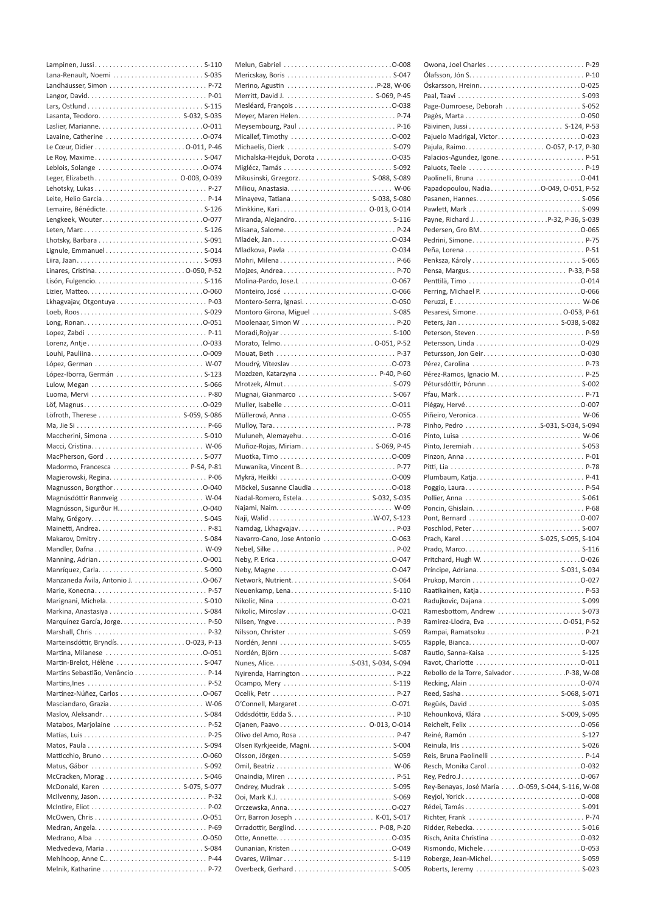| Lana-Renault, Noemi  S-035   |
|------------------------------|
|                              |
|                              |
|                              |
|                              |
|                              |
|                              |
|                              |
|                              |
|                              |
|                              |
|                              |
| Leite, Helio Garcia P-14     |
|                              |
|                              |
|                              |
|                              |
| Lignule, Emmanuel S-014      |
|                              |
|                              |
|                              |
|                              |
|                              |
|                              |
|                              |
|                              |
|                              |
|                              |
|                              |
|                              |
|                              |
|                              |
|                              |
|                              |
|                              |
|                              |
|                              |
|                              |
|                              |
|                              |
|                              |
|                              |
| Magnúsdóttir Rannveig  W-04  |
|                              |
|                              |
|                              |
| Makarov, Dmitry S-084        |
| W-09                         |
|                              |
|                              |
|                              |
|                              |
|                              |
|                              |
| Marshall, Chris  P-32        |
|                              |
| Martina, Milanese 0-051      |
| Martin-Brelot, Hélène  S-047 |
|                              |
|                              |
|                              |
| Masciandaro, Grazia W-06     |
|                              |
| Matabos, Marjolaine  P-52    |
|                              |
|                              |
|                              |
|                              |
| McCracken, Morag  S-046      |
|                              |
|                              |
|                              |
|                              |
|                              |
|                              |
|                              |

| Merritt, David J.  S-069, P-45    |
|-----------------------------------|
|                                   |
|                                   |
| Meysembourg, Paul  P-16           |
|                                   |
| Michaelis, Dierk  S-079           |
|                                   |
|                                   |
|                                   |
|                                   |
| Minkkine, Kari 0-013, 0-014       |
| Miranda, Alejandro S-116          |
|                                   |
|                                   |
|                                   |
|                                   |
|                                   |
|                                   |
| Montero-Serra, Ignasi0-050        |
| Montoro Girona, Miguel  S-085     |
| Moolenaar, Simon W  P-20          |
|                                   |
|                                   |
| Mouat, Beth  P-37                 |
|                                   |
| Mrotzek, Almut S-079              |
| Mugnai, Gianmarco  S-067          |
|                                   |
|                                   |
|                                   |
| Muluneh, Alemayehu0-016           |
| Muñoz-Rojas, Miriam S-069, P-45   |
|                                   |
|                                   |
|                                   |
| Nadal-Romero, Estela S-032, S-035 |
|                                   |
|                                   |
| Namdag, LkhagvajavP-03            |
| Navarro-Cano, Jose Antonio 0-063  |
|                                   |
|                                   |
|                                   |
|                                   |
|                                   |
|                                   |
|                                   |
| Nilsen, YngveP-39                 |
|                                   |
|                                   |
|                                   |
|                                   |
|                                   |
|                                   |
| O'Connell, Margaret0-071          |
|                                   |
| Ojanen, Paavo 0-013, 0-014        |
| Olivo del Amo, Rosa  P-47         |
| Olsen Kyrkjeeide, Magni S-004     |
|                                   |
|                                   |
|                                   |
|                                   |
|                                   |
|                                   |
|                                   |
|                                   |
|                                   |

| Page-Dumroese, Deborah  S-052                     |
|---------------------------------------------------|
|                                                   |
|                                                   |
|                                                   |
| Pajuelo Madrigal, Victor0-023                     |
|                                                   |
|                                                   |
|                                                   |
|                                                   |
| Papadopoulou, NadiaO-049, O-051, P-52             |
|                                                   |
|                                                   |
|                                                   |
|                                                   |
|                                                   |
|                                                   |
|                                                   |
|                                                   |
|                                                   |
|                                                   |
|                                                   |
|                                                   |
|                                                   |
|                                                   |
|                                                   |
|                                                   |
|                                                   |
|                                                   |
| Pérez-Ramos, Ignacio M.  P-25                     |
|                                                   |
|                                                   |
|                                                   |
| Piñeiro, Veronica W-06                            |
| Pinho, Pedro S-031, S-034, S-094                  |
|                                                   |
|                                                   |
|                                                   |
|                                                   |
|                                                   |
|                                                   |
|                                                   |
|                                                   |
|                                                   |
|                                                   |
| Poschlod, Peter S-007                             |
|                                                   |
|                                                   |
|                                                   |
|                                                   |
|                                                   |
|                                                   |
|                                                   |
| Ramesbottom, Andrew  S-073                        |
|                                                   |
|                                                   |
|                                                   |
|                                                   |
|                                                   |
|                                                   |
|                                                   |
|                                                   |
|                                                   |
|                                                   |
|                                                   |
|                                                   |
|                                                   |
|                                                   |
| Reis, Bruna Paolinelli  P-14                      |
| Resch, Monika Carol0-032                          |
|                                                   |
| Rey-Benayas, José María 0-059, S-044, S-116, W-08 |
|                                                   |
|                                                   |
| Richter, Frank P-74                               |
|                                                   |
|                                                   |
| Rismondo, Michele0-053                            |
|                                                   |
|                                                   |
|                                                   |